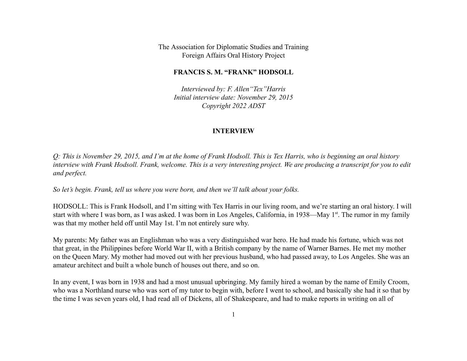The Association for Diplomatic Studies and Training Foreign Affairs Oral History Project

#### **FRANCIS S. M. "FRANK" HODSOLL**

*Interviewed by: F. Allen"Tex"Harris Initial interview date: November 29, 2015 Copyright 2022 ADST*

#### **INTERVIEW**

*Q: This is November 29, 2015, and I'm at the home of Frank Hodsoll. This is Tex Harris, who is beginning an oral history interview with Frank Hodsoll. Frank, welcome. This is a very interesting project. We are producing a transcript for you to edit and perfect.*

*So let's begin. Frank, tell us where you were born, and then we'll talk about your folks.*

HODSOLL: This is Frank Hodsoll, and I'm sitting with Tex Harris in our living room, and we're starting an oral history. I will start with where I was born, as I was asked. I was born in Los Angeles, California, in 1938—May 1<sup>st</sup>. The rumor in my family was that my mother held off until May 1st. I'm not entirely sure why.

My parents: My father was an Englishman who was a very distinguished war hero. He had made his fortune, which was not that great, in the Philippines before World War II, with a British company by the name of Warner Barnes. He met my mother on the Queen Mary. My mother had moved out with her previous husband, who had passed away, to Los Angeles. She was an amateur architect and built a whole bunch of houses out there, and so on.

In any event, I was born in 1938 and had a most unusual upbringing. My family hired a woman by the name of Emily Croom, who was a Northland nurse who was sort of my tutor to begin with, before I went to school, and basically she had it so that by the time I was seven years old, I had read all of Dickens, all of Shakespeare, and had to make reports in writing on all of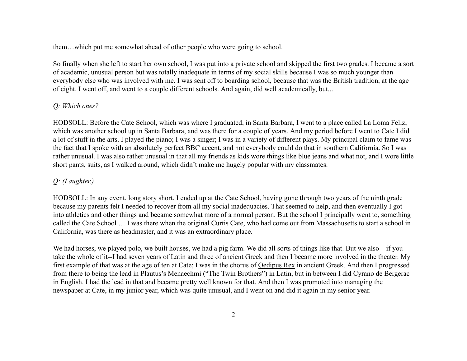them…which put me somewhat ahead of other people who were going to school.

So finally when she left to start her own school, I was put into a private school and skipped the first two grades. I became a sort of academic, unusual person but was totally inadequate in terms of my social skills because I was so much younger than everybody else who was involved with me. I was sent off to boarding school, because that was the British tradition, at the age of eight. I went off, and went to a couple different schools. And again, did well academically, but...

# *Q: Which ones?*

HODSOLL: Before the Cate School, which was where I graduated, in Santa Barbara, I went to a place called La Loma Feliz, which was another school up in Santa Barbara, and was there for a couple of years. And my period before I went to Cate I did a lot of stuff in the arts. I played the piano; I was a singer; I was in a variety of different plays. My principal claim to fame was the fact that I spoke with an absolutely perfect BBC accent, and not everybody could do that in southern California. So I was rather unusual. I was also rather unusual in that all my friends as kids wore things like blue jeans and what not, and I wore little short pants, suits, as I walked around, which didn't make me hugely popular with my classmates.

# *Q: (Laughter.)*

HODSOLL: In any event, long story short, I ended up at the Cate School, having gone through two years of the ninth grade because my parents felt I needed to recover from all my social inadequacies. That seemed to help, and then eventually I got into athletics and other things and became somewhat more of a normal person. But the school I principally went to, something called the Cate School … I was there when the original Curtis Cate, who had come out from Massachusetts to start a school in California, was there as headmaster, and it was an extraordinary place.

We had horses, we played polo, we built houses, we had a pig farm. We did all sorts of things like that. But we also—if you take the whole of it--I had seven years of Latin and three of ancient Greek and then I became more involved in the theater. My first example of that was at the age of ten at Cate; I was in the chorus of Oedipus Rex in ancient Greek. And then I progressed from there to being the lead in Plautus's Menaechmi ("The Twin Brothers") in Latin, but in between I did Cyrano de Bergerac in English. I had the lead in that and became pretty well known for that. And then I was promoted into managing the newspaper at Cate, in my junior year, which was quite unusual, and I went on and did it again in my senior year.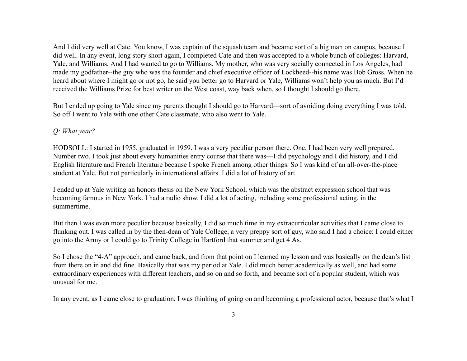And I did very well at Cate. You know, I was captain of the squash team and became sort of a big man on campus, because I did well. In any event, long story short again, I completed Cate and then was accepted to a whole bunch of colleges: Harvard, Yale, and Williams. And I had wanted to go to Williams. My mother, who was very socially connected in Los Angeles, had made my godfather--the guy who was the founder and chief executive officer of Lockheed--his name was Bob Gross. When he heard about where I might go or not go, he said you better go to Harvard or Yale, Williams won't help you as much. But I'd received the Williams Prize for best writer on the West coast, way back when, so I thought I should go there.

But I ended up going to Yale since my parents thought I should go to Harvard—sort of avoiding doing everything I was told. So off I went to Yale with one other Cate classmate, who also went to Yale.

### *Q: What year?*

HODSOLL: I started in 1955, graduated in 1959. I was a very peculiar person there. One, I had been very well prepared. Number two, I took just about every humanities entry course that there was—I did psychology and I did history, and I did English literature and French literature because I spoke French among other things. So I was kind of an all-over-the-place student at Yale. But not particularly in international affairs. I did a lot of history of art.

I ended up at Yale writing an honors thesis on the New York School, which was the abstract expression school that was becoming famous in New York. I had a radio show. I did a lot of acting, including some professional acting, in the summertime.

But then I was even more peculiar because basically, I did so much time in my extracurricular activities that I came close to flunking out. I was called in by the then-dean of Yale College, a very preppy sort of guy, who said I had a choice: I could either go into the Army or I could go to Trinity College in Hartford that summer and get 4 As.

So I chose the "4-A" approach, and came back, and from that point on I learned my lesson and was basically on the dean's list from there on in and did fine. Basically that was my period at Yale. I did much better academically as well, and had some extraordinary experiences with different teachers, and so on and so forth, and became sort of a popular student, which was unusual for me.

In any event, as I came close to graduation, I was thinking of going on and becoming a professional actor, because that's what I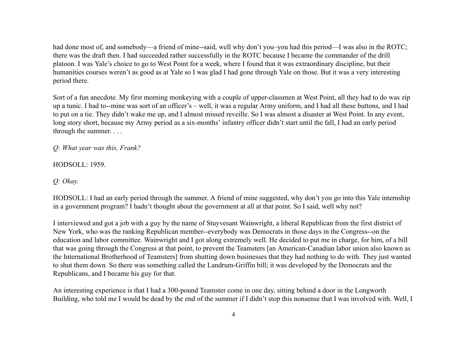had done most of, and somebody—a friend of mine--said, well why don't you–you had this period—I was also in the ROTC; there was the draft then. I had succeeded rather successfully in the ROTC because I became the commander of the drill platoon. I was Yale's choice to go to West Point for a week, where I found that it was extraordinary discipline, but their humanities courses weren't as good as at Yale so I was glad I had gone through Yale on those. But it was a very interesting period there.

Sort of a fun anecdote. My first morning monkeying with a couple of upper-classmen at West Point, all they had to do was zip up a tunic. I had to--mine was sort of an officer's – well, it was a regular Army uniform, and I had all these buttons, and I had to put on a tie. They didn't wake me up, and I almost missed reveille. So I was almost a disaster at West Point. In any event, long story short, because my Army period as a six-months' infantry officer didn't start until the fall, I had an early period through the summer. . . .

*Q: What year was this, Frank?*

HODSOLL: 1959.

*Q: Okay.*

HODSOLL: I had an early period through the summer. A friend of mine suggested, why don't you go into this Yale internship in a government program? I hadn't thought about the government at all at that point. So I said, well why not?

I interviewed and got a job with a guy by the name of Stuyvesant Wainwright, a liberal Republican from the first district of New York, who was the ranking Republican member--everybody was Democrats in those days in the Congress--on the education and labor committee. Wainwright and I got along extremely well. He decided to put me in charge, for him, of a bill that was going through the Congress at that point, to prevent the Teamsters [an American-Canadian labor union also known as the International Brotherhood of Teamsters] from shutting down businesses that they had nothing to do with. They just wanted to shut them down. So there was something called the Landrum-Griffin bill; it was developed by the Democrats and the Republicans, and I became his guy for that.

An interesting experience is that I had a 300-pound Teamster come in one day, sitting behind a door in the Longworth Building, who told me I would be dead by the end of the summer if I didn't stop this nonsense that I was involved with. Well, I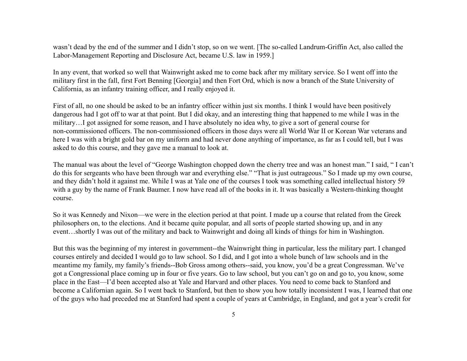wasn't dead by the end of the summer and I didn't stop, so on we went. [The so-called Landrum-Griffin Act, also called the Labor-Management Reporting and Disclosure Act, became U.S. law in 1959.]

In any event, that worked so well that Wainwright asked me to come back after my military service. So I went off into the military first in the fall, first Fort Benning [Georgia] and then Fort Ord, which is now a branch of the State University of California, as an infantry training officer, and I really enjoyed it.

First of all, no one should be asked to be an infantry officer within just six months. I think I would have been positively dangerous had I got off to war at that point. But I did okay, and an interesting thing that happened to me while I was in the military…I got assigned for some reason, and I have absolutely no idea why, to give a sort of general course for non-commissioned officers. The non-commissioned officers in those days were all World War II or Korean War veterans and here I was with a bright gold bar on my uniform and had never done anything of importance, as far as I could tell, but I was asked to do this course, and they gave me a manual to look at.

The manual was about the level of "George Washington chopped down the cherry tree and was an honest man." I said, " I can't do this for sergeants who have been through war and everything else." "That is just outrageous." So I made up my own course, and they didn't hold it against me. While I was at Yale one of the courses I took was something called intellectual history 59 with a guy by the name of Frank Baumer. I now have read all of the books in it. It was basically a Western-thinking thought course.

So it was Kennedy and Nixon—we were in the election period at that point. I made up a course that related from the Greek philosophers on, to the elections. And it became quite popular, and all sorts of people started showing up, and in any event…shortly I was out of the military and back to Wainwright and doing all kinds of things for him in Washington.

But this was the beginning of my interest in government--the Wainwright thing in particular, less the military part. I changed courses entirely and decided I would go to law school. So I did, and I got into a whole bunch of law schools and in the meantime my family, my family's friends--Bob Gross among others--said, you know, you'd be a great Congressman. We've got a Congressional place coming up in four or five years. Go to law school, but you can't go on and go to, you know, some place in the East—I'd been accepted also at Yale and Harvard and other places. You need to come back to Stanford and become a Californian again. So I went back to Stanford, but then to show you how totally inconsistent I was, I learned that one of the guys who had preceded me at Stanford had spent a couple of years at Cambridge, in England, and got a year's credit for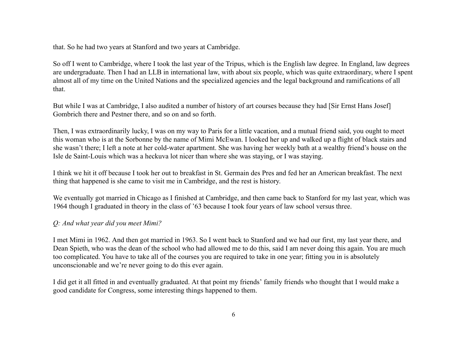that. So he had two years at Stanford and two years at Cambridge.

So off I went to Cambridge, where I took the last year of the Tripus, which is the English law degree. In England, law degrees are undergraduate. Then I had an LLB in international law, with about six people, which was quite extraordinary, where I spent almost all of my time on the United Nations and the specialized agencies and the legal background and ramifications of all that.

But while I was at Cambridge, I also audited a number of history of art courses because they had [Sir Ernst Hans Josef] Gombrich there and Pestner there, and so on and so forth.

Then, I was extraordinarily lucky, I was on my way to Paris for a little vacation, and a mutual friend said, you ought to meet this woman who is at the Sorbonne by the name of Mimi McEwan. I looked her up and walked up a flight of black stairs and she wasn't there; I left a note at her cold-water apartment. She was having her weekly bath at a wealthy friend's house on the Isle de Saint-Louis which was a heckuva lot nicer than where she was staying, or I was staying.

I think we hit it off because I took her out to breakfast in St. Germain des Pres and fed her an American breakfast. The next thing that happened is she came to visit me in Cambridge, and the rest is history.

We eventually got married in Chicago as I finished at Cambridge, and then came back to Stanford for my last year, which was 1964 though I graduated in theory in the class of '63 because I took four years of law school versus three.

# *Q: And what year did you meet Mimi?*

I met Mimi in 1962. And then got married in 1963. So I went back to Stanford and we had our first, my last year there, and Dean Spieth, who was the dean of the school who had allowed me to do this, said I am never doing this again. You are much too complicated. You have to take all of the courses you are required to take in one year; fitting you in is absolutely unconscionable and we're never going to do this ever again.

I did get it all fitted in and eventually graduated. At that point my friends' family friends who thought that I would make a good candidate for Congress, some interesting things happened to them.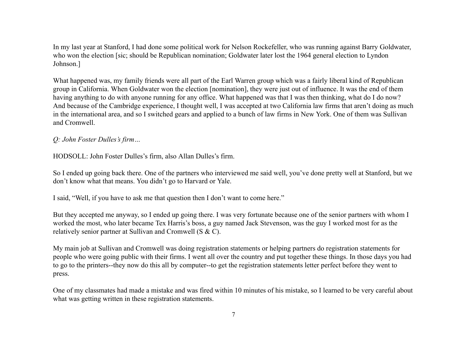In my last year at Stanford, I had done some political work for Nelson Rockefeller, who was running against Barry Goldwater, who won the election [sic; should be Republican nomination; Goldwater later lost the 1964 general election to Lyndon Johnson.]

What happened was, my family friends were all part of the Earl Warren group which was a fairly liberal kind of Republican group in California. When Goldwater won the election [nomination], they were just out of influence. It was the end of them having anything to do with anyone running for any office. What happened was that I was then thinking, what do I do now? And because of the Cambridge experience, I thought well, I was accepted at two California law firms that aren't doing as much in the international area, and so I switched gears and applied to a bunch of law firms in New York. One of them was Sullivan and Cromwell.

# *Q: John Foster Dulles's firm…*

HODSOLL: John Foster Dulles's firm, also Allan Dulles's firm.

So I ended up going back there. One of the partners who interviewed me said well, you've done pretty well at Stanford, but we don't know what that means. You didn't go to Harvard or Yale.

I said, "Well, if you have to ask me that question then I don't want to come here."

But they accepted me anyway, so I ended up going there. I was very fortunate because one of the senior partners with whom I worked the most, who later became Tex Harris's boss, a guy named Jack Stevenson, was the guy I worked most for as the relatively senior partner at Sullivan and Cromwell (S & C).

My main job at Sullivan and Cromwell was doing registration statements or helping partners do registration statements for people who were going public with their firms. I went all over the country and put together these things. In those days you had to go to the printers--they now do this all by computer--to get the registration statements letter perfect before they went to press.

One of my classmates had made a mistake and was fired within 10 minutes of his mistake, so I learned to be very careful about what was getting written in these registration statements.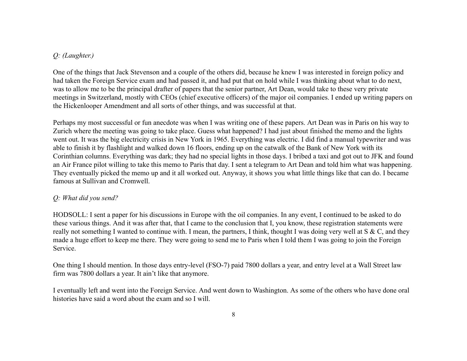# *Q: (Laughter.)*

One of the things that Jack Stevenson and a couple of the others did, because he knew I was interested in foreign policy and had taken the Foreign Service exam and had passed it, and had put that on hold while I was thinking about what to do next, was to allow me to be the principal drafter of papers that the senior partner, Art Dean, would take to these very private meetings in Switzerland, mostly with CEOs (chief executive officers) of the major oil companies. I ended up writing papers on the Hickenlooper Amendment and all sorts of other things, and was successful at that.

Perhaps my most successful or fun anecdote was when I was writing one of these papers. Art Dean was in Paris on his way to Zurich where the meeting was going to take place. Guess what happened? I had just about finished the memo and the lights went out. It was the big electricity crisis in New York in 1965. Everything was electric. I did find a manual typewriter and was able to finish it by flashlight and walked down 16 floors, ending up on the catwalk of the Bank of New York with its Corinthian columns. Everything was dark; they had no special lights in those days. I bribed a taxi and got out to JFK and found an Air France pilot willing to take this memo to Paris that day. I sent a telegram to Art Dean and told him what was happening. They eventually picked the memo up and it all worked out. Anyway, it shows you what little things like that can do. I became famous at Sullivan and Cromwell.

# *Q: What did you send?*

HODSOLL: I sent a paper for his discussions in Europe with the oil companies. In any event, I continued to be asked to do these various things. And it was after that, that I came to the conclusion that I, you know, these registration statements were really not something I wanted to continue with. I mean, the partners, I think, thought I was doing very well at S & C, and they made a huge effort to keep me there. They were going to send me to Paris when I told them I was going to join the Foreign Service.

One thing I should mention. In those days entry-level (FSO-7) paid 7800 dollars a year, and entry level at a Wall Street law firm was 7800 dollars a year. It ain't like that anymore.

I eventually left and went into the Foreign Service. And went down to Washington. As some of the others who have done oral histories have said a word about the exam and so I will.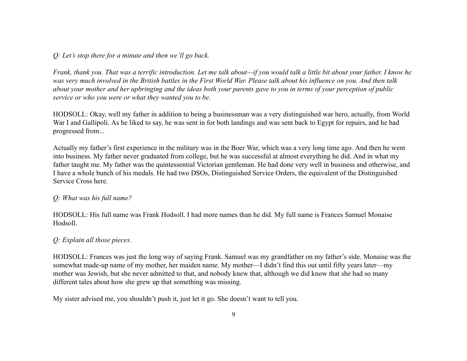*Q: Let's stop there for a minute and then we'll go back.*

*Frank, thank you. That was a terrific introduction. Let me talk about—if you would talk a little bit about your father. I know he was very much involved in the British battles in the First World War. Please talk about his influence on you. And then talk about your mother and her upbringing and the ideas both your parents gave to you in terms of your perception of public service or who you were or what they wanted you to be.*

HODSOLL: Okay, well my father in addition to being a businessman was a very distinguished war hero, actually, from World War I and Gallipoli. As he liked to say, he was sent in for both landings and was sent back to Egypt for repairs, and he had progressed from...

Actually my father's first experience in the military was in the Boer War, which was a very long time ago. And then he went into business. My father never graduated from college, but he was successful at almost everything he did. And in what my father taught me. My father was the quintessential Victorian gentleman. He had done very well in business and otherwise, and I have a whole bunch of his medals. He had two DSOs, Distinguished Service Orders, the equivalent of the Distinguished Service Cross here.

### *Q: What was his full name?*

HODSOLL: His full name was Frank Hodsoll. I had more names than he did. My full name is Frances Samuel Monaise Hodsoll.

### *Q: Explain all those pieces.*

HODSOLL: Frances was just the long way of saying Frank. Samuel was my grandfather on my father's side. Monaise was the somewhat made-up name of my mother, her maiden name. My mother—I didn't find this out until fifty years later—my mother was Jewish, but she never admitted to that, and nobody knew that, although we did know that she had so many different tales about how she grew up that something was missing.

My sister advised me, you shouldn't push it, just let it go. She doesn't want to tell you.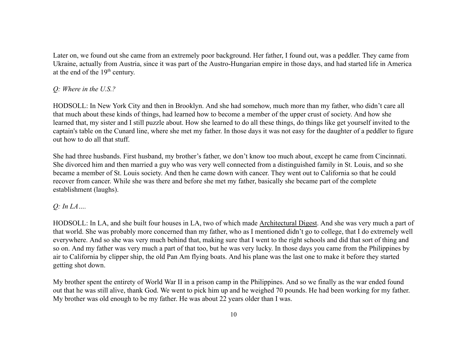Later on, we found out she came from an extremely poor background. Her father, I found out, was a peddler. They came from Ukraine, actually from Austria, since it was part of the Austro-Hungarian empire in those days, and had started life in America at the end of the  $19<sup>th</sup>$  century.

# *Q: Where in the U.S.?*

HODSOLL: In New York City and then in Brooklyn. And she had somehow, much more than my father, who didn't care all that much about these kinds of things, had learned how to become a member of the upper crust of society. And how she learned that, my sister and I still puzzle about. How she learned to do all these things, do things like get yourself invited to the captain's table on the Cunard line, where she met my father. In those days it was not easy for the daughter of a peddler to figure out how to do all that stuff.

She had three husbands. First husband, my brother's father, we don't know too much about, except he came from Cincinnati. She divorced him and then married a guy who was very well connected from a distinguished family in St. Louis, and so she became a member of St. Louis society. And then he came down with cancer. They went out to California so that he could recover from cancer. While she was there and before she met my father, basically she became part of the complete establishment (laughs).

# *Q: In LA….*

HODSOLL: In LA, and she built four houses in LA, two of which made Architectural Digest. And she was very much a part of that world. She was probably more concerned than my father, who as I mentioned didn't go to college, that I do extremely well everywhere. And so she was very much behind that, making sure that I went to the right schools and did that sort of thing and so on. And my father was very much a part of that too, but he was very lucky. In those days you came from the Philippines by air to California by clipper ship, the old Pan Am flying boats. And his plane was the last one to make it before they started getting shot down.

My brother spent the entirety of World War II in a prison camp in the Philippines. And so we finally as the war ended found out that he was still alive, thank God. We went to pick him up and he weighed 70 pounds. He had been working for my father. My brother was old enough to be my father. He was about 22 years older than I was.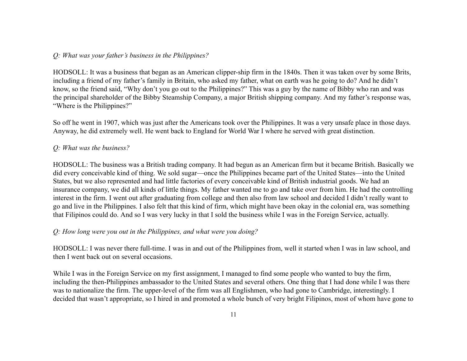### *Q: What was your father's business in the Philippines?*

HODSOLL: It was a business that began as an American clipper-ship firm in the 1840s. Then it was taken over by some Brits, including a friend of my father's family in Britain, who asked my father, what on earth was he going to do? And he didn't know, so the friend said, "Why don't you go out to the Philippines?" This was a guy by the name of Bibby who ran and was the principal shareholder of the Bibby Steamship Company, a major British shipping company. And my father's response was, "Where is the Philippines?"

So off he went in 1907, which was just after the Americans took over the Philippines. It was a very unsafe place in those days. Anyway, he did extremely well. He went back to England for World War I where he served with great distinction.

### *Q: What was the business?*

HODSOLL: The business was a British trading company. It had begun as an American firm but it became British. Basically we did every conceivable kind of thing. We sold sugar—once the Philippines became part of the United States—into the United States, but we also represented and had little factories of every conceivable kind of British industrial goods. We had an insurance company, we did all kinds of little things. My father wanted me to go and take over from him. He had the controlling interest in the firm. I went out after graduating from college and then also from law school and decided I didn't really want to go and live in the Philippines. I also felt that this kind of firm, which might have been okay in the colonial era, was something that Filipinos could do. And so I was very lucky in that I sold the business while I was in the Foreign Service, actually.

### *Q: How long were you out in the Philippines, and what were you doing?*

HODSOLL: I was never there full-time. I was in and out of the Philippines from, well it started when I was in law school, and then I went back out on several occasions.

While I was in the Foreign Service on my first assignment, I managed to find some people who wanted to buy the firm, including the then-Philippines ambassador to the United States and several others. One thing that I had done while I was there was to nationalize the firm. The upper-level of the firm was all Englishmen, who had gone to Cambridge, interestingly. I decided that wasn't appropriate, so I hired in and promoted a whole bunch of very bright Filipinos, most of whom have gone to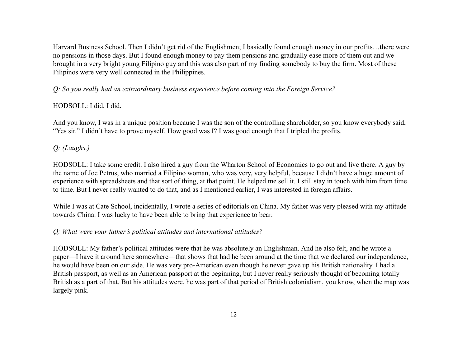Harvard Business School. Then I didn't get rid of the Englishmen; I basically found enough money in our profits…there were no pensions in those days. But I found enough money to pay them pensions and gradually ease more of them out and we brought in a very bright young Filipino guy and this was also part of my finding somebody to buy the firm. Most of these Filipinos were very well connected in the Philippines.

*Q: So you really had an extraordinary business experience before coming into the Foreign Service?*

# HODSOLL: I did, I did.

And you know, I was in a unique position because I was the son of the controlling shareholder, so you know everybody said, "Yes sir." I didn't have to prove myself. How good was I? I was good enough that I tripled the profits.

# *Q: (Laughs.)*

HODSOLL: I take some credit. I also hired a guy from the Wharton School of Economics to go out and live there. A guy by the name of Joe Petrus, who married a Filipino woman, who was very, very helpful, because I didn't have a huge amount of experience with spreadsheets and that sort of thing, at that point. He helped me sell it. I still stay in touch with him from time to time. But I never really wanted to do that, and as I mentioned earlier, I was interested in foreign affairs.

While I was at Cate School, incidentally, I wrote a series of editorials on China. My father was very pleased with my attitude towards China. I was lucky to have been able to bring that experience to bear.

# *Q: What were your father's political attitudes and international attitudes?*

HODSOLL: My father's political attitudes were that he was absolutely an Englishman. And he also felt, and he wrote a paper—I have it around here somewhere—that shows that had he been around at the time that we declared our independence, he would have been on our side. He was very pro-American even though he never gave up his British nationality. I had a British passport, as well as an American passport at the beginning, but I never really seriously thought of becoming totally British as a part of that. But his attitudes were, he was part of that period of British colonialism, you know, when the map was largely pink.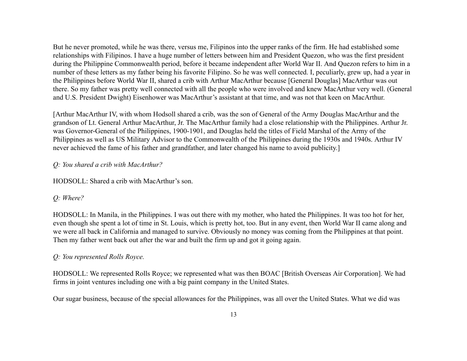But he never promoted, while he was there, versus me, Filipinos into the upper ranks of the firm. He had established some relationships with Filipinos. I have a huge number of letters between him and President Quezon, who was the first president during the Philippine Commonwealth period, before it became independent after World War II. And Quezon refers to him in a number of these letters as my father being his favorite Filipino. So he was well connected. I, peculiarly, grew up, had a year in the Philippines before World War II, shared a crib with Arthur MacArthur because [General Douglas] MacArthur was out there. So my father was pretty well connected with all the people who were involved and knew MacArthur very well. (General and U.S. President Dwight) Eisenhower was MacArthur's assistant at that time, and was not that keen on MacArthur.

[Arthur MacArthur IV, with whom Hodsoll shared a crib, was the son of General of the Army Douglas MacArthur and the grandson of Lt. General Arthur MacArthur, Jr. The MacArthur family had a close relationship with the Philippines. Arthur Jr. was Governor-General of the Philippines, 1900-1901, and Douglas held the titles of Field Marshal of the Army of the Philippines as well as US Military Advisor to the Commonwealth of the Philippines during the 1930s and 1940s. Arthur IV never achieved the fame of his father and grandfather, and later changed his name to avoid publicity.]

# *Q: You shared a crib with MacArthur?*

HODSOLL: Shared a crib with MacArthur's son.

# *Q: Where?*

HODSOLL: In Manila, in the Philippines. I was out there with my mother, who hated the Philippines. It was too hot for her, even though she spent a lot of time in St. Louis, which is pretty hot, too. But in any event, then World War II came along and we were all back in California and managed to survive. Obviously no money was coming from the Philippines at that point. Then my father went back out after the war and built the firm up and got it going again.

# *Q: You represented Rolls Royce.*

HODSOLL: We represented Rolls Royce; we represented what was then BOAC [British Overseas Air Corporation]. We had firms in joint ventures including one with a big paint company in the United States.

Our sugar business, because of the special allowances for the Philippines, was all over the United States. What we did was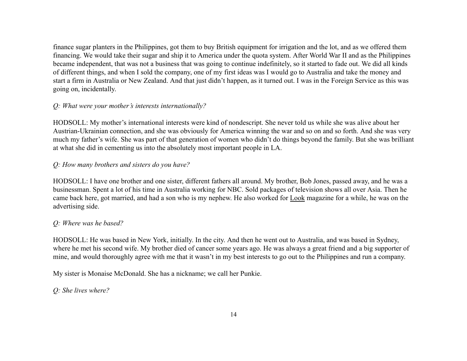finance sugar planters in the Philippines, got them to buy British equipment for irrigation and the lot, and as we offered them financing. We would take their sugar and ship it to America under the quota system. After World War II and as the Philippines became independent, that was not a business that was going to continue indefinitely, so it started to fade out. We did all kinds of different things, and when I sold the company, one of my first ideas was I would go to Australia and take the money and start a firm in Australia or New Zealand. And that just didn't happen, as it turned out. I was in the Foreign Service as this was going on, incidentally.

# *Q: What were your mother's interests internationally?*

HODSOLL: My mother's international interests were kind of nondescript. She never told us while she was alive about her Austrian-Ukrainian connection, and she was obviously for America winning the war and so on and so forth. And she was very much my father's wife. She was part of that generation of women who didn't do things beyond the family. But she was brilliant at what she did in cementing us into the absolutely most important people in LA.

# *Q: How many brothers and sisters do you have?*

HODSOLL: I have one brother and one sister, different fathers all around. My brother, Bob Jones, passed away, and he was a businessman. Spent a lot of his time in Australia working for NBC. Sold packages of television shows all over Asia. Then he came back here, got married, and had a son who is my nephew. He also worked for Look magazine for a while, he was on the advertising side.

# *Q: Where was he based?*

HODSOLL: He was based in New York, initially. In the city. And then he went out to Australia, and was based in Sydney, where he met his second wife. My brother died of cancer some years ago. He was always a great friend and a big supporter of mine, and would thoroughly agree with me that it wasn't in my best interests to go out to the Philippines and run a company.

My sister is Monaise McDonald. She has a nickname; we call her Punkie.

# *Q: She lives where?*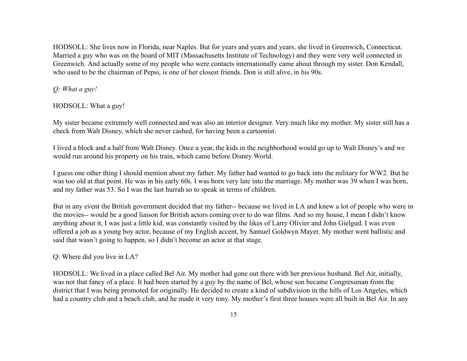HODSOLL: She lives now in Florida, near Naples. But for years and years and years, she lived in Greenwich, Connecticut. Married a guy who was on the board of MIT (Massachusetts Institute of Technology) and they were very well connected in Greenwich. And actually some of my people who were contacts internationally came about through my sister. Don Kendall, who used to be the chairman of Pepsi, is one of her closest friends. Don is still alive, in his 90s.

*Q: What a guy!*

HODSOLL: What a guy!

My sister became extremely well connected and was also an interior designer. Very much like my mother. My sister still has a check from Walt Disney, which she never cashed, for having been a cartoonist.

I lived a block and a half from Walt Disney. Once a year, the kids in the neighborhood would go up to Walt Disney's and we would run around his property on his train, which came before Disney World.

I guess one other thing I should mention about my father. My father had wanted to go back into the military for WW2. But he was too old at that point. He was in his early 60s. I was born very late into the marriage. My mother was 39 when I was born, and my father was 53. So I was the last hurrah so to speak in terms of children.

But in any event the British government decided that my father-- because we lived in LA and knew a lot of people who were in the movies-- would be a good liaison for British actors coming over to do war films. And so my house, I mean I didn't know anything about it, I was just a little kid, was constantly visited by the likes of Larry Olivier and John Gielgud. I was even offered a job as a young boy actor, because of my English accent, by Samuel Goldwyn Mayer. My mother went ballistic and said that wasn't going to happen, so I didn't become an actor at that stage.

Q: Where did you live in LA?

HODSOLL: We lived in a place called Bel Air. My mother had gone out there with her previous husband. Bel Air, initially, was not that fancy of a place. It had been started by a guy by the name of Bel, whose son became Congressman from the district that I was being promoted for originally. He decided to create a kind of subdivision in the hills of Los Angeles, which had a country club and a beach club, and he made it very tony. My mother's first three houses were all built in Bel Air. In any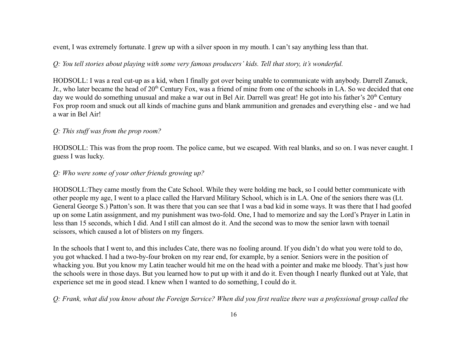event, I was extremely fortunate. I grew up with a silver spoon in my mouth. I can't say anything less than that.

# *Q: You tell stories about playing with some very famous producers' kids. Tell that story, it's wonderful.*

HODSOLL: I was a real cut-up as a kid, when I finally got over being unable to communicate with anybody. Darrell Zanuck, Jr., who later became the head of 20<sup>th</sup> Century Fox, was a friend of mine from one of the schools in LA. So we decided that one day we would do something unusual and make a war out in Bel Air. Darrell was great! He got into his father's 20<sup>th</sup> Century Fox prop room and snuck out all kinds of machine guns and blank ammunition and grenades and everything else - and we had a war in Bel Air!

# *Q: This stuff was from the prop room?*

HODSOLL: This was from the prop room. The police came, but we escaped. With real blanks, and so on. I was never caught. I guess I was lucky.

# *Q: Who were some of your other friends growing up?*

HODSOLL:They came mostly from the Cate School. While they were holding me back, so I could better communicate with other people my age, I went to a place called the Harvard Military School, which is in LA. One of the seniors there was (Lt. General George S.) Patton's son. It was there that you can see that I was a bad kid in some ways. It was there that I had goofed up on some Latin assignment, and my punishment was two-fold. One, I had to memorize and say the Lord's Prayer in Latin in less than 15 seconds, which I did. And I still can almost do it. And the second was to mow the senior lawn with toenail scissors, which caused a lot of blisters on my fingers.

In the schools that I went to, and this includes Cate, there was no fooling around. If you didn't do what you were told to do, you got whacked. I had a two-by-four broken on my rear end, for example, by a senior. Seniors were in the position of whacking you. But you know my Latin teacher would hit me on the head with a pointer and make me bloody. That's just how the schools were in those days. But you learned how to put up with it and do it. Even though I nearly flunked out at Yale, that experience set me in good stead. I knew when I wanted to do something, I could do it.

*Q: Frank, what did you know about the Foreign Service? When did you first realize there was a professional group called the*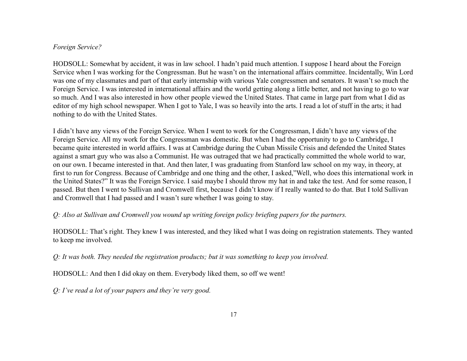### *Foreign Service?*

HODSOLL: Somewhat by accident, it was in law school. I hadn't paid much attention. I suppose I heard about the Foreign Service when I was working for the Congressman. But he wasn't on the international affairs committee. Incidentally, Win Lord was one of my classmates and part of that early internship with various Yale congressmen and senators. It wasn't so much the Foreign Service. I was interested in international affairs and the world getting along a little better, and not having to go to war so much. And I was also interested in how other people viewed the United States. That came in large part from what I did as editor of my high school newspaper. When I got to Yale, I was so heavily into the arts. I read a lot of stuff in the arts; it had nothing to do with the United States.

I didn't have any views of the Foreign Service. When I went to work for the Congressman, I didn't have any views of the Foreign Service. All my work for the Congressman was domestic. But when I had the opportunity to go to Cambridge, I became quite interested in world affairs. I was at Cambridge during the Cuban Missile Crisis and defended the United States against a smart guy who was also a Communist. He was outraged that we had practically committed the whole world to war, on our own. I became interested in that. And then later, I was graduating from Stanford law school on my way, in theory, at first to run for Congress. Because of Cambridge and one thing and the other, I asked,"Well, who does this international work in the United States?" It was the Foreign Service. I said maybe I should throw my hat in and take the test. And for some reason, I passed. But then I went to Sullivan and Cromwell first, because I didn't know if I really wanted to do that. But I told Sullivan and Cromwell that I had passed and I wasn't sure whether I was going to stay.

# *Q: Also at Sullivan and Cromwell you wound up writing foreign policy briefing papers for the partners.*

HODSOLL: That's right. They knew I was interested, and they liked what I was doing on registration statements. They wanted to keep me involved.

*Q: It was both. They needed the registration products; but it was something to keep you involved.*

HODSOLL: And then I did okay on them. Everybody liked them, so off we went!

*Q: I've read a lot of your papers and they're very good.*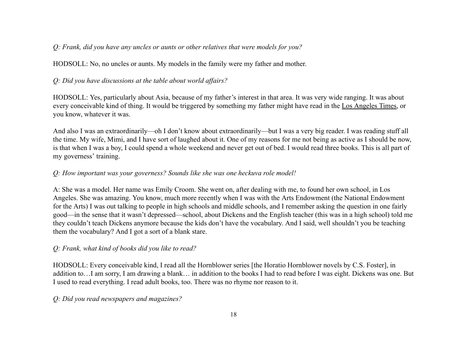# *Q: Frank, did you have any uncles or aunts or other relatives that were models for you?*

HODSOLL: No, no uncles or aunts. My models in the family were my father and mother.

# *Q: Did you have discussions at the table about world affairs?*

HODSOLL: Yes, particularly about Asia, because of my father's interest in that area. It was very wide ranging. It was about every conceivable kind of thing. It would be triggered by something my father might have read in the Los Angeles Times, or you know, whatever it was.

And also I was an extraordinarily—oh I don't know about extraordinarily—but I was a very big reader. I was reading stuff all the time. My wife, Mimi, and I have sort of laughed about it. One of my reasons for me not being as active as I should be now, is that when I was a boy, I could spend a whole weekend and never get out of bed. I would read three books. This is all part of my governess' training.

# *Q: How important was your governess? Sounds like she was one heckuva role model!*

A: She was a model. Her name was Emily Croom. She went on, after dealing with me, to found her own school, in Los Angeles. She was amazing. You know, much more recently when I was with the Arts Endowment (the National Endowment for the Arts) I was out talking to people in high schools and middle schools, and I remember asking the question in one fairly good—in the sense that it wasn't depressed—school, about Dickens and the English teacher (this was in a high school) told me they couldn't teach Dickens anymore because the kids don't have the vocabulary. And I said, well shouldn't you be teaching them the vocabulary? And I got a sort of a blank stare.

# *Q: Frank, what kind of books did you like to read?*

HODSOLL: Every conceivable kind, I read all the Hornblower series [the Horatio Hornblower novels by C.S. Foster], in addition to…I am sorry, I am drawing a blank… in addition to the books I had to read before I was eight. Dickens was one. But I used to read everything. I read adult books, too. There was no rhyme nor reason to it.

# *Q: Did you read newspapers and magazines?*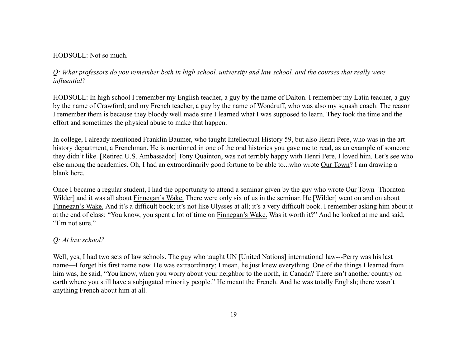### HODSOLL: Not so much.

# *Q: What professors do you remember both in high school, university and law school, and the courses that really were influential?*

HODSOLL: In high school I remember my English teacher, a guy by the name of Dalton. I remember my Latin teacher, a guy by the name of Crawford; and my French teacher, a guy by the name of Woodruff, who was also my squash coach. The reason I remember them is because they bloody well made sure I learned what I was supposed to learn. They took the time and the effort and sometimes the physical abuse to make that happen.

In college, I already mentioned Franklin Baumer, who taught Intellectual History 59, but also Henri Pere, who was in the art history department, a Frenchman. He is mentioned in one of the oral histories you gave me to read, as an example of someone they didn't like. [Retired U.S. Ambassador] Tony Quainton, was not terribly happy with Henri Pere, I loved him. Let's see who else among the academics. Oh, I had an extraordinarily good fortune to be able to...who wrote Our Town? I am drawing a blank here.

Once I became a regular student, I had the opportunity to attend a seminar given by the guy who wrote Our Town [Thornton Wilder] and it was all about Finnegan's Wake. There were only six of us in the seminar. He [Wilder] went on and on about Finnegan's Wake. And it's a difficult book; it's not like Ulysses at all; it's a very difficult book. I remember asking him about it at the end of class: "You know, you spent a lot of time on Finnegan's Wake. Was it worth it?" And he looked at me and said, "I'm not sure."

### *Q: At law school?*

Well, yes, I had two sets of law schools. The guy who taught UN [United Nations] international law---Perry was his last name—I forget his first name now. He was extraordinary; I mean, he just knew everything. One of the things I learned from him was, he said, "You know, when you worry about your neighbor to the north, in Canada? There isn't another country on earth where you still have a subjugated minority people." He meant the French. And he was totally English; there wasn't anything French about him at all.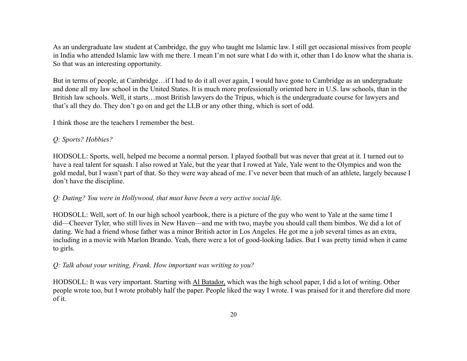As an undergraduate law student at Cambridge, the guy who taught me Islamic law. I still get occasional missives from people in India who attended Islamic law with me there. I mean I'm not sure what I do with it, other than I do know what the sharia is. So that was an interesting opportunity.

But in terms of people, at Cambridge…if I had to do it all over again, I would have gone to Cambridge as an undergraduate and done all my law school in the United States. It is much more professionally oriented here in U.S. law schools, than in the British law schools. Well, it starts…most British lawyers do the Tripus, which is the undergraduate course for lawyers and that's all they do. They don't go on and get the LLB or any other thing, which is sort of odd.

I think those are the teachers I remember the best.

### *Q: Sports? Hobbies?*

HODSOLL: Sports, well, helped me become a normal person. I played football but was never that great at it. I turned out to have a real talent for squash. I also rowed at Yale, but the year that I rowed at Yale, Yale went to the Olympics and won the gold medal, but I wasn't part of that. So they were way ahead of me. I've never been that much of an athlete, largely because I don't have the discipline.

### *Q: Dating? You were in Hollywood, that must have been a very active social life.*

HODSOLL: Well, sort of. In our high school yearbook, there is a picture of the guy who went to Yale at the same time I did—Cheever Tyler, who still lives in New Haven—and me with two, maybe you should call them bimbos. We did a lot of dating. We had a friend whose father was a minor British actor in Los Angeles. He got me a job several times as an extra, including in a movie with Marlon Brando. Yeah, there were a lot of good-looking ladies. But I was pretty timid when it came to girls.

# *Q: Talk about your writing, Frank. How important was writing to you?*

HODSOLL: It was very important. Starting with Al Batador, which was the high school paper, I did a lot of writing. Other people wrote too, but I wrote probably half the paper. People liked the way I wrote. I was praised for it and therefore did more of it.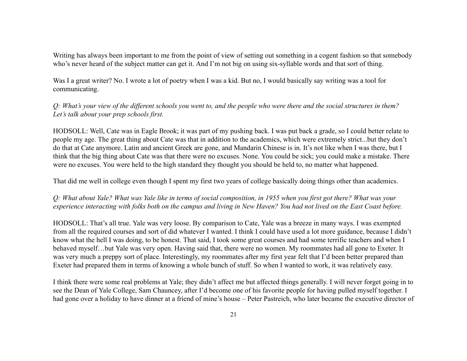Writing has always been important to me from the point of view of setting out something in a cogent fashion so that somebody who's never heard of the subject matter can get it. And I'm not big on using six-syllable words and that sort of thing.

Was I a great writer? No. I wrote a lot of poetry when I was a kid. But no, I would basically say writing was a tool for communicating.

*Q: What's your view of the different schools you went to, and the people who were there and the social structures in them? Let's talk about your prep schools first.*

HODSOLL: Well, Cate was in Eagle Brook; it was part of my pushing back. I was put back a grade, so I could better relate to people my age. The great thing about Cate was that in addition to the academics, which were extremely strict...but they don't do that at Cate anymore. Latin and ancient Greek are gone, and Mandarin Chinese is in. It's not like when I was there, but I think that the big thing about Cate was that there were no excuses. None. You could be sick; you could make a mistake. There were no excuses. You were held to the high standard they thought you should be held to, no matter what happened.

That did me well in college even though I spent my first two years of college basically doing things other than academics.

*Q: What about Yale? What was Yale like in terms of social composition, in 1955 when you first got there? What was your experience interacting with folks both on the campus and living in New Haven? You had not lived on the East Coast before.*

HODSOLL: That's all true. Yale was very loose. By comparison to Cate, Yale was a breeze in many ways. I was exempted from all the required courses and sort of did whatever I wanted. I think I could have used a lot more guidance, because I didn't know what the hell I was doing, to be honest. That said, I took some great courses and had some terrific teachers and when I behaved myself…but Yale was very open. Having said that, there were no women. My roommates had all gone to Exeter. It was very much a preppy sort of place. Interestingly, my roommates after my first year felt that I'd been better prepared than Exeter had prepared them in terms of knowing a whole bunch of stuff. So when I wanted to work, it was relatively easy.

I think there were some real problems at Yale; they didn't affect me but affected things generally. I will never forget going in to see the Dean of Yale College, Sam Chauncey, after I'd become one of his favorite people for having pulled myself together. I had gone over a holiday to have dinner at a friend of mine's house – Peter Pastreich, who later became the executive director of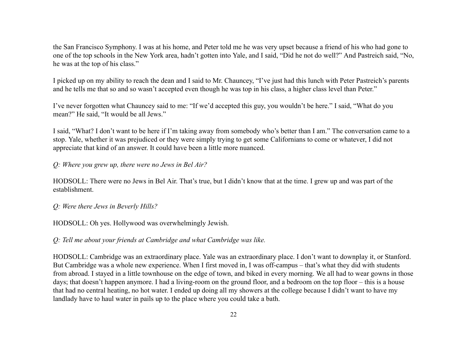the San Francisco Symphony. I was at his home, and Peter told me he was very upset because a friend of his who had gone to one of the top schools in the New York area, hadn't gotten into Yale, and I said, "Did he not do well?" And Pastreich said, "No, he was at the top of his class."

I picked up on my ability to reach the dean and I said to Mr. Chauncey, "I've just had this lunch with Peter Pastreich's parents and he tells me that so and so wasn't accepted even though he was top in his class, a higher class level than Peter."

I've never forgotten what Chauncey said to me: "If we'd accepted this guy, you wouldn't be here." I said, "What do you mean?" He said, "It would be all Jews."

I said, "What? I don't want to be here if I'm taking away from somebody who's better than I am." The conversation came to a stop. Yale, whether it was prejudiced or they were simply trying to get some Californians to come or whatever, I did not appreciate that kind of an answer. It could have been a little more nuanced.

*Q: Where you grew up, there were no Jews in Bel Air?*

HODSOLL: There were no Jews in Bel Air. That's true, but I didn't know that at the time. I grew up and was part of the establishment.

*Q: Were there Jews in Beverly Hills?*

HODSOLL: Oh yes. Hollywood was overwhelmingly Jewish.

*Q: Tell me about your friends at Cambridge and what Cambridge was like.*

HODSOLL: Cambridge was an extraordinary place. Yale was an extraordinary place. I don't want to downplay it, or Stanford. But Cambridge was a whole new experience. When I first moved in, I was off-campus – that's what they did with students from abroad. I stayed in a little townhouse on the edge of town, and biked in every morning. We all had to wear gowns in those days; that doesn't happen anymore. I had a living-room on the ground floor, and a bedroom on the top floor – this is a house that had no central heating, no hot water. I ended up doing all my showers at the college because I didn't want to have my landlady have to haul water in pails up to the place where you could take a bath.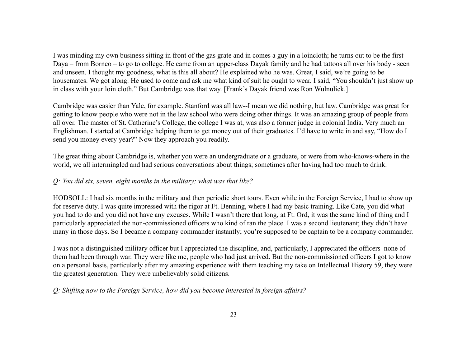I was minding my own business sitting in front of the gas grate and in comes a guy in a loincloth; he turns out to be the first Daya – from Borneo – to go to college. He came from an upper-class Dayak family and he had tattoos all over his body - seen and unseen. I thought my goodness, what is this all about? He explained who he was. Great, I said, we're going to be housemates. We got along. He used to come and ask me what kind of suit he ought to wear. I said, "You shouldn't just show up in class with your loin cloth." But Cambridge was that way. [Frank's Dayak friend was Ron Wulnulick.]

Cambridge was easier than Yale, for example. Stanford was all law--I mean we did nothing, but law. Cambridge was great for getting to know people who were not in the law school who were doing other things. It was an amazing group of people from all over. The master of St. Catherine's College, the college I was at, was also a former judge in colonial India. Very much an Englishman. I started at Cambridge helping them to get money out of their graduates. I'd have to write in and say, "How do I send you money every year?" Now they approach you readily.

The great thing about Cambridge is, whether you were an undergraduate or a graduate, or were from who-knows-where in the world, we all intermingled and had serious conversations about things; sometimes after having had too much to drink.

# *Q: You did six, seven, eight months in the military; what was that like?*

HODSOLL: I had six months in the military and then periodic short tours. Even while in the Foreign Service, I had to show up for reserve duty. I was quite impressed with the rigor at Ft. Benning, where I had my basic training. Like Cate, you did what you had to do and you did not have any excuses. While I wasn't there that long, at Ft. Ord, it was the same kind of thing and I particularly appreciated the non-commissioned officers who kind of ran the place. I was a second lieutenant; they didn't have many in those days. So I became a company commander instantly; you're supposed to be captain to be a company commander.

I was not a distinguished military officer but I appreciated the discipline, and, particularly, I appreciated the officers–none of them had been through war. They were like me, people who had just arrived. But the non-commissioned officers I got to know on a personal basis, particularly after my amazing experience with them teaching my take on Intellectual History 59, they were the greatest generation. They were unbelievably solid citizens.

*Q: Shifting now to the Foreign Service, how did you become interested in foreign affairs?*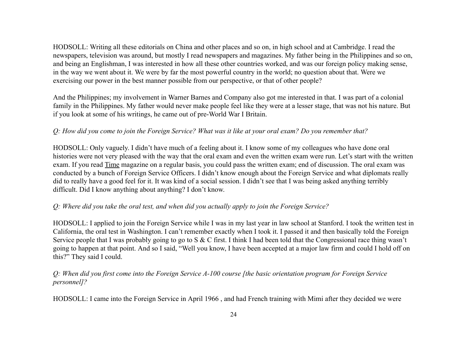HODSOLL: Writing all these editorials on China and other places and so on, in high school and at Cambridge. I read the newspapers, television was around, but mostly I read newspapers and magazines. My father being in the Philippines and so on, and being an Englishman, I was interested in how all these other countries worked, and was our foreign policy making sense, in the way we went about it. We were by far the most powerful country in the world; no question about that. Were we exercising our power in the best manner possible from our perspective, or that of other people?

And the Philippines; my involvement in Warner Barnes and Company also got me interested in that. I was part of a colonial family in the Philippines. My father would never make people feel like they were at a lesser stage, that was not his nature. But if you look at some of his writings, he came out of pre-World War I Britain.

# *Q: How did you come to join the Foreign Service? What was it like at your oral exam? Do you remember that?*

HODSOLL: Only vaguely. I didn't have much of a feeling about it. I know some of my colleagues who have done oral histories were not very pleased with the way that the oral exam and even the written exam were run. Let's start with the written exam. If you read Time magazine on a regular basis, you could pass the written exam; end of discussion. The oral exam was conducted by a bunch of Foreign Service Officers. I didn't know enough about the Foreign Service and what diplomats really did to really have a good feel for it. It was kind of a social session. I didn't see that I was being asked anything terribly difficult. Did I know anything about anything? I don't know.

# *Q: Where did you take the oral test, and when did you actually apply to join the Foreign Service?*

HODSOLL: I applied to join the Foreign Service while I was in my last year in law school at Stanford. I took the written test in California, the oral test in Washington. I can't remember exactly when I took it. I passed it and then basically told the Foreign Service people that I was probably going to go to S & C first. I think I had been told that the Congressional race thing wasn't going to happen at that point. And so I said, "Well you know, I have been accepted at a major law firm and could I hold off on this?" They said I could.

# *Q: When did you first come into the Foreign Service A-100 course [the basic orientation program for Foreign Service personnel]?*

HODSOLL: I came into the Foreign Service in April 1966 , and had French training with Mimi after they decided we were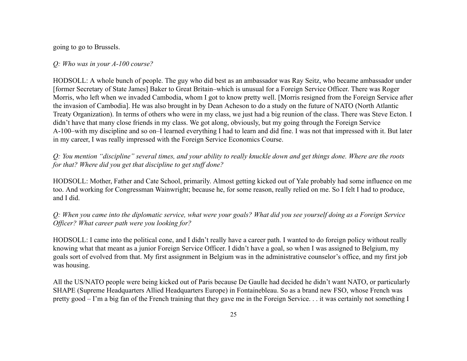going to go to Brussels.

### *Q: Who was in your A-100 course?*

HODSOLL: A whole bunch of people. The guy who did best as an ambassador was Ray Seitz, who became ambassador under [former Secretary of State James] Baker to Great Britain–which is unusual for a Foreign Service Officer. There was Roger Morris, who left when we invaded Cambodia, whom I got to know pretty well. [Morris resigned from the Foreign Service after the invasion of Cambodia]. He was also brought in by Dean Acheson to do a study on the future of NATO (North Atlantic Treaty Organization). In terms of others who were in my class, we just had a big reunion of the class. There was Steve Ecton. I didn't have that many close friends in my class. We got along, obviously, but my going through the Foreign Service A-100–with my discipline and so on–I learned everything I had to learn and did fine. I was not that impressed with it. But later in my career, I was really impressed with the Foreign Service Economics Course.

*Q: You mention "discipline" several times, and your ability to really knuckle down and get things done. Where are the roots for that? Where did you get that discipline to get stuff done?*

HODSOLL: Mother, Father and Cate School, primarily. Almost getting kicked out of Yale probably had some influence on me too. And working for Congressman Wainwright; because he, for some reason, really relied on me. So I felt I had to produce, and I did.

*Q: When you came into the diplomatic service, what were your goals? What did you see yourself doing as a Foreign Service Officer? What career path were you looking for?*

HODSOLL: I came into the political cone, and I didn't really have a career path. I wanted to do foreign policy without really knowing what that meant as a junior Foreign Service Officer. I didn't have a goal, so when I was assigned to Belgium, my goals sort of evolved from that. My first assignment in Belgium was in the administrative counselor's office, and my first job was housing.

All the US/NATO people were being kicked out of Paris because De Gaulle had decided he didn't want NATO, or particularly SHAPE (Supreme Headquarters Allied Headquarters Europe) in Fontainebleau. So as a brand new FSO, whose French was pretty good – I'm a big fan of the French training that they gave me in the Foreign Service. . . it was certainly not something I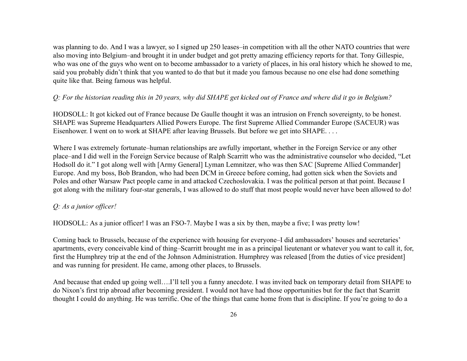was planning to do. And I was a lawyer, so I signed up 250 leases–in competition with all the other NATO countries that were also moving into Belgium–and brought it in under budget and got pretty amazing efficiency reports for that. Tony Gillespie, who was one of the guys who went on to become ambassador to a variety of places, in his oral history which he showed to me, said you probably didn't think that you wanted to do that but it made you famous because no one else had done something quite like that. Being famous was helpful.

# *Q: For the historian reading this in 20 years, why did SHAPE get kicked out of France and where did it go in Belgium?*

HODSOLL: It got kicked out of France because De Gaulle thought it was an intrusion on French sovereignty, to be honest. SHAPE was Supreme Headquarters Allied Powers Europe. The first Supreme Allied Commander Europe (SACEUR) was Eisenhower. I went on to work at SHAPE after leaving Brussels. But before we get into SHAPE. . . .

Where I was extremely fortunate–human relationships are awfully important, whether in the Foreign Service or any other place–and I did well in the Foreign Service because of Ralph Scarritt who was the administrative counselor who decided, "Let Hodsoll do it." I got along well with [Army General] Lyman Lemnitzer, who was then SAC [Supreme Allied Commander] Europe. And my boss, Bob Brandon, who had been DCM in Greece before coming, had gotten sick when the Soviets and Poles and other Warsaw Pact people came in and attacked Czechoslovakia. I was the political person at that point. Because I got along with the military four-star generals, I was allowed to do stuff that most people would never have been allowed to do!

# *Q: As a junior officer!*

HODSOLL: As a junior officer! I was an FSO-7. Maybe I was a six by then, maybe a five; I was pretty low!

Coming back to Brussels, because of the experience with housing for everyone–I did ambassadors' houses and secretaries' apartments, every conceivable kind of thing–Scarritt brought me in as a principal lieutenant or whatever you want to call it, for, first the Humphrey trip at the end of the Johnson Administration. Humphrey was released [from the duties of vice president] and was running for president. He came, among other places, to Brussels.

And because that ended up going well….I'll tell you a funny anecdote. I was invited back on temporary detail from SHAPE to do Nixon's first trip abroad after becoming president. I would not have had those opportunities but for the fact that Scarritt thought I could do anything. He was terrific. One of the things that came home from that is discipline. If you're going to do a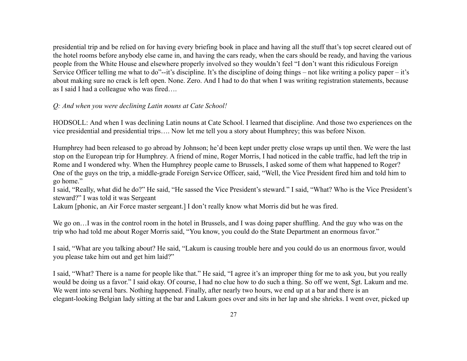presidential trip and be relied on for having every briefing book in place and having all the stuff that's top secret cleared out of the hotel rooms before anybody else came in, and having the cars ready, when the cars should be ready, and having the various people from the White House and elsewhere properly involved so they wouldn't feel "I don't want this ridiculous Foreign Service Officer telling me what to do"--it's discipline. It's the discipline of doing things – not like writing a policy paper – it's about making sure no crack is left open. None. Zero. And I had to do that when I was writing registration statements, because as I said I had a colleague who was fired….

### *Q: And when you were declining Latin nouns at Cate School!*

HODSOLL: And when I was declining Latin nouns at Cate School. I learned that discipline. And those two experiences on the vice presidential and presidential trips…. Now let me tell you a story about Humphrey; this was before Nixon.

Humphrey had been released to go abroad by Johnson; he'd been kept under pretty close wraps up until then. We were the last stop on the European trip for Humphrey. A friend of mine, Roger Morris, I had noticed in the cable traffic, had left the trip in Rome and I wondered why. When the Humphrey people came to Brussels, I asked some of them what happened to Roger? One of the guys on the trip, a middle-grade Foreign Service Officer, said, "Well, the Vice President fired him and told him to go home."

I said, "Really, what did he do?" He said, "He sassed the Vice President's steward." I said, "What? Who is the Vice President's steward?" I was told it was Sergeant

Lakum [phonic, an Air Force master sergeant.] I don't really know what Morris did but he was fired.

We go on...I was in the control room in the hotel in Brussels, and I was doing paper shuffling. And the guy who was on the trip who had told me about Roger Morris said, "You know, you could do the State Department an enormous favor."

I said, "What are you talking about? He said, "Lakum is causing trouble here and you could do us an enormous favor, would you please take him out and get him laid?"

I said, "What? There is a name for people like that." He said, "I agree it's an improper thing for me to ask you, but you really would be doing us a favor." I said okay. Of course, I had no clue how to do such a thing. So off we went, Sgt. Lakum and me. We went into several bars. Nothing happened. Finally, after nearly two hours, we end up at a bar and there is an elegant-looking Belgian lady sitting at the bar and Lakum goes over and sits in her lap and she shrieks. I went over, picked up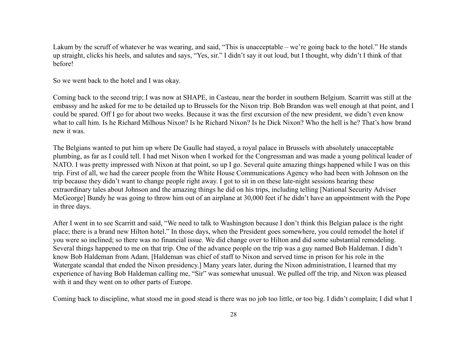Lakum by the scruff of whatever he was wearing, and said, "This is unacceptable – we're going back to the hotel." He stands up straight, clicks his heels, and salutes and says, "Yes, sir." I didn't say it out loud, but I thought, why didn't I think of that before!

So we went back to the hotel and I was okay.

Coming back to the second trip; I was now at SHAPE, in Casteau, near the border in southern Belgium. Scarritt was still at the embassy and he asked for me to be detailed up to Brussels for the Nixon trip. Bob Brandon was well enough at that point, and I could be spared. Off I go for about two weeks. Because it was the first excursion of the new president, we didn't even know what to call him. Is he Richard Milhous Nixon? Is he Richard Nixon? Is he Dick Nixon? Who the hell is he? That's how brand new it was.

The Belgians wanted to put him up where De Gaulle had stayed, a royal palace in Brussels with absolutely unacceptable plumbing, as far as I could tell. I had met Nixon when I worked for the Congressman and was made a young political leader of NATO. I was pretty impressed with Nixon at that point, so up I go. Several quite amazing things happened while I was on this trip. First of all, we had the career people from the White House Communications Agency who had been with Johnson on the trip because they didn't want to change people right away. I got to sit in on these late-night sessions hearing these extraordinary tales about Johnson and the amazing things he did on his trips, including telling [National Security Adviser McGeorge] Bundy he was going to throw him out of an airplane at 30,000 feet if he didn't have an appointment with the Pope in three days.

After I went in to see Scarritt and said, "We need to talk to Washington because I don't think this Belgian palace is the right place; there is a brand new Hilton hotel." In those days, when the President goes somewhere, you could remodel the hotel if you were so inclined; so there was no financial issue. We did change over to Hilton and did some substantial remodeling. Several things happened to me on that trip. One of the advance people on the trip was a guy named Bob Haldeman. I didn't know Bob Haldeman from Adam. [Haldeman was chief of staff to Nixon and served time in prison for his role in the Watergate scandal that ended the Nixon presidency.] Many years later, during the Nixon administration, I learned that my experience of having Bob Haldeman calling me, "Sir" was somewhat unusual. We pulled off the trip, and Nixon was pleased with it and they went on to other parts of Europe.

Coming back to discipline, what stood me in good stead is there was no job too little, or too big. I didn't complain; I did what I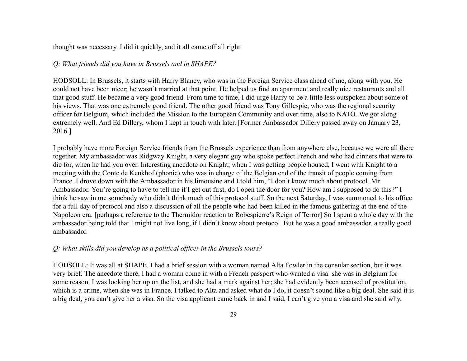thought was necessary. I did it quickly, and it all came off all right.

### *Q: What friends did you have in Brussels and in SHAPE?*

HODSOLL: In Brussels, it starts with Harry Blaney, who was in the Foreign Service class ahead of me, along with you. He could not have been nicer; he wasn't married at that point. He helped us find an apartment and really nice restaurants and all that good stuff. He became a very good friend. From time to time, I did urge Harry to be a little less outspoken about some of his views. That was one extremely good friend. The other good friend was Tony Gillespie, who was the regional security officer for Belgium, which included the Mission to the European Community and over time, also to NATO. We got along extremely well. And Ed Dillery, whom I kept in touch with later. [Former Ambassador Dillery passed away on January 23, 2016.]

I probably have more Foreign Service friends from the Brussels experience than from anywhere else, because we were all there together. My ambassador was Ridgway Knight, a very elegant guy who spoke perfect French and who had dinners that were to die for, when he had you over. Interesting anecdote on Knight; when I was getting people housed, I went with Knight to a meeting with the Conte de Keukhof (phonic) who was in charge of the Belgian end of the transit of people coming from France. I drove down with the Ambassador in his limousine and I told him, "I don't know much about protocol, Mr. Ambassador. You're going to have to tell me if I get out first, do I open the door for you? How am I supposed to do this?" I think he saw in me somebody who didn't think much of this protocol stuff. So the next Saturday, I was summoned to his office for a full day of protocol and also a discussion of all the people who had been killed in the famous gathering at the end of the Napoleon era. [perhaps a reference to the Thermidor reaction to Robespierre's Reign of Terror] So I spent a whole day with the ambassador being told that I might not live long, if I didn't know about protocol. But he was a good ambassador, a really good ambassador.

### *Q: What skills did you develop as a political officer in the Brussels tours?*

HODSOLL: It was all at SHAPE. I had a brief session with a woman named Alta Fowler in the consular section, but it was very brief. The anecdote there, I had a woman come in with a French passport who wanted a visa–she was in Belgium for some reason. I was looking her up on the list, and she had a mark against her; she had evidently been accused of prostitution, which is a crime, when she was in France. I talked to Alta and asked what do I do, it doesn't sound like a big deal. She said it is a big deal, you can't give her a visa. So the visa applicant came back in and I said, I can't give you a visa and she said why.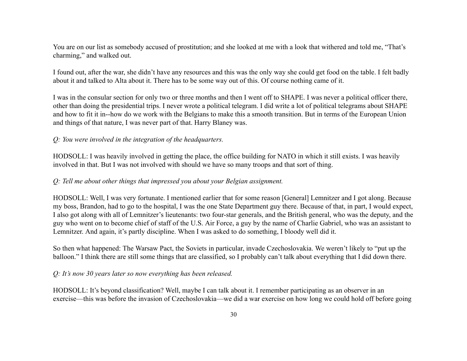You are on our list as somebody accused of prostitution; and she looked at me with a look that withered and told me, "That's charming," and walked out.

I found out, after the war, she didn't have any resources and this was the only way she could get food on the table. I felt badly about it and talked to Alta about it. There has to be some way out of this. Of course nothing came of it.

I was in the consular section for only two or three months and then I went off to SHAPE. I was never a political officer there, other than doing the presidential trips. I never wrote a political telegram. I did write a lot of political telegrams about SHAPE and how to fit it in--how do we work with the Belgians to make this a smooth transition. But in terms of the European Union and things of that nature, I was never part of that. Harry Blaney was.

### *Q: You were involved in the integration of the headquarters.*

HODSOLL: I was heavily involved in getting the place, the office building for NATO in which it still exists. I was heavily involved in that. But I was not involved with should we have so many troops and that sort of thing.

#### *Q: Tell me about other things that impressed you about your Belgian assignment.*

HODSOLL: Well, I was very fortunate. I mentioned earlier that for some reason [General] Lemnitzer and I got along. Because my boss, Brandon, had to go to the hospital, I was the one State Department guy there. Because of that, in part, I would expect, I also got along with all of Lemnitzer's lieutenants: two four-star generals, and the British general, who was the deputy, and the guy who went on to become chief of staff of the U.S. Air Force, a guy by the name of Charlie Gabriel, who was an assistant to Lemnitzer. And again, it's partly discipline. When I was asked to do something, I bloody well did it.

So then what happened: The Warsaw Pact, the Soviets in particular, invade Czechoslovakia. We weren't likely to "put up the balloon." I think there are still some things that are classified, so I probably can't talk about everything that I did down there.

#### *Q: It's now 30 years later so now everything has been released.*

HODSOLL: It's beyond classification? Well, maybe I can talk about it. I remember participating as an observer in an exercise—this was before the invasion of Czechoslovakia—we did a war exercise on how long we could hold off before going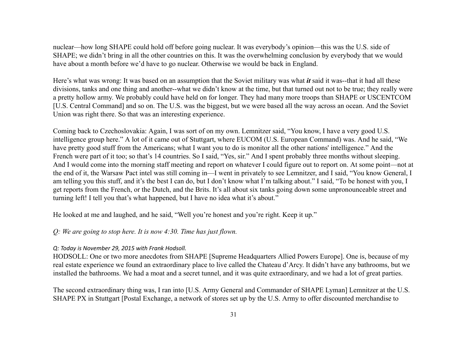nuclear—how long SHAPE could hold off before going nuclear. It was everybody's opinion—this was the U.S. side of SHAPE; we didn't bring in all the other countries on this. It was the overwhelming conclusion by everybody that we would have about a month before we'd have to go nuclear. Otherwise we would be back in England.

Here's what was wrong: It was based on an assumption that the Soviet military was what *it* said it was--that it had all these divisions, tanks and one thing and another--what we didn't know at the time, but that turned out not to be true; they really were a pretty hollow army. We probably could have held on for longer. They had many more troops than SHAPE or USCENTCOM [U.S. Central Command] and so on. The U.S. was the biggest, but we were based all the way across an ocean. And the Soviet Union was right there. So that was an interesting experience.

Coming back to Czechoslovakia: Again, I was sort of on my own. Lemnitzer said, "You know, I have a very good U.S. intelligence group here." A lot of it came out of Stuttgart, where EUCOM (U.S. European Command) was. And he said, "We have pretty good stuff from the Americans; what I want you to do is monitor all the other nations' intelligence." And the French were part of it too; so that's 14 countries. So I said, "Yes, sir." And I spent probably three months without sleeping. And I would come into the morning staff meeting and report on whatever I could figure out to report on. At some point—not at the end of it, the Warsaw Pact intel was still coming in—I went in privately to see Lemnitzer, and I said, "You know General, I am telling you this stuff, and it's the best I can do, but I don't know what I'm talking about." I said, "To be honest with you, I get reports from the French, or the Dutch, and the Brits. It's all about six tanks going down some unpronounceable street and turning left! I tell you that's what happened, but I have no idea what it's about."

He looked at me and laughed, and he said, "Well you're honest and you're right. Keep it up."

#### *Q: We are going to stop here. It is now 4:30. Time has just flown.*

#### *Q: Today is November 29, 2015 with Frank Hodsoll.*

HODSOLL: One or two more anecdotes from SHAPE [Supreme Headquarters Allied Powers Europe]. One is, because of my real estate experience we found an extraordinary place to live called the Chateau d'Arcy. It didn't have any bathrooms, but we installed the bathrooms. We had a moat and a secret tunnel, and it was quite extraordinary, and we had a lot of great parties.

The second extraordinary thing was, I ran into [U.S. Army General and Commander of SHAPE Lyman] Lemnitzer at the U.S. SHAPE PX in Stuttgart [Postal Exchange, a network of stores set up by the U.S. Army to offer discounted merchandise to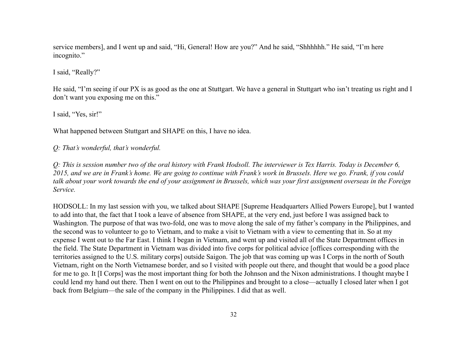service members], and I went up and said, "Hi, General! How are you?" And he said, "Shhhhhh." He said, "I'm here incognito."

I said, "Really?"

He said, "I'm seeing if our PX is as good as the one at Stuttgart. We have a general in Stuttgart who isn't treating us right and I don't want you exposing me on this."

I said, "Yes, sir!"

What happened between Stuttgart and SHAPE on this, I have no idea.

*Q: That's wonderful, that's wonderful.*

*Q: This is session number two of the oral history with Frank Hodsoll. The interviewer is Tex Harris. Today is December 6, 2015, and we are in Frank's home. We are going to continue with Frank's work in Brussels. Here we go. Frank, if you could talk about your work towards the end of your assignment in Brussels, which was your first assignment overseas in the Foreign Service.*

HODSOLL: In my last session with you, we talked about SHAPE [Supreme Headquarters Allied Powers Europe], but I wanted to add into that, the fact that I took a leave of absence from SHAPE, at the very end, just before I was assigned back to Washington. The purpose of that was two-fold, one was to move along the sale of my father's company in the Philippines, and the second was to volunteer to go to Vietnam, and to make a visit to Vietnam with a view to cementing that in. So at my expense I went out to the Far East. I think I began in Vietnam, and went up and visited all of the State Department offices in the field. The State Department in Vietnam was divided into five corps for political advice [offices corresponding with the territories assigned to the U.S. military corps] outside Saigon. The job that was coming up was I Corps in the north of South Vietnam, right on the North Vietnamese border, and so I visited with people out there, and thought that would be a good place for me to go. It [I Corps] was the most important thing for both the Johnson and the Nixon administrations. I thought maybe I could lend my hand out there. Then I went on out to the Philippines and brought to a close—actually I closed later when I got back from Belgium—the sale of the company in the Philippines. I did that as well.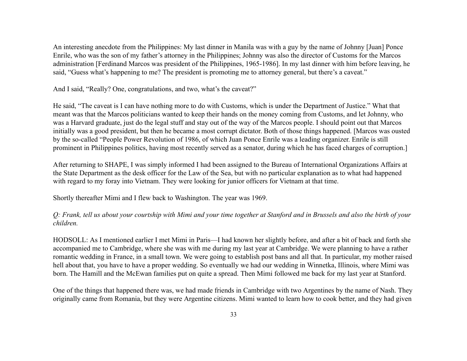An interesting anecdote from the Philippines: My last dinner in Manila was with a guy by the name of Johnny [Juan] Ponce Enrile, who was the son of my father's attorney in the Philippines; Johnny was also the director of Customs for the Marcos administration [Ferdinand Marcos was president of the Philippines, 1965-1986]. In my last dinner with him before leaving, he said, "Guess what's happening to me? The president is promoting me to attorney general, but there's a caveat."

And I said, "Really? One, congratulations, and two, what's the caveat?"

He said, "The caveat is I can have nothing more to do with Customs, which is under the Department of Justice." What that meant was that the Marcos politicians wanted to keep their hands on the money coming from Customs, and let Johnny, who was a Harvard graduate, just do the legal stuff and stay out of the way of the Marcos people. I should point out that Marcos initially was a good president, but then he became a most corrupt dictator. Both of those things happened. [Marcos was ousted by the so-called "People Power Revolution of 1986, of which Juan Ponce Enrile was a leading organizer. Enrile is still prominent in Philippines politics, having most recently served as a senator, during which he has faced charges of corruption.]

After returning to SHAPE, I was simply informed I had been assigned to the Bureau of International Organizations Affairs at the State Department as the desk officer for the Law of the Sea, but with no particular explanation as to what had happened with regard to my foray into Vietnam. They were looking for junior officers for Vietnam at that time.

Shortly thereafter Mimi and I flew back to Washington. The year was 1969.

*Q: Frank, tell us about your courtship with Mimi and your time together at Stanford and in Brussels and also the birth of your children.*

HODSOLL: As I mentioned earlier I met Mimi in Paris—I had known her slightly before, and after a bit of back and forth she accompanied me to Cambridge, where she was with me during my last year at Cambridge. We were planning to have a rather romantic wedding in France, in a small town. We were going to establish post bans and all that. In particular, my mother raised hell about that, you have to have a proper wedding. So eventually we had our wedding in Winnetka, Illinois, where Mimi was born. The Hamill and the McEwan families put on quite a spread. Then Mimi followed me back for my last year at Stanford.

One of the things that happened there was, we had made friends in Cambridge with two Argentines by the name of Nash. They originally came from Romania, but they were Argentine citizens. Mimi wanted to learn how to cook better, and they had given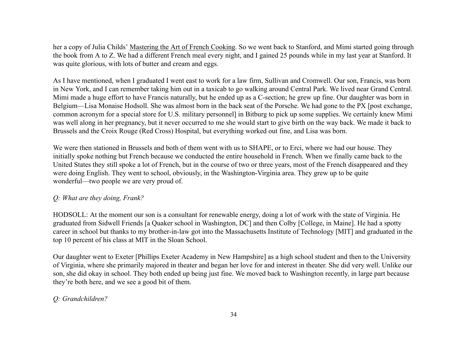her a copy of Julia Childs' Mastering the Art of French Cooking. So we went back to Stanford, and Mimi started going through the book from A to Z. We had a different French meal every night, and I gained 25 pounds while in my last year at Stanford. It was quite glorious, with lots of butter and cream and eggs.

As I have mentioned, when I graduated I went east to work for a law firm, Sullivan and Cromwell. Our son, Francis, was born in New York, and I can remember taking him out in a taxicab to go walking around Central Park. We lived near Grand Central. Mimi made a huge effort to have Francis naturally, but he ended up as a C-section; he grew up fine. Our daughter was born in Belgium—Lisa Monaise Hodsoll. She was almost born in the back seat of the Porsche. We had gone to the PX [post exchange, common acronym for a special store for U.S. military personnel] in Bitburg to pick up some supplies. We certainly knew Mimi was well along in her pregnancy, but it never occurred to me she would start to give birth on the way back. We made it back to Brussels and the Croix Rouge (Red Cross) Hospital, but everything worked out fine, and Lisa was born.

We were then stationed in Brussels and both of them went with us to SHAPE, or to Erci, where we had our house. They initially spoke nothing but French because we conducted the entire household in French. When we finally came back to the United States they still spoke a lot of French, but in the course of two or three years, most of the French disappeared and they were doing English. They went to school, obviously, in the Washington-Virginia area. They grew up to be quite wonderful—two people we are very proud of.

# *Q: What are they doing, Frank?*

HODSOLL: At the moment our son is a consultant for renewable energy, doing a lot of work with the state of Virginia. He graduated from Sidwell Friends [a Quaker school in Washington, DC] and then Colby [College, in Maine]. He had a spotty career in school but thanks to my brother-in-law got into the Massachusetts Institute of Technology [MIT] and graduated in the top 10 percent of his class at MIT in the Sloan School.

Our daughter went to Exeter [Phillips Exeter Academy in New Hampshire] as a high school student and then to the University of Virginia, where she primarily majored in theater and began her love for and interest in theater. She did very well. Unlike our son, she did okay in school. They both ended up being just fine. We moved back to Washington recently, in large part because they're both here, and we see a good bit of them.

# *Q: Grandchildren?*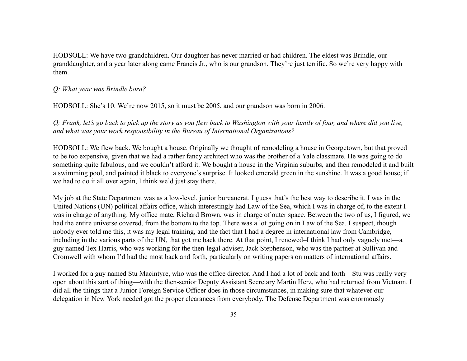HODSOLL: We have two grandchildren. Our daughter has never married or had children. The eldest was Brindle, our granddaughter, and a year later along came Francis Jr., who is our grandson. They're just terrific. So we're very happy with them.

### *Q: What year was Brindle born?*

HODSOLL: She's 10. We're now 2015, so it must be 2005, and our grandson was born in 2006.

*Q: Frank, let's go back to pick up the story as you flew back to Washington with your family of four, and where did you live, and what was your work responsibility in the Bureau of International Organizations?*

HODSOLL: We flew back. We bought a house. Originally we thought of remodeling a house in Georgetown, but that proved to be too expensive, given that we had a rather fancy architect who was the brother of a Yale classmate. He was going to do something quite fabulous, and we couldn't afford it. We bought a house in the Virginia suburbs, and then remodeled it and built a swimming pool, and painted it black to everyone's surprise. It looked emerald green in the sunshine. It was a good house; if we had to do it all over again, I think we'd just stay there.

My job at the State Department was as a low-level, junior bureaucrat. I guess that's the best way to describe it. I was in the United Nations (UN) political affairs office, which interestingly had Law of the Sea, which I was in charge of, to the extent I was in charge of anything. My office mate, Richard Brown, was in charge of outer space. Between the two of us, I figured, we had the entire universe covered, from the bottom to the top. There was a lot going on in Law of the Sea. I suspect, though nobody ever told me this, it was my legal training, and the fact that I had a degree in international law from Cambridge, including in the various parts of the UN, that got me back there. At that point, I renewed–I think I had only vaguely met—a guy named Tex Harris, who was working for the then-legal adviser, Jack Stephenson, who was the partner at Sullivan and Cromwell with whom I'd had the most back and forth, particularly on writing papers on matters of international affairs.

I worked for a guy named Stu Macintyre, who was the office director. And I had a lot of back and forth—Stu was really very open about this sort of thing—with the then-senior Deputy Assistant Secretary Martin Herz, who had returned from Vietnam. I did all the things that a Junior Foreign Service Officer does in those circumstances, in making sure that whatever our delegation in New York needed got the proper clearances from everybody. The Defense Department was enormously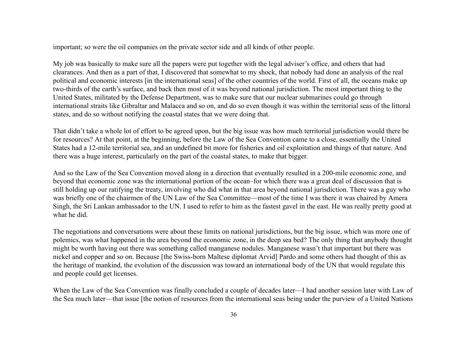important; so were the oil companies on the private sector side and all kinds of other people.

My job was basically to make sure all the papers were put together with the legal adviser's office, and others that had clearances. And then as a part of that, I discovered that somewhat to my shock, that nobody had done an analysis of the real political and economic interests [in the international seas] of the other countries of the world. First of all, the oceans make up two-thirds of the earth's surface, and back then most of it was beyond national jurisdiction. The most important thing to the United States, militated by the Defense Department, was to make sure that our nuclear submarines could go through international straits like Gibraltar and Malacca and so on, and do so even though it was within the territorial seas of the littoral states, and do so without notifying the coastal states that we were doing that.

That didn't take a whole lot of effort to be agreed upon, but the big issue was how much territorial jurisdiction would there be for resources? At that point, at the beginning, before the Law of the Sea Convention came to a close, essentially the United States had a 12-mile territorial sea, and an undefined bit more for fisheries and oil exploitation and things of that nature. And there was a huge interest, particularly on the part of the coastal states, to make that bigger.

And so the Law of the Sea Convention moved along in a direction that eventually resulted in a 200-mile economic zone, and beyond that economic zone was the international portion of the ocean–for which there was a great deal of discussion that is still holding up our ratifying the treaty, involving who did what in that area beyond national jurisdiction. There was a guy who was briefly one of the chairmen of the UN Law of the Sea Committee—most of the time I was there it was chaired by Amera Singh, the Sri Lankan ambassador to the UN. I used to refer to him as the fastest gavel in the east. He was really pretty good at what he did.

The negotiations and conversations were about these limits on national jurisdictions, but the big issue, which was more one of polemics, was what happened in the area beyond the economic zone, in the deep sea bed? The only thing that anybody thought might be worth having out there was something called manganese nodules. Manganese wasn't that important but there was nickel and copper and so on. Because [the Swiss-born Maltese diplomat Arvid] Pardo and some others had thought of this as the heritage of mankind, the evolution of the discussion was toward an international body of the UN that would regulate this and people could get licenses.

When the Law of the Sea Convention was finally concluded a couple of decades later—I had another session later with Law of the Sea much later—that issue [the notion of resources from the international seas being under the purview of a United Nations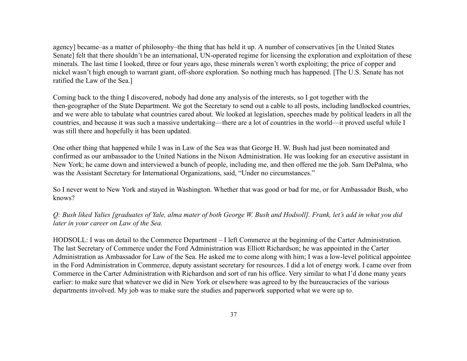agency] became–as a matter of philosophy–the thing that has held it up. A number of conservatives [in the United States Senate] felt that there shouldn't be an international, UN-operated regime for licensing the exploration and exploitation of these minerals. The last time I looked, three or four years ago, these minerals weren't worth exploiting; the price of copper and nickel wasn't high enough to warrant giant, off-shore exploration. So nothing much has happened. [The U.S. Senate has not ratified the Law of the Sea.]

Coming back to the thing I discovered, nobody had done any analysis of the interests, so I got together with the then-geographer of the State Department. We got the Secretary to send out a cable to all posts, including landlocked countries, and we were able to tabulate what countries cared about. We looked at legislation, speeches made by political leaders in all the countries, and because it was such a massive undertaking—there are a lot of countries in the world—it proved useful while I was still there and hopefully it has been updated.

One other thing that happened while I was in Law of the Sea was that George H. W. Bush had just been nominated and confirmed as our ambassador to the United Nations in the Nixon Administration. He was looking for an executive assistant in New York; he came down and interviewed a bunch of people, including me, and then offered me the job. Sam DePalma, who was the Assistant Secretary for International Organizations, said, "Under no circumstances."

So I never went to New York and stayed in Washington. Whether that was good or bad for me, or for Ambassador Bush, who knows?

*Q: Bush liked Yalies [graduates of Yale, alma mater of both George W. Bush and Hodsoll]. Frank, let's add in what you did later in your career on Law of the Sea.*

HODSOLL: I was on detail to the Commerce Department – I left Commerce at the beginning of the Carter Administration. The last Secretary of Commerce under the Ford Administration was Elliott Richardson; he was appointed in the Carter Administration as Ambassador for Law of the Sea. He asked me to come along with him; I was a low-level political appointee in the Ford Administration in Commerce, deputy assistant secretary for resources. I did a lot of energy work. I came over from Commerce in the Carter Administration with Richardson and sort of ran his office. Very similar to what I'd done many years earlier: to make sure that whatever we did in New York or elsewhere was agreed to by the bureaucracies of the various departments involved. My job was to make sure the studies and paperwork supported what we were up to.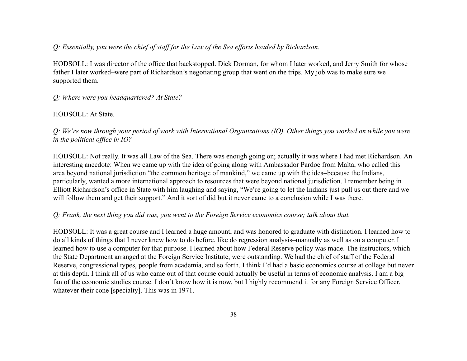### *Q: Essentially, you were the chief of staff for the Law of the Sea efforts headed by Richardson.*

HODSOLL: I was director of the office that backstopped. Dick Dorman, for whom I later worked, and Jerry Smith for whose father I later worked–were part of Richardson's negotiating group that went on the trips. My job was to make sure we supported them.

### *Q: Where were you headquartered? At State?*

#### HODSOLL: At State.

*Q: We're now through your period of work with International Organizations (IO). Other things you worked on while you were in the political office in IO?*

HODSOLL: Not really. It was all Law of the Sea. There was enough going on; actually it was where I had met Richardson. An interesting anecdote: When we came up with the idea of going along with Ambassador Pardoe from Malta, who called this area beyond national jurisdiction "the common heritage of mankind," we came up with the idea–because the Indians, particularly, wanted a more international approach to resources that were beyond national jurisdiction. I remember being in Elliott Richardson's office in State with him laughing and saying, "We're going to let the Indians just pull us out there and we will follow them and get their support." And it sort of did but it never came to a conclusion while I was there.

#### *Q: Frank, the next thing you did was, you went to the Foreign Service economics course; talk about that.*

HODSOLL: It was a great course and I learned a huge amount, and was honored to graduate with distinction. I learned how to do all kinds of things that I never knew how to do before, like do regression analysis–manually as well as on a computer. I learned how to use a computer for that purpose. I learned about how Federal Reserve policy was made. The instructors, which the State Department arranged at the Foreign Service Institute, were outstanding. We had the chief of staff of the Federal Reserve, congressional types, people from academia, and so forth. I think I'd had a basic economics course at college but never at this depth. I think all of us who came out of that course could actually be useful in terms of economic analysis. I am a big fan of the economic studies course. I don't know how it is now, but I highly recommend it for any Foreign Service Officer, whatever their cone [specialty]. This was in 1971.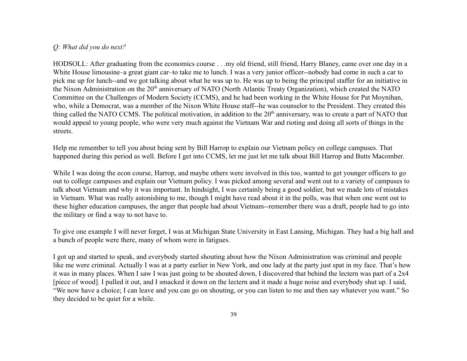#### *Q: What did you do next?*

HODSOLL: After graduating from the economics course . . .my old friend, still friend, Harry Blaney, came over one day in a White House limousine–a great giant car–to take me to lunch. I was a very junior officer--nobody had come in such a car to pick me up for lunch--and we got talking about what he was up to. He was up to being the principal staffer for an initiative in the Nixon Administration on the 20<sup>th</sup> anniversary of NATO (North Atlantic Treaty Organization), which created the NATO Committee on the Challenges of Modern Society (CCMS), and he had been working in the White House for Pat Moynihan, who, while a Democrat, was a member of the Nixon White House staff--he was counselor to the President. They created this thing called the NATO CCMS. The political motivation, in addition to the 20<sup>th</sup> anniversary, was to create a part of NATO that would appeal to young people, who were very much against the Vietnam War and rioting and doing all sorts of things in the streets.

Help me remember to tell you about being sent by Bill Harrop to explain our Vietnam policy on college campuses. That happened during this period as well. Before I get into CCMS, let me just let me talk about Bill Harrop and Butts Macomber.

While I was doing the econ course, Harrop, and maybe others were involved in this too, wanted to get younger officers to go out to college campuses and explain our Vietnam policy. I was picked among several and went out to a variety of campuses to talk about Vietnam and why it was important. In hindsight, I was certainly being a good soldier, but we made lots of mistakes in Vietnam. What was really astonishing to me, though I might have read about it in the polls, was that when one went out to these higher education campuses, the anger that people had about Vietnam--remember there was a draft, people had to go into the military or find a way to not have to.

To give one example I will never forget, I was at Michigan State University in East Lansing, Michigan. They had a big hall and a bunch of people were there, many of whom were in fatigues.

I got up and started to speak, and everybody started shouting about how the Nixon Administration was criminal and people like me were criminal. Actually I was at a party earlier in New York, and one lady at the party just spat in my face. That's how it was in many places. When I saw I was just going to be shouted down, I discovered that behind the lectern was part of a 2x4 [piece of wood]. I pulled it out, and I smacked it down on the lectern and it made a huge noise and everybody shut up. I said, "We now have a choice; I can leave and you can go on shouting, or you can listen to me and then say whatever you want." So they decided to be quiet for a while.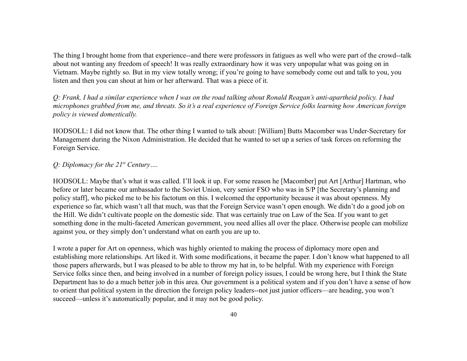The thing I brought home from that experience--and there were professors in fatigues as well who were part of the crowd--talk about not wanting any freedom of speech! It was really extraordinary how it was very unpopular what was going on in Vietnam. Maybe rightly so. But in my view totally wrong; if you're going to have somebody come out and talk to you, you listen and then you can shout at him or her afterward. That was a piece of it.

*Q: Frank, I had a similar experience when I was on the road talking about Ronald Reagan's anti-apartheid policy. I had microphones grabbed from me, and threats. So it's a real experience of Foreign Service folks learning how American foreign policy is viewed domestically.*

HODSOLL: I did not know that. The other thing I wanted to talk about: [William] Butts Macomber was Under-Secretary for Management during the Nixon Administration. He decided that he wanted to set up a series of task forces on reforming the Foreign Service.

### *Q: Diplomacy for the 21st Century….*

HODSOLL: Maybe that's what it was called. I'll look it up. For some reason he [Macomber] put Art [Arthur] Hartman, who before or later became our ambassador to the Soviet Union, very senior FSO who was in S/P [the Secretary's planning and policy staff], who picked me to be his factotum on this. I welcomed the opportunity because it was about openness. My experience so far, which wasn't all that much, was that the Foreign Service wasn't open enough. We didn't do a good job on the Hill. We didn't cultivate people on the domestic side. That was certainly true on Law of the Sea. If you want to get something done in the multi-faceted American government, you need allies all over the place. Otherwise people can mobilize against you, or they simply don't understand what on earth you are up to.

I wrote a paper for Art on openness, which was highly oriented to making the process of diplomacy more open and establishing more relationships. Art liked it. With some modifications, it became the paper. I don't know what happened to all those papers afterwards, but I was pleased to be able to throw my hat in, to be helpful. With my experience with Foreign Service folks since then, and being involved in a number of foreign policy issues, I could be wrong here, but I think the State Department has to do a much better job in this area. Our government is a political system and if you don't have a sense of how to orient that political system in the direction the foreign policy leaders--not just junior officers—are heading, you won't succeed—unless it's automatically popular, and it may not be good policy.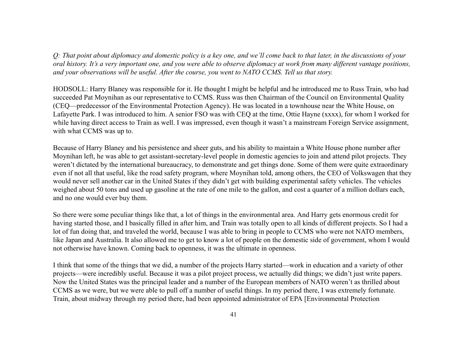*Q: That point about diplomacy and domestic policy is a key one, and we'll come back to that later, in the discussions of your oral history. It's a very important one, and you were able to observe diplomacy at work from many different vantage positions, and your observations will be useful. After the course, you went to NATO CCMS. Tell us that story.*

HODSOLL: Harry Blaney was responsible for it. He thought I might be helpful and he introduced me to Russ Train, who had succeeded Pat Moynihan as our representative to CCMS. Russ was then Chairman of the Council on Environmental Quality (CEQ—predecessor of the Environmental Protection Agency). He was located in a townhouse near the White House, on Lafayette Park. I was introduced to him. A senior FSO was with CEQ at the time, Ottie Hayne (xxxx), for whom I worked for while having direct access to Train as well. I was impressed, even though it wasn't a mainstream Foreign Service assignment, with what CCMS was up to.

Because of Harry Blaney and his persistence and sheer guts, and his ability to maintain a White House phone number after Moynihan left, he was able to get assistant-secretary-level people in domestic agencies to join and attend pilot projects. They weren't dictated by the international bureaucracy, to demonstrate and get things done. Some of them were quite extraordinary even if not all that useful, like the road safety program, where Moynihan told, among others, the CEO of Volkswagen that they would never sell another car in the United States if they didn't get with building experimental safety vehicles. The vehicles weighed about 50 tons and used up gasoline at the rate of one mile to the gallon, and cost a quarter of a million dollars each, and no one would ever buy them.

So there were some peculiar things like that, a lot of things in the environmental area. And Harry gets enormous credit for having started those, and I basically filled in after him, and Train was totally open to all kinds of different projects. So I had a lot of fun doing that, and traveled the world, because I was able to bring in people to CCMS who were not NATO members, like Japan and Australia. It also allowed me to get to know a lot of people on the domestic side of government, whom I would not otherwise have known. Coming back to openness, it was the ultimate in openness.

I think that some of the things that we did, a number of the projects Harry started—work in education and a variety of other projects—were incredibly useful. Because it was a pilot project process, we actually did things; we didn't just write papers. Now the United States was the principal leader and a number of the European members of NATO weren't as thrilled about CCMS as we were, but we were able to pull off a number of useful things. In my period there, I was extremely fortunate. Train, about midway through my period there, had been appointed administrator of EPA [Environmental Protection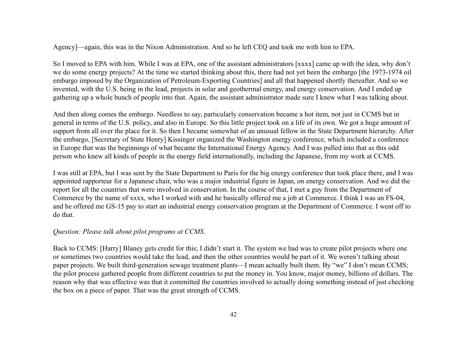Agency]—again, this was in the Nixon Administration. And so he left CEQ and took me with him to EPA.

So I moved to EPA with him. While I was at EPA, one of the assistant administrators [xxxx] came up with the idea, why don't we do some energy projects? At the time we started thinking about this, there had not yet been the embargo [the 1973-1974 oil embargo imposed by the Organization of Petroleum-Exporting Countries] and all that happened shortly thereafter. And so we invented, with the U.S. being in the lead, projects in solar and geothermal energy, and energy conservation. And I ended up gathering up a whole bunch of people into that. Again, the assistant administrator made sure I knew what I was talking about.

And then along comes the embargo. Needless to say, particularly conservation became a hot item, not just in CCMS but in general in terms of the U.S. policy, and also in Europe. So this little project took on a life of its own. We got a huge amount of support from all over the place for it. So then I became somewhat of an unusual fellow in the State Department hierarchy. After the embargo, [Secretary of State Henry] Kissinger organized the Washington energy conference, which included a conference in Europe that was the beginnings of what became the International Energy Agency. And I was pulled into that as this odd person who knew all kinds of people in the energy field internationally, including the Japanese, from my work at CCMS.

I was still at EPA, but I was sent by the State Department to Paris for the big energy conference that took place there, and I was appointed rapporteur for a Japanese chair, who was a major industrial figure in Japan, on energy conservation. And we did the report for all the countries that were involved in conservation. In the course of that, I met a guy from the Department of Commerce by the name of xxxx, who I worked with and he basically offered me a job at Commerce. I think I was an FS-04, and he offered me GS-15 pay to start an industrial energy conservation program at the Department of Commerce. I went off to do that.

### *Question: Please talk about pilot programs at CCMS.*

Back to CCMS: [Harry] Blaney gets credit for this; I didn't start it. The system we had was to create pilot projects where one or sometimes two countries would take the lead, and then the other countries would be part of it. We weren't talking about paper projects. We built third-generation sewage treatment plants—I mean actually built them. By "we" I don't mean CCMS; the pilot process gathered people from different countries to put the money in. You know, major money, billions of dollars. The reason why that was effective was that it committed the countries involved to actually doing something instead of just checking the box on a piece of paper. That was the great strength of CCMS.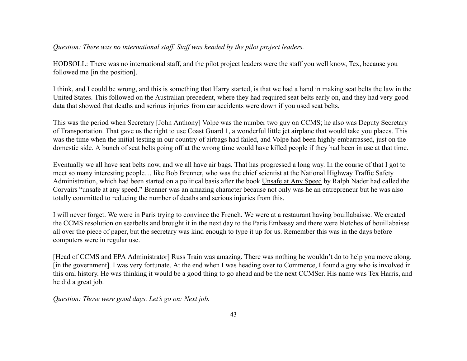### *Question: There was no international staff. Staff was headed by the pilot project leaders.*

HODSOLL: There was no international staff, and the pilot project leaders were the staff you well know, Tex, because you followed me [in the position].

I think, and I could be wrong, and this is something that Harry started, is that we had a hand in making seat belts the law in the United States. This followed on the Australian precedent, where they had required seat belts early on, and they had very good data that showed that deaths and serious injuries from car accidents were down if you used seat belts.

This was the period when Secretary [John Anthony] Volpe was the number two guy on CCMS; he also was Deputy Secretary of Transportation. That gave us the right to use Coast Guard 1, a wonderful little jet airplane that would take you places. This was the time when the initial testing in our country of airbags had failed, and Volpe had been highly embarrassed, just on the domestic side. A bunch of seat belts going off at the wrong time would have killed people if they had been in use at that time.

Eventually we all have seat belts now, and we all have air bags. That has progressed a long way. In the course of that I got to meet so many interesting people… like Bob Brenner, who was the chief scientist at the National Highway Traffic Safety Administration, which had been started on a political basis after the book Unsafe at Any Speed by Ralph Nader had called the Corvairs "unsafe at any speed." Brenner was an amazing character because not only was he an entrepreneur but he was also totally committed to reducing the number of deaths and serious injuries from this.

I will never forget. We were in Paris trying to convince the French. We were at a restaurant having bouillabaisse. We created the CCMS resolution on seatbelts and brought it in the next day to the Paris Embassy and there were blotches of bouillabaisse all over the piece of paper, but the secretary was kind enough to type it up for us. Remember this was in the days before computers were in regular use.

[Head of CCMS and EPA Administrator] Russ Train was amazing. There was nothing he wouldn't do to help you move along. [in the government]. I was very fortunate. At the end when I was heading over to Commerce, I found a guy who is involved in this oral history. He was thinking it would be a good thing to go ahead and be the next CCMSer. His name was Tex Harris, and he did a great job.

*Question: Those were good days. Let's go on: Next job.*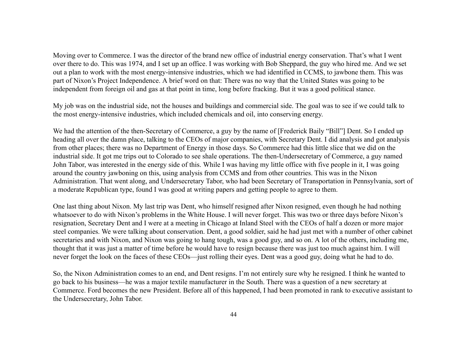Moving over to Commerce. I was the director of the brand new office of industrial energy conservation. That's what I went over there to do. This was 1974, and I set up an office. I was working with Bob Sheppard, the guy who hired me. And we set out a plan to work with the most energy-intensive industries, which we had identified in CCMS, to jawbone them. This was part of Nixon's Project Independence. A brief word on that: There was no way that the United States was going to be independent from foreign oil and gas at that point in time, long before fracking. But it was a good political stance.

My job was on the industrial side, not the houses and buildings and commercial side. The goal was to see if we could talk to the most energy-intensive industries, which included chemicals and oil, into conserving energy.

We had the attention of the then-Secretary of Commerce, a guy by the name of [Frederick Baily "Bill"] Dent. So I ended up heading all over the damn place, talking to the CEOs of major companies, with Secretary Dent. I did analysis and got analysis from other places; there was no Department of Energy in those days. So Commerce had this little slice that we did on the industrial side. It got me trips out to Colorado to see shale operations. The then-Undersecretary of Commerce, a guy named John Tabor, was interested in the energy side of this. While I was having my little office with five people in it, I was going around the country jawboning on this, using analysis from CCMS and from other countries. This was in the Nixon Administration. That went along, and Undersecretary Tabor, who had been Secretary of Transportation in Pennsylvania, sort of a moderate Republican type, found I was good at writing papers and getting people to agree to them.

One last thing about Nixon. My last trip was Dent, who himself resigned after Nixon resigned, even though he had nothing whatsoever to do with Nixon's problems in the White House. I will never forget. This was two or three days before Nixon's resignation, Secretary Dent and I were at a meeting in Chicago at Inland Steel with the CEOs of half a dozen or more major steel companies. We were talking about conservation. Dent, a good soldier, said he had just met with a number of other cabinet secretaries and with Nixon, and Nixon was going to hang tough, was a good guy, and so on. A lot of the others, including me, thought that it was just a matter of time before he would have to resign because there was just too much against him. I will never forget the look on the faces of these CEOs—just rolling their eyes. Dent was a good guy, doing what he had to do.

So, the Nixon Administration comes to an end, and Dent resigns. I'm not entirely sure why he resigned. I think he wanted to go back to his business—he was a major textile manufacturer in the South. There was a question of a new secretary at Commerce. Ford becomes the new President. Before all of this happened, I had been promoted in rank to executive assistant to the Undersecretary, John Tabor.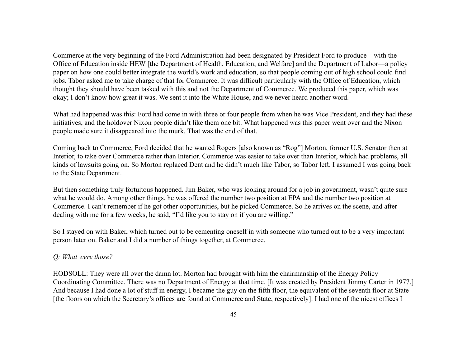Commerce at the very beginning of the Ford Administration had been designated by President Ford to produce—with the Office of Education inside HEW [the Department of Health, Education, and Welfare] and the Department of Labor—a policy paper on how one could better integrate the world's work and education, so that people coming out of high school could find jobs. Tabor asked me to take charge of that for Commerce. It was difficult particularly with the Office of Education, which thought they should have been tasked with this and not the Department of Commerce. We produced this paper, which was okay; I don't know how great it was. We sent it into the White House, and we never heard another word.

What had happened was this: Ford had come in with three or four people from when he was Vice President, and they had these initiatives, and the holdover Nixon people didn't like them one bit. What happened was this paper went over and the Nixon people made sure it disappeared into the murk. That was the end of that.

Coming back to Commerce, Ford decided that he wanted Rogers [also known as "Rog"] Morton, former U.S. Senator then at Interior, to take over Commerce rather than Interior. Commerce was easier to take over than Interior, which had problems, all kinds of lawsuits going on. So Morton replaced Dent and he didn't much like Tabor, so Tabor left. I assumed I was going back to the State Department.

But then something truly fortuitous happened. Jim Baker, who was looking around for a job in government, wasn't quite sure what he would do. Among other things, he was offered the number two position at EPA and the number two position at Commerce. I can't remember if he got other opportunities, but he picked Commerce. So he arrives on the scene, and after dealing with me for a few weeks, he said, "I'd like you to stay on if you are willing."

So I stayed on with Baker, which turned out to be cementing oneself in with someone who turned out to be a very important person later on. Baker and I did a number of things together, at Commerce.

## *Q: What were those?*

HODSOLL: They were all over the damn lot. Morton had brought with him the chairmanship of the Energy Policy Coordinating Committee. There was no Department of Energy at that time. [It was created by President Jimmy Carter in 1977.] And because I had done a lot of stuff in energy, I became the guy on the fifth floor, the equivalent of the seventh floor at State [the floors on which the Secretary's offices are found at Commerce and State, respectively]. I had one of the nicest offices I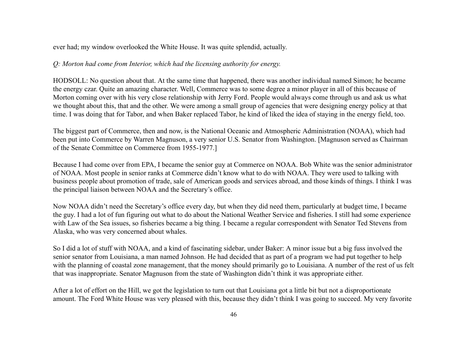ever had; my window overlooked the White House. It was quite splendid, actually.

### *Q: Morton had come from Interior, which had the licensing authority for energy.*

HODSOLL: No question about that. At the same time that happened, there was another individual named Simon; he became the energy czar. Quite an amazing character. Well, Commerce was to some degree a minor player in all of this because of Morton coming over with his very close relationship with Jerry Ford. People would always come through us and ask us what we thought about this, that and the other. We were among a small group of agencies that were designing energy policy at that time. I was doing that for Tabor, and when Baker replaced Tabor, he kind of liked the idea of staying in the energy field, too.

The biggest part of Commerce, then and now, is the National Oceanic and Atmospheric Administration (NOAA), which had been put into Commerce by Warren Magnuson, a very senior U.S. Senator from Washington. [Magnuson served as Chairman of the Senate Committee on Commerce from 1955-1977.]

Because I had come over from EPA, I became the senior guy at Commerce on NOAA. Bob White was the senior administrator of NOAA. Most people in senior ranks at Commerce didn't know what to do with NOAA. They were used to talking with business people about promotion of trade, sale of American goods and services abroad, and those kinds of things. I think I was the principal liaison between NOAA and the Secretary's office.

Now NOAA didn't need the Secretary's office every day, but when they did need them, particularly at budget time, I became the guy. I had a lot of fun figuring out what to do about the National Weather Service and fisheries. I still had some experience with Law of the Sea issues, so fisheries became a big thing. I became a regular correspondent with Senator Ted Stevens from Alaska, who was very concerned about whales.

So I did a lot of stuff with NOAA, and a kind of fascinating sidebar, under Baker: A minor issue but a big fuss involved the senior senator from Louisiana, a man named Johnson. He had decided that as part of a program we had put together to help with the planning of coastal zone management, that the money should primarily go to Louisiana. A number of the rest of us felt that was inappropriate. Senator Magnuson from the state of Washington didn't think it was appropriate either.

After a lot of effort on the Hill, we got the legislation to turn out that Louisiana got a little bit but not a disproportionate amount. The Ford White House was very pleased with this, because they didn't think I was going to succeed. My very favorite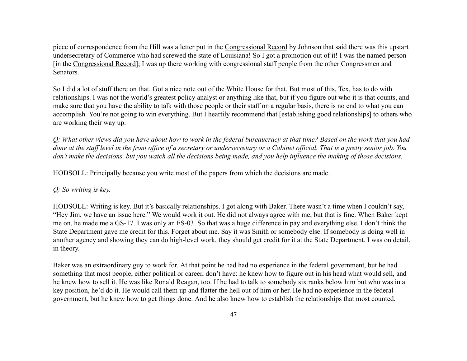piece of correspondence from the Hill was a letter put in the Congressional Record by Johnson that said there was this upstart undersecretary of Commerce who had screwed the state of Louisiana! So I got a promotion out of it! I was the named person [in the Congressional Record]; I was up there working with congressional staff people from the other Congressmen and Senators.

So I did a lot of stuff there on that. Got a nice note out of the White House for that. But most of this, Tex, has to do with relationships. I was not the world's greatest policy analyst or anything like that, but if you figure out who it is that counts, and make sure that you have the ability to talk with those people or their staff on a regular basis, there is no end to what you can accomplish. You're not going to win everything. But I heartily recommend that [establishing good relationships] to others who are working their way up.

*Q: What other views did you have about how to work in the federal bureaucracy at that time? Based on the work that you had done at the staff level in the front office of a secretary or undersecretary or a Cabinet official. That is a pretty senior job. You don't make the decisions, but you watch all the decisions being made, and you help influence the making of those decisions.*

HODSOLL: Principally because you write most of the papers from which the decisions are made.

## *Q: So writing is key.*

HODSOLL: Writing is key. But it's basically relationships. I got along with Baker. There wasn't a time when I couldn't say, "Hey Jim, we have an issue here." We would work it out. He did not always agree with me, but that is fine. When Baker kept me on, he made me a GS-17. I was only an FS-03. So that was a huge difference in pay and everything else. I don't think the State Department gave me credit for this. Forget about me. Say it was Smith or somebody else. If somebody is doing well in another agency and showing they can do high-level work, they should get credit for it at the State Department. I was on detail, in theory.

Baker was an extraordinary guy to work for. At that point he had had no experience in the federal government, but he had something that most people, either political or career, don't have: he knew how to figure out in his head what would sell, and he knew how to sell it. He was like Ronald Reagan, too. If he had to talk to somebody six ranks below him but who was in a key position, he'd do it. He would call them up and flatter the hell out of him or her. He had no experience in the federal government, but he knew how to get things done. And he also knew how to establish the relationships that most counted.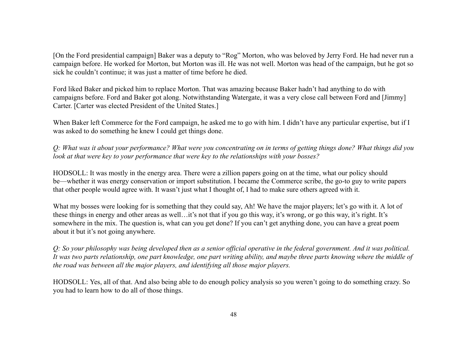[On the Ford presidential campaign] Baker was a deputy to "Rog" Morton, who was beloved by Jerry Ford. He had never run a campaign before. He worked for Morton, but Morton was ill. He was not well. Morton was head of the campaign, but he got so sick he couldn't continue; it was just a matter of time before he died.

Ford liked Baker and picked him to replace Morton. That was amazing because Baker hadn't had anything to do with campaigns before. Ford and Baker got along. Notwithstanding Watergate, it was a very close call between Ford and [Jimmy] Carter. [Carter was elected President of the United States.]

When Baker left Commerce for the Ford campaign, he asked me to go with him. I didn't have any particular expertise, but if I was asked to do something he knew I could get things done.

*Q: What was it about your performance? What were you concentrating on in terms of getting things done? What things did you look at that were key to your performance that were key to the relationships with your bosses?*

HODSOLL: It was mostly in the energy area. There were a zillion papers going on at the time, what our policy should be—whether it was energy conservation or import substitution. I became the Commerce scribe, the go-to guy to write papers that other people would agree with. It wasn't just what I thought of, I had to make sure others agreed with it.

What my bosses were looking for is something that they could say, Ah! We have the major players; let's go with it. A lot of these things in energy and other areas as well…it's not that if you go this way, it's wrong, or go this way, it's right. It's somewhere in the mix. The question is, what can you get done? If you can't get anything done, you can have a great poem about it but it's not going anywhere.

*Q: So your philosophy was being developed then as a senior official operative in the federal government. And it was political. It was two parts relationship, one part knowledge, one part writing ability, and maybe three parts knowing where the middle of the road was between all the major players, and identifying all those major players.*

HODSOLL: Yes, all of that. And also being able to do enough policy analysis so you weren't going to do something crazy. So you had to learn how to do all of those things.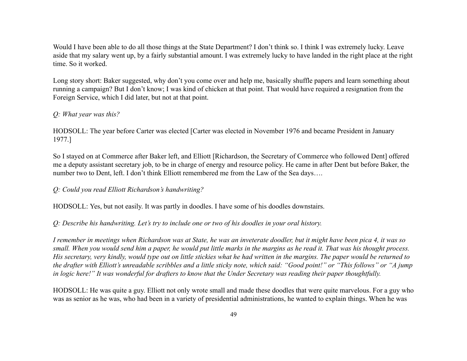Would I have been able to do all those things at the State Department? I don't think so. I think I was extremely lucky. Leave aside that my salary went up, by a fairly substantial amount. I was extremely lucky to have landed in the right place at the right time. So it worked.

Long story short: Baker suggested, why don't you come over and help me, basically shuffle papers and learn something about running a campaign? But I don't know; I was kind of chicken at that point. That would have required a resignation from the Foreign Service, which I did later, but not at that point.

### *Q: What year was this?*

HODSOLL: The year before Carter was elected [Carter was elected in November 1976 and became President in January 1977.]

So I stayed on at Commerce after Baker left, and Elliott [Richardson, the Secretary of Commerce who followed Dent] offered me a deputy assistant secretary job, to be in charge of energy and resource policy. He came in after Dent but before Baker, the number two to Dent, left. I don't think Elliott remembered me from the Law of the Sea days….

## *Q: Could you read Elliott Richardson's handwriting?*

HODSOLL: Yes, but not easily. It was partly in doodles. I have some of his doodles downstairs.

*Q: Describe his handwriting. Let's try to include one or two of his doodles in your oral history.*

*I remember in meetings when Richardson was at State, he was an inveterate doodler, but it might have been pica 4, it was so small. When you would send him a paper, he would put little marks in the margins as he read it. That was his thought process. His secretary, very kindly, would type out on little stickies what he had written in the margins. The paper would be returned to the drafter with Elliott's unreadable scribbles and a little sticky note, which said: "Good point!" or "This follows" or "A jump in logic here!" It was wonderful for drafters to know that the Under Secretary was reading their paper thoughtfully.*

HODSOLL: He was quite a guy. Elliott not only wrote small and made these doodles that were quite marvelous. For a guy who was as senior as he was, who had been in a variety of presidential administrations, he wanted to explain things. When he was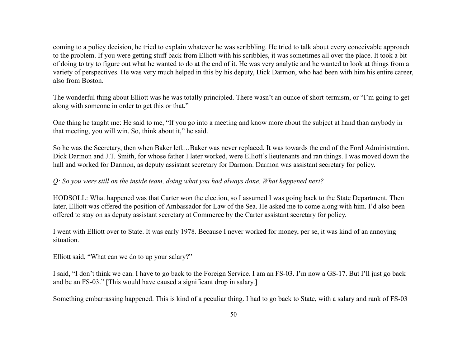coming to a policy decision, he tried to explain whatever he was scribbling. He tried to talk about every conceivable approach to the problem. If you were getting stuff back from Elliott with his scribbles, it was sometimes all over the place. It took a bit of doing to try to figure out what he wanted to do at the end of it. He was very analytic and he wanted to look at things from a variety of perspectives. He was very much helped in this by his deputy, Dick Darmon, who had been with him his entire career, also from Boston.

The wonderful thing about Elliott was he was totally principled. There wasn't an ounce of short-termism, or "I'm going to get along with someone in order to get this or that."

One thing he taught me: He said to me, "If you go into a meeting and know more about the subject at hand than anybody in that meeting, you will win. So, think about it," he said.

So he was the Secretary, then when Baker left…Baker was never replaced. It was towards the end of the Ford Administration. Dick Darmon and J.T. Smith, for whose father I later worked, were Elliott's lieutenants and ran things. I was moved down the hall and worked for Darmon, as deputy assistant secretary for Darmon. Darmon was assistant secretary for policy.

### *Q: So you were still on the inside team, doing what you had always done. What happened next?*

HODSOLL: What happened was that Carter won the election, so I assumed I was going back to the State Department. Then later, Elliott was offered the position of Ambassador for Law of the Sea. He asked me to come along with him. I'd also been offered to stay on as deputy assistant secretary at Commerce by the Carter assistant secretary for policy.

I went with Elliott over to State. It was early 1978. Because I never worked for money, per se, it was kind of an annoying situation.

Elliott said, "What can we do to up your salary?"

I said, "I don't think we can. I have to go back to the Foreign Service. I am an FS-03. I'm now a GS-17. But I'll just go back and be an FS-03." [This would have caused a significant drop in salary.]

Something embarrassing happened. This is kind of a peculiar thing. I had to go back to State, with a salary and rank of FS-03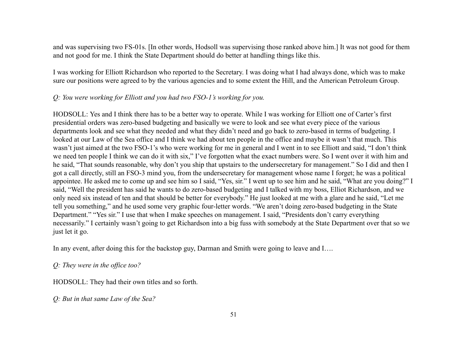and was supervising two FS-01s. [In other words, Hodsoll was supervising those ranked above him.] It was not good for them and not good for me. I think the State Department should do better at handling things like this.

I was working for Elliott Richardson who reported to the Secretary. I was doing what I had always done, which was to make sure our positions were agreed to by the various agencies and to some extent the Hill, and the American Petroleum Group.

### *Q: You were working for Elliott and you had two FSO-1's working for you.*

HODSOLL: Yes and I think there has to be a better way to operate. While I was working for Elliott one of Carter's first presidential orders was zero-based budgeting and basically we were to look and see what every piece of the various departments look and see what they needed and what they didn't need and go back to zero-based in terms of budgeting. I looked at our Law of the Sea office and I think we had about ten people in the office and maybe it wasn't that much. This wasn't just aimed at the two FSO-1's who were working for me in general and I went in to see Elliott and said, "I don't think we need ten people I think we can do it with six," I've forgotten what the exact numbers were. So I went over it with him and he said, "That sounds reasonable, why don't you ship that upstairs to the undersecretary for management." So I did and then I got a call directly, still an FSO-3 mind you, from the undersecretary for management whose name I forget; he was a political appointee. He asked me to come up and see him so I said, "Yes, sir." I went up to see him and he said, "What are you doing?" I said, "Well the president has said he wants to do zero-based budgeting and I talked with my boss, Elliot Richardson, and we only need six instead of ten and that should be better for everybody." He just looked at me with a glare and he said, "Let me tell you something," and he used some very graphic four-letter words. "We aren't doing zero-based budgeting in the State Department." "Yes sir." I use that when I make speeches on management. I said, "Presidents don't carry everything necessarily." I certainly wasn't going to get Richardson into a big fuss with somebody at the State Department over that so we just let it go.

In any event, after doing this for the backstop guy, Darman and Smith were going to leave and I....

*Q: They were in the office too?*

HODSOLL: They had their own titles and so forth.

*Q: But in that same Law of the Sea?*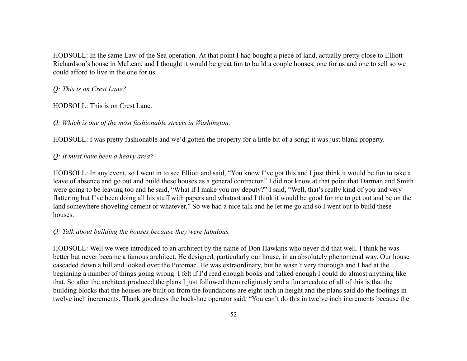HODSOLL: In the same Law of the Sea operation. At that point I had bought a piece of land, actually pretty close to Elliott Richardson's house in McLean, and I thought it would be great fun to build a couple houses, one for us and one to sell so we could afford to live in the one for us.

*Q: This is on Crest Lane?*

HODSOLL: This is on Crest Lane.

*Q: Which is one of the most fashionable streets in Washington.*

HODSOLL: I was pretty fashionable and we'd gotten the property for a little bit of a song; it was just blank property.

*Q: It must have been a heavy area?*

HODSOLL: In any event, so I went in to see Elliott and said, "You know I've got this and I just think it would be fun to take a leave of absence and go out and build these houses as a general contractor." I did not know at that point that Darman and Smith were going to be leaving too and he said, "What if I make you my deputy?" I said, "Well, that's really kind of you and very flattering but I've been doing all his stuff with papers and whatnot and I think it would be good for me to get out and be on the land somewhere shoveling cement or whatever." So we had a nice talk and he let me go and so I went out to build these houses.

## *Q: Talk about building the houses because they were fabulous.*

HODSOLL: Well we were introduced to an architect by the name of Don Hawkins who never did that well. I think he was better but never became a famous architect. He designed, particularly our house, in an absolutely phenomenal way. Our house cascaded down a hill and looked over the Potomac. He was extraordinary, but he wasn't very thorough and I had at the beginning a number of things going wrong. I felt if I'd read enough books and talked enough I could do almost anything like that. So after the architect produced the plans I just followed them religiously and a fun anecdote of all of this is that the building blocks that the houses are built on from the foundations are eight inch in height and the plans said do the footings in twelve inch increments. Thank goodness the back-hoe operator said, "You can't do this in twelve inch increments because the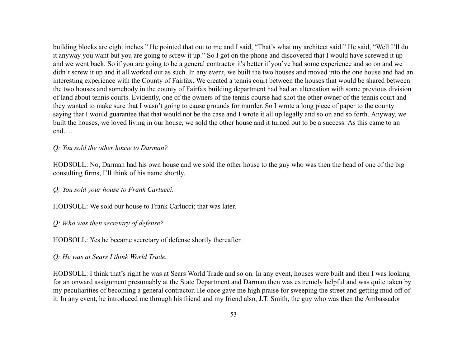building blocks are eight inches." He pointed that out to me and I said, "That's what my architect said." He said, "Well I'll do it anyway you want but you are going to screw it up." So I got on the phone and discovered that I would have screwed it up and we went back. So if you are going to be a general contractor it's better if you've had some experience and so on and we didn't screw it up and it all worked out as such. In any event, we built the two houses and moved into the one house and had an interesting experience with the County of Fairfax. We created a tennis court between the houses that would be shared between the two houses and somebody in the county of Fairfax building department had had an altercation with some previous division of land about tennis courts. Evidently, one of the owners of the tennis course had shot the other owner of the tennis court and they wanted to make sure that I wasn't going to cause grounds for murder. So I wrote a long piece of paper to the county saying that I would guarantee that that would not be the case and I wrote it all up legally and so on and so forth. Anyway, we built the houses, we loved living in our house, we sold the other house and it turned out to be a success. As this came to an end….

#### *Q: You sold the other house to Darman?*

HODSOLL: No, Darman had his own house and we sold the other house to the guy who was then the head of one of the big consulting firms, I'll think of his name shortly.

*Q: You sold your house to Frank Carlucci.*

HODSOLL: We sold our house to Frank Carlucci; that was later.

*Q: Who was then secretary of defense?*

HODSOLL: Yes he became secretary of defense shortly thereafter.

*Q: He was at Sears I think World Trade.*

HODSOLL: I think that's right he was at Sears World Trade and so on. In any event, houses were built and then I was looking for an onward assignment presumably at the State Department and Darman then was extremely helpful and was quite taken by my peculiarities of becoming a general contractor. He once gave me high praise for sweeping the street and getting mud off of it. In any event, he introduced me through his friend and my friend also, J.T. Smith, the guy who was then the Ambassador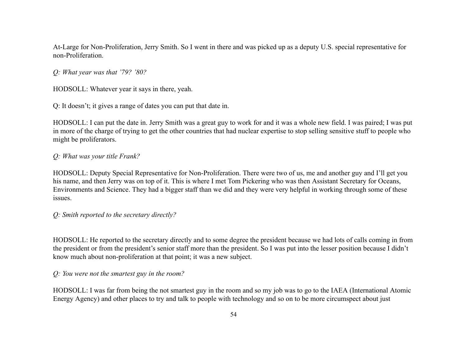At-Large for Non-Proliferation, Jerry Smith. So I went in there and was picked up as a deputy U.S. special representative for non-Proliferation.

*Q: What year was that '79? '80?*

HODSOLL: Whatever year it says in there, yeah.

Q: It doesn't; it gives a range of dates you can put that date in.

HODSOLL: I can put the date in. Jerry Smith was a great guy to work for and it was a whole new field. I was paired; I was put in more of the charge of trying to get the other countries that had nuclear expertise to stop selling sensitive stuff to people who might be proliferators.

### *Q: What was your title Frank?*

HODSOLL: Deputy Special Representative for Non-Proliferation. There were two of us, me and another guy and I'll get you his name, and then Jerry was on top of it. This is where I met Tom Pickering who was then Assistant Secretary for Oceans, Environments and Science. They had a bigger staff than we did and they were very helpful in working through some of these issues.

*Q: Smith reported to the secretary directly?*

HODSOLL: He reported to the secretary directly and to some degree the president because we had lots of calls coming in from the president or from the president's senior staff more than the president. So I was put into the lesser position because I didn't know much about non-proliferation at that point; it was a new subject.

*Q: You were not the smartest guy in the room?*

HODSOLL: I was far from being the not smartest guy in the room and so my job was to go to the IAEA (International Atomic Energy Agency) and other places to try and talk to people with technology and so on to be more circumspect about just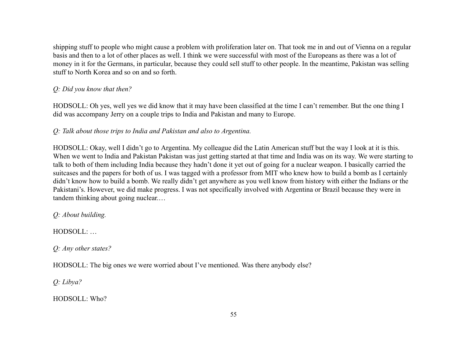shipping stuff to people who might cause a problem with proliferation later on. That took me in and out of Vienna on a regular basis and then to a lot of other places as well. I think we were successful with most of the Europeans as there was a lot of money in it for the Germans, in particular, because they could sell stuff to other people. In the meantime, Pakistan was selling stuff to North Korea and so on and so forth.

# *Q: Did you know that then?*

HODSOLL: Oh yes, well yes we did know that it may have been classified at the time I can't remember. But the one thing I did was accompany Jerry on a couple trips to India and Pakistan and many to Europe.

*Q: Talk about those trips to India and Pakistan and also to Argentina.*

HODSOLL: Okay, well I didn't go to Argentina. My colleague did the Latin American stuff but the way I look at it is this. When we went to India and Pakistan Pakistan was just getting started at that time and India was on its way. We were starting to talk to both of them including India because they hadn't done it yet out of going for a nuclear weapon. I basically carried the suitcases and the papers for both of us. I was tagged with a professor from MIT who knew how to build a bomb as I certainly didn't know how to build a bomb. We really didn't get anywhere as you well know from history with either the Indians or the Pakistani's. However, we did make progress. I was not specifically involved with Argentina or Brazil because they were in tandem thinking about going nuclear.…

*Q: About building.*

HODSOLL: …

*Q: Any other states?*

HODSOLL: The big ones we were worried about I've mentioned. Was there anybody else?

*Q: Libya?*

HODSOLL: Who?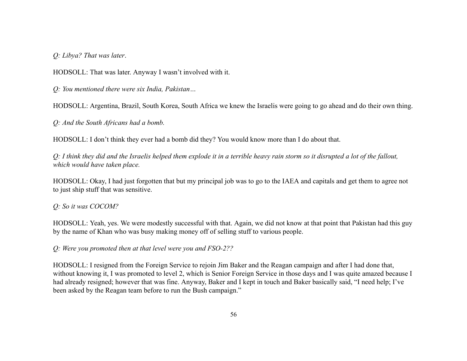*Q: Libya? That was later*.

HODSOLL: That was later. Anyway I wasn't involved with it.

*Q: You mentioned there were six India, Pakistan…*

HODSOLL: Argentina, Brazil, South Korea, South Africa we knew the Israelis were going to go ahead and do their own thing.

*Q: And the South Africans had a bomb.*

HODSOLL: I don't think they ever had a bomb did they? You would know more than I do about that.

*Q: I think they did and the Israelis helped them explode it in a terrible heavy rain storm so it disrupted a lot of the fallout, which would have taken place.*

HODSOLL: Okay, I had just forgotten that but my principal job was to go to the IAEA and capitals and get them to agree not to just ship stuff that was sensitive.

### *Q: So it was COCOM?*

HODSOLL: Yeah, yes. We were modestly successful with that. Again, we did not know at that point that Pakistan had this guy by the name of Khan who was busy making money off of selling stuff to various people.

*Q: Were you promoted then at that level were you and FSO-2??*

HODSOLL: I resigned from the Foreign Service to rejoin Jim Baker and the Reagan campaign and after I had done that, without knowing it, I was promoted to level 2, which is Senior Foreign Service in those days and I was quite amazed because I had already resigned; however that was fine. Anyway, Baker and I kept in touch and Baker basically said, "I need help; I've been asked by the Reagan team before to run the Bush campaign."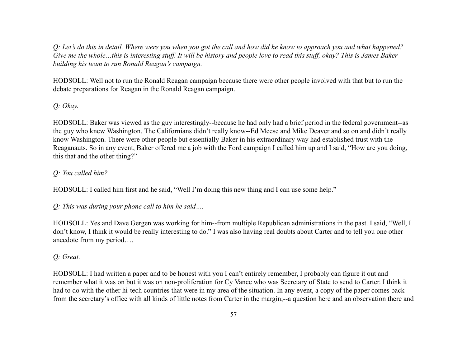*Q: Let's do this in detail. Where were you when you got the call and how did he know to approach you and what happened? Give me the whole…this is interesting stuff. It will be history and people love to read this stuff, okay? This is James Baker building his team to run Ronald Reagan's campaign.*

HODSOLL: Well not to run the Ronald Reagan campaign because there were other people involved with that but to run the debate preparations for Reagan in the Ronald Reagan campaign.

# *Q: Okay.*

HODSOLL: Baker was viewed as the guy interestingly--because he had only had a brief period in the federal government--as the guy who knew Washington. The Californians didn't really know--Ed Meese and Mike Deaver and so on and didn't really know Washington. There were other people but essentially Baker in his extraordinary way had established trust with the Reaganauts. So in any event, Baker offered me a job with the Ford campaign I called him up and I said, "How are you doing, this that and the other thing?"

# *Q: You called him?*

HODSOLL: I called him first and he said, "Well I'm doing this new thing and I can use some help."

*Q: This was during your phone call to him he said….*

HODSOLL: Yes and Dave Gergen was working for him--from multiple Republican administrations in the past. I said, "Well, I don't know, I think it would be really interesting to do." I was also having real doubts about Carter and to tell you one other anecdote from my period….

# *Q: Great.*

HODSOLL: I had written a paper and to be honest with you I can't entirely remember, I probably can figure it out and remember what it was on but it was on non-proliferation for Cy Vance who was Secretary of State to send to Carter. I think it had to do with the other hi-tech countries that were in my area of the situation. In any event, a copy of the paper comes back from the secretary's office with all kinds of little notes from Carter in the margin;--a question here and an observation there and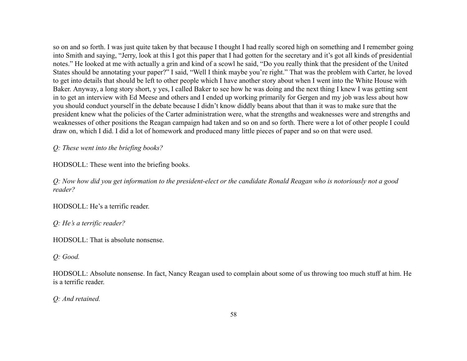so on and so forth. I was just quite taken by that because I thought I had really scored high on something and I remember going into Smith and saying, "Jerry, look at this I got this paper that I had gotten for the secretary and it's got all kinds of presidential notes." He looked at me with actually a grin and kind of a scowl he said, "Do you really think that the president of the United States should be annotating your paper?" I said, "Well I think maybe you're right." That was the problem with Carter, he loved to get into details that should be left to other people which I have another story about when I went into the White House with Baker. Anyway, a long story short, y yes, I called Baker to see how he was doing and the next thing I knew I was getting sent in to get an interview with Ed Meese and others and I ended up working primarily for Gergen and my job was less about how you should conduct yourself in the debate because I didn't know diddly beans about that than it was to make sure that the president knew what the policies of the Carter administration were, what the strengths and weaknesses were and strengths and weaknesses of other positions the Reagan campaign had taken and so on and so forth. There were a lot of other people I could draw on, which I did. I did a lot of homework and produced many little pieces of paper and so on that were used.

*Q: These went into the briefing books?*

HODSOLL: These went into the briefing books.

*Q: Now how did you get information to the president-elect or the candidate Ronald Reagan who is notoriously not a good reader?*

HODSOLL: He's a terrific reader.

*Q: He's a terrific reader?*

HODSOLL: That is absolute nonsense.

*Q: Good.*

HODSOLL: Absolute nonsense. In fact, Nancy Reagan used to complain about some of us throwing too much stuff at him. He is a terrific reader.

*Q: And retained.*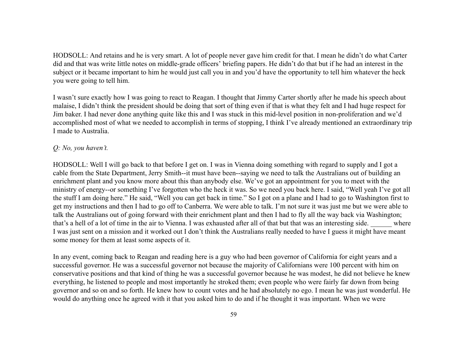HODSOLL: And retains and he is very smart. A lot of people never gave him credit for that. I mean he didn't do what Carter did and that was write little notes on middle-grade officers' briefing papers. He didn't do that but if he had an interest in the subject or it became important to him he would just call you in and you'd have the opportunity to tell him whatever the heck you were going to tell him.

I wasn't sure exactly how I was going to react to Reagan. I thought that Jimmy Carter shortly after he made his speech about malaise, I didn't think the president should be doing that sort of thing even if that is what they felt and I had huge respect for Jim baker. I had never done anything quite like this and I was stuck in this mid-level position in non-proliferation and we'd accomplished most of what we needed to accomplish in terms of stopping, I think I've already mentioned an extraordinary trip I made to Australia.

### *Q: No, you haven't.*

HODSOLL: Well I will go back to that before I get on. I was in Vienna doing something with regard to supply and I got a cable from the State Department, Jerry Smith--it must have been--saying we need to talk the Australians out of building an enrichment plant and you know more about this than anybody else. We've got an appointment for you to meet with the ministry of energy--or something I've forgotten who the heck it was. So we need you back here. I said, "Well yeah I've got all the stuff I am doing here." He said, "Well you can get back in time." So I got on a plane and I had to go to Washington first to get my instructions and then I had to go off to Canberra. We were able to talk. I'm not sure it was just me but we were able to talk the Australians out of going forward with their enrichment plant and then I had to fly all the way back via Washington; that's a hell of a lot of time in the air to Vienna. I was exhausted after all of that but that was an interesting side. Where I was just sent on a mission and it worked out I don't think the Australians really needed to have I guess it might have meant some money for them at least some aspects of it.

In any event, coming back to Reagan and reading here is a guy who had been governor of California for eight years and a successful governor. He was a successful governor not because the majority of Californians were 100 percent with him on conservative positions and that kind of thing he was a successful governor because he was modest, he did not believe he knew everything, he listened to people and most importantly he stroked them; even people who were fairly far down from being governor and so on and so forth. He knew how to count votes and he had absolutely no ego. I mean he was just wonderful. He would do anything once he agreed with it that you asked him to do and if he thought it was important. When we were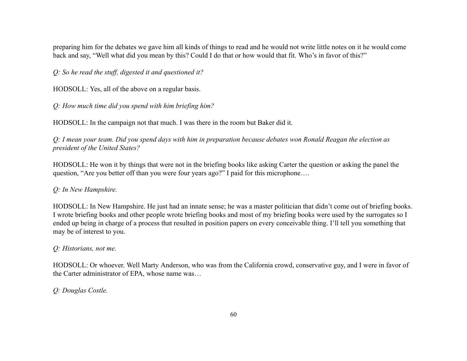preparing him for the debates we gave him all kinds of things to read and he would not write little notes on it he would come back and say, "Well what did you mean by this? Could I do that or how would that fit. Who's in favor of this?"

*Q: So he read the stuff, digested it and questioned it?*

HODSOLL: Yes, all of the above on a regular basis.

*Q: How much time did you spend with him briefing him?*

HODSOLL: In the campaign not that much. I was there in the room but Baker did it.

*Q: I mean your team. Did you spend days with him in preparation because debates won Ronald Reagan the election as president of the United States?*

HODSOLL: He won it by things that were not in the briefing books like asking Carter the question or asking the panel the question, "Are you better off than you were four years ago?" I paid for this microphone….

## *Q: In New Hampshire.*

HODSOLL: In New Hampshire. He just had an innate sense; he was a master politician that didn't come out of briefing books. I wrote briefing books and other people wrote briefing books and most of my briefing books were used by the surrogates so I ended up being in charge of a process that resulted in position papers on every conceivable thing. I'll tell you something that may be of interest to you.

## *Q: Historians, not me.*

HODSOLL: Or whoever. Well Marty Anderson, who was from the California crowd, conservative guy, and I were in favor of the Carter administrator of EPA, whose name was…

## *Q: Douglas Costle.*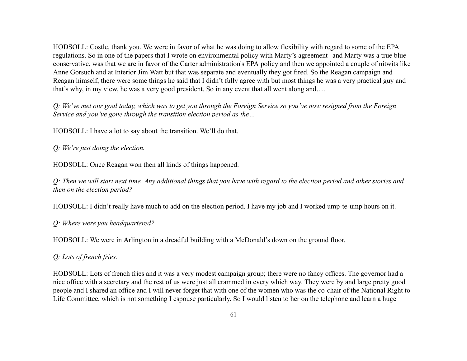HODSOLL: Costle, thank you. We were in favor of what he was doing to allow flexibility with regard to some of the EPA regulations. So in one of the papers that I wrote on environmental policy with Marty's agreement--and Marty was a true blue conservative, was that we are in favor of the Carter administration's EPA policy and then we appointed a couple of nitwits like Anne Gorsuch and at Interior Jim Watt but that was separate and eventually they got fired. So the Reagan campaign and Reagan himself, there were some things he said that I didn't fully agree with but most things he was a very practical guy and that's why, in my view, he was a very good president. So in any event that all went along and….

*Q: We've met our goal today, which was to get you through the Foreign Service so you've now resigned from the Foreign Service and you've gone through the transition election period as the…*

HODSOLL: I have a lot to say about the transition. We'll do that.

*Q: We're just doing the election.*

HODSOLL: Once Reagan won then all kinds of things happened.

*Q: Then we will start next time. Any additional things that you have with regard to the election period and other stories and then on the election period?*

HODSOLL: I didn't really have much to add on the election period. I have my job and I worked ump-te-ump hours on it.

*Q: Where were you headquartered?*

HODSOLL: We were in Arlington in a dreadful building with a McDonald's down on the ground floor.

*Q: Lots of french fries.*

HODSOLL: Lots of french fries and it was a very modest campaign group; there were no fancy offices. The governor had a nice office with a secretary and the rest of us were just all crammed in every which way. They were by and large pretty good people and I shared an office and I will never forget that with one of the women who was the co-chair of the National Right to Life Committee, which is not something I espouse particularly. So I would listen to her on the telephone and learn a huge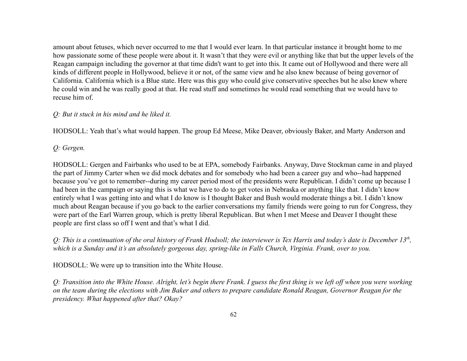amount about fetuses, which never occurred to me that I would ever learn. In that particular instance it brought home to me how passionate some of these people were about it. It wasn't that they were evil or anything like that but the upper levels of the Reagan campaign including the governor at that time didn't want to get into this. It came out of Hollywood and there were all kinds of different people in Hollywood, believe it or not, of the same view and he also knew because of being governor of California. California which is a Blue state. Here was this guy who could give conservative speeches but he also knew where he could win and he was really good at that. He read stuff and sometimes he would read something that we would have to recuse him of.

### *Q: But it stuck in his mind and he liked it.*

HODSOLL: Yeah that's what would happen. The group Ed Meese, Mike Deaver, obviously Baker, and Marty Anderson and

*Q: Gergen.*

HODSOLL: Gergen and Fairbanks who used to be at EPA, somebody Fairbanks. Anyway, Dave Stockman came in and played the part of Jimmy Carter when we did mock debates and for somebody who had been a career guy and who--had happened because you've got to remember--during my career period most of the presidents were Republican. I didn't come up because I had been in the campaign or saying this is what we have to do to get votes in Nebraska or anything like that. I didn't know entirely what I was getting into and what I do know is I thought Baker and Bush would moderate things a bit. I didn't know much about Reagan because if you go back to the earlier conversations my family friends were going to run for Congress, they were part of the Earl Warren group, which is pretty liberal Republican. But when I met Meese and Deaver I thought these people are first class so off I went and that's what I did.

*Q: This is a continuation of the oral history of Frank Hodsoll; the interviewer is Tex Harris and today's date is December 13th , which is a Sunday and it's an absolutely gorgeous day, spring-like in Falls Church, Virginia. Frank, over to you.*

HODSOLL: We were up to transition into the White House.

*Q: Transition into the White House. Alright, let's begin there Frank. I guess the first thing is we left off when you were working on the team during the elections with Jim Baker and others to prepare candidate Ronald Reagan, Governor Reagan for the presidency. What happened after that? Okay?*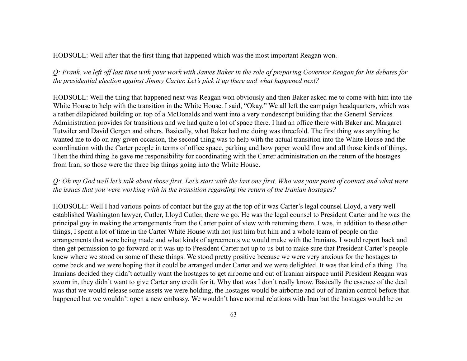HODSOLL: Well after that the first thing that happened which was the most important Reagan won.

*Q: Frank, we left off last time with your work with James Baker in the role of preparing Governor Reagan for his debates for the presidential election against Jimmy Carter. Let's pick it up there and what happened next?*

HODSOLL: Well the thing that happened next was Reagan won obviously and then Baker asked me to come with him into the White House to help with the transition in the White House. I said, "Okay." We all left the campaign headquarters, which was a rather dilapidated building on top of a McDonalds and went into a very nondescript building that the General Services Administration provides for transitions and we had quite a lot of space there. I had an office there with Baker and Margaret Tutwiler and David Gergen and others. Basically, what Baker had me doing was threefold. The first thing was anything he wanted me to do on any given occasion, the second thing was to help with the actual transition into the White House and the coordination with the Carter people in terms of office space, parking and how paper would flow and all those kinds of things. Then the third thing he gave me responsibility for coordinating with the Carter administration on the return of the hostages from Iran; so those were the three big things going into the White House.

### *Q: Oh my God well let's talk about those first. Let's start with the last one first. Who was your point of contact and what were the issues that you were working with in the transition regarding the return of the Iranian hostages?*

HODSOLL: Well I had various points of contact but the guy at the top of it was Carter's legal counsel Lloyd, a very well established Washington lawyer, Cutler, Lloyd Cutler, there we go. He was the legal counsel to President Carter and he was the principal guy in making the arrangements from the Carter point of view with returning them. I was, in addition to these other things, I spent a lot of time in the Carter White House with not just him but him and a whole team of people on the arrangements that were being made and what kinds of agreements we would make with the Iranians. I would report back and then get permission to go forward or it was up to President Carter not up to us but to make sure that President Carter's people knew where we stood on some of these things. We stood pretty positive because we were very anxious for the hostages to come back and we were hoping that it could be arranged under Carter and we were delighted. It was that kind of a thing. The Iranians decided they didn't actually want the hostages to get airborne and out of Iranian airspace until President Reagan was sworn in, they didn't want to give Carter any credit for it. Why that was I don't really know. Basically the essence of the deal was that we would release some assets we were holding, the hostages would be airborne and out of Iranian control before that happened but we wouldn't open a new embassy. We wouldn't have normal relations with Iran but the hostages would be on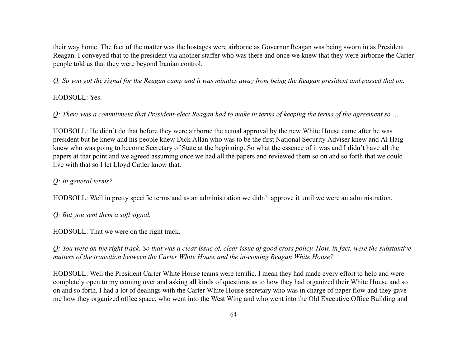their way home. The fact of the matter was the hostages were airborne as Governor Reagan was being sworn in as President Reagan. I conveyed that to the president via another staffer who was there and once we knew that they were airborne the Carter people told us that they were beyond Iranian control.

*Q: So you got the signal for the Reagan camp and it was minutes away from being the Reagan president and passed that on.*

# HODSOLL: Yes.

*Q: There was a commitment that President-elect Reagan had to make in terms of keeping the terms of the agreement so….*

HODSOLL: He didn't do that before they were airborne the actual approval by the new White House came after he was president but he knew and his people knew Dick Allan who was to be the first National Security Adviser knew and Al Haig knew who was going to become Secretary of State at the beginning. So what the essence of it was and I didn't have all the papers at that point and we agreed assuming once we had all the papers and reviewed them so on and so forth that we could live with that so I let Lloyd Cutler know that.

# *Q: In general terms?*

HODSOLL: Well in pretty specific terms and as an administration we didn't approve it until we were an administration.

*Q: But you sent them a soft signal.*

HODSOLL: That we were on the right track.

*Q: You were on the right track. So that was a clear issue of, clear issue of good cross policy. How, in fact, were the substantive matters of the transition between the Carter White House and the in-coming Reagan White House?*

HODSOLL: Well the President Carter White House teams were terrific. I mean they had made every effort to help and were completely open to my coming over and asking all kinds of questions as to how they had organized their White House and so on and so forth. I had a lot of dealings with the Carter White House secretary who was in charge of paper flow and they gave me how they organized office space, who went into the West Wing and who went into the Old Executive Office Building and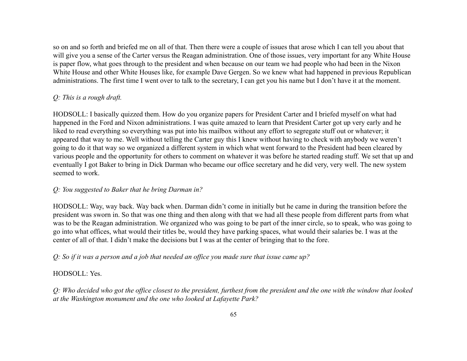so on and so forth and briefed me on all of that. Then there were a couple of issues that arose which I can tell you about that will give you a sense of the Carter versus the Reagan administration. One of those issues, very important for any White House is paper flow, what goes through to the president and when because on our team we had people who had been in the Nixon White House and other White Houses like, for example Dave Gergen. So we knew what had happened in previous Republican administrations. The first time I went over to talk to the secretary, I can get you his name but I don't have it at the moment.

## *Q: This is a rough draft.*

HODSOLL: I basically quizzed them. How do you organize papers for President Carter and I briefed myself on what had happened in the Ford and Nixon administrations. I was quite amazed to learn that President Carter got up very early and he liked to read everything so everything was put into his mailbox without any effort to segregate stuff out or whatever; it appeared that way to me. Well without telling the Carter guy this I knew without having to check with anybody we weren't going to do it that way so we organized a different system in which what went forward to the President had been cleared by various people and the opportunity for others to comment on whatever it was before he started reading stuff. We set that up and eventually I got Baker to bring in Dick Darman who became our office secretary and he did very, very well. The new system seemed to work.

### *Q: You suggested to Baker that he bring Darman in?*

HODSOLL: Way, way back. Way back when. Darman didn't come in initially but he came in during the transition before the president was sworn in. So that was one thing and then along with that we had all these people from different parts from what was to be the Reagan administration. We organized who was going to be part of the inner circle, so to speak, who was going to go into what offices, what would their titles be, would they have parking spaces, what would their salaries be. I was at the center of all of that. I didn't make the decisions but I was at the center of bringing that to the fore.

## *Q: So if it was a person and a job that needed an office you made sure that issue came up?*

### HODSOLL: Yes.

*Q: Who decided who got the office closest to the president, furthest from the president and the one with the window that looked at the Washington monument and the one who looked at Lafayette Park?*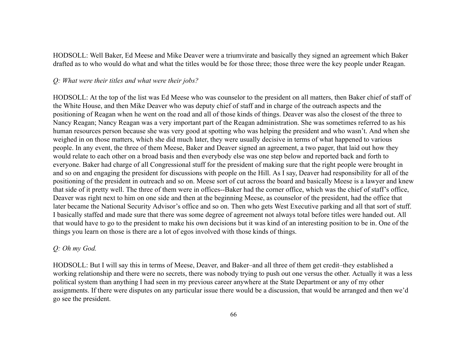HODSOLL: Well Baker, Ed Meese and Mike Deaver were a triumvirate and basically they signed an agreement which Baker drafted as to who would do what and what the titles would be for those three; those three were the key people under Reagan.

#### *Q: What were their titles and what were their jobs?*

HODSOLL: At the top of the list was Ed Meese who was counselor to the president on all matters, then Baker chief of staff of the White House, and then Mike Deaver who was deputy chief of staff and in charge of the outreach aspects and the positioning of Reagan when he went on the road and all of those kinds of things. Deaver was also the closest of the three to Nancy Reagan; Nancy Reagan was a very important part of the Reagan administration. She was sometimes referred to as his human resources person because she was very good at spotting who was helping the president and who wasn't. And when she weighed in on those matters, which she did much later, they were usually decisive in terms of what happened to various people. In any event, the three of them Meese, Baker and Deaver signed an agreement, a two pager, that laid out how they would relate to each other on a broad basis and then everybody else was one step below and reported back and forth to everyone. Baker had charge of all Congressional stuff for the president of making sure that the right people were brought in and so on and engaging the president for discussions with people on the Hill. As I say, Deaver had responsibility for all of the positioning of the president in outreach and so on. Meese sort of cut across the board and basically Meese is a lawyer and knew that side of it pretty well. The three of them were in offices--Baker had the corner office, which was the chief of staff's office, Deaver was right next to him on one side and then at the beginning Meese, as counselor of the president, had the office that later became the National Security Advisor's office and so on. Then who gets West Executive parking and all that sort of stuff. I basically staffed and made sure that there was some degree of agreement not always total before titles were handed out. All that would have to go to the president to make his own decisions but it was kind of an interesting position to be in. One of the things you learn on those is there are a lot of egos involved with those kinds of things.

### *Q: Oh my God.*

HODSOLL: But I will say this in terms of Meese, Deaver, and Baker–and all three of them get credit–they established a working relationship and there were no secrets, there was nobody trying to push out one versus the other. Actually it was a less political system than anything I had seen in my previous career anywhere at the State Department or any of my other assignments. If there were disputes on any particular issue there would be a discussion, that would be arranged and then we'd go see the president.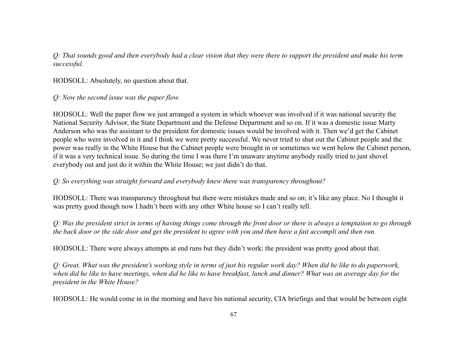*Q: That sounds good and then everybody had a clear vision that they were there to support the president and make his term successful.*

HODSOLL: Absolutely, no question about that.

*Q: Now the second issue was the paper flow.*

HODSOLL: Well the paper flow we just arranged a system in which whoever was involved if it was national security the National Security Advisor, the State Department and the Defense Department and so on. If it was a domestic issue Marty Anderson who was the assistant to the president for domestic issues would be involved with it. Then we'd get the Cabinet people who were involved in it and I think we were pretty successful. We never tried to shut out the Cabinet people and the power was really in the White House but the Cabinet people were brought in or sometimes we went below the Cabinet person, if it was a very technical issue. So during the time I was there I'm unaware anytime anybody really tried to just shovel everybody out and just do it within the White House; we just didn't do that.

*Q: So everything was straight forward and everybody knew there was transparency throughout?*

HODSOLL: There was transparency throughout but there were mistakes made and so on; it's like any place. No I thought it was pretty good though now I hadn't been with any other White house so I can't really tell.

*Q: Was the president strict in terms of having things come through the front door or there is always a temptation to go through the back door or the side door and get the president to agree with you and then have a fait accompli and then run.*

HODSOLL: There were always attempts at end runs but they didn't work; the president was pretty good about that.

*Q: Great. What was the president's working style in terms of just his regular work day? When did he like to do paperwork, when did he like to have meetings, when did he like to have breakfast, lunch and dinner? What was an average day for the president in the White House?*

HODSOLL: He would come in in the morning and have his national security, CIA briefings and that would be between eight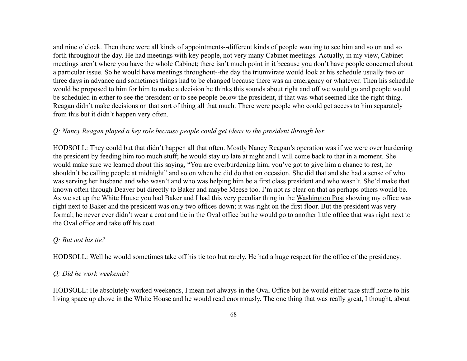and nine o'clock. Then there were all kinds of appointments--different kinds of people wanting to see him and so on and so forth throughout the day. He had meetings with key people, not very many Cabinet meetings. Actually, in my view, Cabinet meetings aren't where you have the whole Cabinet; there isn't much point in it because you don't have people concerned about a particular issue. So he would have meetings throughout--the day the triumvirate would look at his schedule usually two or three days in advance and sometimes things had to be changed because there was an emergency or whatever. Then his schedule would be proposed to him for him to make a decision he thinks this sounds about right and off we would go and people would be scheduled in either to see the president or to see people below the president, if that was what seemed like the right thing. Reagan didn't make decisions on that sort of thing all that much. There were people who could get access to him separately from this but it didn't happen very often.

### *Q: Nancy Reagan played a key role because people could get ideas to the president through her.*

HODSOLL: They could but that didn't happen all that often. Mostly Nancy Reagan's operation was if we were over burdening the president by feeding him too much stuff; he would stay up late at night and I will come back to that in a moment. She would make sure we learned about this saying, "You are overburdening him, you've got to give him a chance to rest, he shouldn't be calling people at midnight" and so on when he did do that on occasion. She did that and she had a sense of who was serving her husband and who wasn't and who was helping him be a first class president and who wasn't. She'd make that known often through Deaver but directly to Baker and maybe Meese too. I'm not as clear on that as perhaps others would be. As we set up the White House you had Baker and I had this very peculiar thing in the Washington Post showing my office was right next to Baker and the president was only two offices down; it was right on the first floor. But the president was very formal; he never ever didn't wear a coat and tie in the Oval office but he would go to another little office that was right next to the Oval office and take off his coat.

#### *Q: But not his tie?*

HODSOLL: Well he would sometimes take off his tie too but rarely. He had a huge respect for the office of the presidency.

### *Q: Did he work weekends?*

HODSOLL: He absolutely worked weekends, I mean not always in the Oval Office but he would either take stuff home to his living space up above in the White House and he would read enormously. The one thing that was really great, I thought, about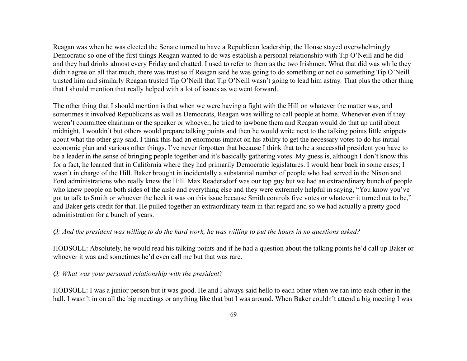Reagan was when he was elected the Senate turned to have a Republican leadership, the House stayed overwhelmingly Democratic so one of the first things Reagan wanted to do was establish a personal relationship with Tip O'Neill and he did and they had drinks almost every Friday and chatted. I used to refer to them as the two Irishmen. What that did was while they didn't agree on all that much, there was trust so if Reagan said he was going to do something or not do something Tip O'Neill trusted him and similarly Reagan trusted Tip O'Neill that Tip O'Neill wasn't going to lead him astray. That plus the other thing that I should mention that really helped with a lot of issues as we went forward.

The other thing that I should mention is that when we were having a fight with the Hill on whatever the matter was, and sometimes it involved Republicans as well as Democrats, Reagan was willing to call people at home. Whenever even if they weren't committee chairman or the speaker or whoever, he tried to jawbone them and Reagan would do that up until about midnight. I wouldn't but others would prepare talking points and then he would write next to the talking points little snippets about what the other guy said. I think this had an enormous impact on his ability to get the necessary votes to do his initial economic plan and various other things. I've never forgotten that because I think that to be a successful president you have to be a leader in the sense of bringing people together and it's basically gathering votes. My guess is, although I don't know this for a fact, he learned that in California where they had primarily Democratic legislatures. I would hear back in some cases; I wasn't in charge of the Hill. Baker brought in incidentally a substantial number of people who had served in the Nixon and Ford administrations who really knew the Hill. Max Readersdorf was our top guy but we had an extraordinary bunch of people who knew people on both sides of the aisle and everything else and they were extremely helpful in saying, "You know you've got to talk to Smith or whoever the heck it was on this issue because Smith controls five votes or whatever it turned out to be," and Baker gets credit for that. He pulled together an extraordinary team in that regard and so we had actually a pretty good administration for a bunch of years.

#### *Q: And the president was willing to do the hard work, he was willing to put the hours in no questions asked?*

HODSOLL: Absolutely, he would read his talking points and if he had a question about the talking points he'd call up Baker or whoever it was and sometimes he'd even call me but that was rare.

#### *Q: What was your personal relationship with the president?*

HODSOLL: I was a junior person but it was good. He and I always said hello to each other when we ran into each other in the hall. I wasn't in on all the big meetings or anything like that but I was around. When Baker couldn't attend a big meeting I was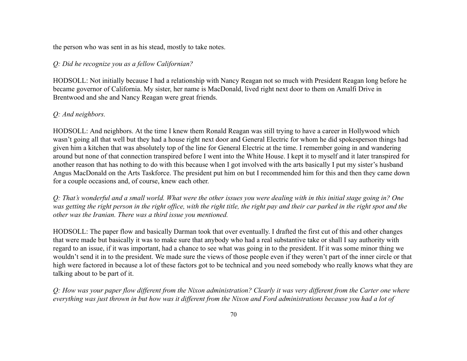the person who was sent in as his stead, mostly to take notes.

## *Q: Did he recognize you as a fellow Californian?*

HODSOLL: Not initially because I had a relationship with Nancy Reagan not so much with President Reagan long before he became governor of California. My sister, her name is MacDonald, lived right next door to them on Amalfi Drive in Brentwood and she and Nancy Reagan were great friends.

# *Q: And neighbors.*

HODSOLL: And neighbors. At the time I knew them Ronald Reagan was still trying to have a career in Hollywood which wasn't going all that well but they had a house right next door and General Electric for whom he did spokesperson things had given him a kitchen that was absolutely top of the line for General Electric at the time. I remember going in and wandering around but none of that connection transpired before I went into the White House. I kept it to myself and it later transpired for another reason that has nothing to do with this because when I got involved with the arts basically I put my sister's husband Angus MacDonald on the Arts Taskforce. The president put him on but I recommended him for this and then they came down for a couple occasions and, of course, knew each other.

*Q: That's wonderful and a small world. What were the other issues you were dealing with in this initial stage going in? One was getting the right person in the right office, with the right title, the right pay and their car parked in the right spot and the other was the Iranian. There was a third issue you mentioned.*

HODSOLL: The paper flow and basically Darman took that over eventually. I drafted the first cut of this and other changes that were made but basically it was to make sure that anybody who had a real substantive take or shall I say authority with regard to an issue, if it was important, had a chance to see what was going in to the president. If it was some minor thing we wouldn't send it in to the president. We made sure the views of those people even if they weren't part of the inner circle or that high were factored in because a lot of these factors got to be technical and you need somebody who really knows what they are talking about to be part of it.

*Q: How was your paper flow different from the Nixon administration? Clearly it was very different from the Carter one where everything was just thrown in but how was it different from the Nixon and Ford administrations because you had a lot of*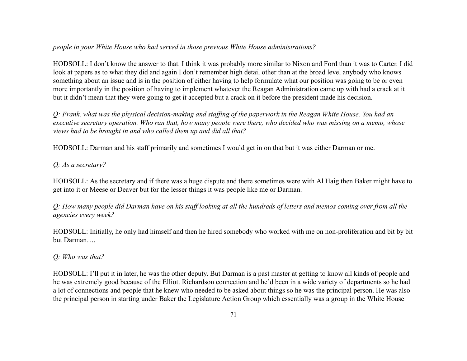#### *people in your White House who had served in those previous White House administrations?*

HODSOLL: I don't know the answer to that. I think it was probably more similar to Nixon and Ford than it was to Carter. I did look at papers as to what they did and again I don't remember high detail other than at the broad level anybody who knows something about an issue and is in the position of either having to help formulate what our position was going to be or even more importantly in the position of having to implement whatever the Reagan Administration came up with had a crack at it but it didn't mean that they were going to get it accepted but a crack on it before the president made his decision.

*Q: Frank, what was the physical decision-making and staffing of the paperwork in the Reagan White House. You had an executive secretary operation. Who ran that, how many people were there, who decided who was missing on a memo, whose views had to be brought in and who called them up and did all that?*

HODSOLL: Darman and his staff primarily and sometimes I would get in on that but it was either Darman or me.

#### *Q: As a secretary?*

HODSOLL: As the secretary and if there was a huge dispute and there sometimes were with Al Haig then Baker might have to get into it or Meese or Deaver but for the lesser things it was people like me or Darman.

*Q: How many people did Darman have on his staff looking at all the hundreds of letters and memos coming over from all the agencies every week?*

HODSOLL: Initially, he only had himself and then he hired somebody who worked with me on non-proliferation and bit by bit but Darman….

### *Q: Who was that?*

HODSOLL: I'll put it in later, he was the other deputy. But Darman is a past master at getting to know all kinds of people and he was extremely good because of the Elliott Richardson connection and he'd been in a wide variety of departments so he had a lot of connections and people that he knew who needed to be asked about things so he was the principal person. He was also the principal person in starting under Baker the Legislature Action Group which essentially was a group in the White House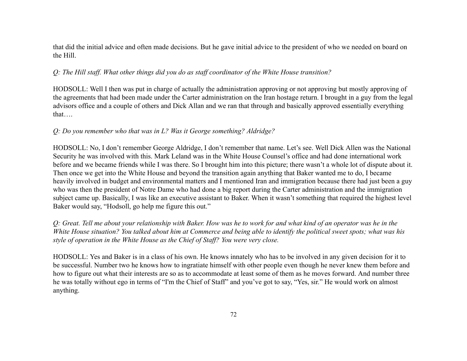that did the initial advice and often made decisions. But he gave initial advice to the president of who we needed on board on the Hill.

### *Q: The Hill staff. What other things did you do as staff coordinator of the White House transition?*

HODSOLL: Well I then was put in charge of actually the administration approving or not approving but mostly approving of the agreements that had been made under the Carter administration on the Iran hostage return. I brought in a guy from the legal advisors office and a couple of others and Dick Allan and we ran that through and basically approved essentially everything that….

### *Q: Do you remember who that was in L? Was it George something? Aldridge?*

HODSOLL: No, I don't remember George Aldridge, I don't remember that name. Let's see. Well Dick Allen was the National Security he was involved with this. Mark Leland was in the White House Counsel's office and had done international work before and we became friends while I was there. So I brought him into this picture; there wasn't a whole lot of dispute about it. Then once we get into the White House and beyond the transition again anything that Baker wanted me to do, I became heavily involved in budget and environmental matters and I mentioned Iran and immigration because there had just been a guy who was then the president of Notre Dame who had done a big report during the Carter administration and the immigration subject came up. Basically, I was like an executive assistant to Baker. When it wasn't something that required the highest level Baker would say, "Hodsoll, go help me figure this out."

*Q: Great. Tell me about your relationship with Baker. How was he to work for and what kind of an operator was he in the White House situation? You talked about him at Commerce and being able to identify the political sweet spots; what was his style of operation in the White House as the Chief of Staff? You were very close.*

HODSOLL: Yes and Baker is in a class of his own. He knows innately who has to be involved in any given decision for it to be successful. Number two he knows how to ingratiate himself with other people even though he never knew them before and how to figure out what their interests are so as to accommodate at least some of them as he moves forward. And number three he was totally without ego in terms of "I'm the Chief of Staff" and you've got to say, "Yes, sir." He would work on almost anything.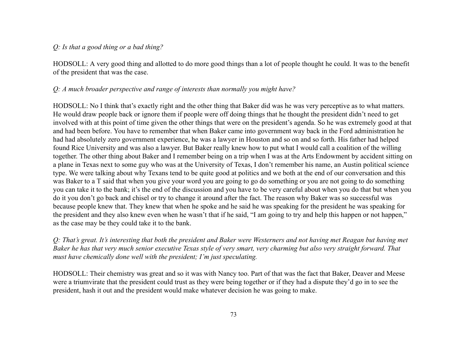### *Q: Is that a good thing or a bad thing?*

HODSOLL: A very good thing and allotted to do more good things than a lot of people thought he could. It was to the benefit of the president that was the case.

## *Q: A much broader perspective and range of interests than normally you might have?*

HODSOLL: No I think that's exactly right and the other thing that Baker did was he was very perceptive as to what matters. He would draw people back or ignore them if people were off doing things that he thought the president didn't need to get involved with at this point of time given the other things that were on the president's agenda. So he was extremely good at that and had been before. You have to remember that when Baker came into government way back in the Ford administration he had had absolutely zero government experience, he was a lawyer in Houston and so on and so forth. His father had helped found Rice University and was also a lawyer. But Baker really knew how to put what I would call a coalition of the willing together. The other thing about Baker and I remember being on a trip when I was at the Arts Endowment by accident sitting on a plane in Texas next to some guy who was at the University of Texas, I don't remember his name, an Austin political science type. We were talking about why Texans tend to be quite good at politics and we both at the end of our conversation and this was Baker to a T said that when you give your word you are going to go do something or you are not going to do something you can take it to the bank; it's the end of the discussion and you have to be very careful about when you do that but when you do it you don't go back and chisel or try to change it around after the fact. The reason why Baker was so successful was because people knew that. They knew that when he spoke and he said he was speaking for the president he was speaking for the president and they also knew even when he wasn't that if he said, "I am going to try and help this happen or not happen," as the case may be they could take it to the bank.

*Q: That's great. It's interesting that both the president and Baker were Westerners and not having met Reagan but having met Baker he has that very much senior executive Texas style of very smart, very charming but also very straight forward. That must have chemically done well with the president; I'm just speculating.*

HODSOLL: Their chemistry was great and so it was with Nancy too. Part of that was the fact that Baker, Deaver and Meese were a triumvirate that the president could trust as they were being together or if they had a dispute they'd go in to see the president, hash it out and the president would make whatever decision he was going to make.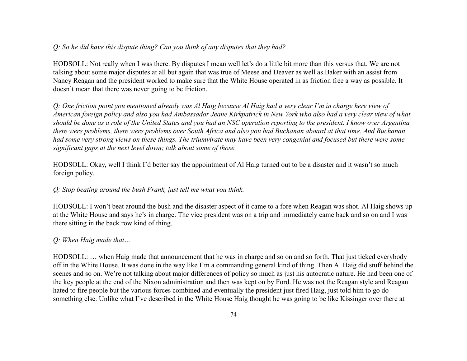## *Q: So he did have this dispute thing? Can you think of any disputes that they had?*

HODSOLL: Not really when I was there. By disputes I mean well let's do a little bit more than this versus that. We are not talking about some major disputes at all but again that was true of Meese and Deaver as well as Baker with an assist from Nancy Reagan and the president worked to make sure that the White House operated in as friction free a way as possible. It doesn't mean that there was never going to be friction.

*Q: One friction point you mentioned already was Al Haig because Al Haig had a very clear I'm in charge here view of American foreign policy and also you had Ambassador Jeane Kirkpatrick in New York who also had a very clear view of what should be done as a role of the United States and you had an NSC operation reporting to the president. I know over Argentina there were problems, there were problems over South Africa and also you had Buchanan aboard at that time. And Buchanan had some very strong views on these things. The triumvirate may have been very congenial and focused but there were some significant gaps at the next level down; talk about some of those.*

HODSOLL: Okay, well I think I'd better say the appointment of Al Haig turned out to be a disaster and it wasn't so much foreign policy.

#### *Q: Stop beating around the bush Frank, just tell me what you think.*

HODSOLL: I won't beat around the bush and the disaster aspect of it came to a fore when Reagan was shot. Al Haig shows up at the White House and says he's in charge. The vice president was on a trip and immediately came back and so on and I was there sitting in the back row kind of thing.

### *Q: When Haig made that…*

HODSOLL: … when Haig made that announcement that he was in charge and so on and so forth. That just ticked everybody off in the White House. It was done in the way like I'm a commanding general kind of thing. Then Al Haig did stuff behind the scenes and so on. We're not talking about major differences of policy so much as just his autocratic nature. He had been one of the key people at the end of the Nixon administration and then was kept on by Ford. He was not the Reagan style and Reagan hated to fire people but the various forces combined and eventually the president just fired Haig, just told him to go do something else. Unlike what I've described in the White House Haig thought he was going to be like Kissinger over there at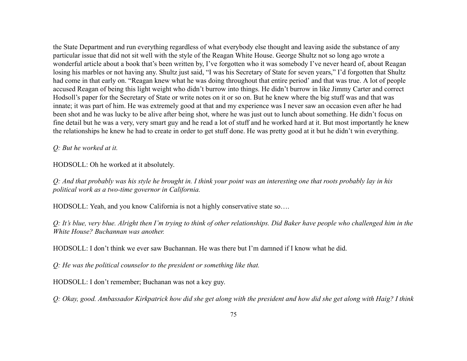the State Department and run everything regardless of what everybody else thought and leaving aside the substance of any particular issue that did not sit well with the style of the Reagan White House. George Shultz not so long ago wrote a wonderful article about a book that's been written by, I've forgotten who it was somebody I've never heard of, about Reagan losing his marbles or not having any. Shultz just said, "I was his Secretary of State for seven years," I'd forgotten that Shultz had come in that early on. "Reagan knew what he was doing throughout that entire period' and that was true. A lot of people accused Reagan of being this light weight who didn't burrow into things. He didn't burrow in like Jimmy Carter and correct Hodsoll's paper for the Secretary of State or write notes on it or so on. But he knew where the big stuff was and that was innate; it was part of him. He was extremely good at that and my experience was I never saw an occasion even after he had been shot and he was lucky to be alive after being shot, where he was just out to lunch about something. He didn't focus on fine detail but he was a very, very smart guy and he read a lot of stuff and he worked hard at it. But most importantly he knew the relationships he knew he had to create in order to get stuff done. He was pretty good at it but he didn't win everything.

*Q: But he worked at it.*

HODSOLL: Oh he worked at it absolutely.

*Q: And that probably was his style he brought in. I think your point was an interesting one that roots probably lay in his political work as a two-time governor in California.*

HODSOLL: Yeah, and you know California is not a highly conservative state so….

*Q: It's blue, very blue. Alright then I'm trying to think of other relationships. Did Baker have people who challenged him in the White House? Buchannan was another.*

HODSOLL: I don't think we ever saw Buchannan. He was there but I'm damned if I know what he did.

*Q: He was the political counselor to the president or something like that.*

HODSOLL: I don't remember; Buchanan was not a key guy.

*Q: Okay, good. Ambassador Kirkpatrick how did she get along with the president and how did she get along with Haig? I think*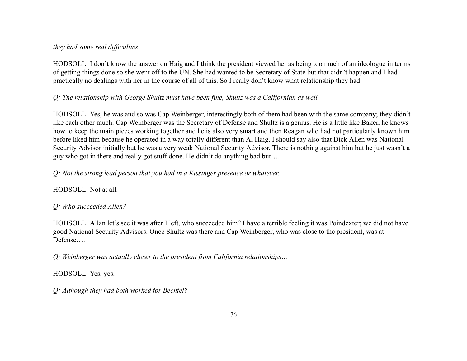### *they had some real difficulties.*

HODSOLL: I don't know the answer on Haig and I think the president viewed her as being too much of an ideologue in terms of getting things done so she went off to the UN. She had wanted to be Secretary of State but that didn't happen and I had practically no dealings with her in the course of all of this. So I really don't know what relationship they had.

## *Q: The relationship with George Shultz must have been fine, Shultz was a Californian as well.*

HODSOLL: Yes, he was and so was Cap Weinberger, interestingly both of them had been with the same company; they didn't like each other much. Cap Weinberger was the Secretary of Defense and Shultz is a genius. He is a little like Baker, he knows how to keep the main pieces working together and he is also very smart and then Reagan who had not particularly known him before liked him because he operated in a way totally different than Al Haig. I should say also that Dick Allen was National Security Advisor initially but he was a very weak National Security Advisor. There is nothing against him but he just wasn't a guy who got in there and really got stuff done. He didn't do anything bad but….

## *Q: Not the strong lead person that you had in a Kissinger presence or whatever.*

HODSOLL: Not at all.

## *Q: Who succeeded Allen?*

HODSOLL: Allan let's see it was after I left, who succeeded him? I have a terrible feeling it was Poindexter; we did not have good National Security Advisors. Once Shultz was there and Cap Weinberger, who was close to the president, was at Defense….

*Q: Weinberger was actually closer to the president from California relationships…*

## HODSOLL: Yes, yes.

*Q: Although they had both worked for Bechtel?*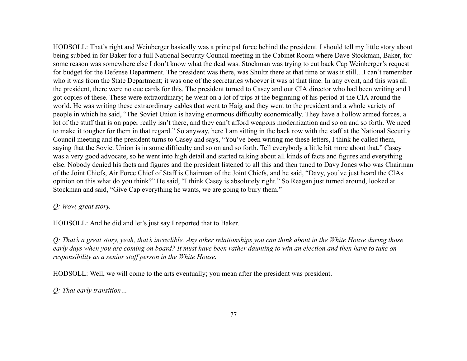HODSOLL: That's right and Weinberger basically was a principal force behind the president. I should tell my little story about being subbed in for Baker for a full National Security Council meeting in the Cabinet Room where Dave Stockman, Baker, for some reason was somewhere else I don't know what the deal was. Stockman was trying to cut back Cap Weinberger's request for budget for the Defense Department. The president was there, was Shultz there at that time or was it still…I can't remember who it was from the State Department; it was one of the secretaries whoever it was at that time. In any event, and this was all the president, there were no cue cards for this. The president turned to Casey and our CIA director who had been writing and I got copies of these. These were extraordinary; he went on a lot of trips at the beginning of his period at the CIA around the world. He was writing these extraordinary cables that went to Haig and they went to the president and a whole variety of people in which he said, "The Soviet Union is having enormous difficulty economically. They have a hollow armed forces, a lot of the stuff that is on paper really isn't there, and they can't afford weapons modernization and so on and so forth. We need to make it tougher for them in that regard." So anyway, here I am sitting in the back row with the staff at the National Security Council meeting and the president turns to Casey and says, "You've been writing me these letters, I think he called them, saying that the Soviet Union is in some difficulty and so on and so forth. Tell everybody a little bit more about that." Casey was a very good advocate, so he went into high detail and started talking about all kinds of facts and figures and everything else. Nobody denied his facts and figures and the president listened to all this and then tuned to Davy Jones who was Chairman of the Joint Chiefs, Air Force Chief of Staff is Chairman of the Joint Chiefs, and he said, "Davy, you've just heard the CIAs opinion on this what do you think?" He said, "I think Casey is absolutely right." So Reagan just turned around, looked at Stockman and said, "Give Cap everything he wants, we are going to bury them."

#### *Q: Wow, great story.*

HODSOLL: And he did and let's just say I reported that to Baker.

*Q: That's a great story, yeah, that's incredible. Any other relationships you can think about in the White House during those early days when you are coming on board? It must have been rather daunting to win an election and then have to take on responsibility as a senior staff person in the White House.*

HODSOLL: Well, we will come to the arts eventually; you mean after the president was president.

*Q: That early transition…*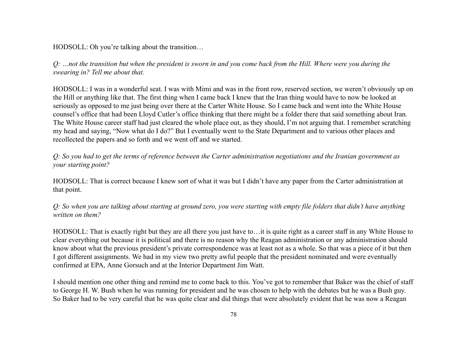HODSOLL: Oh you're talking about the transition…

*Q: …not the transition but when the president is sworn in and you come back from the Hill. Where were you during the swearing in? Tell me about that.*

HODSOLL: I was in a wonderful seat. I was with Mimi and was in the front row, reserved section, we weren't obviously up on the Hill or anything like that. The first thing when I came back I knew that the Iran thing would have to now be looked at seriously as opposed to me just being over there at the Carter White House. So I came back and went into the White House counsel's office that had been Lloyd Cutler's office thinking that there might be a folder there that said something about Iran. The White House career staff had just cleared the whole place out, as they should, I'm not arguing that. I remember scratching my head and saying, "Now what do I do?" But I eventually went to the State Department and to various other places and recollected the papers and so forth and we went off and we started.

*Q: So you had to get the terms of reference between the Carter administration negotiations and the Iranian government as your starting point?*

HODSOLL: That is correct because I knew sort of what it was but I didn't have any paper from the Carter administration at that point.

*Q: So when you are talking about starting at ground zero, you were starting with empty file folders that didn't have anything written on them?*

HODSOLL: That is exactly right but they are all there you just have to…it is quite right as a career staff in any White House to clear everything out because it is political and there is no reason why the Reagan administration or any administration should know about what the previous president's private correspondence was at least not as a whole. So that was a piece of it but then I got different assignments. We had in my view two pretty awful people that the president nominated and were eventually confirmed at EPA, Anne Gorsuch and at the Interior Department Jim Watt.

I should mention one other thing and remind me to come back to this. You've got to remember that Baker was the chief of staff to George H. W. Bush when he was running for president and he was chosen to help with the debates but he was a Bush guy. So Baker had to be very careful that he was quite clear and did things that were absolutely evident that he was now a Reagan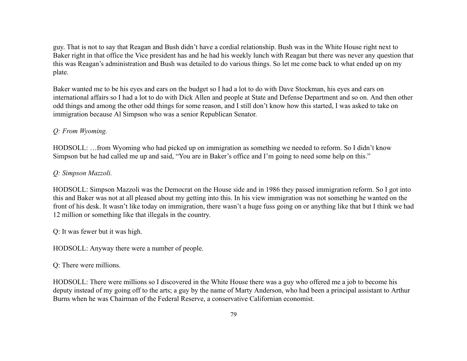guy. That is not to say that Reagan and Bush didn't have a cordial relationship. Bush was in the White House right next to Baker right in that office the Vice president has and he had his weekly lunch with Reagan but there was never any question that this was Reagan's administration and Bush was detailed to do various things. So let me come back to what ended up on my plate.

Baker wanted me to be his eyes and ears on the budget so I had a lot to do with Dave Stockman, his eyes and ears on international affairs so I had a lot to do with Dick Allen and people at State and Defense Department and so on. And then other odd things and among the other odd things for some reason, and I still don't know how this started, I was asked to take on immigration because Al Simpson who was a senior Republican Senator.

## *Q: From Wyoming.*

HODSOLL: …from Wyoming who had picked up on immigration as something we needed to reform. So I didn't know Simpson but he had called me up and said, "You are in Baker's office and I'm going to need some help on this."

## *Q: Simpson Mazzoli.*

HODSOLL: Simpson Mazzoli was the Democrat on the House side and in 1986 they passed immigration reform. So I got into this and Baker was not at all pleased about my getting into this. In his view immigration was not something he wanted on the front of his desk. It wasn't like today on immigration, there wasn't a huge fuss going on or anything like that but I think we had 12 million or something like that illegals in the country.

Q: It was fewer but it was high.

HODSOLL: Anyway there were a number of people.

Q: There were millions.

HODSOLL: There were millions so I discovered in the White House there was a guy who offered me a job to become his deputy instead of my going off to the arts; a guy by the name of Marty Anderson, who had been a principal assistant to Arthur Burns when he was Chairman of the Federal Reserve, a conservative Californian economist.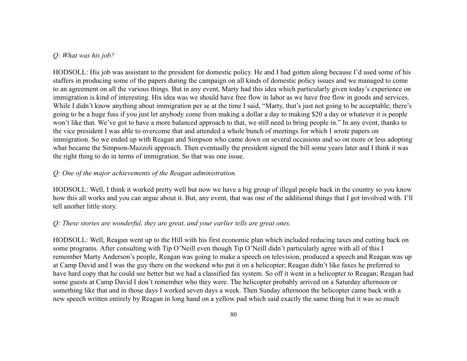#### *Q: What was his job?*

HODSOLL: His job was assistant to the president for domestic policy. He and I had gotten along because I'd used some of his staffers in producing some of the papers during the campaign on all kinds of domestic policy issues and we managed to come to an agreement on all the various things. But in any event, Marty had this idea which particularly given today's experience on immigration is kind of interesting. His idea was we should have free flow in labor as we have free flow in goods and services. While I didn't know anything about immigration per se at the time I said, "Marty, that's just not going to be acceptable; there's going to be a huge fuss if you just let anybody come from making a dollar a day to making \$20 a day or whatever it is people won't like that. We've got to have a more balanced approach to that, we still need to bring people in." In any event, thanks to the vice president I was able to overcome that and attended a whole bunch of meetings for which I wrote papers on immigration. So we ended up with Reagan and Simpson who came down on several occasions and so on more or less adopting what became the Simpson-Mazzoli approach. Then eventually the president signed the bill some years later and I think it was the right thing to do in terms of immigration. So that was one issue.

#### *Q: One of the major achievements of the Reagan administration.*

HODSOLL: Well, I think it worked pretty well but now we have a big group of illegal people back in the country so you know how this all works and you can argue about it. But, any event, that was one of the additional things that I got involved with. I'll tell another little story.

#### *Q: These stories are wonderful, they are great, and your earlier tells are great ones.*

HODSOLL: Well, Reagan went up to the Hill with his first economic plan which included reducing taxes and cutting back on some programs. After consulting with Tip O'Neill even though Tip O'Neill didn't particularly agree with all of this I remember Marty Anderson's people, Reagan was going to make a speech on television, produced a speech and Reagan was up at Camp David and I was the guy there on the weekend who put it on a helicopter; Reagan didn't like faxes he preferred to have hard copy that he could see better but we had a classified fax system. So off it went in a helicopter to Reagan; Reagan had some guests at Camp David I don't remember who they were. The helicopter probably arrived on a Saturday afternoon or something like that and in those days I worked seven days a week. Then Sunday afternoon the helicopter came back with a new speech written entirely by Reagan in long hand on a yellow pad which said exactly the same thing but it was so much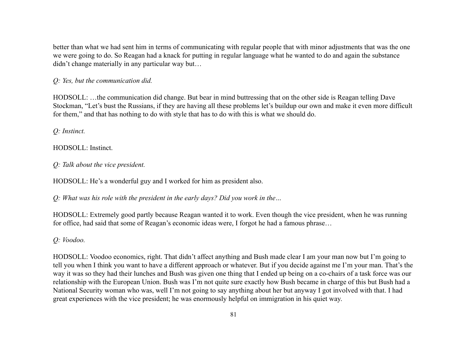better than what we had sent him in terms of communicating with regular people that with minor adjustments that was the one we were going to do. So Reagan had a knack for putting in regular language what he wanted to do and again the substance didn't change materially in any particular way but…

*Q: Yes, but the communication did.*

HODSOLL: …the communication did change. But bear in mind buttressing that on the other side is Reagan telling Dave Stockman, "Let's bust the Russians, if they are having all these problems let's buildup our own and make it even more difficult for them," and that has nothing to do with style that has to do with this is what we should do.

*Q: Instinct.*

HODSOLL: Instinct.

*Q: Talk about the vice president.*

HODSOLL: He's a wonderful guy and I worked for him as president also.

*Q: What was his role with the president in the early days? Did you work in the…*

HODSOLL: Extremely good partly because Reagan wanted it to work. Even though the vice president, when he was running for office, had said that some of Reagan's economic ideas were, I forgot he had a famous phrase…

*Q: Voodoo.*

HODSOLL: Voodoo economics, right. That didn't affect anything and Bush made clear I am your man now but I'm going to tell you when I think you want to have a different approach or whatever. But if you decide against me I'm your man. That's the way it was so they had their lunches and Bush was given one thing that I ended up being on a co-chairs of a task force was our relationship with the European Union. Bush was I'm not quite sure exactly how Bush became in charge of this but Bush had a National Security woman who was, well I'm not going to say anything about her but anyway I got involved with that. I had great experiences with the vice president; he was enormously helpful on immigration in his quiet way.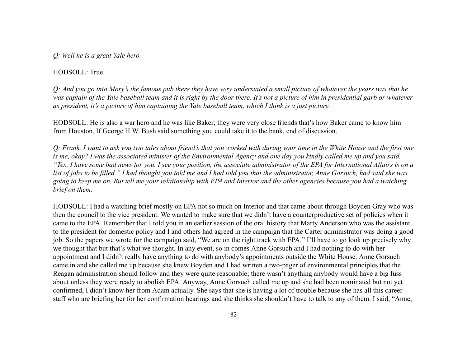*Q: Well he is a great Yale hero.*

#### HODSOLL: True.

*Q: And you go into Mory's the famous pub there they have very understated a small picture of whatever the years was that he was captain of the Yale baseball team and it is right by the door there. It's not a picture of him in presidential garb or whatever as president, it's a picture of him captaining the Yale baseball team, which I think is a just picture.*

HODSOLL: He is also a war hero and he was like Baker; they were very close friends that's how Baker came to know him from Houston. If George H.W. Bush said something you could take it to the bank, end of discussion.

*Q: Frank, I want to ask you two tales about friend's that you worked with during your time in the White House and the first one is me, okay? I was the associated minister of the Environmental Agency and one day you kindly called me up and you said, "Tex, I have some bad news for you. I see your position, the associate administrator of the EPA for International Affairs is on a list of jobs to be filled." I had thought you told me and I had told you that the administrator, Anne Gorsuch, had said she was going to keep me on. But tell me your relationship with EPA and Interior and the other agencies because you had a watching brief on them.*

HODSOLL: I had a watching brief mostly on EPA not so much on Interior and that came about through Boyden Gray who was then the council to the vice president. We wanted to make sure that we didn't have a counterproductive set of policies when it came to the EPA. Remember that I told you in an earlier session of the oral history that Marty Anderson who was the assistant to the president for domestic policy and I and others had agreed in the campaign that the Carter administrator was doing a good job. So the papers we wrote for the campaign said, "We are on the right track with EPA." I'll have to go look up precisely why we thought that but that's what we thought. In any event, so in comes Anne Gorsuch and I had nothing to do with her appointment and I didn't really have anything to do with anybody's appointments outside the White House. Anne Gorsuch came in and she called me up because she knew Boyden and I had written a two-pager of environmental principles that the Reagan administration should follow and they were quite reasonable; there wasn't anything anybody would have a big fuss about unless they were ready to abolish EPA. Anyway, Anne Gorsuch called me up and she had been nominated but not yet confirmed, I didn't know her from Adam actually. She says that she is having a lot of trouble because she has all this career staff who are briefing her for her confirmation hearings and she thinks she shouldn't have to talk to any of them. I said, "Anne,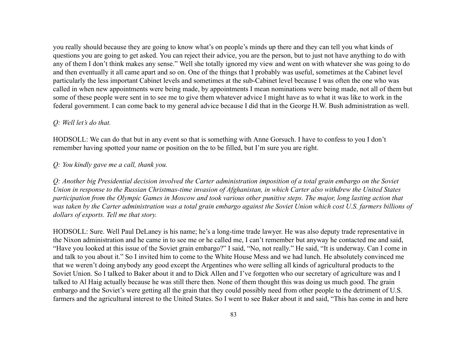you really should because they are going to know what's on people's minds up there and they can tell you what kinds of questions you are going to get asked. You can reject their advice, you are the person, but to just not have anything to do with any of them I don't think makes any sense." Well she totally ignored my view and went on with whatever she was going to do and then eventually it all came apart and so on. One of the things that I probably was useful, sometimes at the Cabinet level particularly the less important Cabinet levels and sometimes at the sub-Cabinet level because I was often the one who was called in when new appointments were being made, by appointments I mean nominations were being made, not all of them but some of these people were sent in to see me to give them whatever advice I might have as to what it was like to work in the federal government. I can come back to my general advice because I did that in the George H.W. Bush administration as well.

## *Q: Well let's do that.*

HODSOLL: We can do that but in any event so that is something with Anne Gorsuch. I have to confess to you I don't remember having spotted your name or position on the to be filled, but I'm sure you are right.

#### *Q: You kindly gave me a call, thank you.*

*Q: Another big Presidential decision involved the Carter administration imposition of a total grain embargo on the Soviet Union in response to the Russian Christmas-time invasion of Afghanistan, in which Carter also withdrew the United States participation from the Olympic Games in Moscow and took various other punitive steps. The major, long lasting action that was taken by the Carter administration was a total grain embargo against the Soviet Union which cost U.S. farmers billions of dollars of exports. Tell me that story.*

HODSOLL: Sure. Well Paul DeLaney is his name; he's a long-time trade lawyer. He was also deputy trade representative in the Nixon administration and he came in to see me or he called me, I can't remember but anyway he contacted me and said, "Have you looked at this issue of the Soviet grain embargo?" I said, "No, not really." He said, "It is underway. Can I come in and talk to you about it." So I invited him to come to the White House Mess and we had lunch. He absolutely convinced me that we weren't doing anybody any good except the Argentines who were selling all kinds of agricultural products to the Soviet Union. So I talked to Baker about it and to Dick Allen and I've forgotten who our secretary of agriculture was and I talked to Al Haig actually because he was still there then. None of them thought this was doing us much good. The grain embargo and the Soviet's were getting all the grain that they could possibly need from other people to the detriment of U.S. farmers and the agricultural interest to the United States. So I went to see Baker about it and said, "This has come in and here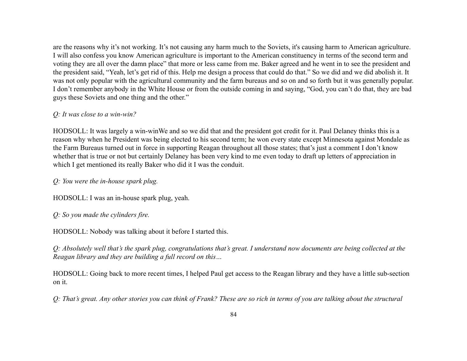are the reasons why it's not working. It's not causing any harm much to the Soviets, it's causing harm to American agriculture. I will also confess you know American agriculture is important to the American constituency in terms of the second term and voting they are all over the damn place" that more or less came from me. Baker agreed and he went in to see the president and the president said, "Yeah, let's get rid of this. Help me design a process that could do that." So we did and we did abolish it. It was not only popular with the agricultural community and the farm bureaus and so on and so forth but it was generally popular. I don't remember anybody in the White House or from the outside coming in and saying, "God, you can't do that, they are bad guys these Soviets and one thing and the other."

## *Q: It was close to a win-win?*

HODSOLL: It was largely a win-winWe and so we did that and the president got credit for it. Paul Delaney thinks this is a reason why when he President was being elected to his second term; he won every state except Minnesota against Mondale as the Farm Bureaus turned out in force in supporting Reagan throughout all those states; that's just a comment I don't know whether that is true or not but certainly Delaney has been very kind to me even today to draft up letters of appreciation in which I get mentioned its really Baker who did it I was the conduit.

*Q: You were the in-house spark plug.*

HODSOLL: I was an in-house spark plug, yeah.

*Q: So you made the cylinders fire.*

HODSOLL: Nobody was talking about it before I started this.

*Q: Absolutely well that's the spark plug, congratulations that's great. I understand now documents are being collected at the Reagan library and they are building a full record on this…*

HODSOLL: Going back to more recent times, I helped Paul get access to the Reagan library and they have a little sub-section on it.

*Q: That's great. Any other stories you can think of Frank? These are so rich in terms of you are talking about the structural*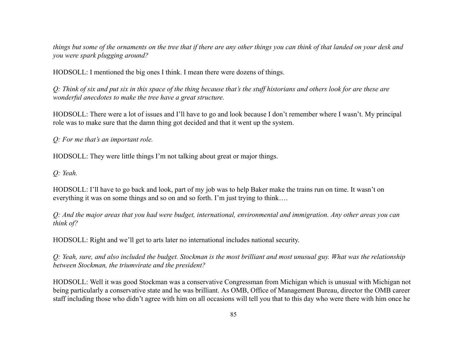*things but some of the ornaments on the tree that if there are any other things you can think of that landed on your desk and you were spark plugging around?*

HODSOLL: I mentioned the big ones I think. I mean there were dozens of things.

*Q: Think of six and put six in this space of the thing because that's the stuff historians and others look for are these are wonderful anecdotes to make the tree have a great structure.*

HODSOLL: There were a lot of issues and I'll have to go and look because I don't remember where I wasn't. My principal role was to make sure that the damn thing got decided and that it went up the system.

*Q: For me that's an important role.*

HODSOLL: They were little things I'm not talking about great or major things.

*Q: Yeah.*

HODSOLL: I'll have to go back and look, part of my job was to help Baker make the trains run on time. It wasn't on everything it was on some things and so on and so forth. I'm just trying to think….

*Q: And the major areas that you had were budget, international, environmental and immigration. Any other areas you can think of?*

HODSOLL: Right and we'll get to arts later no international includes national security.

*Q: Yeah, sure, and also included the budget. Stockman is the most brilliant and most unusual guy. What was the relationship between Stockman, the triumvirate and the president?*

HODSOLL: Well it was good Stockman was a conservative Congressman from Michigan which is unusual with Michigan not being particularly a conservative state and he was brilliant. As OMB, Office of Management Bureau, director the OMB career staff including those who didn't agree with him on all occasions will tell you that to this day who were there with him once he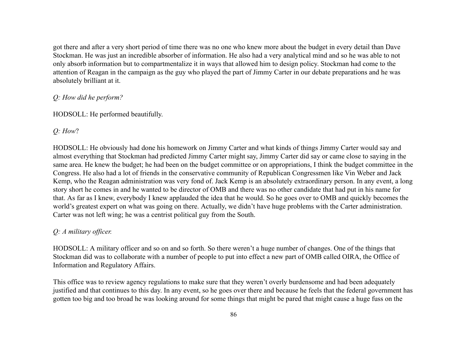got there and after a very short period of time there was no one who knew more about the budget in every detail than Dave Stockman. He was just an incredible absorber of information. He also had a very analytical mind and so he was able to not only absorb information but to compartmentalize it in ways that allowed him to design policy. Stockman had come to the attention of Reagan in the campaign as the guy who played the part of Jimmy Carter in our debate preparations and he was absolutely brilliant at it.

### *Q: How did he perform?*

HODSOLL: He performed beautifully.

### *Q: How*?

HODSOLL: He obviously had done his homework on Jimmy Carter and what kinds of things Jimmy Carter would say and almost everything that Stockman had predicted Jimmy Carter might say, Jimmy Carter did say or came close to saying in the same area. He knew the budget; he had been on the budget committee or on appropriations, I think the budget committee in the Congress. He also had a lot of friends in the conservative community of Republican Congressmen like Vin Weber and Jack Kemp, who the Reagan administration was very fond of. Jack Kemp is an absolutely extraordinary person. In any event, a long story short he comes in and he wanted to be director of OMB and there was no other candidate that had put in his name for that. As far as I knew, everybody I knew applauded the idea that he would. So he goes over to OMB and quickly becomes the world's greatest expert on what was going on there. Actually, we didn't have huge problems with the Carter administration. Carter was not left wing; he was a centrist political guy from the South.

### *Q: A military officer.*

HODSOLL: A military officer and so on and so forth. So there weren't a huge number of changes. One of the things that Stockman did was to collaborate with a number of people to put into effect a new part of OMB called OIRA, the Office of Information and Regulatory Affairs.

This office was to review agency regulations to make sure that they weren't overly burdensome and had been adequately justified and that continues to this day. In any event, so he goes over there and because he feels that the federal government has gotten too big and too broad he was looking around for some things that might be pared that might cause a huge fuss on the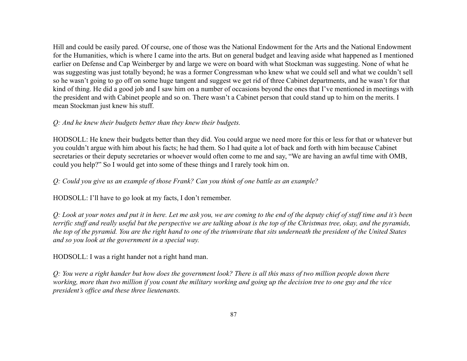Hill and could be easily pared. Of course, one of those was the National Endowment for the Arts and the National Endowment for the Humanities, which is where I came into the arts. But on general budget and leaving aside what happened as I mentioned earlier on Defense and Cap Weinberger by and large we were on board with what Stockman was suggesting. None of what he was suggesting was just totally beyond; he was a former Congressman who knew what we could sell and what we couldn't sell so he wasn't going to go off on some huge tangent and suggest we get rid of three Cabinet departments, and he wasn't for that kind of thing. He did a good job and I saw him on a number of occasions beyond the ones that I've mentioned in meetings with the president and with Cabinet people and so on. There wasn't a Cabinet person that could stand up to him on the merits. I mean Stockman just knew his stuff.

### *Q: And he knew their budgets better than they knew their budgets.*

HODSOLL: He knew their budgets better than they did. You could argue we need more for this or less for that or whatever but you couldn't argue with him about his facts; he had them. So I had quite a lot of back and forth with him because Cabinet secretaries or their deputy secretaries or whoever would often come to me and say, "We are having an awful time with OMB, could you help?" So I would get into some of these things and I rarely took him on.

### *Q: Could you give us an example of those Frank? Can you think of one battle as an example?*

HODSOLL: I'll have to go look at my facts, I don't remember.

*Q: Look at your notes and put it in here. Let me ask you, we are coming to the end of the deputy chief of staff time and it's been terrific stuff and really useful but the perspective we are talking about is the top of the Christmas tree, okay, and the pyramids, the top of the pyramid. You are the right hand to one of the triumvirate that sits underneath the president of the United States and so you look at the government in a special way.*

## HODSOLL: I was a right hander not a right hand man.

*Q: You were a right hander but how does the government look? There is all this mass of two million people down there working, more than two million if you count the military working and going up the decision tree to one guy and the vice president's office and these three lieutenants.*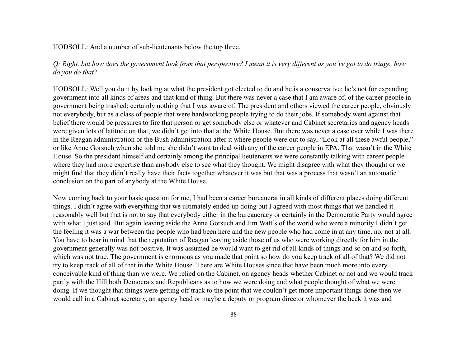HODSOLL: And a number of sub-lieutenants below the top three.

*Q: Right, but how does the government look from that perspective? I mean it is very different as you've got to do triage, how do you do that?*

HODSOLL: Well you do it by looking at what the president got elected to do and he is a conservative; he's not for expanding government into all kinds of areas and that kind of thing. But there was never a case that I am aware of, of the career people in government being trashed; certainly nothing that I was aware of. The president and others viewed the career people, obviously not everybody, but as a class of people that were hardworking people trying to do their jobs. If somebody went against that belief there would be pressures to fire that person or get somebody else or whatever and Cabinet secretaries and agency heads were given lots of latitude on that; we didn't get into that at the White House. But there was never a case ever while I was there in the Reagan administration or the Bush administration after it where people were out to say, "Look at all these awful people," or like Anne Gorsuch when she told me she didn't want to deal with any of the career people in EPA. That wasn't in the White House. So the president himself and certainly among the principal lieutenants we were constantly talking with career people where they had more expertise than anybody else to see what they thought. We might disagree with what they thought or we might find that they didn't really have their facts together whatever it was but that was a process that wasn't an automatic conclusion on the part of anybody at the White House.

Now coming back to your basic question for me, I had been a career bureaucrat in all kinds of different places doing different things. I didn't agree with everything that we ultimately ended up doing but I agreed with most things that we handled it reasonably well but that is not to say that everybody either in the bureaucracy or certainly in the Democratic Party would agree with what I just said. But again leaving aside the Anne Gorsuch and Jim Watt's of the world who were a minority I didn't get the feeling it was a war between the people who had been here and the new people who had come in at any time, no, not at all. You have to bear in mind that the reputation of Reagan leaving aside those of us who were working directly for him in the government generally was not positive. It was assumed he would want to get rid of all kinds of things and so on and so forth, which was not true. The government is enormous as you made that point so how do you keep track of all of that? We did not try to keep track of all of that in the White House. There are White Houses since that have been much more into every conceivable kind of thing than we were. We relied on the Cabinet, on agency heads whether Cabinet or not and we would track partly with the Hill both Democrats and Republicans as to how we were doing and what people thought of what we were doing. If we thought that things were getting off track to the point that we couldn't get more important things done then we would call in a Cabinet secretary, an agency head or maybe a deputy or program director whomever the heck it was and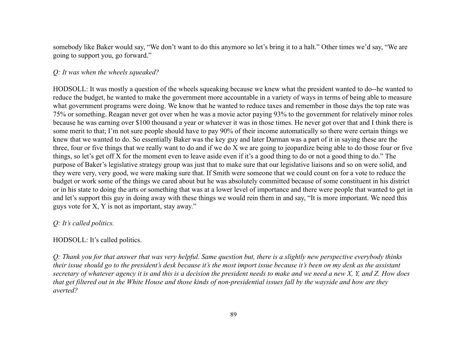somebody like Baker would say, "We don't want to do this anymore so let's bring it to a halt." Other times we'd say, "We are going to support you, go forward."

### *Q: It was when the wheels squeaked?*

HODSOLL: It was mostly a question of the wheels squeaking because we knew what the president wanted to do--he wanted to reduce the budget, he wanted to make the government more accountable in a variety of ways in terms of being able to measure what government programs were doing. We know that he wanted to reduce taxes and remember in those days the top rate was 75% or something. Reagan never got over when he was a movie actor paying 93% to the government for relatively minor roles because he was earning over \$100 thousand a year or whatever it was in those times. He never got over that and I think there is some merit to that; I'm not sure people should have to pay 90% of their income automatically so there were certain things we knew that we wanted to do. So essentially Baker was the key guy and later Darman was a part of it in saying these are the three, four or five things that we really want to do and if we do X we are going to jeopardize being able to do those four or five things, so let's get off X for the moment even to leave aside even if it's a good thing to do or not a good thing to do." The purpose of Baker's legislative strategy group was just that to make sure that our legislative liaisons and so on were solid, and they were very, very good, we were making sure that. If Smith were someone that we could count on for a vote to reduce the budget or work some of the things we cared about but he was absolutely committed because of some constituent in his district or in his state to doing the arts or something that was at a lower level of importance and there were people that wanted to get in and let's support this guy in doing away with these things we would rein them in and say, "It is more important. We need this guys vote for X, Y is not as important, stay away."

### *Q: It's called politics.*

#### HODSOLL: It's called politics.

*Q: Thank you for that answer that was very helpful. Same question but, there is a slightly new perspective everybody thinks their issue should go to the president's desk because it's the most import issue because it's been on my desk as the assistant secretary of whatever agency it is and this is a decision the president needs to make and we need a new X, Y, and Z. How does that get filtered out in the White House and those kinds of non-presidential issues fall by the wayside and how are they averted?*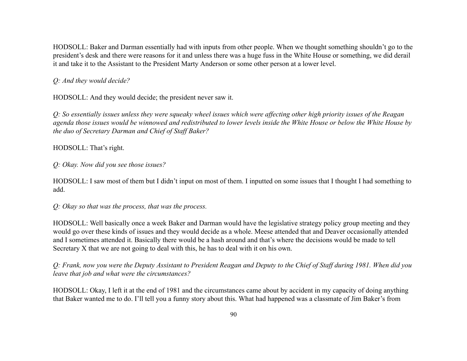HODSOLL: Baker and Darman essentially had with inputs from other people. When we thought something shouldn't go to the president's desk and there were reasons for it and unless there was a huge fuss in the White House or something, we did derail it and take it to the Assistant to the President Marty Anderson or some other person at a lower level.

### *Q: And they would decide?*

HODSOLL: And they would decide; the president never saw it.

*Q: So essentially issues unless they were squeaky wheel issues which were affecting other high priority issues of the Reagan agenda those issues would be winnowed and redistributed to lower levels inside the White House or below the White House by the duo of Secretary Darman and Chief of Staff Baker?*

#### HODSOLL: That's right.

*Q: Okay. Now did you see those issues?*

HODSOLL: I saw most of them but I didn't input on most of them. I inputted on some issues that I thought I had something to add.

*Q: Okay so that was the process, that was the process.*

HODSOLL: Well basically once a week Baker and Darman would have the legislative strategy policy group meeting and they would go over these kinds of issues and they would decide as a whole. Meese attended that and Deaver occasionally attended and I sometimes attended it. Basically there would be a hash around and that's where the decisions would be made to tell Secretary X that we are not going to deal with this, he has to deal with it on his own.

*Q: Frank, now you were the Deputy Assistant to President Reagan and Deputy to the Chief of Staff during 1981. When did you leave that job and what were the circumstances?*

HODSOLL: Okay, I left it at the end of 1981 and the circumstances came about by accident in my capacity of doing anything that Baker wanted me to do. I'll tell you a funny story about this. What had happened was a classmate of Jim Baker's from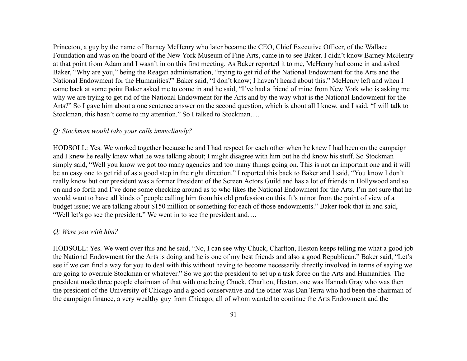Princeton, a guy by the name of Barney McHenry who later became the CEO, Chief Executive Officer, of the Wallace Foundation and was on the board of the New York Museum of Fine Arts, came in to see Baker. I didn't know Barney McHenry at that point from Adam and I wasn't in on this first meeting. As Baker reported it to me, McHenry had come in and asked Baker, "Why are you," being the Reagan administration, "trying to get rid of the National Endowment for the Arts and the National Endowment for the Humanities?" Baker said, "I don't know; I haven't heard about this." McHenry left and when I came back at some point Baker asked me to come in and he said, "I've had a friend of mine from New York who is asking me why we are trying to get rid of the National Endowment for the Arts and by the way what is the National Endowment for the Arts?" So I gave him about a one sentence answer on the second question, which is about all I knew, and I said, "I will talk to Stockman, this hasn't come to my attention." So I talked to Stockman….

#### *Q: Stockman would take your calls immediately?*

HODSOLL: Yes. We worked together because he and I had respect for each other when he knew I had been on the campaign and I knew he really knew what he was talking about; I might disagree with him but he did know his stuff. So Stockman simply said, "Well you know we got too many agencies and too many things going on. This is not an important one and it will be an easy one to get rid of as a good step in the right direction." I reported this back to Baker and I said, "You know I don't really know but our president was a former President of the Screen Actors Guild and has a lot of friends in Hollywood and so on and so forth and I've done some checking around as to who likes the National Endowment for the Arts. I'm not sure that he would want to have all kinds of people calling him from his old profession on this. It's minor from the point of view of a budget issue; we are talking about \$150 million or something for each of those endowments." Baker took that in and said, "Well let's go see the president." We went in to see the president and….

#### *Q: Were you with him?*

HODSOLL: Yes. We went over this and he said, "No, I can see why Chuck, Charlton, Heston keeps telling me what a good job the National Endowment for the Arts is doing and he is one of my best friends and also a good Republican." Baker said, "Let's see if we can find a way for you to deal with this without having to become necessarily directly involved in terms of saying we are going to overrule Stockman or whatever." So we got the president to set up a task force on the Arts and Humanities. The president made three people chairman of that with one being Chuck, Charlton, Heston, one was Hannah Gray who was then the president of the University of Chicago and a good conservative and the other was Dan Terra who had been the chairman of the campaign finance, a very wealthy guy from Chicago; all of whom wanted to continue the Arts Endowment and the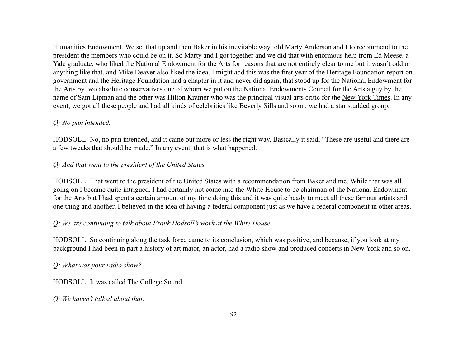Humanities Endowment. We set that up and then Baker in his inevitable way told Marty Anderson and I to recommend to the president the members who could be on it. So Marty and I got together and we did that with enormous help from Ed Meese, a Yale graduate, who liked the National Endowment for the Arts for reasons that are not entirely clear to me but it wasn't odd or anything like that, and Mike Deaver also liked the idea. I might add this was the first year of the Heritage Foundation report on government and the Heritage Foundation had a chapter in it and never did again, that stood up for the National Endowment for the Arts by two absolute conservatives one of whom we put on the National Endowments Council for the Arts a guy by the name of Sam Lipman and the other was Hilton Kramer who was the principal visual arts critic for the New York Times. In any event, we got all these people and had all kinds of celebrities like Beverly Sills and so on; we had a star studded group.

## *Q: No pun intended.*

HODSOLL: No, no pun intended, and it came out more or less the right way. Basically it said, "These are useful and there are a few tweaks that should be made." In any event, that is what happened.

### *Q: And that went to the president of the United States.*

HODSOLL: That went to the president of the United States with a recommendation from Baker and me. While that was all going on I became quite intrigued. I had certainly not come into the White House to be chairman of the National Endowment for the Arts but I had spent a certain amount of my time doing this and it was quite heady to meet all these famous artists and one thing and another. I believed in the idea of having a federal component just as we have a federal component in other areas.

## *Q: We are continuing to talk about Frank Hodsoll's work at the White House.*

HODSOLL: So continuing along the task force came to its conclusion, which was positive, and because, if you look at my background I had been in part a history of art major, an actor, had a radio show and produced concerts in New York and so on.

### *Q: What was your radio show?*

HODSOLL: It was called The College Sound.

### *Q: We haven't talked about that.*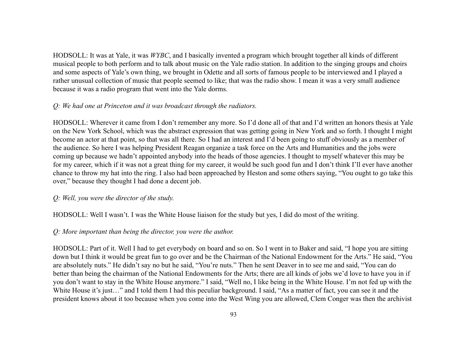HODSOLL: It was at Yale, it was *WYBC*, and I basically invented a program which brought together all kinds of different musical people to both perform and to talk about music on the Yale radio station. In addition to the singing groups and choirs and some aspects of Yale's own thing, we brought in Odette and all sorts of famous people to be interviewed and I played a rather unusual collection of music that people seemed to like; that was the radio show. I mean it was a very small audience because it was a radio program that went into the Yale dorms.

### *Q: We had one at Princeton and it was broadcast through the radiators.*

HODSOLL: Wherever it came from I don't remember any more. So I'd done all of that and I'd written an honors thesis at Yale on the New York School, which was the abstract expression that was getting going in New York and so forth. I thought I might become an actor at that point, so that was all there. So I had an interest and I'd been going to stuff obviously as a member of the audience. So here I was helping President Reagan organize a task force on the Arts and Humanities and the jobs were coming up because we hadn't appointed anybody into the heads of those agencies. I thought to myself whatever this may be for my career, which if it was not a great thing for my career, it would be such good fun and I don't think I'll ever have another chance to throw my hat into the ring. I also had been approached by Heston and some others saying, "You ought to go take this over," because they thought I had done a decent job.

### *Q: Well, you were the director of the study.*

HODSOLL: Well I wasn't. I was the White House liaison for the study but yes, I did do most of the writing.

## *Q: More important than being the director, you were the author.*

HODSOLL: Part of it. Well I had to get everybody on board and so on. So I went in to Baker and said, "I hope you are sitting down but I think it would be great fun to go over and be the Chairman of the National Endowment for the Arts." He said, "You are absolutely nuts." He didn't say no but he said, "You're nuts." Then he sent Deaver in to see me and said, "You can do better than being the chairman of the National Endowments for the Arts; there are all kinds of jobs we'd love to have you in if you don't want to stay in the White House anymore." I said, "Well no, I like being in the White House. I'm not fed up with the White House it's just..." and I told them I had this peculiar background. I said, "As a matter of fact, you can see it and the president knows about it too because when you come into the West Wing you are allowed, Clem Conger was then the archivist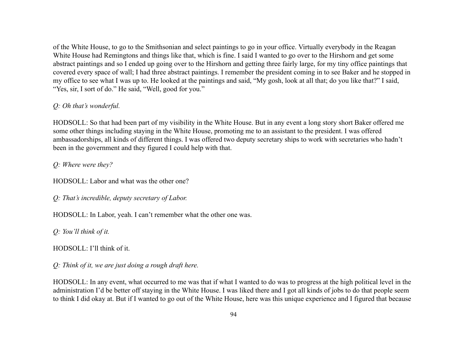of the White House, to go to the Smithsonian and select paintings to go in your office. Virtually everybody in the Reagan White House had Remingtons and things like that, which is fine. I said I wanted to go over to the Hirshorn and get some abstract paintings and so I ended up going over to the Hirshorn and getting three fairly large, for my tiny office paintings that covered every space of wall; I had three abstract paintings. I remember the president coming in to see Baker and he stopped in my office to see what I was up to. He looked at the paintings and said, "My gosh, look at all that; do you like that?" I said, "Yes, sir, I sort of do." He said, "Well, good for you."

### *Q: Oh that's wonderful.*

HODSOLL: So that had been part of my visibility in the White House. But in any event a long story short Baker offered me some other things including staying in the White House, promoting me to an assistant to the president. I was offered ambassadorships, all kinds of different things. I was offered two deputy secretary ships to work with secretaries who hadn't been in the government and they figured I could help with that.

*Q: Where were they?*

HODSOLL: Labor and what was the other one?

*Q: That's incredible, deputy secretary of Labor.*

HODSOLL: In Labor, yeah. I can't remember what the other one was.

*Q: You'll think of it.*

HODSOLL: I'll think of it.

*Q: Think of it, we are just doing a rough draft here.*

HODSOLL: In any event, what occurred to me was that if what I wanted to do was to progress at the high political level in the administration I'd be better off staying in the White House. I was liked there and I got all kinds of jobs to do that people seem to think I did okay at. But if I wanted to go out of the White House, here was this unique experience and I figured that because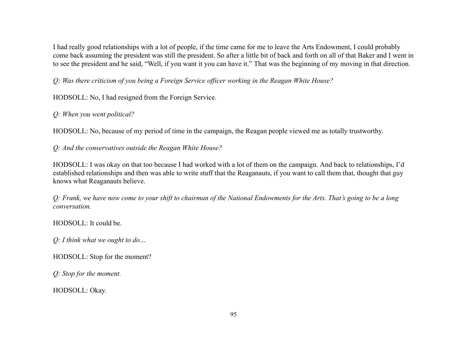I had really good relationships with a lot of people, if the time came for me to leave the Arts Endowment, I could probably come back assuming the president was still the president. So after a little bit of back and forth on all of that Baker and I went in to see the president and he said, "Well, if you want it you can have it." That was the beginning of my moving in that direction.

*Q: Was there criticism of you being a Foreign Service officer working in the Reagan White House?*

HODSOLL: No, I had resigned from the Foreign Service.

*Q: When you went political?*

HODSOLL: No, because of my period of time in the campaign, the Reagan people viewed me as totally trustworthy.

*Q: And the conservatives outside the Reagan White House?*

HODSOLL: I was okay on that too because I had worked with a lot of them on the campaign. And back to relationships, I'd established relationships and then was able to write stuff that the Reaganauts, if you want to call them that, thought that guy knows what Reaganauts believe.

*Q: Frank, we have now come to your shift to chairman of the National Endowments for the Arts. That's going to be a long conversation.*

HODSOLL: It could be.

*Q: I think what we ought to do…*

HODSOLL: Stop for the moment?

*Q: Stop for the moment.*

HODSOLL: Okay.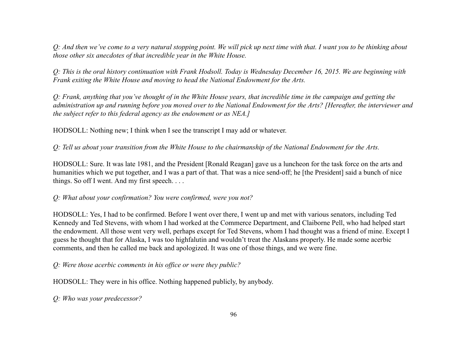*Q: And then we've come to a very natural stopping point. We will pick up next time with that. I want you to be thinking about those other six anecdotes of that incredible year in the White House.*

*Q: This is the oral history continuation with Frank Hodsoll. Today is Wednesday December 16, 2015. We are beginning with Frank exiting the White House and moving to head the National Endowment for the Arts.*

*Q: Frank, anything that you've thought of in the White House years, that incredible time in the campaign and getting the administration up and running before you moved over to the National Endowment for the Arts? [Hereafter, the interviewer and the subject refer to this federal agency as the endowment or as NEA.]*

HODSOLL: Nothing new; I think when I see the transcript I may add or whatever.

*Q: Tell us about your transition from the White House to the chairmanship of the National Endowment for the Arts.*

HODSOLL: Sure. It was late 1981, and the President [Ronald Reagan] gave us a luncheon for the task force on the arts and humanities which we put together, and I was a part of that. That was a nice send-off; he [the President] said a bunch of nice things. So off I went. And my first speech. . . .

### *Q: What about your confirmation? You were confirmed, were you not?*

HODSOLL: Yes, I had to be confirmed. Before I went over there, I went up and met with various senators, including Ted Kennedy and Ted Stevens, with whom I had worked at the Commerce Department, and Claiborne Pell, who had helped start the endowment. All those went very well, perhaps except for Ted Stevens, whom I had thought was a friend of mine. Except I guess he thought that for Alaska, I was too highfalutin and wouldn't treat the Alaskans properly. He made some acerbic comments, and then he called me back and apologized. It was one of those things, and we were fine.

*Q: Were those acerbic comments in his office or were they public?*

HODSOLL: They were in his office. Nothing happened publicly, by anybody.

*Q: Who was your predecessor?*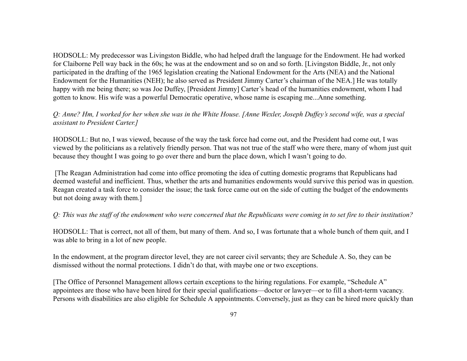HODSOLL: My predecessor was Livingston Biddle, who had helped draft the language for the Endowment. He had worked for Claiborne Pell way back in the 60s; he was at the endowment and so on and so forth. [Livingston Biddle, Jr., not only participated in the drafting of the 1965 legislation creating the National Endowment for the Arts (NEA) and the National Endowment for the Humanities (NEH); he also served as President Jimmy Carter's chairman of the NEA.] He was totally happy with me being there; so was Joe Duffey, [President Jimmy] Carter's head of the humanities endowment, whom I had gotten to know. His wife was a powerful Democratic operative, whose name is escaping me...Anne something.

## *Q: Anne? Hm, I worked for her when she was in the White House. [Anne Wexler, Joseph Duffey's second wife, was a special assistant to President Carter.]*

HODSOLL: But no, I was viewed, because of the way the task force had come out, and the President had come out, I was viewed by the politicians as a relatively friendly person. That was not true of the staff who were there, many of whom just quit because they thought I was going to go over there and burn the place down, which I wasn't going to do.

[The Reagan Administration had come into office promoting the idea of cutting domestic programs that Republicans had deemed wasteful and inefficient. Thus, whether the arts and humanities endowments would survive this period was in question. Reagan created a task force to consider the issue; the task force came out on the side of cutting the budget of the endowments but not doing away with them.]

### *Q: This was the staff of the endowment who were concerned that the Republicans were coming in to set fire to their institution?*

HODSOLL: That is correct, not all of them, but many of them. And so, I was fortunate that a whole bunch of them quit, and I was able to bring in a lot of new people.

In the endowment, at the program director level, they are not career civil servants; they are Schedule A. So, they can be dismissed without the normal protections. I didn't do that, with maybe one or two exceptions.

[The Office of Personnel Management allows certain exceptions to the hiring regulations. For example, "Schedule A" appointees are those who have been hired for their special qualifications—doctor or lawyer—or to fill a short-term vacancy. Persons with disabilities are also eligible for Schedule A appointments. Conversely, just as they can be hired more quickly than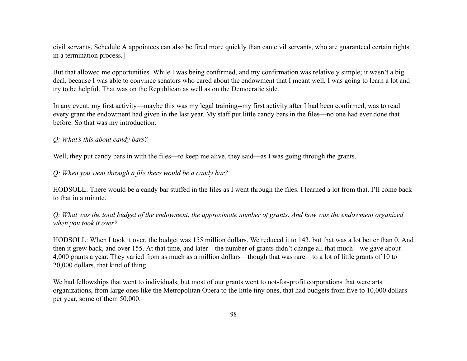civil servants, Schedule A appointees can also be fired more quickly than can civil servants, who are guaranteed certain rights in a termination process.]

But that allowed me opportunities. While I was being confirmed, and my confirmation was relatively simple; it wasn't a big deal, because I was able to convince senators who cared about the endowment that I meant well, I was going to learn a lot and try to be helpful. That was on the Republican as well as on the Democratic side.

In any event, my first activity—maybe this was my legal training--my first activity after I had been confirmed, was to read every grant the endowment had given in the last year. My staff put little candy bars in the files—no one had ever done that before. So that was my introduction.

#### *Q: What's this about candy bars?*

Well, they put candy bars in with the files—to keep me alive, they said—as I was going through the grants.

#### *Q: When you went through a file there would be a candy bar?*

HODSOLL: There would be a candy bar stuffed in the files as I went through the files. I learned a lot from that. I'll come back to that in a minute.

*Q: What was the total budget of the endowment, the approximate number of grants. And how was the endowment organized when you took it over?*

HODSOLL: When I took it over, the budget was 155 million dollars. We reduced it to 143, but that was a lot better than 0. And then it grew back, and over 155. At that time, and later—the number of grants didn't change all that much—we gave about 4,000 grants a year. They varied from as much as a million dollars—though that was rare—to a lot of little grants of 10 to 20,000 dollars, that kind of thing.

We had fellowships that went to individuals, but most of our grants went to not-for-profit corporations that were arts organizations, from large ones like the Metropolitan Opera to the little tiny ones, that had budgets from five to 10,000 dollars per year, some of them 50,000.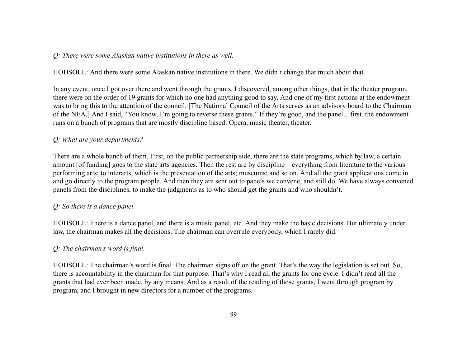#### *Q: There were some Alaskan native institutions in there as well.*

HODSOLL: And there were some Alaskan native institutions in there. We didn't change that much about that.

In any event, once I got over there and went through the grants, I discovered, among other things, that in the theater program, there were on the order of 19 grants for which no one had anything good to say. And one of my first actions at the endowment was to bring this to the attention of the council. [The National Council of the Arts serves as an advisory board to the Chairman of the NEA.] And I said, "You know, I'm going to reverse these grants." If they're good, and the panel…first, the endowment runs on a bunch of programs that are mostly discipline based: Opera, music theater, theater.

### *Q: What are your departments?*

There are a whole bunch of them. First, on the public partnership side, there are the state programs, which by law, a certain amount [of funding] goes to the state arts agencies. Then the rest are by discipline—everything from literature to the various performing arts; to interarts, which is the presentation of the arts; museums; and so on. And all the grant applications come in and go directly to the program people. And then they are sent out to panels we convene, and still do. We have always convened panels from the disciplines, to make the judgments as to who should get the grants and who shouldn't.

### *Q: So there is a dance panel.*

HODSOLL: There is a dance panel, and there is a music panel, etc. And they make the basic decisions. But ultimately under law, the chairman makes all the decisions. The chairman can overrule everybody, which I rarely did.

## *Q: The chairman's word is final.*

HODSOLL: The chairman's word is final. The chairman signs off on the grant. That's the way the legislation is set out. So, there is accountability in the chairman for that purpose. That's why I read all the grants for one cycle. I didn't read all the grants that had ever been made, by any means. And as a result of the reading of those grants, I went through program by program, and I brought in new directors for a number of the programs.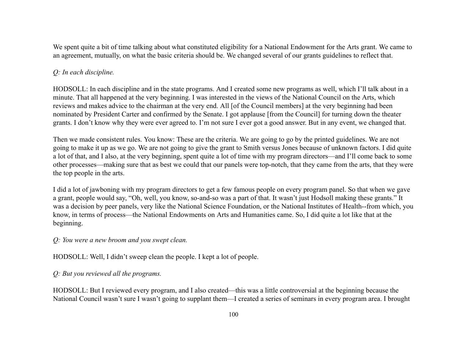We spent quite a bit of time talking about what constituted eligibility for a National Endowment for the Arts grant. We came to an agreement, mutually, on what the basic criteria should be. We changed several of our grants guidelines to reflect that.

## *Q: In each discipline.*

HODSOLL: In each discipline and in the state programs. And I created some new programs as well, which I'll talk about in a minute. That all happened at the very beginning. I was interested in the views of the National Council on the Arts, which reviews and makes advice to the chairman at the very end. All [of the Council members] at the very beginning had been nominated by President Carter and confirmed by the Senate. I got applause [from the Council] for turning down the theater grants. I don't know why they were ever agreed to. I'm not sure I ever got a good answer. But in any event, we changed that.

Then we made consistent rules. You know: These are the criteria. We are going to go by the printed guidelines. We are not going to make it up as we go. We are not going to give the grant to Smith versus Jones because of unknown factors. I did quite a lot of that, and I also, at the very beginning, spent quite a lot of time with my program directors—and I'll come back to some other processes—making sure that as best we could that our panels were top-notch, that they came from the arts, that they were the top people in the arts.

I did a lot of jawboning with my program directors to get a few famous people on every program panel. So that when we gave a grant, people would say, "Oh, well, you know, so-and-so was a part of that. It wasn't just Hodsoll making these grants." It was a decision by peer panels, very like the National Science Foundation, or the National Institutes of Health--from which, you know, in terms of process—the National Endowments on Arts and Humanities came. So, I did quite a lot like that at the beginning.

*Q: You were a new broom and you swept clean.*

HODSOLL: Well, I didn't sweep clean the people. I kept a lot of people.

*Q: But you reviewed all the programs.*

HODSOLL: But I reviewed every program, and I also created—this was a little controversial at the beginning because the National Council wasn't sure I wasn't going to supplant them—I created a series of seminars in every program area. I brought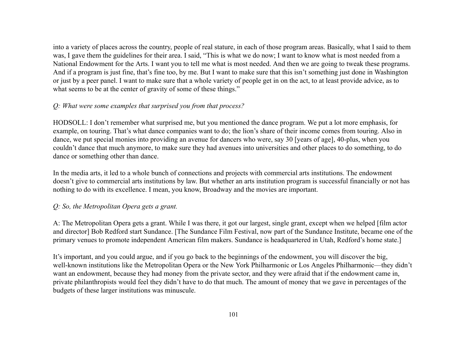into a variety of places across the country, people of real stature, in each of those program areas. Basically, what I said to them was, I gave them the guidelines for their area. I said, "This is what we do now; I want to know what is most needed from a National Endowment for the Arts. I want you to tell me what is most needed. And then we are going to tweak these programs. And if a program is just fine, that's fine too, by me. But I want to make sure that this isn't something just done in Washington or just by a peer panel. I want to make sure that a whole variety of people get in on the act, to at least provide advice, as to what seems to be at the center of gravity of some of these things."

## *Q: What were some examples that surprised you from that process?*

HODSOLL: I don't remember what surprised me, but you mentioned the dance program. We put a lot more emphasis, for example, on touring. That's what dance companies want to do; the lion's share of their income comes from touring. Also in dance, we put special monies into providing an avenue for dancers who were, say 30 [years of age], 40-plus, when you couldn't dance that much anymore, to make sure they had avenues into universities and other places to do something, to do dance or something other than dance.

In the media arts, it led to a whole bunch of connections and projects with commercial arts institutions. The endowment doesn't give to commercial arts institutions by law. But whether an arts institution program is successful financially or not has nothing to do with its excellence. I mean, you know, Broadway and the movies are important.

## *Q: So, the Metropolitan Opera gets a grant.*

A: The Metropolitan Opera gets a grant. While I was there, it got our largest, single grant, except when we helped [film actor and director] Bob Redford start Sundance. [The Sundance Film Festival, now part of the Sundance Institute, became one of the primary venues to promote independent American film makers. Sundance is headquartered in Utah, Redford's home state.]

It's important, and you could argue, and if you go back to the beginnings of the endowment, you will discover the big, well-known institutions like the Metropolitan Opera or the New York Philharmonic or Los Angeles Philharmonic—they didn't want an endowment, because they had money from the private sector, and they were afraid that if the endowment came in, private philanthropists would feel they didn't have to do that much. The amount of money that we gave in percentages of the budgets of these larger institutions was minuscule.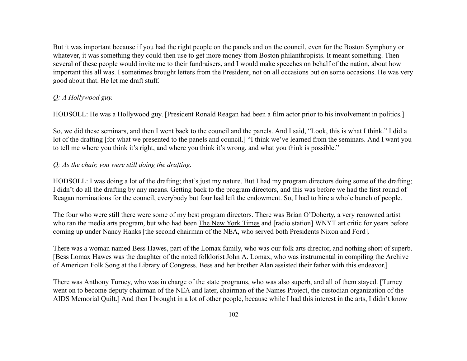But it was important because if you had the right people on the panels and on the council, even for the Boston Symphony or whatever, it was something they could then use to get more money from Boston philanthropists. It meant something. Then several of these people would invite me to their fundraisers, and I would make speeches on behalf of the nation, about how important this all was. I sometimes brought letters from the President, not on all occasions but on some occasions. He was very good about that. He let me draft stuff.

## *Q: A Hollywood guy.*

HODSOLL: He was a Hollywood guy. [President Ronald Reagan had been a film actor prior to his involvement in politics.]

So, we did these seminars, and then I went back to the council and the panels. And I said, "Look, this is what I think." I did a lot of the drafting [for what we presented to the panels and council.] "I think we've learned from the seminars. And I want you to tell me where you think it's right, and where you think it's wrong, and what you think is possible."

## *Q: As the chair, you were still doing the drafting.*

HODSOLL: I was doing a lot of the drafting; that's just my nature. But I had my program directors doing some of the drafting; I didn't do all the drafting by any means. Getting back to the program directors, and this was before we had the first round of Reagan nominations for the council, everybody but four had left the endowment. So, I had to hire a whole bunch of people.

The four who were still there were some of my best program directors. There was Brian O'Doherty, a very renowned artist who ran the media arts program, but who had been The New York Times and [radio station] WNYT art critic for years before coming up under Nancy Hanks [the second chairman of the NEA, who served both Presidents Nixon and Ford].

There was a woman named Bess Hawes, part of the Lomax family, who was our folk arts director, and nothing short of superb. [Bess Lomax Hawes was the daughter of the noted folklorist John A. Lomax, who was instrumental in compiling the Archive of American Folk Song at the Library of Congress. Bess and her brother Alan assisted their father with this endeavor.]

There was Anthony Turney, who was in charge of the state programs, who was also superb, and all of them stayed. [Turney went on to become deputy chairman of the NEA and later, chairman of the Names Project, the custodian organization of the AIDS Memorial Quilt.] And then I brought in a lot of other people, because while I had this interest in the arts, I didn't know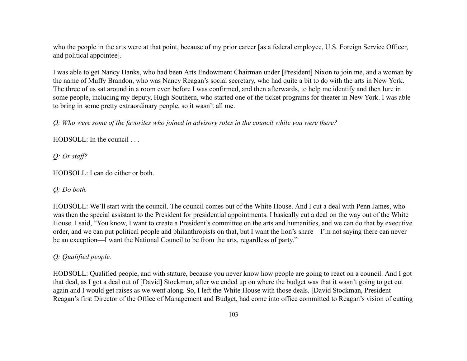who the people in the arts were at that point, because of my prior career [as a federal employee, U.S. Foreign Service Officer, and political appointee].

I was able to get Nancy Hanks, who had been Arts Endowment Chairman under [President] Nixon to join me, and a woman by the name of Muffy Brandon, who was Nancy Reagan's social secretary, who had quite a bit to do with the arts in New York. The three of us sat around in a room even before I was confirmed, and then afterwards, to help me identify and then lure in some people, including my deputy, Hugh Southern, who started one of the ticket programs for theater in New York. I was able to bring in some pretty extraordinary people, so it wasn't all me.

*Q: Who were some of the favorites who joined in advisory roles in the council while you were there?*

HODSOLL: In the council . . .

*Q: Or staff?*

HODSOLL: I can do either or both.

#### *Q: Do both.*

HODSOLL: We'll start with the council. The council comes out of the White House. And I cut a deal with Penn James, who was then the special assistant to the President for presidential appointments. I basically cut a deal on the way out of the White House. I said, "You know, I want to create a President's committee on the arts and humanities, and we can do that by executive order, and we can put political people and philanthropists on that, but I want the lion's share—I'm not saying there can never be an exception—I want the National Council to be from the arts, regardless of party."

## *Q: Qualified people.*

HODSOLL: Qualified people, and with stature, because you never know how people are going to react on a council. And I got that deal, as I got a deal out of [David] Stockman, after we ended up on where the budget was that it wasn't going to get cut again and I would get raises as we went along. So, I left the White House with those deals. [David Stockman, President Reagan's first Director of the Office of Management and Budget, had come into office committed to Reagan's vision of cutting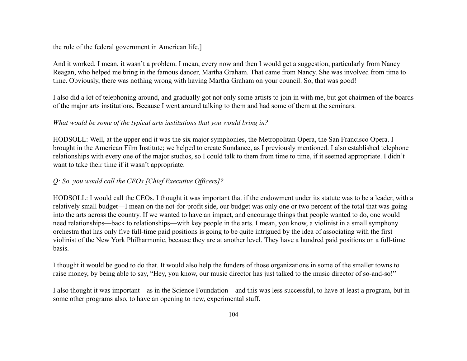the role of the federal government in American life.]

And it worked. I mean, it wasn't a problem. I mean, every now and then I would get a suggestion, particularly from Nancy Reagan, who helped me bring in the famous dancer, Martha Graham. That came from Nancy. She was involved from time to time. Obviously, there was nothing wrong with having Martha Graham on your council. So, that was good!

I also did a lot of telephoning around, and gradually got not only some artists to join in with me, but got chairmen of the boards of the major arts institutions. Because I went around talking to them and had some of them at the seminars.

## *What would be some of the typical arts institutions that you would bring in?*

HODSOLL: Well, at the upper end it was the six major symphonies, the Metropolitan Opera, the San Francisco Opera. I brought in the American Film Institute; we helped to create Sundance, as I previously mentioned. I also established telephone relationships with every one of the major studios, so I could talk to them from time to time, if it seemed appropriate. I didn't want to take their time if it wasn't appropriate.

## *Q: So, you would call the CEOs [Chief Executive Officers]?*

HODSOLL: I would call the CEOs. I thought it was important that if the endowment under its statute was to be a leader, with a relatively small budget—I mean on the not-for-profit side, our budget was only one or two percent of the total that was going into the arts across the country. If we wanted to have an impact, and encourage things that people wanted to do, one would need relationships—back to relationships—with key people in the arts. I mean, you know, a violinist in a small symphony orchestra that has only five full-time paid positions is going to be quite intrigued by the idea of associating with the first violinist of the New York Philharmonic, because they are at another level. They have a hundred paid positions on a full-time basis.

I thought it would be good to do that. It would also help the funders of those organizations in some of the smaller towns to raise money, by being able to say, "Hey, you know, our music director has just talked to the music director of so-and-so!"

I also thought it was important—as in the Science Foundation—and this was less successful, to have at least a program, but in some other programs also, to have an opening to new, experimental stuff.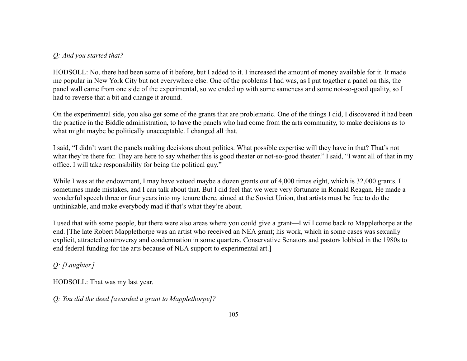## *Q: And you started that?*

HODSOLL: No, there had been some of it before, but I added to it. I increased the amount of money available for it. It made me popular in New York City but not everywhere else. One of the problems I had was, as I put together a panel on this, the panel wall came from one side of the experimental, so we ended up with some sameness and some not-so-good quality, so I had to reverse that a bit and change it around.

On the experimental side, you also get some of the grants that are problematic. One of the things I did, I discovered it had been the practice in the Biddle administration, to have the panels who had come from the arts community, to make decisions as to what might maybe be politically unacceptable. I changed all that.

I said, "I didn't want the panels making decisions about politics. What possible expertise will they have in that? That's not what they're there for. They are here to say whether this is good theater or not-so-good theater." I said, "I want all of that in my office. I will take responsibility for being the political guy."

While I was at the endowment, I may have vetoed maybe a dozen grants out of 4,000 times eight, which is 32,000 grants. I sometimes made mistakes, and I can talk about that. But I did feel that we were very fortunate in Ronald Reagan. He made a wonderful speech three or four years into my tenure there, aimed at the Soviet Union, that artists must be free to do the unthinkable, and make everybody mad if that's what they're about.

I used that with some people, but there were also areas where you could give a grant—I will come back to Mapplethorpe at the end. [The late Robert Mapplethorpe was an artist who received an NEA grant; his work, which in some cases was sexually explicit, attracted controversy and condemnation in some quarters. Conservative Senators and pastors lobbied in the 1980s to end federal funding for the arts because of NEA support to experimental art.]

# *Q: [Laughter.]*

HODSOLL: That was my last year.

*Q: You did the deed [awarded a grant to Mapplethorpe]?*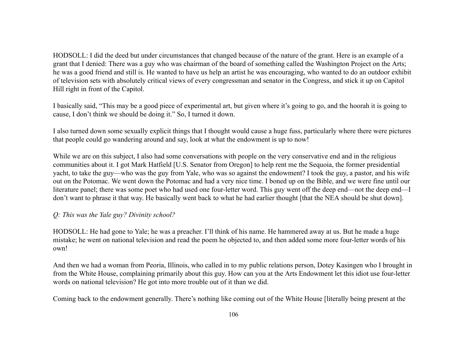HODSOLL: I did the deed but under circumstances that changed because of the nature of the grant. Here is an example of a grant that I denied: There was a guy who was chairman of the board of something called the Washington Project on the Arts; he was a good friend and still is. He wanted to have us help an artist he was encouraging, who wanted to do an outdoor exhibit of television sets with absolutely critical views of every congressman and senator in the Congress, and stick it up on Capitol Hill right in front of the Capitol.

I basically said, "This may be a good piece of experimental art, but given where it's going to go, and the hoorah it is going to cause, I don't think we should be doing it." So, I turned it down.

I also turned down some sexually explicit things that I thought would cause a huge fuss, particularly where there were pictures that people could go wandering around and say, look at what the endowment is up to now!

While we are on this subject, I also had some conversations with people on the very conservative end and in the religious communities about it. I got Mark Hatfield [U.S. Senator from Oregon] to help rent me the Sequoia, the former presidential yacht, to take the guy—who was the guy from Yale, who was so against the endowment? I took the guy, a pastor, and his wife out on the Potomac. We went down the Potomac and had a very nice time. I boned up on the Bible, and we were fine until our literature panel; there was some poet who had used one four-letter word. This guy went off the deep end—not the deep end—I don't want to phrase it that way. He basically went back to what he had earlier thought [that the NEA should be shut down].

## *Q: This was the Yale guy? Divinity school?*

HODSOLL: He had gone to Yale; he was a preacher. I'll think of his name. He hammered away at us. But he made a huge mistake; he went on national television and read the poem he objected to, and then added some more four-letter words of his own!

And then we had a woman from Peoria, Illinois, who called in to my public relations person, Dotey Kasingen who I brought in from the White House, complaining primarily about this guy. How can you at the Arts Endowment let this idiot use four-letter words on national television? He got into more trouble out of it than we did.

Coming back to the endowment generally. There's nothing like coming out of the White House [literally being present at the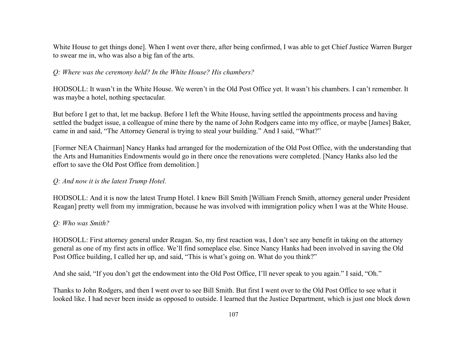White House to get things done]. When I went over there, after being confirmed, I was able to get Chief Justice Warren Burger to swear me in, who was also a big fan of the arts.

### *Q: Where was the ceremony held? In the White House? His chambers?*

HODSOLL: It wasn't in the White House. We weren't in the Old Post Office yet. It wasn't his chambers. I can't remember. It was maybe a hotel, nothing spectacular.

But before I get to that, let me backup. Before I left the White House, having settled the appointments process and having settled the budget issue, a colleague of mine there by the name of John Rodgers came into my office, or maybe [James] Baker, came in and said, "The Attorney General is trying to steal your building." And I said, "What?"

[Former NEA Chairman] Nancy Hanks had arranged for the modernization of the Old Post Office, with the understanding that the Arts and Humanities Endowments would go in there once the renovations were completed. [Nancy Hanks also led the effort to save the Old Post Office from demolition.]

#### *Q: And now it is the latest Trump Hotel.*

HODSOLL: And it is now the latest Trump Hotel. I knew Bill Smith [William French Smith, attorney general under President Reagan] pretty well from my immigration, because he was involved with immigration policy when I was at the White House.

#### *Q: Who was Smith?*

HODSOLL: First attorney general under Reagan. So, my first reaction was, I don't see any benefit in taking on the attorney general as one of my first acts in office. We'll find someplace else. Since Nancy Hanks had been involved in saving the Old Post Office building, I called her up, and said, "This is what's going on. What do you think?"

And she said, "If you don't get the endowment into the Old Post Office, I'll never speak to you again." I said, "Oh."

Thanks to John Rodgers, and then I went over to see Bill Smith. But first I went over to the Old Post Office to see what it looked like. I had never been inside as opposed to outside. I learned that the Justice Department, which is just one block down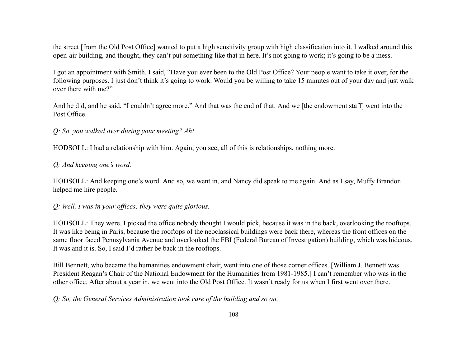the street [from the Old Post Office] wanted to put a high sensitivity group with high classification into it. I walked around this open-air building, and thought, they can't put something like that in here. It's not going to work; it's going to be a mess.

I got an appointment with Smith. I said, "Have you ever been to the Old Post Office? Your people want to take it over, for the following purposes. I just don't think it's going to work. Would you be willing to take 15 minutes out of your day and just walk over there with me?"

And he did, and he said, "I couldn't agree more." And that was the end of that. And we [the endowment staff] went into the Post Office.

*Q: So, you walked over during your meeting? Ah!*

HODSOLL: I had a relationship with him. Again, you see, all of this is relationships, nothing more.

*Q: And keeping one's word.*

HODSOLL: And keeping one's word. And so, we went in, and Nancy did speak to me again. And as I say, Muffy Brandon helped me hire people.

*Q: Well, I was in your offices; they were quite glorious.*

HODSOLL: They were. I picked the office nobody thought I would pick, because it was in the back, overlooking the rooftops. It was like being in Paris, because the rooftops of the neoclassical buildings were back there, whereas the front offices on the same floor faced Pennsylvania Avenue and overlooked the FBI (Federal Bureau of Investigation) building, which was hideous. It was and it is. So, I said I'd rather be back in the rooftops.

Bill Bennett, who became the humanities endowment chair, went into one of those corner offices. [William J. Bennett was President Reagan's Chair of the National Endowment for the Humanities from 1981-1985.] I can't remember who was in the other office. After about a year in, we went into the Old Post Office. It wasn't ready for us when I first went over there.

*Q: So, the General Services Administration took care of the building and so on.*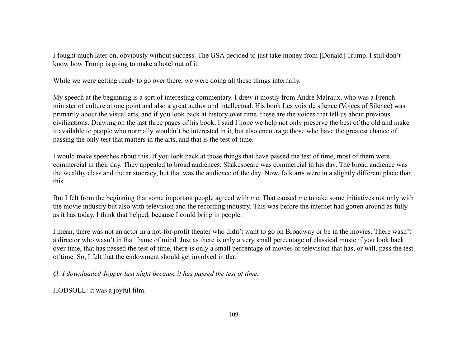I fought much later on, obviously without success. The GSA decided to just take money from [Donald] Trump. I still don't know how Trump is going to make a hotel out of it.

While we were getting ready to go over there, we were doing all these things internally.

My speech at the beginning is a sort of interesting commentary. I drew it mostly from André Malraux, who was a French minister of culture at one point and also a great author and intellectual. His book Les voix de silence (Voices of Silence) was primarily about the visual arts, and if you look back at history over time, these are the voices that tell us about previous civilizations. Drawing on the last three pages of his book, I said I hope we help not only preserve the best of the old and make it available to people who normally wouldn't be interested in it, but also encourage those who have the greatest chance of passing the only test that matters in the arts, and that is the test of time.

I would make speeches about this. If you look back at those things that have passed the test of time, most of them were commercial in their day. They appealed to broad audiences. Shakespeare was commercial in his day. The broad audience was the wealthy class and the aristocracy, but that was the audience of the day. Now, folk arts were in a slightly different place than this.

But I felt from the beginning that some important people agreed with me. That caused me to take some initiatives not only with the movie industry but also with television and the recording industry. This was before the internet had gotten around as fully as it has today. I think that helped, because I could bring in people.

I mean, there was not an actor in a not-for-profit theater who didn't want to go on Broadway or be in the movies. There wasn't a director who wasn't in that frame of mind. Just as there is only a very small percentage of classical music if you look back over time, that has passed the test of time, there is only a small percentage of movies or television that has, or will, pass the test of time. So, I felt that the endowment should get involved in that.

*Q: I downloaded Topper last night because it has passed the test of time.*

HODSOLL: It was a joyful film.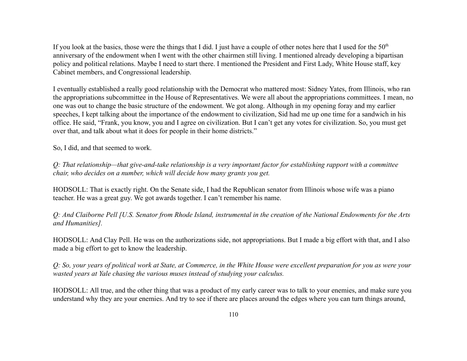If you look at the basics, those were the things that I did. I just have a couple of other notes here that I used for the  $50<sup>th</sup>$ anniversary of the endowment when I went with the other chairmen still living. I mentioned already developing a bipartisan policy and political relations. Maybe I need to start there. I mentioned the President and First Lady, White House staff, key Cabinet members, and Congressional leadership.

I eventually established a really good relationship with the Democrat who mattered most: Sidney Yates, from Illinois, who ran the appropriations subcommittee in the House of Representatives. We were all about the appropriations committees. I mean, no one was out to change the basic structure of the endowment. We got along. Although in my opening foray and my earlier speeches, I kept talking about the importance of the endowment to civilization, Sid had me up one time for a sandwich in his office. He said, "Frank, you know, you and I agree on civilization. But I can't get any votes for civilization. So, you must get over that, and talk about what it does for people in their home districts."

So, I did, and that seemed to work.

*Q: That relationship—that give-and-take relationship is a very important factor for establishing rapport with a committee chair, who decides on a number, which will decide how many grants you get.*

HODSOLL: That is exactly right. On the Senate side, I had the Republican senator from Illinois whose wife was a piano teacher. He was a great guy. We got awards together. I can't remember his name.

*Q: And Claiborne Pell [U.S. Senator from Rhode Island, instrumental in the creation of the National Endowments for the Arts and Humanities].*

HODSOLL: And Clay Pell. He was on the authorizations side, not appropriations. But I made a big effort with that, and I also made a big effort to get to know the leadership.

*Q: So, your years of political work at State, at Commerce, in the White House were excellent preparation for you as were your wasted years at Yale chasing the various muses instead of studying your calculus.*

HODSOLL: All true, and the other thing that was a product of my early career was to talk to your enemies, and make sure you understand why they are your enemies. And try to see if there are places around the edges where you can turn things around,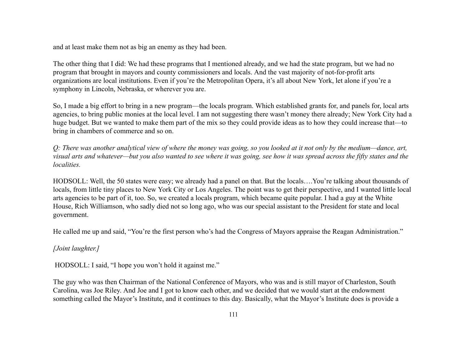and at least make them not as big an enemy as they had been.

The other thing that I did: We had these programs that I mentioned already, and we had the state program, but we had no program that brought in mayors and county commissioners and locals. And the vast majority of not-for-profit arts organizations are local institutions. Even if you're the Metropolitan Opera, it's all about New York, let alone if you're a symphony in Lincoln, Nebraska, or wherever you are.

So, I made a big effort to bring in a new program—the locals program. Which established grants for, and panels for, local arts agencies, to bring public monies at the local level. I am not suggesting there wasn't money there already; New York City had a huge budget. But we wanted to make them part of the mix so they could provide ideas as to how they could increase that—to bring in chambers of commerce and so on.

*Q: There was another analytical view of where the money was going, so you looked at it not only by the medium—dance, art, visual arts and whatever—but you also wanted to see where it was going, see how it was spread across the fifty states and the localities.*

HODSOLL: Well, the 50 states were easy; we already had a panel on that. But the locals….You're talking about thousands of locals, from little tiny places to New York City or Los Angeles. The point was to get their perspective, and I wanted little local arts agencies to be part of it, too. So, we created a locals program, which became quite popular. I had a guy at the White House, Rich Williamson, who sadly died not so long ago, who was our special assistant to the President for state and local government.

He called me up and said, "You're the first person who's had the Congress of Mayors appraise the Reagan Administration."

*[Joint laughter.]*

HODSOLL: I said, "I hope you won't hold it against me."

The guy who was then Chairman of the National Conference of Mayors, who was and is still mayor of Charleston, South Carolina, was Joe Riley. And Joe and I got to know each other, and we decided that we would start at the endowment something called the Mayor's Institute, and it continues to this day. Basically, what the Mayor's Institute does is provide a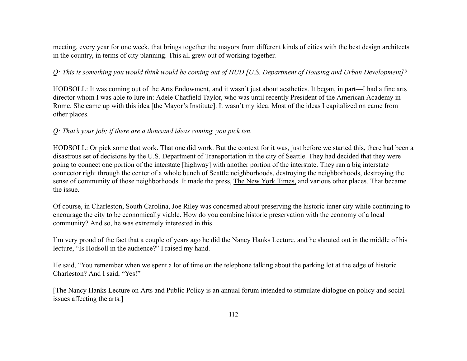meeting, every year for one week, that brings together the mayors from different kinds of cities with the best design architects in the country, in terms of city planning. This all grew out of working together.

## *Q: This is something you would think would be coming out of HUD [U.S. Department of Housing and Urban Development]?*

HODSOLL: It was coming out of the Arts Endowment, and it wasn't just about aesthetics. It began, in part—I had a fine arts director whom I was able to lure in: Adele Chatfield Taylor, who was until recently President of the American Academy in Rome. She came up with this idea [the Mayor's Institute]. It wasn't my idea. Most of the ideas I capitalized on came from other places.

### *Q: That's your job; if there are a thousand ideas coming, you pick ten.*

HODSOLL: Or pick some that work. That one did work. But the context for it was, just before we started this, there had been a disastrous set of decisions by the U.S. Department of Transportation in the city of Seattle. They had decided that they were going to connect one portion of the interstate [highway] with another portion of the interstate. They ran a big interstate connector right through the center of a whole bunch of Seattle neighborhoods, destroying the neighborhoods, destroying the sense of community of those neighborhoods. It made the press, The New York Times, and various other places. That became the issue.

Of course, in Charleston, South Carolina, Joe Riley was concerned about preserving the historic inner city while continuing to encourage the city to be economically viable. How do you combine historic preservation with the economy of a local community? And so, he was extremely interested in this.

I'm very proud of the fact that a couple of years ago he did the Nancy Hanks Lecture, and he shouted out in the middle of his lecture, "Is Hodsoll in the audience?" I raised my hand.

He said, "You remember when we spent a lot of time on the telephone talking about the parking lot at the edge of historic Charleston? And I said, "Yes!"

[The Nancy Hanks Lecture on Arts and Public Policy is an annual forum intended to stimulate dialogue on policy and social issues affecting the arts.]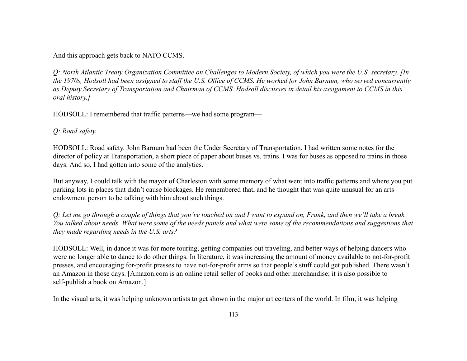And this approach gets back to NATO CCMS.

*Q: North Atlantic Treaty Organization Committee on Challenges to Modern Society, of which you were the U.S. secretary. [In the 1970s, Hodsoll had been assigned to staff the U.S. Office of CCMS. He worked for John Barnum, who served concurrently as Deputy Secretary of Transportation and Chairman of CCMS. Hodsoll discusses in detail his assignment to CCMS in this oral history.]*

HODSOLL: I remembered that traffic patterns—we had some program—

*Q: Road safety.*

HODSOLL: Road safety. John Barnum had been the Under Secretary of Transportation. I had written some notes for the director of policy at Transportation, a short piece of paper about buses vs. trains. I was for buses as opposed to trains in those days. And so, I had gotten into some of the analytics.

But anyway, I could talk with the mayor of Charleston with some memory of what went into traffic patterns and where you put parking lots in places that didn't cause blockages. He remembered that, and he thought that was quite unusual for an arts endowment person to be talking with him about such things.

*Q: Let me go through a couple of things that you've touched on and I want to expand on, Frank, and then we'll take a break. You talked about needs. What were some of the needs panels and what were some of the recommendations and suggestions that they made regarding needs in the U.S. arts?*

HODSOLL: Well, in dance it was for more touring, getting companies out traveling, and better ways of helping dancers who were no longer able to dance to do other things. In literature, it was increasing the amount of money available to not-for-profit presses, and encouraging for-profit presses to have not-for-profit arms so that people's stuff could get published. There wasn't an Amazon in those days. [Amazon.com is an online retail seller of books and other merchandise; it is also possible to self-publish a book on Amazon.]

In the visual arts, it was helping unknown artists to get shown in the major art centers of the world. In film, it was helping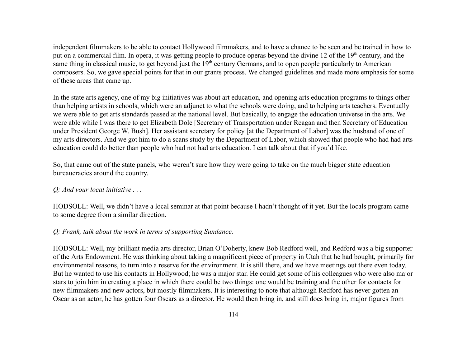independent filmmakers to be able to contact Hollywood filmmakers, and to have a chance to be seen and be trained in how to put on a commercial film. In opera, it was getting people to produce operas beyond the divine 12 of the 19<sup>th</sup> century, and the same thing in classical music, to get beyond just the 19<sup>th</sup> century Germans, and to open people particularly to American composers. So, we gave special points for that in our grants process. We changed guidelines and made more emphasis for some of these areas that came up.

In the state arts agency, one of my big initiatives was about art education, and opening arts education programs to things other than helping artists in schools, which were an adjunct to what the schools were doing, and to helping arts teachers. Eventually we were able to get arts standards passed at the national level. But basically, to engage the education universe in the arts. We were able while I was there to get Elizabeth Dole [Secretary of Transportation under Reagan and then Secretary of Education under President George W. Bush]. Her assistant secretary for policy [at the Department of Labor] was the husband of one of my arts directors. And we got him to do a scans study by the Department of Labor, which showed that people who had had arts education could do better than people who had not had arts education. I can talk about that if you'd like.

So, that came out of the state panels, who weren't sure how they were going to take on the much bigger state education bureaucracies around the country.

#### *Q: And your local initiative . . .*

HODSOLL: Well, we didn't have a local seminar at that point because I hadn't thought of it yet. But the locals program came to some degree from a similar direction.

### *Q: Frank, talk about the work in terms of supporting Sundance.*

HODSOLL: Well, my brilliant media arts director, Brian O'Doherty, knew Bob Redford well, and Redford was a big supporter of the Arts Endowment. He was thinking about taking a magnificent piece of property in Utah that he had bought, primarily for environmental reasons, to turn into a reserve for the environment. It is still there, and we have meetings out there even today. But he wanted to use his contacts in Hollywood; he was a major star. He could get some of his colleagues who were also major stars to join him in creating a place in which there could be two things: one would be training and the other for contacts for new filmmakers and new actors, but mostly filmmakers. It is interesting to note that although Redford has never gotten an Oscar as an actor, he has gotten four Oscars as a director. He would then bring in, and still does bring in, major figures from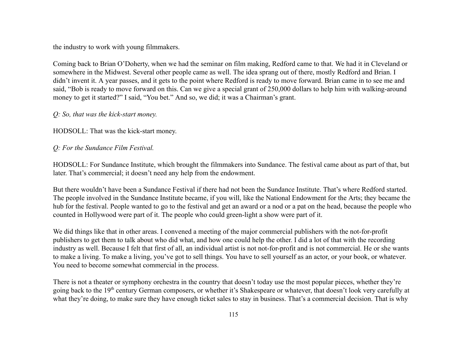the industry to work with young filmmakers.

Coming back to Brian O'Doherty, when we had the seminar on film making, Redford came to that. We had it in Cleveland or somewhere in the Midwest. Several other people came as well. The idea sprang out of there, mostly Redford and Brian. I didn't invent it. A year passes, and it gets to the point where Redford is ready to move forward. Brian came in to see me and said, "Bob is ready to move forward on this. Can we give a special grant of 250,000 dollars to help him with walking-around money to get it started?" I said, "You bet." And so, we did; it was a Chairman's grant.

### *Q: So, that was the kick-start money.*

HODSOLL: That was the kick-start money.

### *Q: For the Sundance Film Festival.*

HODSOLL: For Sundance Institute, which brought the filmmakers into Sundance. The festival came about as part of that, but later. That's commercial; it doesn't need any help from the endowment.

But there wouldn't have been a Sundance Festival if there had not been the Sundance Institute. That's where Redford started. The people involved in the Sundance Institute became, if you will, like the National Endowment for the Arts; they became the hub for the festival. People wanted to go to the festival and get an award or a nod or a pat on the head, because the people who counted in Hollywood were part of it. The people who could green-light a show were part of it.

We did things like that in other areas. I convened a meeting of the major commercial publishers with the not-for-profit publishers to get them to talk about who did what, and how one could help the other. I did a lot of that with the recording industry as well. Because I felt that first of all, an individual artist is not not-for-profit and is not commercial. He or she wants to make a living. To make a living, you've got to sell things. You have to sell yourself as an actor, or your book, or whatever. You need to become somewhat commercial in the process.

There is not a theater or symphony orchestra in the country that doesn't today use the most popular pieces, whether they're going back to the 19<sup>th</sup> century German composers, or whether it's Shakespeare or whatever, that doesn't look very carefully at what they're doing, to make sure they have enough ticket sales to stay in business. That's a commercial decision. That is why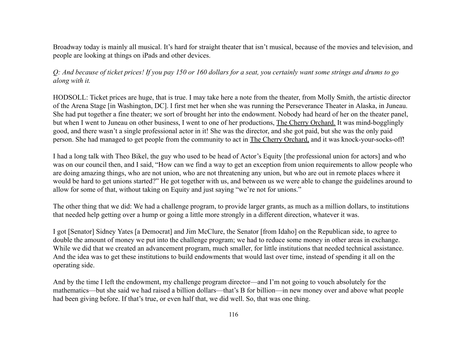Broadway today is mainly all musical. It's hard for straight theater that isn't musical, because of the movies and television, and people are looking at things on iPads and other devices.

*Q: And because of ticket prices! If you pay 150 or 160 dollars for a seat, you certainly want some strings and drums to go along with it.*

HODSOLL: Ticket prices are huge, that is true. I may take here a note from the theater, from Molly Smith, the artistic director of the Arena Stage [in Washington, DC]. I first met her when she was running the Perseverance Theater in Alaska, in Juneau. She had put together a fine theater; we sort of brought her into the endowment. Nobody had heard of her on the theater panel, but when I went to Juneau on other business, I went to one of her productions, The Cherry Orchard. It was mind-bogglingly good, and there wasn't a single professional actor in it! She was the director, and she got paid, but she was the only paid person. She had managed to get people from the community to act in The Cherry Orchard, and it was knock-your-socks-off!

I had a long talk with Theo Bikel, the guy who used to be head of Actor's Equity [the professional union for actors] and who was on our council then, and I said, "How can we find a way to get an exception from union requirements to allow people who are doing amazing things, who are not union, who are not threatening any union, but who are out in remote places where it would be hard to get unions started?" He got together with us, and between us we were able to change the guidelines around to allow for some of that, without taking on Equity and just saying "we're not for unions."

The other thing that we did: We had a challenge program, to provide larger grants, as much as a million dollars, to institutions that needed help getting over a hump or going a little more strongly in a different direction, whatever it was.

I got [Senator] Sidney Yates [a Democrat] and Jim McClure, the Senator [from Idaho] on the Republican side, to agree to double the amount of money we put into the challenge program; we had to reduce some money in other areas in exchange. While we did that we created an advancement program, much smaller, for little institutions that needed technical assistance. And the idea was to get these institutions to build endowments that would last over time, instead of spending it all on the operating side.

And by the time I left the endowment, my challenge program director—and I'm not going to vouch absolutely for the mathematics—but she said we had raised a billion dollars—that's B for billion—in new money over and above what people had been giving before. If that's true, or even half that, we did well. So, that was one thing.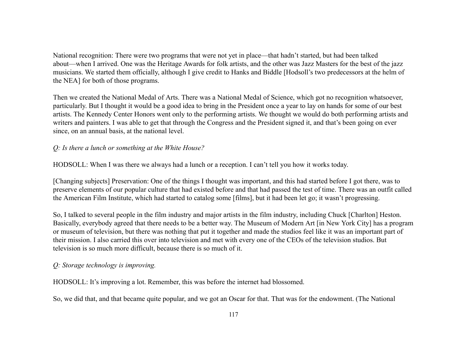National recognition: There were two programs that were not yet in place—that hadn't started, but had been talked about—when I arrived. One was the Heritage Awards for folk artists, and the other was Jazz Masters for the best of the jazz musicians. We started them officially, although I give credit to Hanks and Biddle [Hodsoll's two predecessors at the helm of the NEA] for both of those programs.

Then we created the National Medal of Arts. There was a National Medal of Science, which got no recognition whatsoever, particularly. But I thought it would be a good idea to bring in the President once a year to lay on hands for some of our best artists. The Kennedy Center Honors went only to the performing artists. We thought we would do both performing artists and writers and painters. I was able to get that through the Congress and the President signed it, and that's been going on ever since, on an annual basis, at the national level.

### *Q: Is there a lunch or something at the White House?*

HODSOLL: When I was there we always had a lunch or a reception. I can't tell you how it works today.

[Changing subjects] Preservation: One of the things I thought was important, and this had started before I got there, was to preserve elements of our popular culture that had existed before and that had passed the test of time. There was an outfit called the American Film Institute, which had started to catalog some [films], but it had been let go; it wasn't progressing.

So, I talked to several people in the film industry and major artists in the film industry, including Chuck [Charlton] Heston. Basically, everybody agreed that there needs to be a better way. The Museum of Modern Art [in New York City] has a program or museum of television, but there was nothing that put it together and made the studios feel like it was an important part of their mission. I also carried this over into television and met with every one of the CEOs of the television studios. But television is so much more difficult, because there is so much of it.

## *Q: Storage technology is improving.*

HODSOLL: It's improving a lot. Remember, this was before the internet had blossomed.

So, we did that, and that became quite popular, and we got an Oscar for that. That was for the endowment. (The National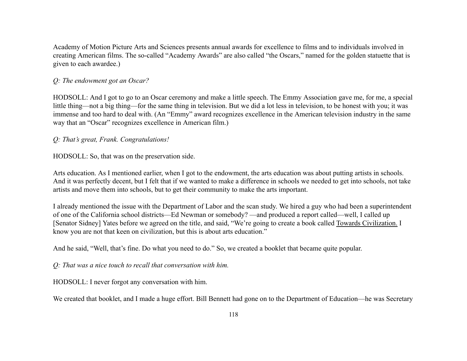Academy of Motion Picture Arts and Sciences presents annual awards for excellence to films and to individuals involved in creating American films. The so-called "Academy Awards" are also called "the Oscars," named for the golden statuette that is given to each awardee.)

### *Q: The endowment got an Oscar?*

HODSOLL: And I got to go to an Oscar ceremony and make a little speech. The Emmy Association gave me, for me, a special little thing—not a big thing—for the same thing in television. But we did a lot less in television, to be honest with you; it was immense and too hard to deal with. (An "Emmy" award recognizes excellence in the American television industry in the same way that an "Oscar" recognizes excellence in American film.)

### *Q: That's great, Frank. Congratulations!*

HODSOLL: So, that was on the preservation side.

Arts education. As I mentioned earlier, when I got to the endowment, the arts education was about putting artists in schools. And it was perfectly decent, but I felt that if we wanted to make a difference in schools we needed to get into schools, not take artists and move them into schools, but to get their community to make the arts important.

I already mentioned the issue with the Department of Labor and the scan study. We hired a guy who had been a superintendent of one of the California school districts—Ed Newman or somebody? —and produced a report called—well, I called up [Senator Sidney] Yates before we agreed on the title, and said, "We're going to create a book called Towards Civilization. I know you are not that keen on civilization, but this is about arts education."

And he said, "Well, that's fine. Do what you need to do." So, we created a booklet that became quite popular.

*Q: That was a nice touch to recall that conversation with him.*

HODSOLL: I never forgot any conversation with him.

We created that booklet, and I made a huge effort. Bill Bennett had gone on to the Department of Education—he was Secretary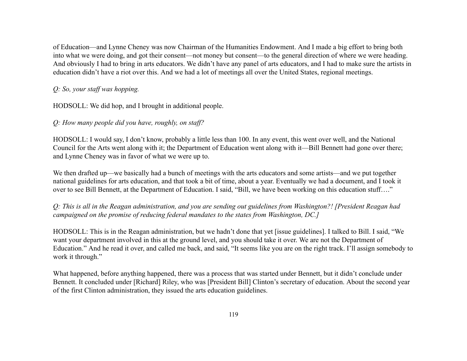of Education—and Lynne Cheney was now Chairman of the Humanities Endowment. And I made a big effort to bring both into what we were doing, and got their consent—not money but consent—to the general direction of where we were heading. And obviously I had to bring in arts educators. We didn't have any panel of arts educators, and I had to make sure the artists in education didn't have a riot over this. And we had a lot of meetings all over the United States, regional meetings.

# *Q: So, your staff was hopping.*

HODSOLL: We did hop, and I brought in additional people.

# *Q: How many people did you have, roughly, on staff?*

HODSOLL: I would say, I don't know, probably a little less than 100. In any event, this went over well, and the National Council for the Arts went along with it; the Department of Education went along with it—Bill Bennett had gone over there; and Lynne Cheney was in favor of what we were up to.

We then drafted up—we basically had a bunch of meetings with the arts educators and some artists—and we put together national guidelines for arts education, and that took a bit of time, about a year. Eventually we had a document, and I took it over to see Bill Bennett, at the Department of Education. I said, "Bill, we have been working on this education stuff…."

*Q: This is all in the Reagan administration, and you are sending out guidelines from Washington?! [President Reagan had campaigned on the promise of reducing federal mandates to the states from Washington, DC.]*

HODSOLL: This is in the Reagan administration, but we hadn't done that yet [issue guidelines]. I talked to Bill. I said, "We want your department involved in this at the ground level, and you should take it over. We are not the Department of Education." And he read it over, and called me back, and said, "It seems like you are on the right track. I'll assign somebody to work it through."

What happened, before anything happened, there was a process that was started under Bennett, but it didn't conclude under Bennett. It concluded under [Richard] Riley, who was [President Bill] Clinton's secretary of education. About the second year of the first Clinton administration, they issued the arts education guidelines.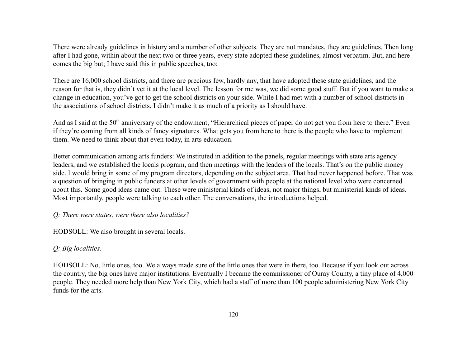There were already guidelines in history and a number of other subjects. They are not mandates, they are guidelines. Then long after I had gone, within about the next two or three years, every state adopted these guidelines, almost verbatim. But, and here comes the big but; I have said this in public speeches, too:

There are 16,000 school districts, and there are precious few, hardly any, that have adopted these state guidelines, and the reason for that is, they didn't vet it at the local level. The lesson for me was, we did some good stuff. But if you want to make a change in education, you've got to get the school districts on your side. While I had met with a number of school districts in the associations of school districts, I didn't make it as much of a priority as I should have.

And as I said at the 50<sup>th</sup> anniversary of the endowment, "Hierarchical pieces of paper do not get you from here to there." Even if they're coming from all kinds of fancy signatures. What gets you from here to there is the people who have to implement them. We need to think about that even today, in arts education.

Better communication among arts funders: We instituted in addition to the panels, regular meetings with state arts agency leaders, and we established the locals program, and then meetings with the leaders of the locals. That's on the public money side. I would bring in some of my program directors, depending on the subject area. That had never happened before. That was a question of bringing in public funders at other levels of government with people at the national level who were concerned about this. Some good ideas came out. These were ministerial kinds of ideas, not major things, but ministerial kinds of ideas. Most importantly, people were talking to each other. The conversations, the introductions helped.

### *Q: There were states, were there also localities?*

HODSOLL: We also brought in several locals.

## *Q: Big localities.*

HODSOLL: No, little ones, too. We always made sure of the little ones that were in there, too. Because if you look out across the country, the big ones have major institutions. Eventually I became the commissioner of Ouray County, a tiny place of 4,000 people. They needed more help than New York City, which had a staff of more than 100 people administering New York City funds for the arts.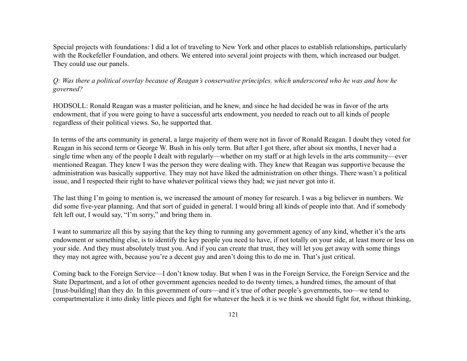Special projects with foundations: I did a lot of traveling to New York and other places to establish relationships, particularly with the Rockefeller Foundation, and others. We entered into several joint projects with them, which increased our budget. They could use our panels.

*Q: Was there a political overlay because of Reagan's conservative principles, which underscored who he was and how he governed?*

HODSOLL: Ronald Reagan was a master politician, and he knew, and since he had decided he was in favor of the arts endowment, that if you were going to have a successful arts endowment, you needed to reach out to all kinds of people regardless of their political views. So, he supported that.

In terms of the arts community in general, a large majority of them were not in favor of Ronald Reagan. I doubt they voted for Reagan in his second term or George W. Bush in his only term. But after I got there, after about six months, I never had a single time when any of the people I dealt with regularly—whether on my staff or at high levels in the arts community—ever mentioned Reagan. They knew I was the person they were dealing with. They knew that Reagan was supportive because the administration was basically supportive. They may not have liked the administration on other things. There wasn't a political issue, and I respected their right to have whatever political views they had; we just never got into it.

The last thing I'm going to mention is, we increased the amount of money for research. I was a big believer in numbers. We did some five-year planning. And that sort of guided in general. I would bring all kinds of people into that. And if somebody felt left out, I would say, "I'm sorry," and bring them in.

I want to summarize all this by saying that the key thing to running any government agency of any kind, whether it's the arts endowment or something else, is to identify the key people you need to have, if not totally on your side, at least more or less on your side. And they must absolutely trust you. And if you can create that trust, they will let you get away with some things they may not agree with, because you're a decent guy and aren't doing this to do me in. That's just critical.

Coming back to the Foreign Service—I don't know today. But when I was in the Foreign Service, the Foreign Service and the State Department, and a lot of other government agencies needed to do twenty times, a hundred times, the amount of that [trust-building] than they do. In this government of ours—and it's true of other people's governments, too—we tend to compartmentalize it into dinky little pieces and fight for whatever the heck it is we think we should fight for, without thinking,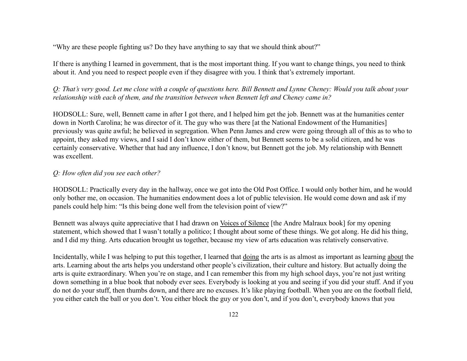"Why are these people fighting us? Do they have anything to say that we should think about?"

If there is anything I learned in government, that is the most important thing. If you want to change things, you need to think about it. And you need to respect people even if they disagree with you. I think that's extremely important.

*Q: That's very good. Let me close with a couple of questions here. Bill Bennett and Lynne Cheney: Would you talk about your relationship with each of them, and the transition between when Bennett left and Cheney came in?*

HODSOLL: Sure, well, Bennett came in after I got there, and I helped him get the job. Bennett was at the humanities center down in North Carolina; he was director of it. The guy who was there [at the National Endowment of the Humanities] previously was quite awful; he believed in segregation. When Penn James and crew were going through all of this as to who to appoint, they asked my views, and I said I don't know either of them, but Bennett seems to be a solid citizen, and he was certainly conservative. Whether that had any influence, I don't know, but Bennett got the job. My relationship with Bennett was excellent.

#### *Q: How often did you see each other?*

HODSOLL: Practically every day in the hallway, once we got into the Old Post Office. I would only bother him, and he would only bother me, on occasion. The humanities endowment does a lot of public television. He would come down and ask if my panels could help him: "Is this being done well from the television point of view?"

Bennett was always quite appreciative that I had drawn on Voices of Silence [the Andre Malraux book] for my opening statement, which showed that I wasn't totally a politico; I thought about some of these things. We got along. He did his thing, and I did my thing. Arts education brought us together, because my view of arts education was relatively conservative.

Incidentally, while I was helping to put this together, I learned that doing the arts is as almost as important as learning about the arts. Learning about the arts helps you understand other people's civilization, their culture and history. But actually doing the arts is quite extraordinary. When you're on stage, and I can remember this from my high school days, you're not just writing down something in a blue book that nobody ever sees. Everybody is looking at you and seeing if you did your stuff. And if you do not do your stuff, then thumbs down, and there are no excuses. It's like playing football. When you are on the football field, you either catch the ball or you don't. You either block the guy or you don't, and if you don't, everybody knows that you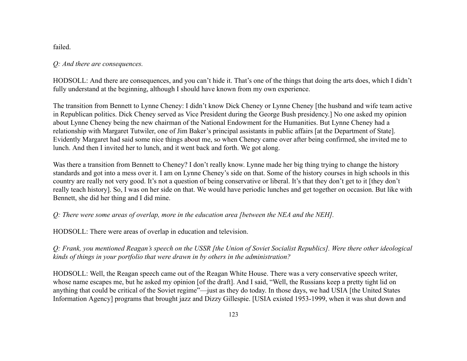failed.

### *Q: And there are consequences.*

HODSOLL: And there are consequences, and you can't hide it. That's one of the things that doing the arts does, which I didn't fully understand at the beginning, although I should have known from my own experience.

The transition from Bennett to Lynne Cheney: I didn't know Dick Cheney or Lynne Cheney [the husband and wife team active in Republican politics. Dick Cheney served as Vice President during the George Bush presidency.] No one asked my opinion about Lynne Cheney being the new chairman of the National Endowment for the Humanities. But Lynne Cheney had a relationship with Margaret Tutwiler, one of Jim Baker's principal assistants in public affairs [at the Department of State]. Evidently Margaret had said some nice things about me, so when Cheney came over after being confirmed, she invited me to lunch. And then I invited her to lunch, and it went back and forth. We got along.

Was there a transition from Bennett to Cheney? I don't really know. Lynne made her big thing trying to change the history standards and got into a mess over it. I am on Lynne Cheney's side on that. Some of the history courses in high schools in this country are really not very good. It's not a question of being conservative or liberal. It's that they don't get to it [they don't really teach history]. So, I was on her side on that. We would have periodic lunches and get together on occasion. But like with Bennett, she did her thing and I did mine.

# *Q: There were some areas of overlap, more in the education area [between the NEA and the NEH].*

HODSOLL: There were areas of overlap in education and television.

*Q: Frank, you mentioned Reagan's speech on the USSR [the Union of Soviet Socialist Republics]. Were there other ideological kinds of things in your portfolio that were drawn in by others in the administration?*

HODSOLL: Well, the Reagan speech came out of the Reagan White House. There was a very conservative speech writer, whose name escapes me, but he asked my opinion [of the draft]. And I said, "Well, the Russians keep a pretty tight lid on anything that could be critical of the Soviet regime"—just as they do today. In those days, we had USIA [the United States Information Agency] programs that brought jazz and Dizzy Gillespie. [USIA existed 1953-1999, when it was shut down and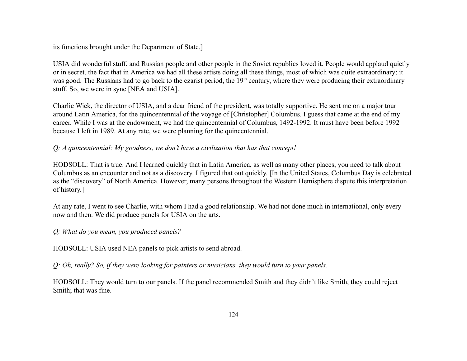its functions brought under the Department of State.]

USIA did wonderful stuff, and Russian people and other people in the Soviet republics loved it. People would applaud quietly or in secret, the fact that in America we had all these artists doing all these things, most of which was quite extraordinary; it was good. The Russians had to go back to the czarist period, the 19<sup>th</sup> century, where they were producing their extraordinary stuff. So, we were in sync [NEA and USIA].

Charlie Wick, the director of USIA, and a dear friend of the president, was totally supportive. He sent me on a major tour around Latin America, for the quincentennial of the voyage of [Christopher] Columbus. I guess that came at the end of my career. While I was at the endowment, we had the quincentennial of Columbus, 1492-1992. It must have been before 1992 because I left in 1989. At any rate, we were planning for the quincentennial.

## *Q: A quincentennial: My goodness, we don't have a civilization that has that concept!*

HODSOLL: That is true. And I learned quickly that in Latin America, as well as many other places, you need to talk about Columbus as an encounter and not as a discovery. I figured that out quickly. [In the United States, Columbus Day is celebrated as the "discovery" of North America. However, many persons throughout the Western Hemisphere dispute this interpretation of history.]

At any rate, I went to see Charlie, with whom I had a good relationship. We had not done much in international, only every now and then. We did produce panels for USIA on the arts.

# *Q: What do you mean, you produced panels?*

HODSOLL: USIA used NEA panels to pick artists to send abroad.

*Q: Oh, really? So, if they were looking for painters or musicians, they would turn to your panels.*

HODSOLL: They would turn to our panels. If the panel recommended Smith and they didn't like Smith, they could reject Smith; that was fine.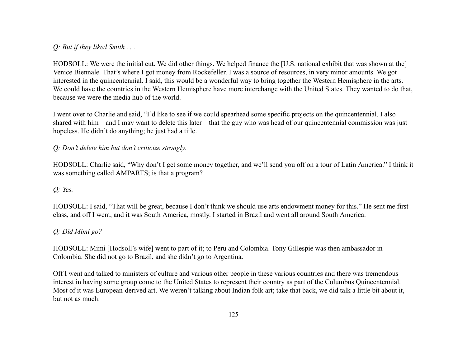*Q: But if they liked Smith . . .*

HODSOLL: We were the initial cut. We did other things. We helped finance the [U.S. national exhibit that was shown at the] Venice Biennale. That's where I got money from Rockefeller. I was a source of resources, in very minor amounts. We got interested in the quincentennial. I said, this would be a wonderful way to bring together the Western Hemisphere in the arts. We could have the countries in the Western Hemisphere have more interchange with the United States. They wanted to do that, because we were the media hub of the world.

I went over to Charlie and said, "I'd like to see if we could spearhead some specific projects on the quincentennial. I also shared with him—and I may want to delete this later—that the guy who was head of our quincentennial commission was just hopeless. He didn't do anything; he just had a title.

## *Q: Don't delete him but don't criticize strongly.*

HODSOLL: Charlie said, "Why don't I get some money together, and we'll send you off on a tour of Latin America." I think it was something called AMPARTS; is that a program?

# *Q: Yes.*

HODSOLL: I said, "That will be great, because I don't think we should use arts endowment money for this." He sent me first class, and off I went, and it was South America, mostly. I started in Brazil and went all around South America.

# *Q: Did Mimi go?*

HODSOLL: Mimi [Hodsoll's wife] went to part of it; to Peru and Colombia. Tony Gillespie was then ambassador in Colombia. She did not go to Brazil, and she didn't go to Argentina.

Off I went and talked to ministers of culture and various other people in these various countries and there was tremendous interest in having some group come to the United States to represent their country as part of the Columbus Quincentennial. Most of it was European-derived art. We weren't talking about Indian folk art; take that back, we did talk a little bit about it, but not as much.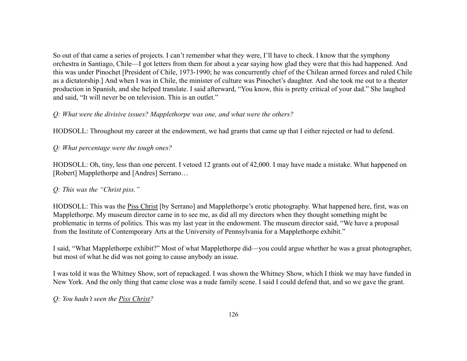So out of that came a series of projects. I can't remember what they were, I'll have to check. I know that the symphony orchestra in Santiago, Chile—I got letters from them for about a year saying how glad they were that this had happened. And this was under Pinochet [President of Chile, 1973-1990; he was concurrently chief of the Chilean armed forces and ruled Chile as a dictatorship.] And when I was in Chile, the minister of culture was Pinochet's daughter. And she took me out to a theater production in Spanish, and she helped translate. I said afterward, "You know, this is pretty critical of your dad." She laughed and said, "It will never be on television. This is an outlet."

## *Q: What were the divisive issues? Mapplethorpe was one, and what were the others?*

HODSOLL: Throughout my career at the endowment, we had grants that came up that I either rejected or had to defend.

## *Q: What percentage were the tough ones?*

HODSOLL: Oh, tiny, less than one percent. I vetoed 12 grants out of 42,000. I may have made a mistake. What happened on [Robert] Mapplethorpe and [Andres] Serrano…

# *Q: This was the "Christ piss."*

HODSOLL: This was the Piss Christ [by Serrano] and Mapplethorpe's erotic photography. What happened here, first, was on Mapplethorpe. My museum director came in to see me, as did all my directors when they thought something might be problematic in terms of politics. This was my last year in the endowment. The museum director said, "We have a proposal from the Institute of Contemporary Arts at the University of Pennsylvania for a Mapplethorpe exhibit."

I said, "What Mapplethorpe exhibit?" Most of what Mapplethorpe did—you could argue whether he was a great photographer, but most of what he did was not going to cause anybody an issue.

I was told it was the Whitney Show, sort of repackaged. I was shown the Whitney Show, which I think we may have funded in New York. And the only thing that came close was a nude family scene. I said I could defend that, and so we gave the grant.

## *Q: You hadn't seen the Piss Christ?*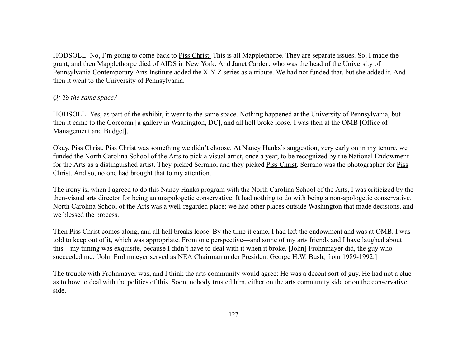HODSOLL: No, I'm going to come back to Piss Christ. This is all Mapplethorpe. They are separate issues. So, I made the grant, and then Mapplethorpe died of AIDS in New York. And Janet Carden, who was the head of the University of Pennsylvania Contemporary Arts Institute added the X-Y-Z series as a tribute. We had not funded that, but she added it. And then it went to the University of Pennsylvania.

## *Q: To the same space?*

HODSOLL: Yes, as part of the exhibit, it went to the same space. Nothing happened at the University of Pennsylvania, but then it came to the Corcoran [a gallery in Washington, DC], and all hell broke loose. I was then at the OMB [Office of Management and Budget].

Okay, Piss Christ. Piss Christ was something we didn't choose. At Nancy Hanks's suggestion, very early on in my tenure, we funded the North Carolina School of the Arts to pick a visual artist, once a year, to be recognized by the National Endowment for the Arts as a distinguished artist. They picked Serrano, and they picked Piss Christ. Serrano was the photographer for Piss Christ. And so, no one had brought that to my attention.

The irony is, when I agreed to do this Nancy Hanks program with the North Carolina School of the Arts, I was criticized by the then-visual arts director for being an unapologetic conservative. It had nothing to do with being a non-apologetic conservative. North Carolina School of the Arts was a well-regarded place; we had other places outside Washington that made decisions, and we blessed the process.

Then Piss Christ comes along, and all hell breaks loose. By the time it came, I had left the endowment and was at OMB. I was told to keep out of it, which was appropriate. From one perspective—and some of my arts friends and I have laughed about this—my timing was exquisite, because I didn't have to deal with it when it broke. [John] Frohnmayer did, the guy who succeeded me. [John Frohnmeyer served as NEA Chairman under President George H.W. Bush, from 1989-1992.]

The trouble with Frohnmayer was, and I think the arts community would agree: He was a decent sort of guy. He had not a clue as to how to deal with the politics of this. Soon, nobody trusted him, either on the arts community side or on the conservative side.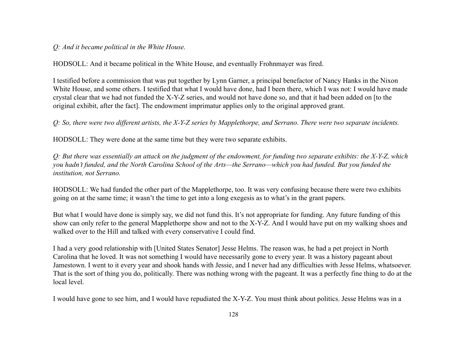### *Q: And it became political in the White House.*

HODSOLL: And it became political in the White House, and eventually Frohnmayer was fired.

I testified before a commission that was put together by Lynn Garner, a principal benefactor of Nancy Hanks in the Nixon White House, and some others. I testified that what I would have done, had I been there, which I was not: I would have made crystal clear that we had not funded the X-Y-Z series, and would not have done so, and that it had been added on [to the original exhibit, after the fact]. The endowment imprimatur applies only to the original approved grant.

*Q: So, there were two different artists, the X-Y-Z series by Mapplethorpe, and Serrano. There were two separate incidents.*

HODSOLL: They were done at the same time but they were two separate exhibits.

*Q: But there was essentially an attack on the judgment of the endowment, for funding two separate exhibits: the X-Y-Z, which you hadn't funded, and the North Carolina School of the Arts—the Serrano—which you had funded. But you funded the institution, not Serrano.*

HODSOLL: We had funded the other part of the Mapplethorpe, too. It was very confusing because there were two exhibits going on at the same time; it wasn't the time to get into a long exegesis as to what's in the grant papers.

But what I would have done is simply say, we did not fund this. It's not appropriate for funding. Any future funding of this show can only refer to the general Mapplethorpe show and not to the X-Y-Z. And I would have put on my walking shoes and walked over to the Hill and talked with every conservative I could find.

I had a very good relationship with [United States Senator] Jesse Helms. The reason was, he had a pet project in North Carolina that he loved. It was not something I would have necessarily gone to every year. It was a history pageant about Jamestown. I went to it every year and shook hands with Jessie, and I never had any difficulties with Jesse Helms, whatsoever. That is the sort of thing you do, politically. There was nothing wrong with the pageant. It was a perfectly fine thing to do at the local level.

I would have gone to see him, and I would have repudiated the X-Y-Z. You must think about politics. Jesse Helms was in a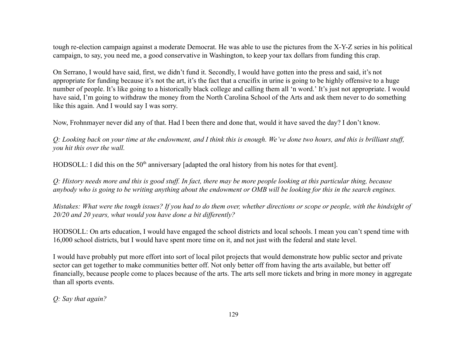tough re-election campaign against a moderate Democrat. He was able to use the pictures from the X-Y-Z series in his political campaign, to say, you need me, a good conservative in Washington, to keep your tax dollars from funding this crap.

On Serrano, I would have said, first, we didn't fund it. Secondly, I would have gotten into the press and said, it's not appropriate for funding because it's not the art, it's the fact that a crucifix in urine is going to be highly offensive to a huge number of people. It's like going to a historically black college and calling them all 'n word.' It's just not appropriate. I would have said, I'm going to withdraw the money from the North Carolina School of the Arts and ask them never to do something like this again. And I would say I was sorry.

Now, Frohnmayer never did any of that. Had I been there and done that, would it have saved the day? I don't know.

*Q: Looking back on your time at the endowment, and I think this is enough. We've done two hours, and this is brilliant stuff, you hit this over the wall.*

HODSOLL: I did this on the 50<sup>th</sup> anniversary [adapted the oral history from his notes for that event].

*Q: History needs more and this is good stuff. In fact, there may be more people looking at this particular thing, because anybody who is going to be writing anything about the endowment or OMB will be looking for this in the search engines.*

*Mistakes: What were the tough issues? If you had to do them over, whether directions or scope or people, with the hindsight of 20/20 and 20 years, what would you have done a bit differently?*

HODSOLL: On arts education, I would have engaged the school districts and local schools. I mean you can't spend time with 16,000 school districts, but I would have spent more time on it, and not just with the federal and state level.

I would have probably put more effort into sort of local pilot projects that would demonstrate how public sector and private sector can get together to make communities better off. Not only better off from having the arts available, but better off financially, because people come to places because of the arts. The arts sell more tickets and bring in more money in aggregate than all sports events.

*Q: Say that again?*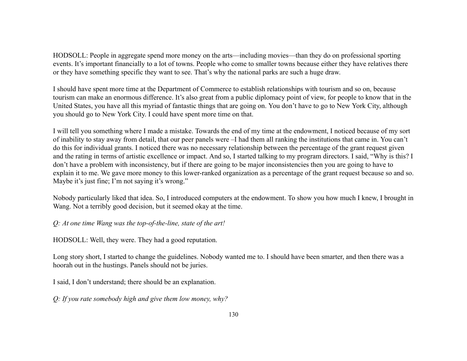HODSOLL: People in aggregate spend more money on the arts—including movies—than they do on professional sporting events. It's important financially to a lot of towns. People who come to smaller towns because either they have relatives there or they have something specific they want to see. That's why the national parks are such a huge draw.

I should have spent more time at the Department of Commerce to establish relationships with tourism and so on, because tourism can make an enormous difference. It's also great from a public diplomacy point of view, for people to know that in the United States, you have all this myriad of fantastic things that are going on. You don't have to go to New York City, although you should go to New York City. I could have spent more time on that.

I will tell you something where I made a mistake. Towards the end of my time at the endowment, I noticed because of my sort of inability to stay away from detail, that our peer panels were –I had them all ranking the institutions that came in. You can't do this for individual grants. I noticed there was no necessary relationship between the percentage of the grant request given and the rating in terms of artistic excellence or impact. And so, I started talking to my program directors. I said, "Why is this? I don't have a problem with inconsistency, but if there are going to be major inconsistencies then you are going to have to explain it to me. We gave more money to this lower-ranked organization as a percentage of the grant request because so and so. Maybe it's just fine; I'm not saying it's wrong."

Nobody particularly liked that idea. So, I introduced computers at the endowment. To show you how much I knew, I brought in Wang. Not a terribly good decision, but it seemed okay at the time.

*Q: At one time Wang was the top-of-the-line, state of the art!*

HODSOLL: Well, they were. They had a good reputation.

Long story short, I started to change the guidelines. Nobody wanted me to. I should have been smarter, and then there was a hoorah out in the hustings. Panels should not be juries.

I said, I don't understand; there should be an explanation.

*Q: If you rate somebody high and give them low money, why?*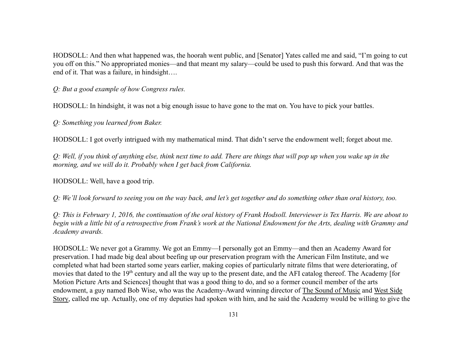HODSOLL: And then what happened was, the hoorah went public, and [Senator] Yates called me and said, "I'm going to cut you off on this." No appropriated monies—and that meant my salary—could be used to push this forward. And that was the end of it. That was a failure, in hindsight….

*Q: But a good example of how Congress rules.*

HODSOLL: In hindsight, it was not a big enough issue to have gone to the mat on. You have to pick your battles.

*Q: Something you learned from Baker.*

HODSOLL: I got overly intrigued with my mathematical mind. That didn't serve the endowment well; forget about me.

*Q: Well, if you think of anything else, think next time to add. There are things that will pop up when you wake up in the morning, and we will do it. Probably when I get back from California.*

HODSOLL: Well, have a good trip.

*Q: We'll look forward to seeing you on the way back, and let's get together and do something other than oral history, too.*

*Q: This is February 1, 2016, the continuation of the oral history of Frank Hodsoll. Interviewer is Tex Harris. We are about to begin with a little bit of a retrospective from Frank's work at the National Endowment for the Arts, dealing with Grammy and Academy awards.*

HODSOLL: We never got a Grammy. We got an Emmy—I personally got an Emmy—and then an Academy Award for preservation. I had made big deal about beefing up our preservation program with the American Film Institute, and we completed what had been started some years earlier, making copies of particularly nitrate films that were deteriorating, of movies that dated to the  $19<sup>th</sup>$  century and all the way up to the present date, and the AFI catalog thereof. The Academy [for Motion Picture Arts and Sciences] thought that was a good thing to do, and so a former council member of the arts endowment, a guy named Bob Wise, who was the Academy-Award winning director of The Sound of Music and West Side Story, called me up. Actually, one of my deputies had spoken with him, and he said the Academy would be willing to give the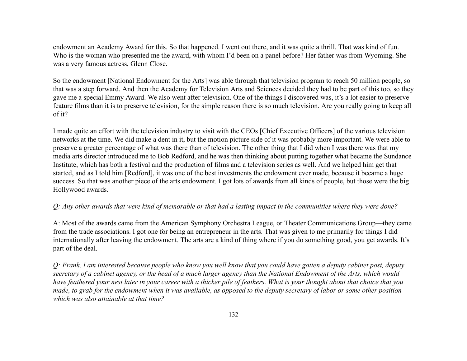endowment an Academy Award for this. So that happened. I went out there, and it was quite a thrill. That was kind of fun. Who is the woman who presented me the award, with whom I'd been on a panel before? Her father was from Wyoming. She was a very famous actress, Glenn Close.

So the endowment [National Endowment for the Arts] was able through that television program to reach 50 million people, so that was a step forward. And then the Academy for Television Arts and Sciences decided they had to be part of this too, so they gave me a special Emmy Award. We also went after television. One of the things I discovered was, it's a lot easier to preserve feature films than it is to preserve television, for the simple reason there is so much television. Are you really going to keep all of it?

I made quite an effort with the television industry to visit with the CEOs [Chief Executive Officers] of the various television networks at the time. We did make a dent in it, but the motion picture side of it was probably more important. We were able to preserve a greater percentage of what was there than of television. The other thing that I did when I was there was that my media arts director introduced me to Bob Redford, and he was then thinking about putting together what became the Sundance Institute, which has both a festival and the production of films and a television series as well. And we helped him get that started, and as I told him [Redford], it was one of the best investments the endowment ever made, because it became a huge success. So that was another piece of the arts endowment. I got lots of awards from all kinds of people, but those were the big Hollywood awards.

### *Q: Any other awards that were kind of memorable or that had a lasting impact in the communities where they were done?*

A: Most of the awards came from the American Symphony Orchestra League, or Theater Communications Group—they came from the trade associations. I got one for being an entrepreneur in the arts. That was given to me primarily for things I did internationally after leaving the endowment. The arts are a kind of thing where if you do something good, you get awards. It's part of the deal.

*Q: Frank, I am interested because people who know you well know that you could have gotten a deputy cabinet post, deputy secretary of a cabinet agency, or the head of a much larger agency than the National Endowment of the Arts, which would have feathered your nest later in your career with a thicker pile of feathers. What is your thought about that choice that you made, to grab for the endowment when it was available, as opposed to the deputy secretary of labor or some other position which was also attainable at that time?*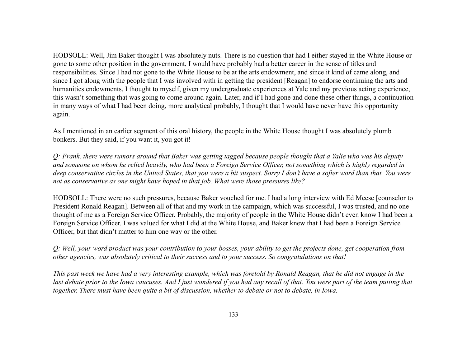HODSOLL: Well, Jim Baker thought I was absolutely nuts. There is no question that had I either stayed in the White House or gone to some other position in the government, I would have probably had a better career in the sense of titles and responsibilities. Since I had not gone to the White House to be at the arts endowment, and since it kind of came along, and since I got along with the people that I was involved with in getting the president [Reagan] to endorse continuing the arts and humanities endowments, I thought to myself, given my undergraduate experiences at Yale and my previous acting experience, this wasn't something that was going to come around again. Later, and if I had gone and done these other things, a continuation in many ways of what I had been doing, more analytical probably, I thought that I would have never have this opportunity again.

As I mentioned in an earlier segment of this oral history, the people in the White House thought I was absolutely plumb bonkers. But they said, if you want it, you got it!

*Q: Frank, there were rumors around that Baker was getting tagged because people thought that a Yalie who was his deputy and someone on whom he relied heavily, who had been a Foreign Service Officer, not something which is highly regarded in deep conservative circles in the United States, that you were a bit suspect. Sorry I don't have a softer word than that. You were not as conservative as one might have hoped in that job. What were those pressures like?*

HODSOLL: There were no such pressures, because Baker vouched for me. I had a long interview with Ed Meese [counselor to President Ronald Reagan]. Between all of that and my work in the campaign, which was successful, I was trusted, and no one thought of me as a Foreign Service Officer. Probably, the majority of people in the White House didn't even know I had been a Foreign Service Officer. I was valued for what I did at the White House, and Baker knew that I had been a Foreign Service Officer, but that didn't matter to him one way or the other.

*Q: Well, your word product was your contribution to your bosses, your ability to get the projects done, get cooperation from other agencies, was absolutely critical to their success and to your success. So congratulations on that!*

*This past week we have had a very interesting example, which was foretold by Ronald Reagan, that he did not engage in the* last debate prior to the Iowa caucuses. And I just wondered if you had any recall of that. You were part of the team putting that *together. There must have been quite a bit of discussion, whether to debate or not to debate, in Iowa.*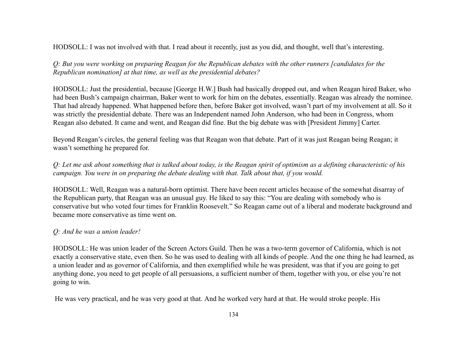HODSOLL: I was not involved with that. I read about it recently, just as you did, and thought, well that's interesting.

*Q: But you were working on preparing Reagan for the Republican debates with the other runners [candidates for the Republican nomination] at that time, as well as the presidential debates?*

HODSOLL: Just the presidential, because [George H.W.] Bush had basically dropped out, and when Reagan hired Baker, who had been Bush's campaign chairman, Baker went to work for him on the debates, essentially. Reagan was already the nominee. That had already happened. What happened before then, before Baker got involved, wasn't part of my involvement at all. So it was strictly the presidential debate. There was an Independent named John Anderson, who had been in Congress, whom Reagan also debated. It came and went, and Reagan did fine. But the big debate was with [President Jimmy] Carter.

Beyond Reagan's circles, the general feeling was that Reagan won that debate. Part of it was just Reagan being Reagan; it wasn't something he prepared for.

*Q: Let me ask about something that is talked about today, is the Reagan spirit of optimism as a defining characteristic of his campaign. You were in on preparing the debate dealing with that. Talk about that, if you would.*

HODSOLL: Well, Reagan was a natural-born optimist. There have been recent articles because of the somewhat disarray of the Republican party, that Reagan was an unusual guy. He liked to say this: "You are dealing with somebody who is conservative but who voted four times for Franklin Roosevelt." So Reagan came out of a liberal and moderate background and became more conservative as time went on.

## *Q: And he was a union leader!*

HODSOLL: He was union leader of the Screen Actors Guild. Then he was a two-term governor of California, which is not exactly a conservative state, even then. So he was used to dealing with all kinds of people. And the one thing he had learned, as a union leader and as governor of California, and then exemplified while he was president, was that if you are going to get anything done, you need to get people of all persuasions, a sufficient number of them, together with you, or else you're not going to win.

He was very practical, and he was very good at that. And he worked very hard at that. He would stroke people. His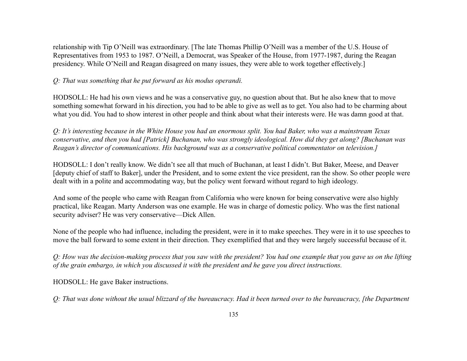relationship with Tip O'Neill was extraordinary. [The late Thomas Phillip O'Neill was a member of the U.S. House of Representatives from 1953 to 1987. O'Neill, a Democrat, was Speaker of the House, from 1977-1987, during the Reagan presidency. While O'Neill and Reagan disagreed on many issues, they were able to work together effectively.]

## *Q: That was something that he put forward as his modus operandi.*

HODSOLL: He had his own views and he was a conservative guy, no question about that. But he also knew that to move something somewhat forward in his direction, you had to be able to give as well as to get. You also had to be charming about what you did. You had to show interest in other people and think about what their interests were. He was damn good at that.

*Q: It's interesting because in the White House you had an enormous split. You had Baker, who was a mainstream Texas conservative, and then you had [Patrick] Buchanan, who was strongly ideological. How did they get along? [Buchanan was Reagan's director of communications. His background was as a conservative political commentator on television.]*

HODSOLL: I don't really know. We didn't see all that much of Buchanan, at least I didn't. But Baker, Meese, and Deaver [deputy chief of staff to Baker], under the President, and to some extent the vice president, ran the show. So other people were dealt with in a polite and accommodating way, but the policy went forward without regard to high ideology.

And some of the people who came with Reagan from California who were known for being conservative were also highly practical, like Reagan. Marty Anderson was one example. He was in charge of domestic policy. Who was the first national security adviser? He was very conservative—Dick Allen.

None of the people who had influence, including the president, were in it to make speeches. They were in it to use speeches to move the ball forward to some extent in their direction. They exemplified that and they were largely successful because of it.

*Q: How was the decision-making process that you saw with the president? You had one example that you gave us on the lifting of the grain embargo, in which you discussed it with the president and he gave you direct instructions.*

HODSOLL: He gave Baker instructions.

*Q: That was done without the usual blizzard of the bureaucracy. Had it been turned over to the bureaucracy, [the Department*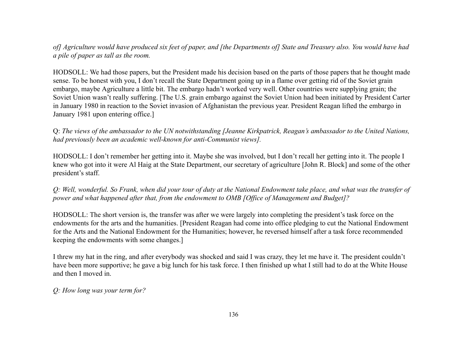*of] Agriculture would have produced six feet of paper, and [the Departments of] State and Treasury also. You would have had a pile of paper as tall as the room.*

HODSOLL: We had those papers, but the President made his decision based on the parts of those papers that he thought made sense. To be honest with you, I don't recall the State Department going up in a flame over getting rid of the Soviet grain embargo, maybe Agriculture a little bit. The embargo hadn't worked very well. Other countries were supplying grain; the Soviet Union wasn't really suffering. [The U.S. grain embargo against the Soviet Union had been initiated by President Carter in January 1980 in reaction to the Soviet invasion of Afghanistan the previous year. President Reagan lifted the embargo in January 1981 upon entering office.]

Q: *The views of the ambassador to the UN notwithstanding [Jeanne Kirkpatrick, Reagan's ambassador to the United Nations, had previously been an academic well-known for anti-Communist views].*

HODSOLL: I don't remember her getting into it. Maybe she was involved, but I don't recall her getting into it. The people I knew who got into it were Al Haig at the State Department, our secretary of agriculture [John R. Block] and some of the other president's staff.

*Q: Well, wonderful. So Frank, when did your tour of duty at the National Endowment take place, and what was the transfer of power and what happened after that, from the endowment to OMB [Office of Management and Budget]?*

HODSOLL: The short version is, the transfer was after we were largely into completing the president's task force on the endowments for the arts and the humanities. [President Reagan had come into office pledging to cut the National Endowment for the Arts and the National Endowment for the Humanities; however, he reversed himself after a task force recommended keeping the endowments with some changes.]

I threw my hat in the ring, and after everybody was shocked and said I was crazy, they let me have it. The president couldn't have been more supportive; he gave a big lunch for his task force. I then finished up what I still had to do at the White House and then I moved in.

*Q: How long was your term for?*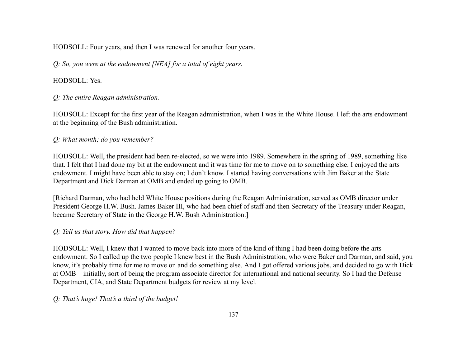HODSOLL: Four years, and then I was renewed for another four years.

*Q: So, you were at the endowment [NEA] for a total of eight years.*

## HODSOLL: Yes.

*Q: The entire Reagan administration.*

HODSOLL: Except for the first year of the Reagan administration, when I was in the White House. I left the arts endowment at the beginning of the Bush administration.

## *Q: What month; do you remember?*

HODSOLL: Well, the president had been re-elected, so we were into 1989. Somewhere in the spring of 1989, something like that. I felt that I had done my bit at the endowment and it was time for me to move on to something else. I enjoyed the arts endowment. I might have been able to stay on; I don't know. I started having conversations with Jim Baker at the State Department and Dick Darman at OMB and ended up going to OMB.

[Richard Darman, who had held White House positions during the Reagan Administration, served as OMB director under President George H.W. Bush. James Baker III, who had been chief of staff and then Secretary of the Treasury under Reagan, became Secretary of State in the George H.W. Bush Administration.]

# *Q: Tell us that story. How did that happen?*

HODSOLL: Well, I knew that I wanted to move back into more of the kind of thing I had been doing before the arts endowment. So I called up the two people I knew best in the Bush Administration, who were Baker and Darman, and said, you know, it's probably time for me to move on and do something else. And I got offered various jobs, and decided to go with Dick at OMB—initially, sort of being the program associate director for international and national security. So I had the Defense Department, CIA, and State Department budgets for review at my level.

*Q: That's huge! That's a third of the budget!*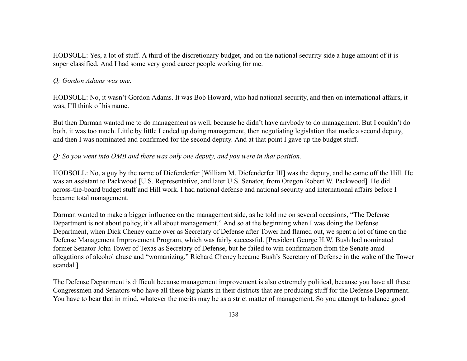HODSOLL: Yes, a lot of stuff. A third of the discretionary budget, and on the national security side a huge amount of it is super classified. And I had some very good career people working for me.

#### *Q: Gordon Adams was one.*

HODSOLL: No, it wasn't Gordon Adams. It was Bob Howard, who had national security, and then on international affairs, it was, I'll think of his name.

But then Darman wanted me to do management as well, because he didn't have anybody to do management. But I couldn't do both, it was too much. Little by little I ended up doing management, then negotiating legislation that made a second deputy, and then I was nominated and confirmed for the second deputy. And at that point I gave up the budget stuff.

### *Q: So you went into OMB and there was only one deputy, and you were in that position.*

HODSOLL: No, a guy by the name of Diefenderfer [William M. Diefenderfer III] was the deputy, and he came off the Hill. He was an assistant to Packwood [U.S. Representative, and later U.S. Senator, from Oregon Robert W. Packwood]. He did across-the-board budget stuff and Hill work. I had national defense and national security and international affairs before I became total management.

Darman wanted to make a bigger influence on the management side, as he told me on several occasions, "The Defense Department is not about policy, it's all about management." And so at the beginning when I was doing the Defense Department, when Dick Cheney came over as Secretary of Defense after Tower had flamed out, we spent a lot of time on the Defense Management Improvement Program, which was fairly successful. [President George H.W. Bush had nominated former Senator John Tower of Texas as Secretary of Defense, but he failed to win confirmation from the Senate amid allegations of alcohol abuse and "womanizing." Richard Cheney became Bush's Secretary of Defense in the wake of the Tower scandal.]

The Defense Department is difficult because management improvement is also extremely political, because you have all these Congressmen and Senators who have all these big plants in their districts that are producing stuff for the Defense Department. You have to bear that in mind, whatever the merits may be as a strict matter of management. So you attempt to balance good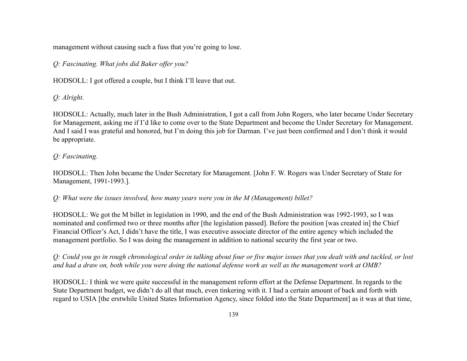management without causing such a fuss that you're going to lose.

# *Q: Fascinating. What jobs did Baker offer you?*

HODSOLL: I got offered a couple, but I think I'll leave that out.

*Q: Alright.*

HODSOLL: Actually, much later in the Bush Administration, I got a call from John Rogers, who later became Under Secretary for Management, asking me if I'd like to come over to the State Department and become the Under Secretary for Management. And I said I was grateful and honored, but I'm doing this job for Darman. I've just been confirmed and I don't think it would be appropriate.

# *Q: Fascinating.*

HODSOLL: Then John became the Under Secretary for Management. [John F. W. Rogers was Under Secretary of State for Management, 1991-1993.].

*Q: What were the issues involved, how many years were you in the M (Management) billet?*

HODSOLL: We got the M billet in legislation in 1990, and the end of the Bush Administration was 1992-1993, so I was nominated and confirmed two or three months after [the legislation passed]. Before the position [was created in] the Chief Financial Officer's Act, I didn't have the title, I was executive associate director of the entire agency which included the management portfolio. So I was doing the management in addition to national security the first year or two.

*Q: Could you go in rough chronological order in talking about four or five major issues that you dealt with and tackled, or lost and had a draw on, both while you were doing the national defense work as well as the management work at OMB?*

HODSOLL: I think we were quite successful in the management reform effort at the Defense Department. In regards to the State Department budget, we didn't do all that much, even tinkering with it. I had a certain amount of back and forth with regard to USIA [the erstwhile United States Information Agency, since folded into the State Department] as it was at that time,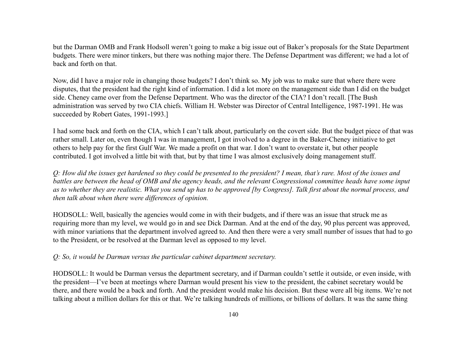but the Darman OMB and Frank Hodsoll weren't going to make a big issue out of Baker's proposals for the State Department budgets. There were minor tinkers, but there was nothing major there. The Defense Department was different; we had a lot of back and forth on that.

Now, did I have a major role in changing those budgets? I don't think so. My job was to make sure that where there were disputes, that the president had the right kind of information. I did a lot more on the management side than I did on the budget side. Cheney came over from the Defense Department. Who was the director of the CIA? I don't recall. [The Bush administration was served by two CIA chiefs. William H. Webster was Director of Central Intelligence, 1987-1991. He was succeeded by Robert Gates, 1991-1993.]

I had some back and forth on the CIA, which I can't talk about, particularly on the covert side. But the budget piece of that was rather small. Later on, even though I was in management, I got involved to a degree in the Baker-Cheney initiative to get others to help pay for the first Gulf War. We made a profit on that war. I don't want to overstate it, but other people contributed. I got involved a little bit with that, but by that time I was almost exclusively doing management stuff.

*Q: How did the issues get hardened so they could be presented to the president? I mean, that's rare. Most of the issues and battles are between the head of OMB and the agency heads, and the relevant Congressional committee heads have some input as to whether they are realistic. What you send up has to be approved [by Congress]. Talk first about the normal process, and then talk about when there were differences of opinion.*

HODSOLL: Well, basically the agencies would come in with their budgets, and if there was an issue that struck me as requiring more than my level, we would go in and see Dick Darman. And at the end of the day, 90 plus percent was approved, with minor variations that the department involved agreed to. And then there were a very small number of issues that had to go to the President, or be resolved at the Darman level as opposed to my level.

### *Q: So, it would be Darman versus the particular cabinet department secretary.*

HODSOLL: It would be Darman versus the department secretary, and if Darman couldn't settle it outside, or even inside, with the president—I've been at meetings where Darman would present his view to the president, the cabinet secretary would be there, and there would be a back and forth. And the president would make his decision. But these were all big items. We're not talking about a million dollars for this or that. We're talking hundreds of millions, or billions of dollars. It was the same thing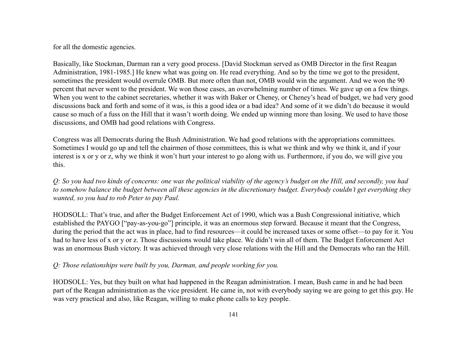for all the domestic agencies.

Basically, like Stockman, Darman ran a very good process. [David Stockman served as OMB Director in the first Reagan Administration, 1981-1985.] He knew what was going on. He read everything. And so by the time we got to the president, sometimes the president would overrule OMB. But more often than not, OMB would win the argument. And we won the 90 percent that never went to the president. We won those cases, an overwhelming number of times. We gave up on a few things. When you went to the cabinet secretaries, whether it was with Baker or Cheney, or Cheney's head of budget, we had very good discussions back and forth and some of it was, is this a good idea or a bad idea? And some of it we didn't do because it would cause so much of a fuss on the Hill that it wasn't worth doing. We ended up winning more than losing. We used to have those discussions, and OMB had good relations with Congress.

Congress was all Democrats during the Bush Administration. We had good relations with the appropriations committees. Sometimes I would go up and tell the chairmen of those committees, this is what we think and why we think it, and if your interest is x or y or z, why we think it won't hurt your interest to go along with us. Furthermore, if you do, we will give you this.

*Q: So you had two kinds of concerns: one was the political viability of the agency's budget on the Hill, and secondly, you had to somehow balance the budget between all these agencies in the discretionary budget. Everybody couldn't get everything they wanted, so you had to rob Peter to pay Paul.*

HODSOLL: That's true, and after the Budget Enforcement Act of 1990, which was a Bush Congressional initiative, which established the PAYGO ["pay-as-you-go"] principle, it was an enormous step forward. Because it meant that the Congress, during the period that the act was in place, had to find resources—it could be increased taxes or some offset—to pay for it. You had to have less of x or y or z. Those discussions would take place. We didn't win all of them. The Budget Enforcement Act was an enormous Bush victory. It was achieved through very close relations with the Hill and the Democrats who ran the Hill.

# *Q: Those relationships were built by you, Darman, and people working for you.*

HODSOLL: Yes, but they built on what had happened in the Reagan administration. I mean, Bush came in and he had been part of the Reagan administration as the vice president. He came in, not with everybody saying we are going to get this guy. He was very practical and also, like Reagan, willing to make phone calls to key people.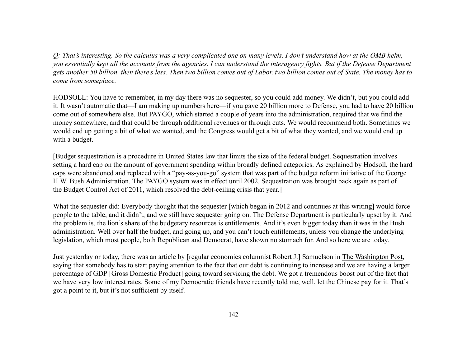*Q: That's interesting. So the calculus was a very complicated one on many levels. I don't understand how at the OMB helm, you essentially kept all the accounts from the agencies. I can understand the interagency fights. But if the Defense Department gets another 50 billion, then there's less. Then two billion comes out of Labor, two billion comes out of State. The money has to come from someplace.*

HODSOLL: You have to remember, in my day there was no sequester, so you could add money. We didn't, but you could add it. It wasn't automatic that—I am making up numbers here—if you gave 20 billion more to Defense, you had to have 20 billion come out of somewhere else. But PAYGO, which started a couple of years into the administration, required that we find the money somewhere, and that could be through additional revenues or through cuts. We would recommend both. Sometimes we would end up getting a bit of what we wanted, and the Congress would get a bit of what they wanted, and we would end up with a budget.

[Budget sequestration is a procedure in United States law that limits the size of the federal budget. Sequestration involves setting a hard cap on the amount of government spending within broadly defined categories. As explained by Hodsoll, the hard caps were abandoned and replaced with a "pay-as-you-go" system that was part of the budget reform initiative of the George H.W. Bush Administration. The PAYGO system was in effect until 2002. Sequestration was brought back again as part of the Budget Control Act of 2011, which resolved the debt-ceiling crisis that year.]

What the sequester did: Everybody thought that the sequester [which began in 2012 and continues at this writing] would force people to the table, and it didn't, and we still have sequester going on. The Defense Department is particularly upset by it. And the problem is, the lion's share of the budgetary resources is entitlements. And it's even bigger today than it was in the Bush administration. Well over half the budget, and going up, and you can't touch entitlements, unless you change the underlying legislation, which most people, both Republican and Democrat, have shown no stomach for. And so here we are today.

Just yesterday or today, there was an article by [regular economics columnist Robert J.] Samuelson in The Washington Post, saying that somebody has to start paying attention to the fact that our debt is continuing to increase and we are having a larger percentage of GDP [Gross Domestic Product] going toward servicing the debt. We got a tremendous boost out of the fact that we have very low interest rates. Some of my Democratic friends have recently told me, well, let the Chinese pay for it. That's got a point to it, but it's not sufficient by itself.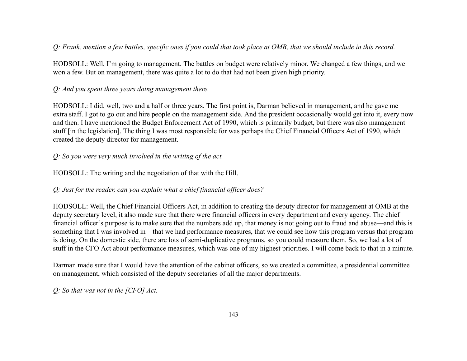## *Q: Frank, mention a few battles, specific ones if you could that took place at OMB, that we should include in this record.*

HODSOLL: Well, I'm going to management. The battles on budget were relatively minor. We changed a few things, and we won a few. But on management, there was quite a lot to do that had not been given high priority.

## *Q: And you spent three years doing management there.*

HODSOLL: I did, well, two and a half or three years. The first point is, Darman believed in management, and he gave me extra staff. I got to go out and hire people on the management side. And the president occasionally would get into it, every now and then. I have mentioned the Budget Enforcement Act of 1990, which is primarily budget, but there was also management stuff [in the legislation]. The thing I was most responsible for was perhaps the Chief Financial Officers Act of 1990, which created the deputy director for management.

### *Q: So you were very much involved in the writing of the act.*

HODSOLL: The writing and the negotiation of that with the Hill.

## *Q: Just for the reader, can you explain what a chief financial officer does?*

HODSOLL: Well, the Chief Financial Officers Act, in addition to creating the deputy director for management at OMB at the deputy secretary level, it also made sure that there were financial officers in every department and every agency. The chief financial officer's purpose is to make sure that the numbers add up, that money is not going out to fraud and abuse—and this is something that I was involved in—that we had performance measures, that we could see how this program versus that program is doing. On the domestic side, there are lots of semi-duplicative programs, so you could measure them. So, we had a lot of stuff in the CFO Act about performance measures, which was one of my highest priorities. I will come back to that in a minute.

Darman made sure that I would have the attention of the cabinet officers, so we created a committee, a presidential committee on management, which consisted of the deputy secretaries of all the major departments.

*Q: So that was not in the [CFO] Act.*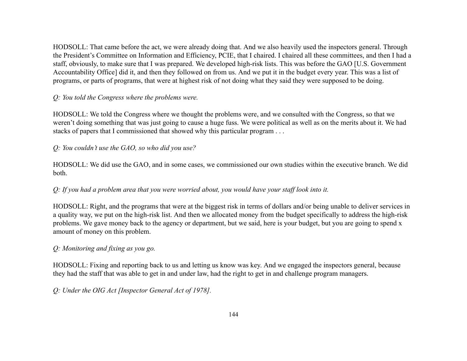HODSOLL: That came before the act, we were already doing that. And we also heavily used the inspectors general. Through the President's Committee on Information and Efficiency, PCIE, that I chaired. I chaired all these committees, and then I had a staff, obviously, to make sure that I was prepared. We developed high-risk lists. This was before the GAO [U.S. Government Accountability Office] did it, and then they followed on from us. And we put it in the budget every year. This was a list of programs, or parts of programs, that were at highest risk of not doing what they said they were supposed to be doing.

## *Q: You told the Congress where the problems were.*

HODSOLL: We told the Congress where we thought the problems were, and we consulted with the Congress, so that we weren't doing something that was just going to cause a huge fuss. We were political as well as on the merits about it. We had stacks of papers that I commissioned that showed why this particular program . . .

## *Q: You couldn't use the GAO, so who did you use?*

HODSOLL: We did use the GAO, and in some cases, we commissioned our own studies within the executive branch. We did both.

# *Q: If you had a problem area that you were worried about, you would have your staff look into it.*

HODSOLL: Right, and the programs that were at the biggest risk in terms of dollars and/or being unable to deliver services in a quality way, we put on the high-risk list. And then we allocated money from the budget specifically to address the high-risk problems. We gave money back to the agency or department, but we said, here is your budget, but you are going to spend x amount of money on this problem.

## *Q: Monitoring and fixing as you go.*

HODSOLL: Fixing and reporting back to us and letting us know was key. And we engaged the inspectors general, because they had the staff that was able to get in and under law, had the right to get in and challenge program managers.

*Q: Under the OIG Act [Inspector General Act of 1978].*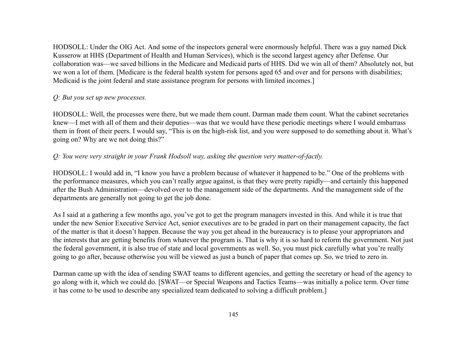HODSOLL: Under the OIG Act. And some of the inspectors general were enormously helpful. There was a guy named Dick Kusserow at HHS (Department of Health and Human Services), which is the second largest agency after Defense. Our collaboration was—we saved billions in the Medicare and Medicaid parts of HHS. Did we win all of them? Absolutely not, but we won a lot of them. [Medicare is the federal health system for persons aged 65 and over and for persons with disabilities; Medicaid is the joint federal and state assistance program for persons with limited incomes.]

### *Q: But you set up new processes.*

HODSOLL: Well, the processes were there, but we made them count. Darman made them count. What the cabinet secretaries knew—I met with all of them and their deputies—was that we would have these periodic meetings where I would embarrass them in front of their peers. I would say, "This is on the high-risk list, and you were supposed to do something about it. What's going on? Why are we not doing this?"

## *Q: You were very straight in your Frank Hodsoll way, asking the question very matter-of-factly.*

HODSOLL: I would add in, "I know you have a problem because of whatever it happened to be." One of the problems with the performance measures, which you can't really argue against, is that they were pretty rapidly—and certainly this happened after the Bush Administration—devolved over to the management side of the departments. And the management side of the departments are generally not going to get the job done.

As I said at a gathering a few months ago, you've got to get the program managers invested in this. And while it is true that under the new Senior Executive Service Act, senior executives are to be graded in part on their management capacity, the fact of the matter is that it doesn't happen. Because the way you get ahead in the bureaucracy is to please your appropriators and the interests that are getting benefits from whatever the program is. That is why it is so hard to reform the government. Not just the federal government, it is also true of state and local governments as well. So, you must pick carefully what you're really going to go after, because otherwise you will be viewed as just a bunch of paper that comes up. So, we tried to zero in.

Darman came up with the idea of sending SWAT teams to different agencies, and getting the secretary or head of the agency to go along with it, which we could do. [SWAT—or Special Weapons and Tactics Teams—was initially a police term. Over time it has come to be used to describe any specialized team dedicated to solving a difficult problem.]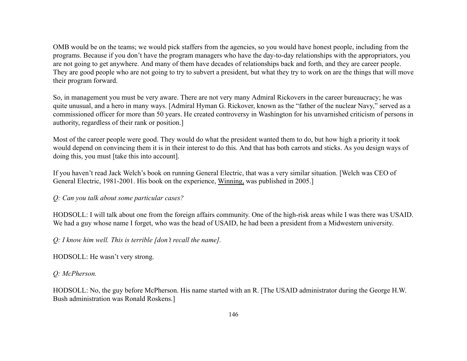OMB would be on the teams; we would pick staffers from the agencies, so you would have honest people, including from the programs. Because if you don't have the program managers who have the day-to-day relationships with the appropriators, you are not going to get anywhere. And many of them have decades of relationships back and forth, and they are career people. They are good people who are not going to try to subvert a president, but what they try to work on are the things that will move their program forward.

So, in management you must be very aware. There are not very many Admiral Rickovers in the career bureaucracy; he was quite unusual, and a hero in many ways. [Admiral Hyman G. Rickover, known as the "father of the nuclear Navy," served as a commissioned officer for more than 50 years. He created controversy in Washington for his unvarnished criticism of persons in authority, regardless of their rank or position.]

Most of the career people were good. They would do what the president wanted them to do, but how high a priority it took would depend on convincing them it is in their interest to do this. And that has both carrots and sticks. As you design ways of doing this, you must [take this into account].

If you haven't read Jack Welch's book on running General Electric, that was a very similar situation. [Welch was CEO of General Electric, 1981-2001. His book on the experience, Winning, was published in 2005.]

#### *Q: Can you talk about some particular cases?*

HODSOLL: I will talk about one from the foreign affairs community. One of the high-risk areas while I was there was USAID. We had a guy whose name I forget, who was the head of USAID, he had been a president from a Midwestern university.

*Q: I know him well. This is terrible [don't recall the name].*

HODSOLL: He wasn't very strong.

## *Q: McPherson.*

HODSOLL: No, the guy before McPherson. His name started with an R. [The USAID administrator during the George H.W. Bush administration was Ronald Roskens.]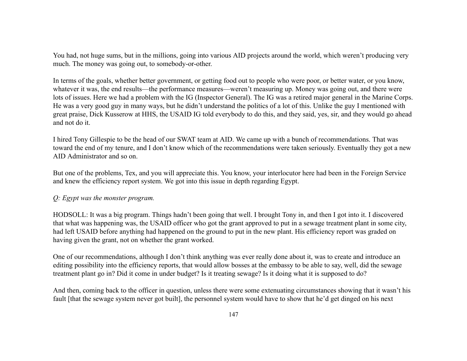You had, not huge sums, but in the millions, going into various AID projects around the world, which weren't producing very much. The money was going out, to somebody-or-other.

In terms of the goals, whether better government, or getting food out to people who were poor, or better water, or you know, whatever it was, the end results—the performance measures—weren't measuring up. Money was going out, and there were lots of issues. Here we had a problem with the IG (Inspector General). The IG was a retired major general in the Marine Corps. He was a very good guy in many ways, but he didn't understand the politics of a lot of this. Unlike the guy I mentioned with great praise, Dick Kusserow at HHS, the USAID IG told everybody to do this, and they said, yes, sir, and they would go ahead and not do it.

I hired Tony Gillespie to be the head of our SWAT team at AID. We came up with a bunch of recommendations. That was toward the end of my tenure, and I don't know which of the recommendations were taken seriously. Eventually they got a new AID Administrator and so on.

But one of the problems, Tex, and you will appreciate this. You know, your interlocutor here had been in the Foreign Service and knew the efficiency report system. We got into this issue in depth regarding Egypt.

#### *Q: Egypt was the monster program.*

HODSOLL: It was a big program. Things hadn't been going that well. I brought Tony in, and then I got into it. I discovered that what was happening was, the USAID officer who got the grant approved to put in a sewage treatment plant in some city, had left USAID before anything had happened on the ground to put in the new plant. His efficiency report was graded on having given the grant, not on whether the grant worked.

One of our recommendations, although I don't think anything was ever really done about it, was to create and introduce an editing possibility into the efficiency reports, that would allow bosses at the embassy to be able to say, well, did the sewage treatment plant go in? Did it come in under budget? Is it treating sewage? Is it doing what it is supposed to do?

And then, coming back to the officer in question, unless there were some extenuating circumstances showing that it wasn't his fault [that the sewage system never got built], the personnel system would have to show that he'd get dinged on his next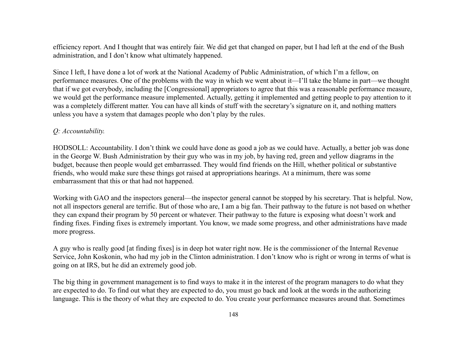efficiency report. And I thought that was entirely fair. We did get that changed on paper, but I had left at the end of the Bush administration, and I don't know what ultimately happened.

Since I left, I have done a lot of work at the National Academy of Public Administration, of which I'm a fellow, on performance measures. One of the problems with the way in which we went about it—I'll take the blame in part—we thought that if we got everybody, including the [Congressional] appropriators to agree that this was a reasonable performance measure, we would get the performance measure implemented. Actually, getting it implemented and getting people to pay attention to it was a completely different matter. You can have all kinds of stuff with the secretary's signature on it, and nothing matters unless you have a system that damages people who don't play by the rules.

#### *Q: Accountability.*

HODSOLL: Accountability. I don't think we could have done as good a job as we could have. Actually, a better job was done in the George W. Bush Administration by their guy who was in my job, by having red, green and yellow diagrams in the budget, because then people would get embarrassed. They would find friends on the Hill, whether political or substantive friends, who would make sure these things got raised at appropriations hearings. At a minimum, there was some embarrassment that this or that had not happened.

Working with GAO and the inspectors general—the inspector general cannot be stopped by his secretary. That is helpful. Now, not all inspectors general are terrific. But of those who are, I am a big fan. Their pathway to the future is not based on whether they can expand their program by 50 percent or whatever. Their pathway to the future is exposing what doesn't work and finding fixes. Finding fixes is extremely important. You know, we made some progress, and other administrations have made more progress.

A guy who is really good [at finding fixes] is in deep hot water right now. He is the commissioner of the Internal Revenue Service, John Koskonin, who had my job in the Clinton administration. I don't know who is right or wrong in terms of what is going on at IRS, but he did an extremely good job.

The big thing in government management is to find ways to make it in the interest of the program managers to do what they are expected to do. To find out what they are expected to do, you must go back and look at the words in the authorizing language. This is the theory of what they are expected to do. You create your performance measures around that. Sometimes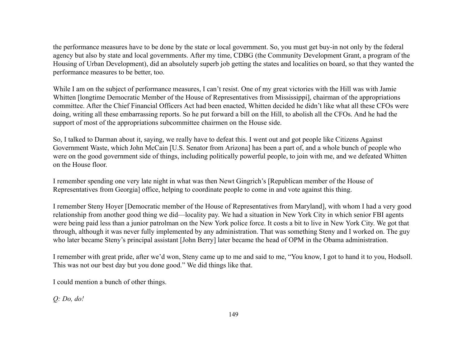the performance measures have to be done by the state or local government. So, you must get buy-in not only by the federal agency but also by state and local governments. After my time, CDBG (the Community Development Grant, a program of the Housing of Urban Development), did an absolutely superb job getting the states and localities on board, so that they wanted the performance measures to be better, too.

While I am on the subject of performance measures, I can't resist. One of my great victories with the Hill was with Jamie Whitten [longtime Democratic Member of the House of Representatives from Mississippi], chairman of the appropriations committee. After the Chief Financial Officers Act had been enacted, Whitten decided he didn't like what all these CFOs were doing, writing all these embarrassing reports. So he put forward a bill on the Hill, to abolish all the CFOs. And he had the support of most of the appropriations subcommittee chairmen on the House side.

So, I talked to Darman about it, saying, we really have to defeat this. I went out and got people like Citizens Against Government Waste, which John McCain [U.S. Senator from Arizona] has been a part of, and a whole bunch of people who were on the good government side of things, including politically powerful people, to join with me, and we defeated Whitten on the House floor.

I remember spending one very late night in what was then Newt Gingrich's [Republican member of the House of Representatives from Georgia] office, helping to coordinate people to come in and vote against this thing.

I remember Steny Hoyer [Democratic member of the House of Representatives from Maryland], with whom I had a very good relationship from another good thing we did—locality pay. We had a situation in New York City in which senior FBI agents were being paid less than a junior patrolman on the New York police force. It costs a bit to live in New York City. We got that through, although it was never fully implemented by any administration. That was something Steny and I worked on. The guy who later became Steny's principal assistant [John Berry] later became the head of OPM in the Obama administration.

I remember with great pride, after we'd won, Steny came up to me and said to me, "You know, I got to hand it to you, Hodsoll. This was not our best day but you done good." We did things like that.

I could mention a bunch of other things.

*Q: Do, do!*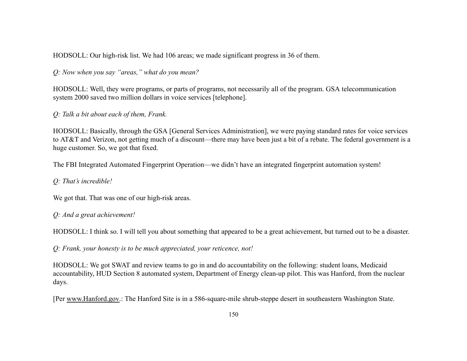HODSOLL: Our high-risk list. We had 106 areas; we made significant progress in 36 of them.

*Q: Now when you say "areas," what do you mean?*

HODSOLL: Well, they were programs, or parts of programs, not necessarily all of the program. GSA telecommunication system 2000 saved two million dollars in voice services [telephone].

*Q: Talk a bit about each of them, Frank.*

HODSOLL: Basically, through the GSA [General Services Administration], we were paying standard rates for voice services to AT&T and Verizon, not getting much of a discount—there may have been just a bit of a rebate. The federal government is a huge customer. So, we got that fixed.

The FBI Integrated Automated Fingerprint Operation—we didn't have an integrated fingerprint automation system!

*Q: That's incredible!*

We got that. That was one of our high-risk areas.

*Q: And a great achievement!*

HODSOLL: I think so. I will tell you about something that appeared to be a great achievement, but turned out to be a disaster.

*Q: Frank, your honesty is to be much appreciated, your reticence, not!*

HODSOLL: We got SWAT and review teams to go in and do accountability on the following: student loans, Medicaid accountability, HUD Section 8 automated system, Department of Energy clean-up pilot. This was Hanford, from the nuclear days.

[Per [www.Hanford.gov](http://www.hanford.gov/).: The Hanford Site is in a 586-square-mile shrub-steppe desert in southeastern Washington State.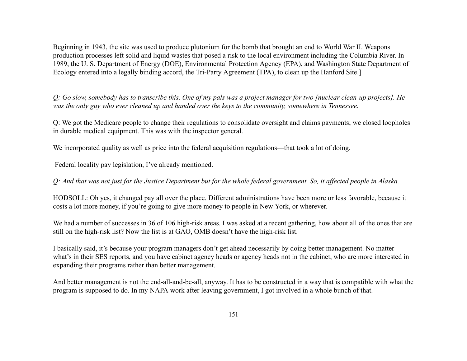Beginning in 1943, the site was used to produce plutonium for the bomb that brought an end to World War II. Weapons production processes left solid and liquid wastes that posed a risk to the local environment including the Columbia River. In 1989, the U. S. Department of Energy (DOE), Environmental Protection Agency (EPA), and Washington State Department of Ecology entered into a legally binding accord, the Tri-Party Agreement (TPA), to clean up the Hanford Site.]

*Q: Go slow, somebody has to transcribe this. One of my pals was a project manager for two [nuclear clean-up projects]. He was the only guy who ever cleaned up and handed over the keys to the community, somewhere in Tennessee.*

Q: We got the Medicare people to change their regulations to consolidate oversight and claims payments; we closed loopholes in durable medical equipment. This was with the inspector general.

We incorporated quality as well as price into the federal acquisition regulations—that took a lot of doing.

Federal locality pay legislation, I've already mentioned.

*Q: And that was not just for the Justice Department but for the whole federal government. So, it affected people in Alaska.*

HODSOLL: Oh yes, it changed pay all over the place. Different administrations have been more or less favorable, because it costs a lot more money, if you're going to give more money to people in New York, or wherever.

We had a number of successes in 36 of 106 high-risk areas. I was asked at a recent gathering, how about all of the ones that are still on the high-risk list? Now the list is at GAO, OMB doesn't have the high-risk list.

I basically said, it's because your program managers don't get ahead necessarily by doing better management. No matter what's in their SES reports, and you have cabinet agency heads or agency heads not in the cabinet, who are more interested in expanding their programs rather than better management.

And better management is not the end-all-and-be-all, anyway. It has to be constructed in a way that is compatible with what the program is supposed to do. In my NAPA work after leaving government, I got involved in a whole bunch of that.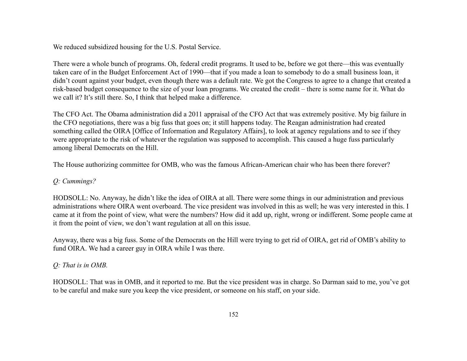We reduced subsidized housing for the U.S. Postal Service.

There were a whole bunch of programs. Oh, federal credit programs. It used to be, before we got there—this was eventually taken care of in the Budget Enforcement Act of 1990—that if you made a loan to somebody to do a small business loan, it didn't count against your budget, even though there was a default rate. We got the Congress to agree to a change that created a risk-based budget consequence to the size of your loan programs. We created the credit – there is some name for it. What do we call it? It's still there. So, I think that helped make a difference.

The CFO Act. The Obama administration did a 2011 appraisal of the CFO Act that was extremely positive. My big failure in the CFO negotiations, there was a big fuss that goes on; it still happens today. The Reagan administration had created something called the OIRA [Office of Information and Regulatory Affairs], to look at agency regulations and to see if they were appropriate to the risk of whatever the regulation was supposed to accomplish. This caused a huge fuss particularly among liberal Democrats on the Hill.

The House authorizing committee for OMB, who was the famous African-American chair who has been there forever?

# *Q: Cummings?*

HODSOLL: No. Anyway, he didn't like the idea of OIRA at all. There were some things in our administration and previous administrations where OIRA went overboard. The vice president was involved in this as well; he was very interested in this. I came at it from the point of view, what were the numbers? How did it add up, right, wrong or indifferent. Some people came at it from the point of view, we don't want regulation at all on this issue.

Anyway, there was a big fuss. Some of the Democrats on the Hill were trying to get rid of OIRA, get rid of OMB's ability to fund OIRA. We had a career guy in OIRA while I was there.

# *Q: That is in OMB.*

HODSOLL: That was in OMB, and it reported to me. But the vice president was in charge. So Darman said to me, you've got to be careful and make sure you keep the vice president, or someone on his staff, on your side.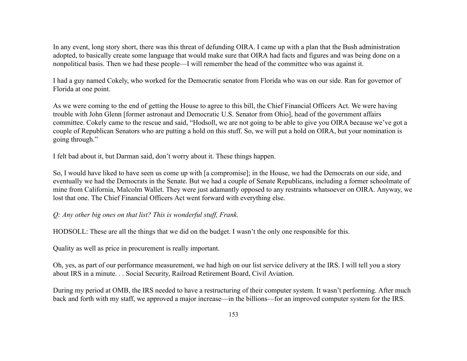In any event, long story short, there was this threat of defunding OIRA. I came up with a plan that the Bush administration adopted, to basically create some language that would make sure that OIRA had facts and figures and was being done on a nonpolitical basis. Then we had these people—I will remember the head of the committee who was against it.

I had a guy named Cokely, who worked for the Democratic senator from Florida who was on our side. Ran for governor of Florida at one point.

As we were coming to the end of getting the House to agree to this bill, the Chief Financial Officers Act. We were having trouble with John Glenn [former astronaut and Democratic U.S. Senator from Ohio], head of the government affairs committee. Cokely came to the rescue and said, "Hodsoll, we are not going to be able to give you OIRA because we've got a couple of Republican Senators who are putting a hold on this stuff. So, we will put a hold on OIRA, but your nomination is going through."

I felt bad about it, but Darman said, don't worry about it. These things happen.

So, I would have liked to have seen us come up with [a compromise]; in the House, we had the Democrats on our side, and eventually we had the Democrats in the Senate. But we had a couple of Senate Republicans, including a former schoolmate of mine from California, Malcolm Wallet. They were just adamantly opposed to any restraints whatsoever on OIRA. Anyway, we lost that one. The Chief Financial Officers Act went forward with everything else.

#### *Q: Any other big ones on that list? This is wonderful stuff, Frank.*

HODSOLL: These are all the things that we did on the budget. I wasn't the only one responsible for this.

Quality as well as price in procurement is really important.

Oh, yes, as part of our performance measurement, we had high on our list service delivery at the IRS. I will tell you a story about IRS in a minute. . . Social Security, Railroad Retirement Board, Civil Aviation.

During my period at OMB, the IRS needed to have a restructuring of their computer system. It wasn't performing. After much back and forth with my staff, we approved a major increase—in the billions—for an improved computer system for the IRS.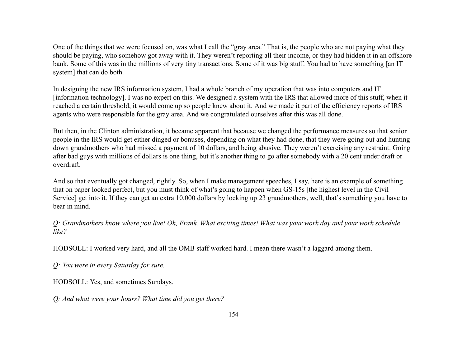One of the things that we were focused on, was what I call the "gray area." That is, the people who are not paying what they should be paying, who somehow got away with it. They weren't reporting all their income, or they had hidden it in an offshore bank. Some of this was in the millions of very tiny transactions. Some of it was big stuff. You had to have something [an IT system] that can do both.

In designing the new IRS information system, I had a whole branch of my operation that was into computers and IT [information technology]. I was no expert on this. We designed a system with the IRS that allowed more of this stuff, when it reached a certain threshold, it would come up so people knew about it. And we made it part of the efficiency reports of IRS agents who were responsible for the gray area. And we congratulated ourselves after this was all done.

But then, in the Clinton administration, it became apparent that because we changed the performance measures so that senior people in the IRS would get either dinged or bonuses, depending on what they had done, that they were going out and hunting down grandmothers who had missed a payment of 10 dollars, and being abusive. They weren't exercising any restraint. Going after bad guys with millions of dollars is one thing, but it's another thing to go after somebody with a 20 cent under draft or overdraft.

And so that eventually got changed, rightly. So, when I make management speeches, I say, here is an example of something that on paper looked perfect, but you must think of what's going to happen when GS-15s [the highest level in the Civil Service] get into it. If they can get an extra 10,000 dollars by locking up 23 grandmothers, well, that's something you have to bear in mind.

*Q: Grandmothers know where you live! Oh, Frank. What exciting times! What was your work day and your work schedule like?*

HODSOLL: I worked very hard, and all the OMB staff worked hard. I mean there wasn't a laggard among them.

*Q: You were in every Saturday for sure.*

HODSOLL: Yes, and sometimes Sundays.

*Q: And what were your hours? What time did you get there?*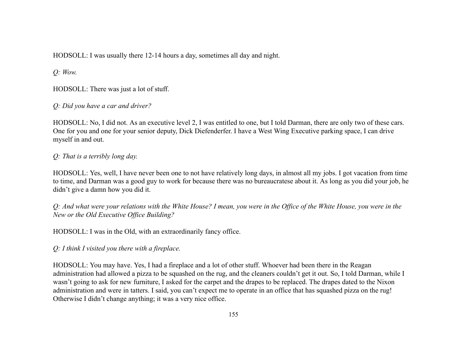HODSOLL: I was usually there 12-14 hours a day, sometimes all day and night.

*Q: Wow.*

HODSOLL: There was just a lot of stuff.

*Q: Did you have a car and driver?*

HODSOLL: No, I did not. As an executive level 2, I was entitled to one, but I told Darman, there are only two of these cars. One for you and one for your senior deputy, Dick Diefenderfer. I have a West Wing Executive parking space, I can drive myself in and out.

*Q: That is a terribly long day.*

HODSOLL: Yes, well, I have never been one to not have relatively long days, in almost all my jobs. I got vacation from time to time, and Darman was a good guy to work for because there was no bureaucratese about it. As long as you did your job, he didn't give a damn how you did it.

*Q: And what were your relations with the White House? I mean, you were in the Office of the White House, you were in the New or the Old Executive Office Building?*

HODSOLL: I was in the Old, with an extraordinarily fancy office.

*Q: I think I visited you there with a fireplace.*

HODSOLL: You may have. Yes, I had a fireplace and a lot of other stuff. Whoever had been there in the Reagan administration had allowed a pizza to be squashed on the rug, and the cleaners couldn't get it out. So, I told Darman, while I wasn't going to ask for new furniture, I asked for the carpet and the drapes to be replaced. The drapes dated to the Nixon administration and were in tatters. I said, you can't expect me to operate in an office that has squashed pizza on the rug! Otherwise I didn't change anything; it was a very nice office.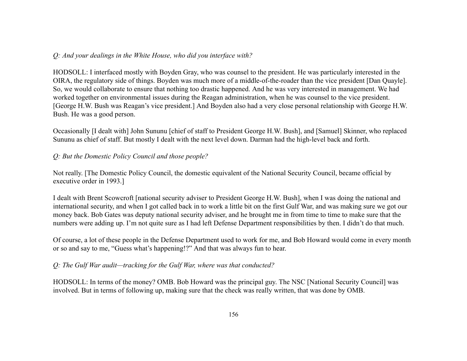#### *Q: And your dealings in the White House, who did you interface with?*

HODSOLL: I interfaced mostly with Boyden Gray, who was counsel to the president. He was particularly interested in the OIRA, the regulatory side of things. Boyden was much more of a middle-of-the-roader than the vice president [Dan Quayle]. So, we would collaborate to ensure that nothing too drastic happened. And he was very interested in management. We had worked together on environmental issues during the Reagan administration, when he was counsel to the vice president. [George H.W. Bush was Reagan's vice president.] And Boyden also had a very close personal relationship with George H.W. Bush. He was a good person.

Occasionally [I dealt with] John Sununu [chief of staff to President George H.W. Bush], and [Samuel] Skinner, who replaced Sununu as chief of staff. But mostly I dealt with the next level down. Darman had the high-level back and forth.

## *Q: But the Domestic Policy Council and those people?*

Not really. [The Domestic Policy Council, the domestic equivalent of the National Security Council, became official by executive order in 1993.]

I dealt with Brent Scowcroft [national security adviser to President George H.W. Bush], when I was doing the national and international security, and when I got called back in to work a little bit on the first Gulf War, and was making sure we got our money back. Bob Gates was deputy national security adviser, and he brought me in from time to time to make sure that the numbers were adding up. I'm not quite sure as I had left Defense Department responsibilities by then. I didn't do that much.

Of course, a lot of these people in the Defense Department used to work for me, and Bob Howard would come in every month or so and say to me, "Guess what's happening!?" And that was always fun to hear.

#### *Q: The Gulf War audit—tracking for the Gulf War, where was that conducted?*

HODSOLL: In terms of the money? OMB. Bob Howard was the principal guy. The NSC [National Security Council] was involved. But in terms of following up, making sure that the check was really written, that was done by OMB.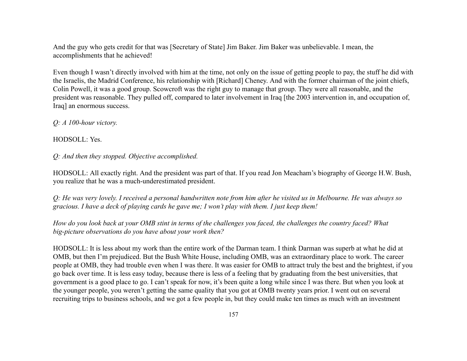And the guy who gets credit for that was [Secretary of State] Jim Baker. Jim Baker was unbelievable. I mean, the accomplishments that he achieved!

Even though I wasn't directly involved with him at the time, not only on the issue of getting people to pay, the stuff he did with the Israelis, the Madrid Conference, his relationship with [Richard] Cheney. And with the former chairman of the joint chiefs, Colin Powell, it was a good group. Scowcroft was the right guy to manage that group. They were all reasonable, and the president was reasonable. They pulled off, compared to later involvement in Iraq [the 2003 intervention in, and occupation of, Iraq] an enormous success.

*Q: A 100-hour victory.*

HODSOLL: Yes.

*Q: And then they stopped. Objective accomplished.*

HODSOLL: All exactly right. And the president was part of that. If you read Jon Meacham's biography of George H.W. Bush, you realize that he was a much-underestimated president.

*Q: He was very lovely. I received a personal handwritten note from him after he visited us in Melbourne. He was always so gracious. I have a deck of playing cards he gave me; I won't play with them. I just keep them!*

*How do you look back at your OMB stint in terms of the challenges you faced, the challenges the country faced? What big-picture observations do you have about your work then?*

HODSOLL: It is less about my work than the entire work of the Darman team. I think Darman was superb at what he did at OMB, but then I'm prejudiced. But the Bush White House, including OMB, was an extraordinary place to work. The career people at OMB, they had trouble even when I was there. It was easier for OMB to attract truly the best and the brightest, if you go back over time. It is less easy today, because there is less of a feeling that by graduating from the best universities, that government is a good place to go. I can't speak for now, it's been quite a long while since I was there. But when you look at the younger people, you weren't getting the same quality that you got at OMB twenty years prior. I went out on several recruiting trips to business schools, and we got a few people in, but they could make ten times as much with an investment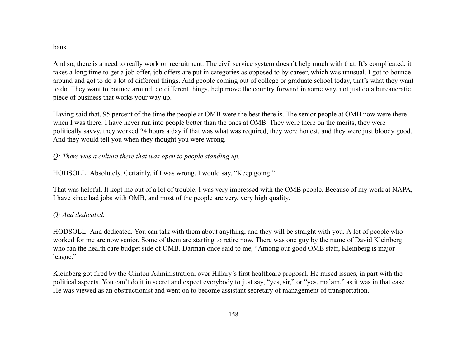#### bank.

And so, there is a need to really work on recruitment. The civil service system doesn't help much with that. It's complicated, it takes a long time to get a job offer, job offers are put in categories as opposed to by career, which was unusual. I got to bounce around and got to do a lot of different things. And people coming out of college or graduate school today, that's what they want to do. They want to bounce around, do different things, help move the country forward in some way, not just do a bureaucratic piece of business that works your way up.

Having said that, 95 percent of the time the people at OMB were the best there is. The senior people at OMB now were there when I was there. I have never run into people better than the ones at OMB. They were there on the merits, they were politically savvy, they worked 24 hours a day if that was what was required, they were honest, and they were just bloody good. And they would tell you when they thought you were wrong.

### *Q: There was a culture there that was open to people standing up.*

HODSOLL: Absolutely. Certainly, if I was wrong, I would say, "Keep going."

That was helpful. It kept me out of a lot of trouble. I was very impressed with the OMB people. Because of my work at NAPA, I have since had jobs with OMB, and most of the people are very, very high quality.

## *Q: And dedicated.*

HODSOLL: And dedicated. You can talk with them about anything, and they will be straight with you. A lot of people who worked for me are now senior. Some of them are starting to retire now. There was one guy by the name of David Kleinberg who ran the health care budget side of OMB. Darman once said to me, "Among our good OMB staff, Kleinberg is major league."

Kleinberg got fired by the Clinton Administration, over Hillary's first healthcare proposal. He raised issues, in part with the political aspects. You can't do it in secret and expect everybody to just say, "yes, sir," or "yes, ma'am," as it was in that case. He was viewed as an obstructionist and went on to become assistant secretary of management of transportation.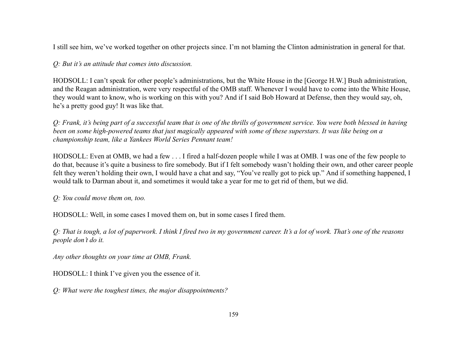I still see him, we've worked together on other projects since. I'm not blaming the Clinton administration in general for that.

### *Q: But it's an attitude that comes into discussion.*

HODSOLL: I can't speak for other people's administrations, but the White House in the [George H.W.] Bush administration, and the Reagan administration, were very respectful of the OMB staff. Whenever I would have to come into the White House, they would want to know, who is working on this with you? And if I said Bob Howard at Defense, then they would say, oh, he's a pretty good guy! It was like that.

*Q: Frank, it's being part of a successful team that is one of the thrills of government service. You were both blessed in having been on some high-powered teams that just magically appeared with some of these superstars. It was like being on a championship team, like a Yankees World Series Pennant team!*

HODSOLL: Even at OMB, we had a few . . . I fired a half-dozen people while I was at OMB. I was one of the few people to do that, because it's quite a business to fire somebody. But if I felt somebody wasn't holding their own, and other career people felt they weren't holding their own, I would have a chat and say, "You've really got to pick up." And if something happened, I would talk to Darman about it, and sometimes it would take a year for me to get rid of them, but we did.

*Q: You could move them on, too.*

HODSOLL: Well, in some cases I moved them on, but in some cases I fired them.

*Q: That is tough, a lot of paperwork. I think I fired two in my government career. It's a lot of work. That's one of the reasons people don't do it.*

*Any other thoughts on your time at OMB, Frank.*

HODSOLL: I think I've given you the essence of it.

*Q: What were the toughest times, the major disappointments?*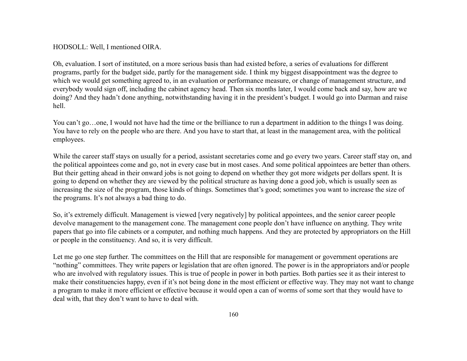HODSOLL: Well, I mentioned OIRA.

Oh, evaluation. I sort of instituted, on a more serious basis than had existed before, a series of evaluations for different programs, partly for the budget side, partly for the management side. I think my biggest disappointment was the degree to which we would get something agreed to, in an evaluation or performance measure, or change of management structure, and everybody would sign off, including the cabinet agency head. Then six months later, I would come back and say, how are we doing? And they hadn't done anything, notwithstanding having it in the president's budget. I would go into Darman and raise hell.

You can't go...one, I would not have had the time or the brilliance to run a department in addition to the things I was doing. You have to rely on the people who are there. And you have to start that, at least in the management area, with the political employees.

While the career staff stays on usually for a period, assistant secretaries come and go every two years. Career staff stay on, and the political appointees come and go, not in every case but in most cases. And some political appointees are better than others. But their getting ahead in their onward jobs is not going to depend on whether they got more widgets per dollars spent. It is going to depend on whether they are viewed by the political structure as having done a good job, which is usually seen as increasing the size of the program, those kinds of things. Sometimes that's good; sometimes you want to increase the size of the programs. It's not always a bad thing to do.

So, it's extremely difficult. Management is viewed [very negatively] by political appointees, and the senior career people devolve management to the management cone. The management cone people don't have influence on anything. They write papers that go into file cabinets or a computer, and nothing much happens. And they are protected by appropriators on the Hill or people in the constituency. And so, it is very difficult.

Let me go one step further. The committees on the Hill that are responsible for management or government operations are "nothing" committees. They write papers or legislation that are often ignored. The power is in the appropriators and/or people who are involved with regulatory issues. This is true of people in power in both parties. Both parties see it as their interest to make their constituencies happy, even if it's not being done in the most efficient or effective way. They may not want to change a program to make it more efficient or effective because it would open a can of worms of some sort that they would have to deal with, that they don't want to have to deal with.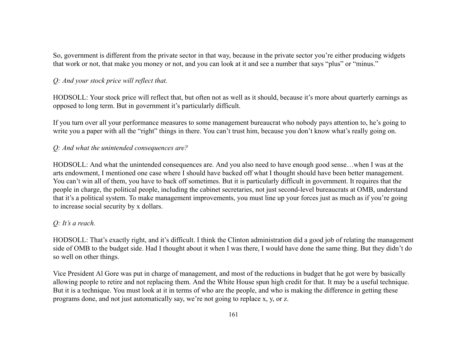So, government is different from the private sector in that way, because in the private sector you're either producing widgets that work or not, that make you money or not, and you can look at it and see a number that says "plus" or "minus."

### *Q: And your stock price will reflect that.*

HODSOLL: Your stock price will reflect that, but often not as well as it should, because it's more about quarterly earnings as opposed to long term. But in government it's particularly difficult.

If you turn over all your performance measures to some management bureaucrat who nobody pays attention to, he's going to write you a paper with all the "right" things in there. You can't trust him, because you don't know what's really going on.

#### *Q: And what the unintended consequences are?*

HODSOLL: And what the unintended consequences are. And you also need to have enough good sense…when I was at the arts endowment, I mentioned one case where I should have backed off what I thought should have been better management. You can't win all of them, you have to back off sometimes. But it is particularly difficult in government. It requires that the people in charge, the political people, including the cabinet secretaries, not just second-level bureaucrats at OMB, understand that it's a political system. To make management improvements, you must line up your forces just as much as if you're going to increase social security by x dollars.

#### *Q: It's a reach.*

HODSOLL: That's exactly right, and it's difficult. I think the Clinton administration did a good job of relating the management side of OMB to the budget side. Had I thought about it when I was there, I would have done the same thing. But they didn't do so well on other things.

Vice President Al Gore was put in charge of management, and most of the reductions in budget that he got were by basically allowing people to retire and not replacing them. And the White House spun high credit for that. It may be a useful technique. But it is a technique. You must look at it in terms of who are the people, and who is making the difference in getting these programs done, and not just automatically say, we're not going to replace x, y, or z.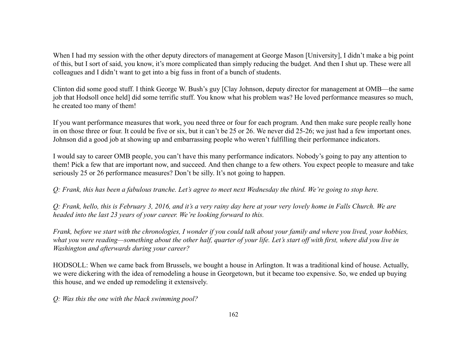When I had my session with the other deputy directors of management at George Mason [University], I didn't make a big point of this, but I sort of said, you know, it's more complicated than simply reducing the budget. And then I shut up. These were all colleagues and I didn't want to get into a big fuss in front of a bunch of students.

Clinton did some good stuff. I think George W. Bush's guy [Clay Johnson, deputy director for management at OMB—the same job that Hodsoll once held] did some terrific stuff. You know what his problem was? He loved performance measures so much, he created too many of them!

If you want performance measures that work, you need three or four for each program. And then make sure people really hone in on those three or four. It could be five or six, but it can't be 25 or 26. We never did 25-26; we just had a few important ones. Johnson did a good job at showing up and embarrassing people who weren't fulfilling their performance indicators.

I would say to career OMB people, you can't have this many performance indicators. Nobody's going to pay any attention to them! Pick a few that are important now, and succeed. And then change to a few others. You expect people to measure and take seriously 25 or 26 performance measures? Don't be silly. It's not going to happen.

*Q: Frank, this has been a fabulous tranche. Let's agree to meet next Wednesday the third. We're going to stop here.*

*Q: Frank, hello, this is February 3, 2016, and it's a very rainy day here at your very lovely home in Falls Church. We are headed into the last 23 years of your career. We're looking forward to this.*

*Frank, before we start with the chronologies, I wonder if you could talk about your family and where you lived, your hobbies, what you were reading—something about the other half, quarter of your life. Let's start off with first, where did you live in Washington and afterwards during your career?*

HODSOLL: When we came back from Brussels, we bought a house in Arlington. It was a traditional kind of house. Actually, we were dickering with the idea of remodeling a house in Georgetown, but it became too expensive. So, we ended up buying this house, and we ended up remodeling it extensively.

*Q: Was this the one with the black swimming pool?*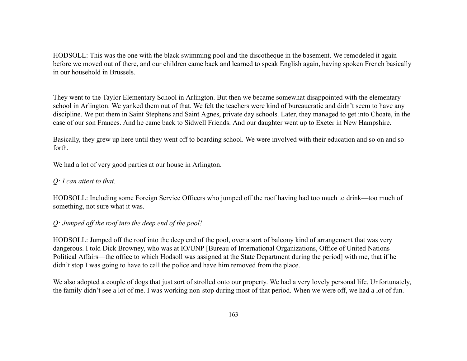HODSOLL: This was the one with the black swimming pool and the discotheque in the basement. We remodeled it again before we moved out of there, and our children came back and learned to speak English again, having spoken French basically in our household in Brussels.

They went to the Taylor Elementary School in Arlington. But then we became somewhat disappointed with the elementary school in Arlington. We yanked them out of that. We felt the teachers were kind of bureaucratic and didn't seem to have any discipline. We put them in Saint Stephens and Saint Agnes, private day schools. Later, they managed to get into Choate, in the case of our son Frances. And he came back to Sidwell Friends. And our daughter went up to Exeter in New Hampshire.

Basically, they grew up here until they went off to boarding school. We were involved with their education and so on and so forth.

We had a lot of very good parties at our house in Arlington.

#### *Q: I can attest to that.*

HODSOLL: Including some Foreign Service Officers who jumped off the roof having had too much to drink—too much of something, not sure what it was.

#### *Q: Jumped off the roof into the deep end of the pool!*

HODSOLL: Jumped off the roof into the deep end of the pool, over a sort of balcony kind of arrangement that was very dangerous. I told Dick Browney, who was at IO/UNP [Bureau of International Organizations, Office of United Nations Political Affairs—the office to which Hodsoll was assigned at the State Department during the period] with me, that if he didn't stop I was going to have to call the police and have him removed from the place.

We also adopted a couple of dogs that just sort of strolled onto our property. We had a very lovely personal life. Unfortunately, the family didn't see a lot of me. I was working non-stop during most of that period. When we were off, we had a lot of fun.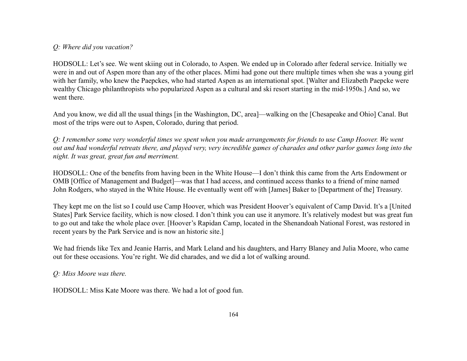## *Q: Where did you vacation?*

HODSOLL: Let's see. We went skiing out in Colorado, to Aspen. We ended up in Colorado after federal service. Initially we were in and out of Aspen more than any of the other places. Mimi had gone out there multiple times when she was a young girl with her family, who knew the Paepckes, who had started Aspen as an international spot. [Walter and Elizabeth Paepcke were wealthy Chicago philanthropists who popularized Aspen as a cultural and ski resort starting in the mid-1950s.] And so, we went there.

And you know, we did all the usual things [in the Washington, DC, area]—walking on the [Chesapeake and Ohio] Canal. But most of the trips were out to Aspen, Colorado, during that period.

*Q: I remember some very wonderful times we spent when you made arrangements for friends to use Camp Hoover. We went out and had wonderful retreats there, and played very, very incredible games of charades and other parlor games long into the night. It was great, great fun and merriment.*

HODSOLL: One of the benefits from having been in the White House—I don't think this came from the Arts Endowment or OMB [Office of Management and Budget]—was that I had access, and continued access thanks to a friend of mine named John Rodgers, who stayed in the White House. He eventually went off with [James] Baker to [Department of the] Treasury.

They kept me on the list so I could use Camp Hoover, which was President Hoover's equivalent of Camp David. It's a [United States] Park Service facility, which is now closed. I don't think you can use it anymore. It's relatively modest but was great fun to go out and take the whole place over. [Hoover's Rapidan Camp, located in the Shenandoah National Forest, was restored in recent years by the Park Service and is now an historic site.]

We had friends like Tex and Jeanie Harris, and Mark Leland and his daughters, and Harry Blaney and Julia Moore, who came out for these occasions. You're right. We did charades, and we did a lot of walking around.

*Q: Miss Moore was there.*

HODSOLL: Miss Kate Moore was there. We had a lot of good fun.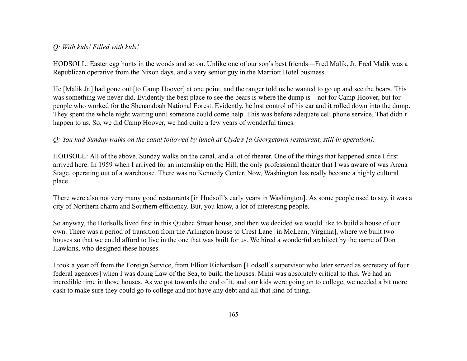### *Q: With kids! Filled with kids!*

HODSOLL: Easter egg hunts in the woods and so on. Unlike one of our son's best friends—Fred Malik, Jr. Fred Malik was a Republican operative from the Nixon days, and a very senior guy in the Marriott Hotel business.

He [Malik Jr.] had gone out [to Camp Hoover] at one point, and the ranger told us he wanted to go up and see the bears. This was something we never did. Evidently the best place to see the bears is where the dump is—not for Camp Hoover, but for people who worked for the Shenandoah National Forest. Evidently, he lost control of his car and it rolled down into the dump. They spent the whole night waiting until someone could come help. This was before adequate cell phone service. That didn't happen to us. So, we did Camp Hoover, we had quite a few years of wonderful times.

### *Q: You had Sunday walks on the canal followed by lunch at Clyde's [a Georgetown restaurant, still in operation].*

HODSOLL: All of the above. Sunday walks on the canal, and a lot of theater. One of the things that happened since I first arrived here: In 1959 when I arrived for an internship on the Hill, the only professional theater that I was aware of was Arena Stage, operating out of a warehouse. There was no Kennedy Center. Now, Washington has really become a highly cultural place.

There were also not very many good restaurants [in Hodsoll's early years in Washington]. As some people used to say, it was a city of Northern charm and Southern efficiency. But, you know, a lot of interesting people.

So anyway, the Hodsolls lived first in this Quebec Street house, and then we decided we would like to build a house of our own. There was a period of transition from the Arlington house to Crest Lane [in McLean, Virginia], where we built two houses so that we could afford to live in the one that was built for us. We hired a wonderful architect by the name of Don Hawkins, who designed these houses.

I took a year off from the Foreign Service, from Elliott Richardson [Hodsoll's supervisor who later served as secretary of four federal agencies] when I was doing Law of the Sea, to build the houses. Mimi was absolutely critical to this. We had an incredible time in those houses. As we got towards the end of it, and our kids were going on to college, we needed a bit more cash to make sure they could go to college and not have any debt and all that kind of thing.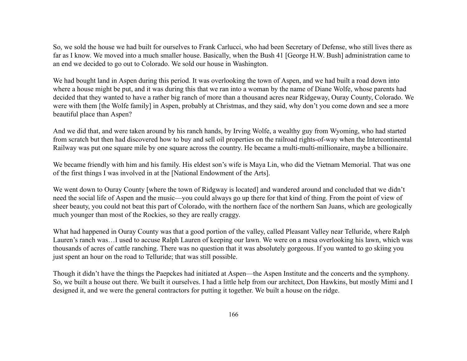So, we sold the house we had built for ourselves to Frank Carlucci, who had been Secretary of Defense, who still lives there as far as I know. We moved into a much smaller house. Basically, when the Bush 41 [George H.W. Bush] administration came to an end we decided to go out to Colorado. We sold our house in Washington.

We had bought land in Aspen during this period. It was overlooking the town of Aspen, and we had built a road down into where a house might be put, and it was during this that we ran into a woman by the name of Diane Wolfe, whose parents had decided that they wanted to have a rather big ranch of more than a thousand acres near Ridgeway, Ouray County, Colorado. We were with them [the Wolfe family] in Aspen, probably at Christmas, and they said, why don't you come down and see a more beautiful place than Aspen?

And we did that, and were taken around by his ranch hands, by Irving Wolfe, a wealthy guy from Wyoming, who had started from scratch but then had discovered how to buy and sell oil properties on the railroad rights-of-way when the Intercontinental Railway was put one square mile by one square across the country. He became a multi-multi-millionaire, maybe a billionaire.

We became friendly with him and his family. His eldest son's wife is Maya Lin, who did the Vietnam Memorial. That was one of the first things I was involved in at the [National Endowment of the Arts].

We went down to Ouray County [where the town of Ridgway is located] and wandered around and concluded that we didn't need the social life of Aspen and the music—you could always go up there for that kind of thing. From the point of view of sheer beauty, you could not beat this part of Colorado, with the northern face of the northern San Juans, which are geologically much younger than most of the Rockies, so they are really craggy.

What had happened in Ouray County was that a good portion of the valley, called Pleasant Valley near Telluride, where Ralph Lauren's ranch was…I used to accuse Ralph Lauren of keeping our lawn. We were on a mesa overlooking his lawn, which was thousands of acres of cattle ranching. There was no question that it was absolutely gorgeous. If you wanted to go skiing you just spent an hour on the road to Telluride; that was still possible.

Though it didn't have the things the Paepckes had initiated at Aspen—the Aspen Institute and the concerts and the symphony. So, we built a house out there. We built it ourselves. I had a little help from our architect, Don Hawkins, but mostly Mimi and I designed it, and we were the general contractors for putting it together. We built a house on the ridge.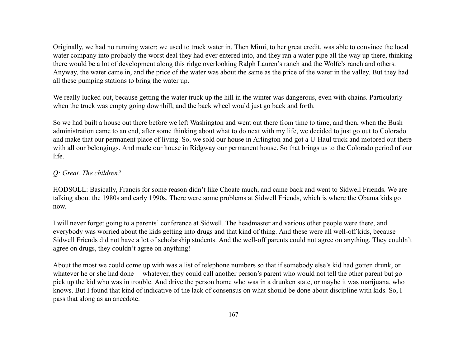Originally, we had no running water; we used to truck water in. Then Mimi, to her great credit, was able to convince the local water company into probably the worst deal they had ever entered into, and they ran a water pipe all the way up there, thinking there would be a lot of development along this ridge overlooking Ralph Lauren's ranch and the Wolfe's ranch and others. Anyway, the water came in, and the price of the water was about the same as the price of the water in the valley. But they had all these pumping stations to bring the water up.

We really lucked out, because getting the water truck up the hill in the winter was dangerous, even with chains. Particularly when the truck was empty going downhill, and the back wheel would just go back and forth.

So we had built a house out there before we left Washington and went out there from time to time, and then, when the Bush administration came to an end, after some thinking about what to do next with my life, we decided to just go out to Colorado and make that our permanent place of living. So, we sold our house in Arlington and got a U-Haul truck and motored out there with all our belongings. And made our house in Ridgway our permanent house. So that brings us to the Colorado period of our life.

### *Q: Great. The children?*

HODSOLL: Basically, Francis for some reason didn't like Choate much, and came back and went to Sidwell Friends. We are talking about the 1980s and early 1990s. There were some problems at Sidwell Friends, which is where the Obama kids go now.

I will never forget going to a parents' conference at Sidwell. The headmaster and various other people were there, and everybody was worried about the kids getting into drugs and that kind of thing. And these were all well-off kids, because Sidwell Friends did not have a lot of scholarship students. And the well-off parents could not agree on anything. They couldn't agree on drugs, they couldn't agree on anything!

About the most we could come up with was a list of telephone numbers so that if somebody else's kid had gotten drunk, or whatever he or she had done —whatever, they could call another person's parent who would not tell the other parent but go pick up the kid who was in trouble. And drive the person home who was in a drunken state, or maybe it was marijuana, who knows. But I found that kind of indicative of the lack of consensus on what should be done about discipline with kids. So, I pass that along as an anecdote.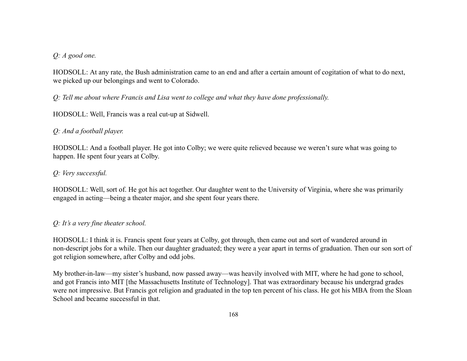### *Q: A good one.*

HODSOLL: At any rate, the Bush administration came to an end and after a certain amount of cogitation of what to do next, we picked up our belongings and went to Colorado.

*Q: Tell me about where Francis and Lisa went to college and what they have done professionally.*

HODSOLL: Well, Francis was a real cut-up at Sidwell.

## *Q: And a football player.*

HODSOLL: And a football player. He got into Colby; we were quite relieved because we weren't sure what was going to happen. He spent four years at Colby.

## *Q: Very successful.*

HODSOLL: Well, sort of. He got his act together. Our daughter went to the University of Virginia, where she was primarily engaged in acting—being a theater major, and she spent four years there.

## *Q: It's a very fine theater school.*

HODSOLL: I think it is. Francis spent four years at Colby, got through, then came out and sort of wandered around in non-descript jobs for a while. Then our daughter graduated; they were a year apart in terms of graduation. Then our son sort of got religion somewhere, after Colby and odd jobs.

My brother-in-law—my sister's husband, now passed away—was heavily involved with MIT, where he had gone to school, and got Francis into MIT [the Massachusetts Institute of Technology]. That was extraordinary because his undergrad grades were not impressive. But Francis got religion and graduated in the top ten percent of his class. He got his MBA from the Sloan School and became successful in that.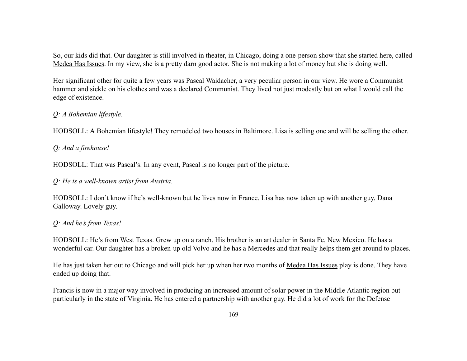So, our kids did that. Our daughter is still involved in theater, in Chicago, doing a one-person show that she started here, called Medea Has Issues. In my view, she is a pretty darn good actor. She is not making a lot of money but she is doing well.

Her significant other for quite a few years was Pascal Waidacher, a very peculiar person in our view. He wore a Communist hammer and sickle on his clothes and was a declared Communist. They lived not just modestly but on what I would call the edge of existence.

### *Q: A Bohemian lifestyle.*

HODSOLL: A Bohemian lifestyle! They remodeled two houses in Baltimore. Lisa is selling one and will be selling the other.

*Q: And a firehouse!*

HODSOLL: That was Pascal's. In any event, Pascal is no longer part of the picture.

### *Q: He is a well-known artist from Austria.*

HODSOLL: I don't know if he's well-known but he lives now in France. Lisa has now taken up with another guy, Dana Galloway. Lovely guy.

### *Q: And he's from Texas!*

HODSOLL: He's from West Texas. Grew up on a ranch. His brother is an art dealer in Santa Fe, New Mexico. He has a wonderful car. Our daughter has a broken-up old Volvo and he has a Mercedes and that really helps them get around to places.

He has just taken her out to Chicago and will pick her up when her two months of Medea Has Issues play is done. They have ended up doing that.

Francis is now in a major way involved in producing an increased amount of solar power in the Middle Atlantic region but particularly in the state of Virginia. He has entered a partnership with another guy. He did a lot of work for the Defense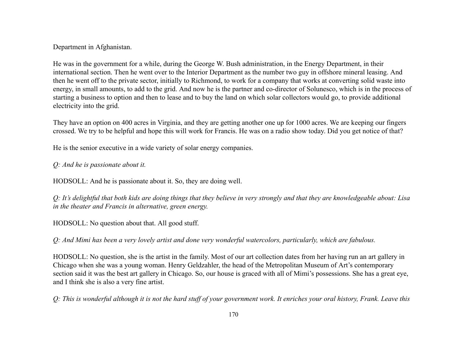#### Department in Afghanistan.

He was in the government for a while, during the George W. Bush administration, in the Energy Department, in their international section. Then he went over to the Interior Department as the number two guy in offshore mineral leasing. And then he went off to the private sector, initially to Richmond, to work for a company that works at converting solid waste into energy, in small amounts, to add to the grid. And now he is the partner and co-director of Solunesco, which is in the process of starting a business to option and then to lease and to buy the land on which solar collectors would go, to provide additional electricity into the grid.

They have an option on 400 acres in Virginia, and they are getting another one up for 1000 acres. We are keeping our fingers crossed. We try to be helpful and hope this will work for Francis. He was on a radio show today. Did you get notice of that?

He is the senior executive in a wide variety of solar energy companies.

#### *Q: And he is passionate about it.*

HODSOLL: And he is passionate about it. So, they are doing well.

*Q: It's delightful that both kids are doing things that they believe in very strongly and that they are knowledgeable about: Lisa in the theater and Francis in alternative, green energy.*

HODSOLL: No question about that. All good stuff.

*Q: And Mimi has been a very lovely artist and done very wonderful watercolors, particularly, which are fabulous.*

HODSOLL: No question, she is the artist in the family. Most of our art collection dates from her having run an art gallery in Chicago when she was a young woman. Henry Geldzahler, the head of the Metropolitan Museum of Art's contemporary section said it was the best art gallery in Chicago. So, our house is graced with all of Mimi's possessions. She has a great eye, and I think she is also a very fine artist.

*Q: This is wonderful although it is not the hard stuff of your government work. It enriches your oral history, Frank. Leave this*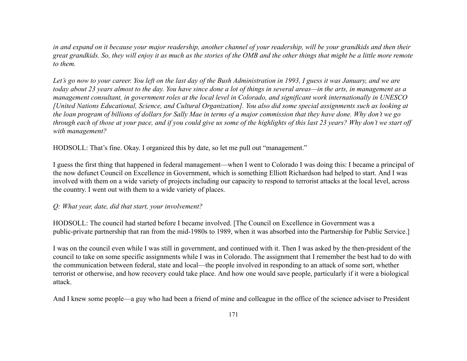*in and expand on it because your major readership, another channel of your readership, will be your grandkids and then their great grandkids. So, they will enjoy it as much as the stories of the OMB and the other things that might be a little more remote to them.*

*Let's go now to your career. You left on the last day of the Bush Administration in 1993, I guess it was January, and we are today about 23 years almost to the day. You have since done a lot of things in several areas—in the arts, in management as a management consultant, in government roles at the local level in Colorado, and significant work internationally in UNESCO [United Nations Educational, Science, and Cultural Organization]. You also did some special assignments such as looking at the loan program of billions of dollars for Sally Mae in terms of a major commission that they have done. Why don't we go through each of those at your pace, and if you could give us some of the highlights of this last 23 years? Why don't we start off with management?*

HODSOLL: That's fine. Okay. I organized this by date, so let me pull out "management."

I guess the first thing that happened in federal management—when I went to Colorado I was doing this: I became a principal of the now defunct Council on Excellence in Government, which is something Elliott Richardson had helped to start. And I was involved with them on a wide variety of projects including our capacity to respond to terrorist attacks at the local level, across the country. I went out with them to a wide variety of places.

#### *Q: What year, date, did that start, your involvement?*

HODSOLL: The council had started before I became involved. [The Council on Excellence in Government was a public-private partnership that ran from the mid-1980s to 1989, when it was absorbed into the Partnership for Public Service.]

I was on the council even while I was still in government, and continued with it. Then I was asked by the then-president of the council to take on some specific assignments while I was in Colorado. The assignment that I remember the best had to do with the communication between federal, state and local—the people involved in responding to an attack of some sort, whether terrorist or otherwise, and how recovery could take place. And how one would save people, particularly if it were a biological attack.

And I knew some people—a guy who had been a friend of mine and colleague in the office of the science adviser to President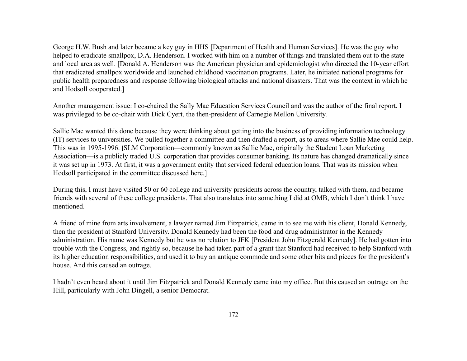George H.W. Bush and later became a key guy in HHS [Department of Health and Human Services]. He was the guy who helped to eradicate smallpox, D.A. Henderson. I worked with him on a number of things and translated them out to the state and local area as well. [Donald A. Henderson was the American physician and epidemiologist who directed the 10-year effort that eradicated smallpox worldwide and launched childhood vaccination programs. Later, he initiated national programs for public health preparedness and response following biological attacks and national disasters. That was the context in which he and Hodsoll cooperated.]

Another management issue: I co-chaired the Sally Mae Education Services Council and was the author of the final report. I was privileged to be co-chair with Dick Cyert, the then-president of Carnegie Mellon University.

Sallie Mae wanted this done because they were thinking about getting into the business of providing information technology (IT) services to universities. We pulled together a committee and then drafted a report, as to areas where Sallie Mae could help. This was in 1995-1996. [SLM Corporation—commonly known as Sallie Mae, originally the Student Loan Marketing Association—is a publicly traded U.S. corporation that provides consumer banking. Its nature has changed dramatically since it was set up in 1973. At first, it was a government entity that serviced federal education loans. That was its mission when Hodsoll participated in the committee discussed here.]

During this, I must have visited 50 or 60 college and university presidents across the country, talked with them, and became friends with several of these college presidents. That also translates into something I did at OMB, which I don't think I have mentioned.

A friend of mine from arts involvement, a lawyer named Jim Fitzpatrick, came in to see me with his client, Donald Kennedy, then the president at Stanford University. Donald Kennedy had been the food and drug administrator in the Kennedy administration. His name was Kennedy but he was no relation to JFK [President John Fitzgerald Kennedy]. He had gotten into trouble with the Congress, and rightly so, because he had taken part of a grant that Stanford had received to help Stanford with its higher education responsibilities, and used it to buy an antique commode and some other bits and pieces for the president's house. And this caused an outrage.

I hadn't even heard about it until Jim Fitzpatrick and Donald Kennedy came into my office. But this caused an outrage on the Hill, particularly with John Dingell, a senior Democrat.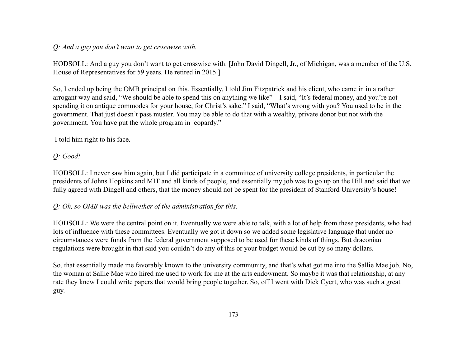*Q: And a guy you don't want to get crosswise with.*

HODSOLL: And a guy you don't want to get crosswise with. [John David Dingell, Jr., of Michigan, was a member of the U.S. House of Representatives for 59 years. He retired in 2015.]

So, I ended up being the OMB principal on this. Essentially, I told Jim Fitzpatrick and his client, who came in in a rather arrogant way and said, "We should be able to spend this on anything we like"—I said, "It's federal money, and you're not spending it on antique commodes for your house, for Christ's sake." I said, "What's wrong with you? You used to be in the government. That just doesn't pass muster. You may be able to do that with a wealthy, private donor but not with the government. You have put the whole program in jeopardy."

I told him right to his face.

# *Q: Good!*

HODSOLL: I never saw him again, but I did participate in a committee of university college presidents, in particular the presidents of Johns Hopkins and MIT and all kinds of people, and essentially my job was to go up on the Hill and said that we fully agreed with Dingell and others, that the money should not be spent for the president of Stanford University's house!

# *Q: Oh, so OMB was the bellwether of the administration for this.*

HODSOLL: We were the central point on it. Eventually we were able to talk, with a lot of help from these presidents, who had lots of influence with these committees. Eventually we got it down so we added some legislative language that under no circumstances were funds from the federal government supposed to be used for these kinds of things. But draconian regulations were brought in that said you couldn't do any of this or your budget would be cut by so many dollars.

So, that essentially made me favorably known to the university community, and that's what got me into the Sallie Mae job. No, the woman at Sallie Mae who hired me used to work for me at the arts endowment. So maybe it was that relationship, at any rate they knew I could write papers that would bring people together. So, off I went with Dick Cyert, who was such a great guy.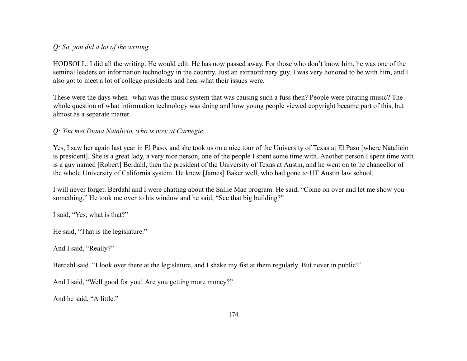## *Q: So, you did a lot of the writing.*

HODSOLL: I did all the writing. He would edit. He has now passed away. For those who don't know him, he was one of the seminal leaders on information technology in the country. Just an extraordinary guy. I was very honored to be with him, and I also got to meet a lot of college presidents and hear what their issues were.

These were the days when--what was the music system that was causing such a fuss then? People were pirating music? The whole question of what information technology was doing and how young people viewed copyright became part of this, but almost as a separate matter.

## *Q: You met Diana Natalicio, who is now at Carnegie.*

Yes, I saw her again last year in El Paso, and she took us on a nice tour of the University of Texas at El Paso [where Natalicio is president]. She is a great lady, a very nice person, one of the people I spent some time with. Another person I spent time with is a guy named [Robert] Berdahl, then the president of the University of Texas at Austin, and he went on to be chancellor of the whole University of California system. He knew [James] Baker well, who had gone to UT Austin law school.

I will never forget. Berdahl and I were chatting about the Sallie Mae program. He said, "Come on over and let me show you something." He took me over to his window and he said, "See that big building?"

I said, "Yes, what is that?"

He said, "That is the legislature."

And I said, "Really?"

Berdahl said, "I look over there at the legislature, and I shake my fist at them regularly. But never in public!"

And I said, "Well good for you! Are you getting more money?"

And he said, "A little."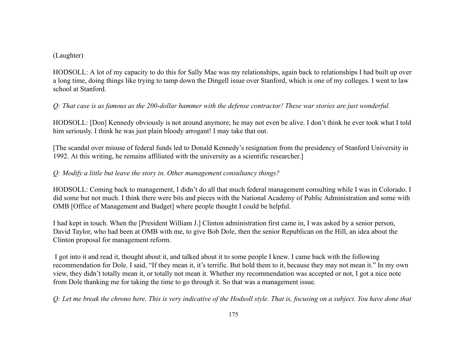### (Laughter)

HODSOLL: A lot of my capacity to do this for Sally Mae was my relationships, again back to relationships I had built up over a long time, doing things like trying to tamp down the Dingell issue over Stanford, which is one of my colleges. I went to law school at Stanford.

## *Q: That case is as famous as the 200-dollar hammer with the defense contractor! These war stories are just wonderful.*

HODSOLL: [Don] Kennedy obviously is not around anymore; he may not even be alive. I don't think he ever took what I told him seriously. I think he was just plain bloody arrogant! I may take that out.

[The scandal over misuse of federal funds led to Donald Kennedy's resignation from the presidency of Stanford University in 1992. At this writing, he remains affiliated with the university as a scientific researcher.]

## *Q: Modify a little but leave the story in. Other management consultancy things?*

HODSOLL: Coming back to management, I didn't do all that much federal management consulting while I was in Colorado. I did some but not much. I think there were bits and pieces with the National Academy of Public Administration and some with OMB [Office of Management and Budget] where people thought I could be helpful.

I had kept in touch. When the [President William J.] Clinton administration first came in, I was asked by a senior person, David Taylor, who had been at OMB with me, to give Bob Dole, then the senior Republican on the Hill, an idea about the Clinton proposal for management reform.

I got into it and read it, thought about it, and talked about it to some people I knew. I came back with the following recommendation for Dole. I said, "If they mean it, it's terrific. But hold them to it, because they may not mean it." In my own view, they didn't totally mean it, or totally not mean it. Whether my recommendation was accepted or not, I got a nice note from Dole thanking me for taking the time to go through it. So that was a management issue.

*Q: Let me break the chrono here. This is very indicative of the Hodsoll style. That is, focusing on a subject. You have done that*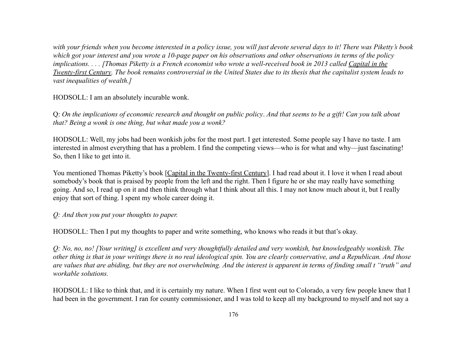*with your friends when you become interested in a policy issue, you will just devote several days to it! There was Piketty's book which got your interest and you wrote a 10-page paper on his observations and other observations in terms of the policy implications. . . . [Thomas Piketty is a French economist who wrote a well-received book in 2013 called Capital in the Twenty-first Century. The book remains controversial in the United States due to its thesis that the capitalist system leads to vast inequalities of wealth.]*

HODSOLL: I am an absolutely incurable wonk.

Q: *On the implications of economic research and thought on public policy*. *And that seems to be a gift! Can you talk about that? Being a wonk is one thing, but what made you a wonk?*

HODSOLL: Well, my jobs had been wonkish jobs for the most part. I get interested. Some people say I have no taste. I am interested in almost everything that has a problem. I find the competing views—who is for what and why—just fascinating! So, then I like to get into it.

You mentioned Thomas Piketty's book [Capital in the Twenty-first Century]. I had read about it. I love it when I read about somebody's book that is praised by people from the left and the right. Then I figure he or she may really have something going. And so, I read up on it and then think through what I think about all this. I may not know much about it, but I really enjoy that sort of thing. I spent my whole career doing it.

### *Q: And then you put your thoughts to paper.*

HODSOLL: Then I put my thoughts to paper and write something, who knows who reads it but that's okay.

*Q: No, no, no! [Your writing] is excellent and very thoughtfully detailed and very wonkish, but knowledgeably wonkish. The other thing is that in your writings there is no real ideological spin. You are clearly conservative, and a Republican. And those are values that are abiding, but they are not overwhelming. And the interest is apparent in terms of finding small t "truth" and workable solutions.*

HODSOLL: I like to think that, and it is certainly my nature. When I first went out to Colorado, a very few people knew that I had been in the government. I ran for county commissioner, and I was told to keep all my background to myself and not say a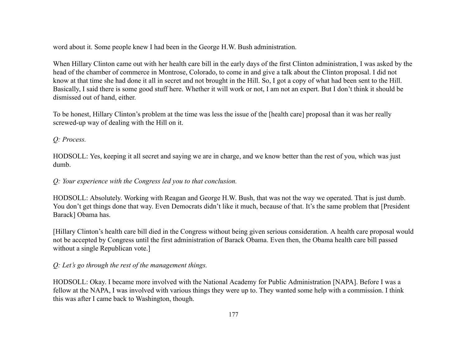word about it. Some people knew I had been in the George H.W. Bush administration.

When Hillary Clinton came out with her health care bill in the early days of the first Clinton administration, I was asked by the head of the chamber of commerce in Montrose, Colorado, to come in and give a talk about the Clinton proposal. I did not know at that time she had done it all in secret and not brought in the Hill. So, I got a copy of what had been sent to the Hill. Basically, I said there is some good stuff here. Whether it will work or not, I am not an expert. But I don't think it should be dismissed out of hand, either.

To be honest, Hillary Clinton's problem at the time was less the issue of the [health care] proposal than it was her really screwed-up way of dealing with the Hill on it.

## *Q: Process.*

HODSOLL: Yes, keeping it all secret and saying we are in charge, and we know better than the rest of you, which was just dumb.

### *Q: Your experience with the Congress led you to that conclusion.*

HODSOLL: Absolutely. Working with Reagan and George H.W. Bush, that was not the way we operated. That is just dumb. You don't get things done that way. Even Democrats didn't like it much, because of that. It's the same problem that [President Barack] Obama has.

[Hillary Clinton's health care bill died in the Congress without being given serious consideration. A health care proposal would not be accepted by Congress until the first administration of Barack Obama. Even then, the Obama health care bill passed without a single Republican vote.]

### *Q: Let's go through the rest of the management things.*

HODSOLL: Okay. I became more involved with the National Academy for Public Administration [NAPA]. Before I was a fellow at the NAPA, I was involved with various things they were up to. They wanted some help with a commission. I think this was after I came back to Washington, though.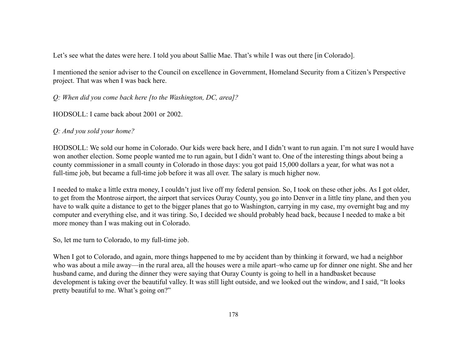Let's see what the dates were here. I told you about Sallie Mae. That's while I was out there [in Colorado].

I mentioned the senior adviser to the Council on excellence in Government, Homeland Security from a Citizen's Perspective project. That was when I was back here.

*Q: When did you come back here [to the Washington, DC, area]?*

HODSOLL: I came back about 2001 or 2002.

*Q: And you sold your home?*

HODSOLL: We sold our home in Colorado. Our kids were back here, and I didn't want to run again. I'm not sure I would have won another election. Some people wanted me to run again, but I didn't want to. One of the interesting things about being a county commissioner in a small county in Colorado in those days: you got paid 15,000 dollars a year, for what was not a full-time job, but became a full-time job before it was all over. The salary is much higher now.

I needed to make a little extra money, I couldn't just live off my federal pension. So, I took on these other jobs. As I got older, to get from the Montrose airport, the airport that services Ouray County, you go into Denver in a little tiny plane, and then you have to walk quite a distance to get to the bigger planes that go to Washington, carrying in my case, my overnight bag and my computer and everything else, and it was tiring. So, I decided we should probably head back, because I needed to make a bit more money than I was making out in Colorado.

So, let me turn to Colorado, to my full-time job.

When I got to Colorado, and again, more things happened to me by accident than by thinking it forward, we had a neighbor who was about a mile away—in the rural area, all the houses were a mile apart–who came up for dinner one night. She and her husband came, and during the dinner they were saying that Ouray County is going to hell in a handbasket because development is taking over the beautiful valley. It was still light outside, and we looked out the window, and I said, "It looks pretty beautiful to me. What's going on?"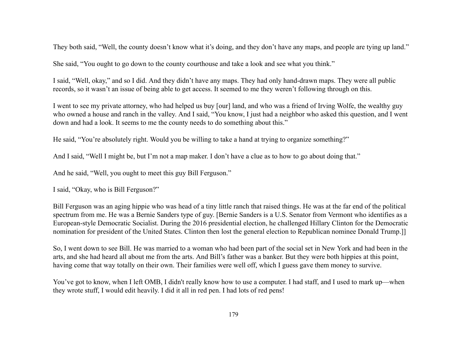They both said, "Well, the county doesn't know what it's doing, and they don't have any maps, and people are tying up land."

She said, "You ought to go down to the county courthouse and take a look and see what you think."

I said, "Well, okay," and so I did. And they didn't have any maps. They had only hand-drawn maps. They were all public records, so it wasn't an issue of being able to get access. It seemed to me they weren't following through on this.

I went to see my private attorney, who had helped us buy [our] land, and who was a friend of Irving Wolfe, the wealthy guy who owned a house and ranch in the valley. And I said, "You know, I just had a neighbor who asked this question, and I went down and had a look. It seems to me the county needs to do something about this."

He said, "You're absolutely right. Would you be willing to take a hand at trying to organize something?"

And I said, "Well I might be, but I'm not a map maker. I don't have a clue as to how to go about doing that."

And he said, "Well, you ought to meet this guy Bill Ferguson."

I said, "Okay, who is Bill Ferguson?"

Bill Ferguson was an aging hippie who was head of a tiny little ranch that raised things. He was at the far end of the political spectrum from me. He was a Bernie Sanders type of guy. [Bernie Sanders is a U.S. Senator from Vermont who identifies as a European-style Democratic Socialist. During the 2016 presidential election, he challenged Hillary Clinton for the Democratic nomination for president of the United States. Clinton then lost the general election to Republican nominee Donald Trump.]]

So, I went down to see Bill. He was married to a woman who had been part of the social set in New York and had been in the arts, and she had heard all about me from the arts. And Bill's father was a banker. But they were both hippies at this point, having come that way totally on their own. Their families were well off, which I guess gave them money to survive.

You've got to know, when I left OMB, I didn't really know how to use a computer. I had staff, and I used to mark up—when they wrote stuff, I would edit heavily. I did it all in red pen. I had lots of red pens!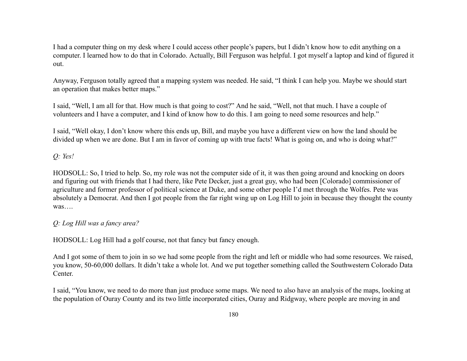I had a computer thing on my desk where I could access other people's papers, but I didn't know how to edit anything on a computer. I learned how to do that in Colorado. Actually, Bill Ferguson was helpful. I got myself a laptop and kind of figured it out.

Anyway, Ferguson totally agreed that a mapping system was needed. He said, "I think I can help you. Maybe we should start an operation that makes better maps."

I said, "Well, I am all for that. How much is that going to cost?" And he said, "Well, not that much. I have a couple of volunteers and I have a computer, and I kind of know how to do this. I am going to need some resources and help."

I said, "Well okay, I don't know where this ends up, Bill, and maybe you have a different view on how the land should be divided up when we are done. But I am in favor of coming up with true facts! What is going on, and who is doing what?"

*Q: Yes!*

HODSOLL: So, I tried to help. So, my role was not the computer side of it, it was then going around and knocking on doors and figuring out with friends that I had there, like Pete Decker, just a great guy, who had been [Colorado] commissioner of agriculture and former professor of political science at Duke, and some other people I'd met through the Wolfes. Pete was absolutely a Democrat. And then I got people from the far right wing up on Log Hill to join in because they thought the county was….

# *Q: Log Hill was a fancy area?*

HODSOLL: Log Hill had a golf course, not that fancy but fancy enough.

And I got some of them to join in so we had some people from the right and left or middle who had some resources. We raised, you know, 50-60,000 dollars. It didn't take a whole lot. And we put together something called the Southwestern Colorado Data Center.

I said, "You know, we need to do more than just produce some maps. We need to also have an analysis of the maps, looking at the population of Ouray County and its two little incorporated cities, Ouray and Ridgway, where people are moving in and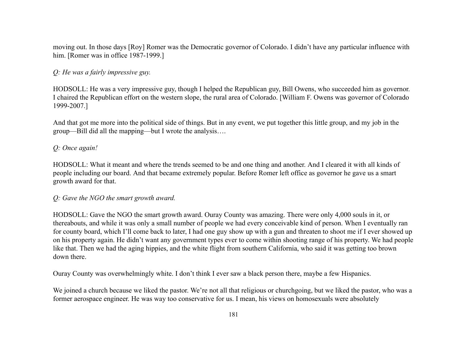moving out. In those days [Roy] Romer was the Democratic governor of Colorado. I didn't have any particular influence with him. [Romer was in office 1987-1999.]

### *Q: He was a fairly impressive guy.*

HODSOLL: He was a very impressive guy, though I helped the Republican guy, Bill Owens, who succeeded him as governor. I chaired the Republican effort on the western slope, the rural area of Colorado. [William F. Owens was governor of Colorado 1999-2007.]

And that got me more into the political side of things. But in any event, we put together this little group, and my job in the group—Bill did all the mapping—but I wrote the analysis….

#### *Q: Once again!*

HODSOLL: What it meant and where the trends seemed to be and one thing and another. And I cleared it with all kinds of people including our board. And that became extremely popular. Before Romer left office as governor he gave us a smart growth award for that.

#### *Q: Gave the NGO the smart growth award.*

HODSOLL: Gave the NGO the smart growth award. Ouray County was amazing. There were only 4,000 souls in it, or thereabouts, and while it was only a small number of people we had every conceivable kind of person. When I eventually ran for county board, which I'll come back to later, I had one guy show up with a gun and threaten to shoot me if I ever showed up on his property again. He didn't want any government types ever to come within shooting range of his property. We had people like that. Then we had the aging hippies, and the white flight from southern California, who said it was getting too brown down there.

Ouray County was overwhelmingly white. I don't think I ever saw a black person there, maybe a few Hispanics.

We joined a church because we liked the pastor. We're not all that religious or churchgoing, but we liked the pastor, who was a former aerospace engineer. He was way too conservative for us. I mean, his views on homosexuals were absolutely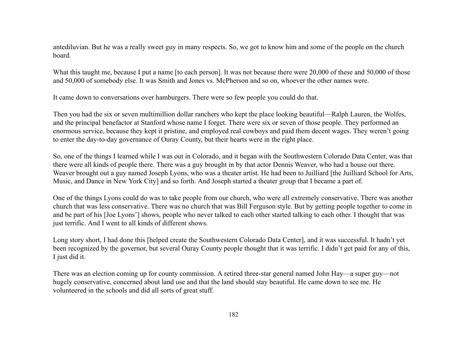antediluvian. But he was a really sweet guy in many respects. So, we got to know him and some of the people on the church board.

What this taught me, because I put a name [to each person]. It was not because there were 20,000 of these and 50,000 of those and 50,000 of somebody else. It was Smith and Jones vs. McPherson and so on, whoever the other names were.

It came down to conversations over hamburgers. There were so few people you could do that.

Then you had the six or seven multimillion dollar ranchers who kept the place looking beautiful—Ralph Lauren, the Wolfes, and the principal benefactor at Stanford whose name I forget. There were six or seven of those people. They performed an enormous service, because they kept it pristine, and employed real cowboys and paid them decent wages. They weren't going to enter the day-to-day governance of Ouray County, but their hearts were in the right place.

So, one of the things I learned while I was out in Colorado, and it began with the Southwestern Colorado Data Center, was that there were all kinds of people there. There was a guy brought in by that actor Dennis Weaver, who had a house out there. Weaver brought out a guy named Joseph Lyons, who was a theater artist. He had been to Juilliard [the Juilliard School for Arts, Music, and Dance in New York City] and so forth. And Joseph started a theater group that I became a part of.

One of the things Lyons could do was to take people from our church, who were all extremely conservative. There was another church that was less conservative. There was no church that was Bill Ferguson style. But by getting people together to come in and be part of his [Joe Lyons'] shows, people who never talked to each other started talking to each other. I thought that was just terrific. And I went to all kinds of different shows.

Long story short, I had done this [helped create the Southwestern Colorado Data Center], and it was successful. It hadn't yet been recognized by the governor, but several Ouray County people thought that it was terrific. I didn't get paid for any of this, I just did it.

There was an election coming up for county commission. A retired three-star general named John Hay—a super guy—not hugely conservative, concerned about land use and that the land should stay beautiful. He came down to see me. He volunteered in the schools and did all sorts of great stuff.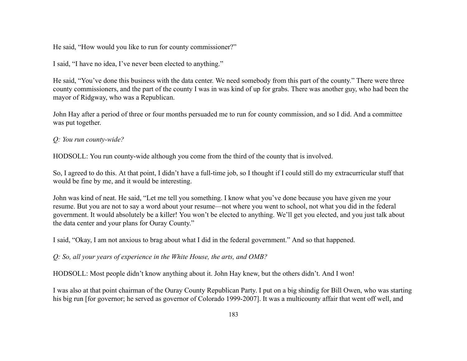He said, "How would you like to run for county commissioner?"

I said, "I have no idea, I've never been elected to anything."

He said, "You've done this business with the data center. We need somebody from this part of the county." There were three county commissioners, and the part of the county I was in was kind of up for grabs. There was another guy, who had been the mayor of Ridgway, who was a Republican.

John Hay after a period of three or four months persuaded me to run for county commission, and so I did. And a committee was put together.

## *Q: You run county-wide?*

HODSOLL: You run county-wide although you come from the third of the county that is involved.

So, I agreed to do this. At that point, I didn't have a full-time job, so I thought if I could still do my extracurricular stuff that would be fine by me, and it would be interesting.

John was kind of neat. He said, "Let me tell you something. I know what you've done because you have given me your resume. But you are not to say a word about your resume—not where you went to school, not what you did in the federal government. It would absolutely be a killer! You won't be elected to anything. We'll get you elected, and you just talk about the data center and your plans for Ouray County."

I said, "Okay, I am not anxious to brag about what I did in the federal government." And so that happened.

*Q: So, all your years of experience in the White House, the arts, and OMB?*

HODSOLL: Most people didn't know anything about it. John Hay knew, but the others didn't. And I won!

I was also at that point chairman of the Ouray County Republican Party. I put on a big shindig for Bill Owen, who was starting his big run [for governor; he served as governor of Colorado 1999-2007]. It was a multicounty affair that went off well, and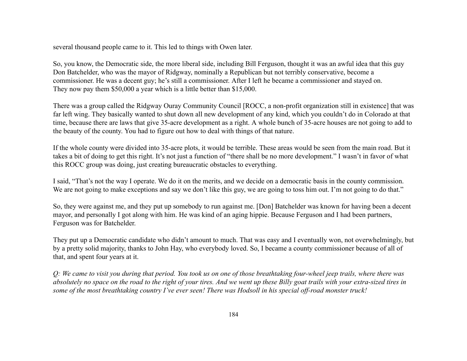several thousand people came to it. This led to things with Owen later.

So, you know, the Democratic side, the more liberal side, including Bill Ferguson, thought it was an awful idea that this guy Don Batchelder, who was the mayor of Ridgway, nominally a Republican but not terribly conservative, become a commissioner. He was a decent guy; he's still a commissioner. After I left he became a commissioner and stayed on. They now pay them \$50,000 a year which is a little better than \$15,000.

There was a group called the Ridgway Ouray Community Council [ROCC, a non-profit organization still in existence] that was far left wing. They basically wanted to shut down all new development of any kind, which you couldn't do in Colorado at that time, because there are laws that give 35-acre development as a right. A whole bunch of 35-acre houses are not going to add to the beauty of the county. You had to figure out how to deal with things of that nature.

If the whole county were divided into 35-acre plots, it would be terrible. These areas would be seen from the main road. But it takes a bit of doing to get this right. It's not just a function of "there shall be no more development." I wasn't in favor of what this ROCC group was doing, just creating bureaucratic obstacles to everything.

I said, "That's not the way I operate. We do it on the merits, and we decide on a democratic basis in the county commission. We are not going to make exceptions and say we don't like this guy, we are going to toss him out. I'm not going to do that."

So, they were against me, and they put up somebody to run against me. [Don] Batchelder was known for having been a decent mayor, and personally I got along with him. He was kind of an aging hippie. Because Ferguson and I had been partners, Ferguson was for Batchelder.

They put up a Democratic candidate who didn't amount to much. That was easy and I eventually won, not overwhelmingly, but by a pretty solid majority, thanks to John Hay, who everybody loved. So, I became a county commissioner because of all of that, and spent four years at it.

*Q: We came to visit you during that period. You took us on one of those breathtaking four-wheel jeep trails, where there was absolutely no space on the road to the right of your tires. And we went up these Billy goat trails with your extra-sized tires in some of the most breathtaking country I've ever seen! There was Hodsoll in his special off-road monster truck!*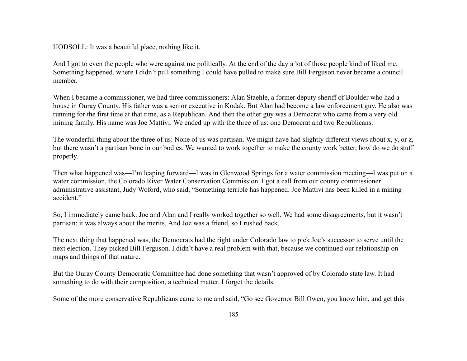HODSOLL: It was a beautiful place, nothing like it.

And I got to even the people who were against me politically. At the end of the day a lot of those people kind of liked me. Something happened, where I didn't pull something I could have pulled to make sure Bill Ferguson never became a council member.

When I became a commissioner, we had three commissioners: Alan Staehle, a former deputy sheriff of Boulder who had a house in Ouray County. His father was a senior executive in Kodak. But Alan had become a law enforcement guy. He also was running for the first time at that time, as a Republican. And then the other guy was a Democrat who came from a very old mining family. His name was Joe Mattivi. We ended up with the three of us: one Democrat and two Republicans.

The wonderful thing about the three of us: None of us was partisan. We might have had slightly different views about x, y, or z, but there wasn't a partisan bone in our bodies. We wanted to work together to make the county work better, how do we do stuff properly.

Then what happened was—I'm leaping forward—I was in Glenwood Springs for a water commission meeting—I was put on a water commission, the Colorado River Water Conservation Commission. I got a call from our county commissioner administrative assistant, Judy Woford, who said, "Something terrible has happened. Joe Mattivi has been killed in a mining accident."

So, I immediately came back. Joe and Alan and I really worked together so well. We had some disagreements, but it wasn't partisan; it was always about the merits. And Joe was a friend, so I rushed back.

The next thing that happened was, the Democrats had the right under Colorado law to pick Joe's successor to serve until the next election. They picked Bill Ferguson. I didn't have a real problem with that, because we continued our relationship on maps and things of that nature.

But the Ouray County Democratic Committee had done something that wasn't approved of by Colorado state law. It had something to do with their composition, a technical matter. I forget the details.

Some of the more conservative Republicans came to me and said, "Go see Governor Bill Owen, you know him, and get this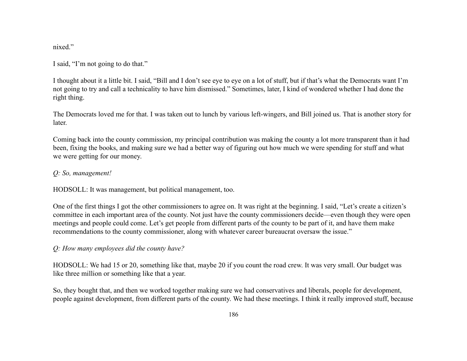nixed."

I said, "I'm not going to do that."

I thought about it a little bit. I said, "Bill and I don't see eye to eye on a lot of stuff, but if that's what the Democrats want I'm not going to try and call a technicality to have him dismissed." Sometimes, later, I kind of wondered whether I had done the right thing.

The Democrats loved me for that. I was taken out to lunch by various left-wingers, and Bill joined us. That is another story for later.

Coming back into the county commission, my principal contribution was making the county a lot more transparent than it had been, fixing the books, and making sure we had a better way of figuring out how much we were spending for stuff and what we were getting for our money.

# *Q: So, management!*

HODSOLL: It was management, but political management, too.

One of the first things I got the other commissioners to agree on. It was right at the beginning. I said, "Let's create a citizen's committee in each important area of the county. Not just have the county commissioners decide—even though they were open meetings and people could come. Let's get people from different parts of the county to be part of it, and have them make recommendations to the county commissioner, along with whatever career bureaucrat oversaw the issue."

# *Q: How many employees did the county have?*

HODSOLL: We had 15 or 20, something like that, maybe 20 if you count the road crew. It was very small. Our budget was like three million or something like that a year.

So, they bought that, and then we worked together making sure we had conservatives and liberals, people for development, people against development, from different parts of the county. We had these meetings. I think it really improved stuff, because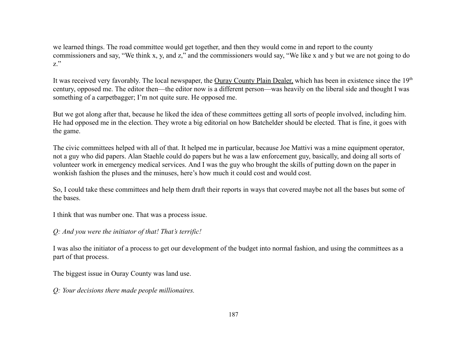we learned things. The road committee would get together, and then they would come in and report to the county commissioners and say, "We think x, y, and z," and the commissioners would say, "We like x and y but we are not going to do z."

It was received very favorably. The local newspaper, the Ouray County Plain Dealer, which has been in existence since the 19<sup>th</sup> century, opposed me. The editor then—the editor now is a different person—was heavily on the liberal side and thought I was something of a carpetbagger; I'm not quite sure. He opposed me.

But we got along after that, because he liked the idea of these committees getting all sorts of people involved, including him. He had opposed me in the election. They wrote a big editorial on how Batchelder should be elected. That is fine, it goes with the game.

The civic committees helped with all of that. It helped me in particular, because Joe Mattivi was a mine equipment operator, not a guy who did papers. Alan Staehle could do papers but he was a law enforcement guy, basically, and doing all sorts of volunteer work in emergency medical services. And I was the guy who brought the skills of putting down on the paper in wonkish fashion the pluses and the minuses, here's how much it could cost and would cost.

So, I could take these committees and help them draft their reports in ways that covered maybe not all the bases but some of the bases.

I think that was number one. That was a process issue.

## *Q: And you were the initiator of that! That's terrific!*

I was also the initiator of a process to get our development of the budget into normal fashion, and using the committees as a part of that process.

The biggest issue in Ouray County was land use.

*Q: Your decisions there made people millionaires.*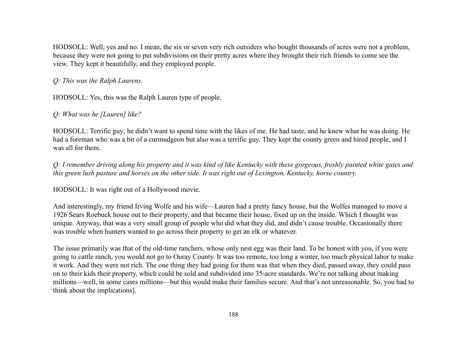HODSOLL: Well, yes and no. I mean, the six or seven very rich outsiders who bought thousands of acres were not a problem, because they were not going to put subdivisions on their pretty acres where they brought their rich friends to come see the view. They kept it beautifully, and they employed people.

### *Q: This was the Ralph Laurens.*

HODSOLL: Yes, this was the Ralph Lauren type of people.

# *Q: What was he [Lauren] like?*

HODSOLL: Terrific guy; he didn't want to spend time with the likes of me. He had taste, and he knew what he was doing. He had a foreman who was a bit of a curmudgeon but also was a terrific guy. They kept the county green and hired people, and I was all for them.

*Q: I remember driving along his property and it was kind of like Kentucky with these gorgeous, freshly painted white gates and this green lush pasture and horses on the other side. It was right out of Lexington, Kentucky, horse country.*

HODSOLL: It was right out of a Hollywood movie.

And interestingly, my friend Irving Wolfe and his wife—Lauren had a pretty fancy house, but the Wolfes managed to move a 1926 Sears Roebuck house out to their property, and that became their house, fixed up on the inside. Which I thought was unique. Anyway, that was a very small group of people who did what they did, and didn't cause trouble. Occasionally there was trouble when hunters wanted to go across their property to get an elk or whatever.

The issue primarily was that of the old-time ranchers, whose only nest egg was their land. To be honest with you, if you were going to cattle ranch, you would not go to Ouray County. It was too remote, too long a winter, too much physical labor to make it work. And they were not rich. The one thing they had going for them was that when they died, passed away, they could pass on to their kids their property, which could be sold and subdivided into 35-acre standards. We're not talking about making millions—well, in some cases millions—but this would make their families secure. And that's not unreasonable. So, you had to think about the implications].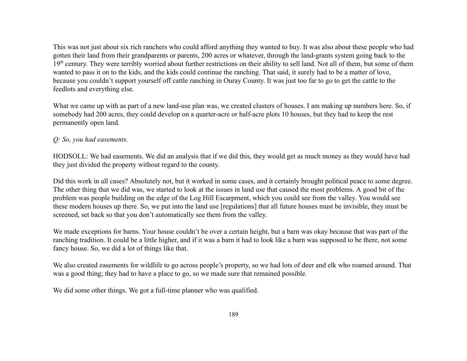This was not just about six rich ranchers who could afford anything they wanted to buy. It was also about these people who had gotten their land from their grandparents or parents, 200 acres or whatever, through the land-grants system going back to the 19<sup>th</sup> century. They were terribly worried about further restrictions on their ability to sell land. Not all of them, but some of them wanted to pass it on to the kids, and the kids could continue the ranching. That said, it surely had to be a matter of love, because you couldn't support yourself off cattle ranching in Ouray County. It was just too far to go to get the cattle to the feedlots and everything else.

What we came up with as part of a new land-use plan was, we created clusters of houses. I am making up numbers here. So, if somebody had 200 acres, they could develop on a quarter-acre or half-acre plots 10 houses, but they had to keep the rest permanently open land.

# *Q: So, you had easements.*

HODSOLL: We had easements. We did an analysis that if we did this, they would get as much money as they would have had they just divided the property without regard to the county.

Did this work in all cases? Absolutely not, but it worked in some cases, and it certainly brought political peace to some degree. The other thing that we did was, we started to look at the issues in land use that caused the most problems. A good bit of the problem was people building on the edge of the Log Hill Escarpment, which you could see from the valley. You would see these modern houses up there. So, we put into the land use [regulations] that all future houses must be invisible, they must be screened, set back so that you don't automatically see them from the valley.

We made exceptions for barns. Your house couldn't be over a certain height, but a barn was okay because that was part of the ranching tradition. It could be a little higher, and if it was a barn it had to look like a barn was supposed to be there, not some fancy house. So, we did a lot of things like that.

We also created easements for wildlife to go across people's property, so we had lots of deer and elk who roamed around. That was a good thing; they had to have a place to go, so we made sure that remained possible.

We did some other things. We got a full-time planner who was qualified.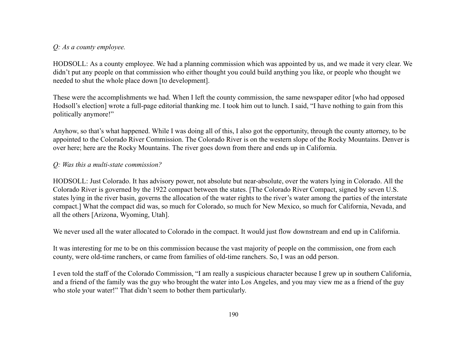## *Q: As a county employee.*

HODSOLL: As a county employee. We had a planning commission which was appointed by us, and we made it very clear. We didn't put any people on that commission who either thought you could build anything you like, or people who thought we needed to shut the whole place down [to development].

These were the accomplishments we had. When I left the county commission, the same newspaper editor [who had opposed Hodsoll's election] wrote a full-page editorial thanking me. I took him out to lunch. I said, "I have nothing to gain from this politically anymore!"

Anyhow, so that's what happened. While I was doing all of this, I also got the opportunity, through the county attorney, to be appointed to the Colorado River Commission. The Colorado River is on the western slope of the Rocky Mountains. Denver is over here; here are the Rocky Mountains. The river goes down from there and ends up in California.

#### *Q: Was this a multi-state commission?*

HODSOLL: Just Colorado. It has advisory power, not absolute but near-absolute, over the waters lying in Colorado. All the Colorado River is governed by the 1922 compact between the states. [The Colorado River Compact, signed by seven U.S. states lying in the river basin, governs the allocation of the water rights to the river's water among the parties of the interstate compact.] What the compact did was, so much for Colorado, so much for New Mexico, so much for California, Nevada, and all the others [Arizona, Wyoming, Utah].

We never used all the water allocated to Colorado in the compact. It would just flow downstream and end up in California.

It was interesting for me to be on this commission because the vast majority of people on the commission, one from each county, were old-time ranchers, or came from families of old-time ranchers. So, I was an odd person.

I even told the staff of the Colorado Commission, "I am really a suspicious character because I grew up in southern California, and a friend of the family was the guy who brought the water into Los Angeles, and you may view me as a friend of the guy who stole your water!" That didn't seem to bother them particularly.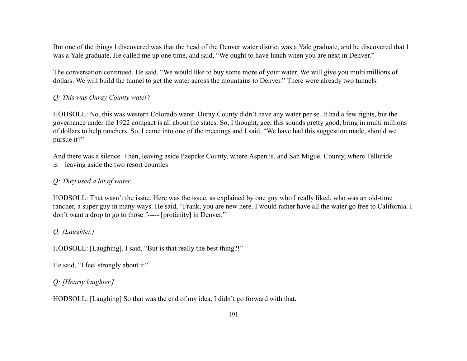But one of the things I discovered was that the head of the Denver water district was a Yale graduate, and he discovered that I was a Yale graduate. He called me up one time, and said, "We ought to have lunch when you are next in Denver."

The conversation continued. He said, "We would like to buy some more of your water. We will give you multi millions of dollars. We will build the tunnel to get the water across the mountains to Denver." There were already two tunnels.

#### *Q: This was Ouray County water?*

HODSOLL: No, this was western Colorado water. Ouray County didn't have any water per se. It had a few rights, but the governance under the 1922 compact is all about the states. So, I thought, gee, this sounds pretty good, bring in multi millions of dollars to help ranchers. So, I came into one of the meetings and I said, "We have had this suggestion made, should we pursue it?"

And there was a silence. Then, leaving aside Paepcke County, where Aspen is, and San Miguel County, where Telluride is—leaving aside the two resort counties—

#### *Q: They used a lot of water.*

HODSOLL: That wasn't the issue. Here was the issue, as explained by one guy who I really liked, who was an old-time rancher, a super guy in many ways. He said, "Frank, you are new here. I would rather have all the water go free to California. I don't want a drop to go to those f----- [profanity] in Denver."

#### *Q: [Laughter.]*

HODSOLL: [Laughing]. I said, "But is that really the best thing?!"

He said, "I feel strongly about it!"

#### *Q: [Hearty laughter.]*

HODSOLL: [Laughing] So that was the end of my idea. I didn't go forward with that.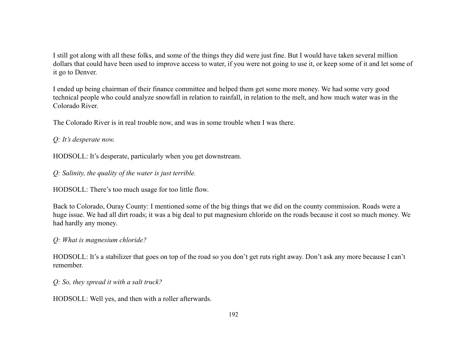I still got along with all these folks, and some of the things they did were just fine. But I would have taken several million dollars that could have been used to improve access to water, if you were not going to use it, or keep some of it and let some of it go to Denver.

I ended up being chairman of their finance committee and helped them get some more money. We had some very good technical people who could analyze snowfall in relation to rainfall, in relation to the melt, and how much water was in the Colorado River.

The Colorado River is in real trouble now, and was in some trouble when I was there.

*Q: It's desperate now.*

HODSOLL: It's desperate, particularly when you get downstream.

*Q: Salinity, the quality of the water is just terrible.*

HODSOLL: There's too much usage for too little flow.

Back to Colorado, Ouray County: I mentioned some of the big things that we did on the county commission. Roads were a huge issue. We had all dirt roads; it was a big deal to put magnesium chloride on the roads because it cost so much money. We had hardly any money.

*Q: What is magnesium chloride?*

HODSOLL: It's a stabilizer that goes on top of the road so you don't get ruts right away. Don't ask any more because I can't remember.

*Q: So, they spread it with a salt truck?*

HODSOLL: Well yes, and then with a roller afterwards.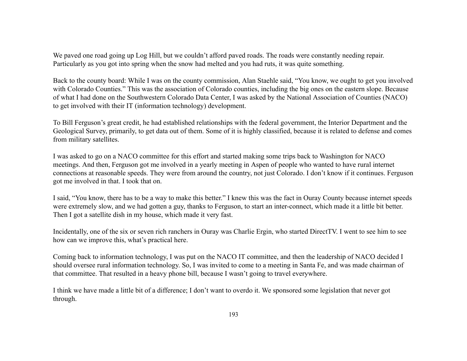We paved one road going up Log Hill, but we couldn't afford paved roads. The roads were constantly needing repair. Particularly as you got into spring when the snow had melted and you had ruts, it was quite something.

Back to the county board: While I was on the county commission, Alan Staehle said, "You know, we ought to get you involved with Colorado Counties." This was the association of Colorado counties, including the big ones on the eastern slope. Because of what I had done on the Southwestern Colorado Data Center, I was asked by the National Association of Counties (NACO) to get involved with their IT (information technology) development.

To Bill Ferguson's great credit, he had established relationships with the federal government, the Interior Department and the Geological Survey, primarily, to get data out of them. Some of it is highly classified, because it is related to defense and comes from military satellites.

I was asked to go on a NACO committee for this effort and started making some trips back to Washington for NACO meetings. And then, Ferguson got me involved in a yearly meeting in Aspen of people who wanted to have rural internet connections at reasonable speeds. They were from around the country, not just Colorado. I don't know if it continues. Ferguson got me involved in that. I took that on.

I said, "You know, there has to be a way to make this better." I knew this was the fact in Ouray County because internet speeds were extremely slow, and we had gotten a guy, thanks to Ferguson, to start an inter-connect, which made it a little bit better. Then I got a satellite dish in my house, which made it very fast.

Incidentally, one of the six or seven rich ranchers in Ouray was Charlie Ergin, who started DirectTV. I went to see him to see how can we improve this, what's practical here.

Coming back to information technology, I was put on the NACO IT committee, and then the leadership of NACO decided I should oversee rural information technology. So, I was invited to come to a meeting in Santa Fe, and was made chairman of that committee. That resulted in a heavy phone bill, because I wasn't going to travel everywhere.

I think we have made a little bit of a difference; I don't want to overdo it. We sponsored some legislation that never got through.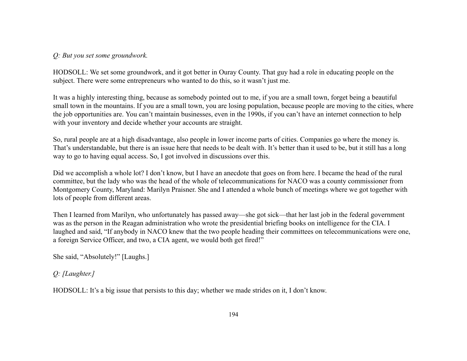*Q: But you set some groundwork.*

HODSOLL: We set some groundwork, and it got better in Ouray County. That guy had a role in educating people on the subject. There were some entrepreneurs who wanted to do this, so it wasn't just me.

It was a highly interesting thing, because as somebody pointed out to me, if you are a small town, forget being a beautiful small town in the mountains. If you are a small town, you are losing population, because people are moving to the cities, where the job opportunities are. You can't maintain businesses, even in the 1990s, if you can't have an internet connection to help with your inventory and decide whether your accounts are straight.

So, rural people are at a high disadvantage, also people in lower income parts of cities. Companies go where the money is. That's understandable, but there is an issue here that needs to be dealt with. It's better than it used to be, but it still has a long way to go to having equal access. So, I got involved in discussions over this.

Did we accomplish a whole lot? I don't know, but I have an anecdote that goes on from here. I became the head of the rural committee, but the lady who was the head of the whole of telecommunications for NACO was a county commissioner from Montgomery County, Maryland: Marilyn Praisner. She and I attended a whole bunch of meetings where we got together with lots of people from different areas.

Then I learned from Marilyn, who unfortunately has passed away—she got sick—that her last job in the federal government was as the person in the Reagan administration who wrote the presidential briefing books on intelligence for the CIA. I laughed and said, "If anybody in NACO knew that the two people heading their committees on telecommunications were one, a foreign Service Officer, and two, a CIA agent, we would both get fired!"

She said, "Absolutely!" [Laughs.]

*Q: [Laughter.]*

HODSOLL: It's a big issue that persists to this day; whether we made strides on it, I don't know.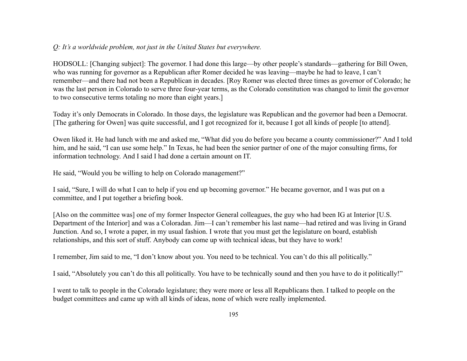### *Q: It's a worldwide problem, not just in the United States but everywhere.*

HODSOLL: [Changing subject]: The governor. I had done this large—by other people's standards—gathering for Bill Owen, who was running for governor as a Republican after Romer decided he was leaving—maybe he had to leave, I can't remember—and there had not been a Republican in decades. [Roy Romer was elected three times as governor of Colorado; he was the last person in Colorado to serve three four-year terms, as the Colorado constitution was changed to limit the governor to two consecutive terms totaling no more than eight years.]

Today it's only Democrats in Colorado. In those days, the legislature was Republican and the governor had been a Democrat. [The gathering for Owen] was quite successful, and I got recognized for it, because I got all kinds of people [to attend].

Owen liked it. He had lunch with me and asked me, "What did you do before you became a county commissioner?" And I told him, and he said, "I can use some help." In Texas, he had been the senior partner of one of the major consulting firms, for information technology. And I said I had done a certain amount on IT.

He said, "Would you be willing to help on Colorado management?"

I said, "Sure, I will do what I can to help if you end up becoming governor." He became governor, and I was put on a committee, and I put together a briefing book.

[Also on the committee was] one of my former Inspector General colleagues, the guy who had been IG at Interior [U.S. Department of the Interior] and was a Coloradan. Jim—I can't remember his last name—had retired and was living in Grand Junction. And so, I wrote a paper, in my usual fashion. I wrote that you must get the legislature on board, establish relationships, and this sort of stuff. Anybody can come up with technical ideas, but they have to work!

I remember, Jim said to me, "I don't know about you. You need to be technical. You can't do this all politically."

I said, "Absolutely you can't do this all politically. You have to be technically sound and then you have to do it politically!"

I went to talk to people in the Colorado legislature; they were more or less all Republicans then. I talked to people on the budget committees and came up with all kinds of ideas, none of which were really implemented.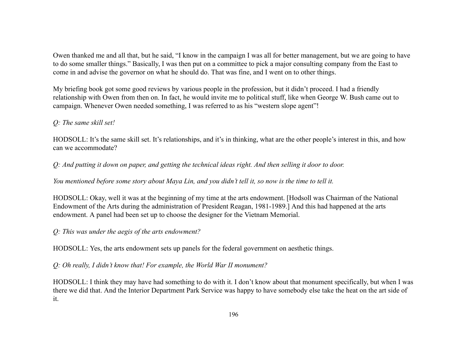Owen thanked me and all that, but he said, "I know in the campaign I was all for better management, but we are going to have to do some smaller things." Basically, I was then put on a committee to pick a major consulting company from the East to come in and advise the governor on what he should do. That was fine, and I went on to other things.

My briefing book got some good reviews by various people in the profession, but it didn't proceed. I had a friendly relationship with Owen from then on. In fact, he would invite me to political stuff, like when George W. Bush came out to campaign. Whenever Owen needed something, I was referred to as his "western slope agent"!

## *Q: The same skill set!*

HODSOLL: It's the same skill set. It's relationships, and it's in thinking, what are the other people's interest in this, and how can we accommodate?

*Q: And putting it down on paper, and getting the technical ideas right. And then selling it door to door.*

*You mentioned before some story about Maya Lin, and you didn't tell it, so now is the time to tell it.*

HODSOLL: Okay, well it was at the beginning of my time at the arts endowment. [Hodsoll was Chairman of the National Endowment of the Arts during the administration of President Reagan, 1981-1989.] And this had happened at the arts endowment. A panel had been set up to choose the designer for the Vietnam Memorial.

*Q: This was under the aegis of the arts endowment?*

HODSOLL: Yes, the arts endowment sets up panels for the federal government on aesthetic things.

*Q: Oh really, I didn't know that! For example, the World War II monument?*

HODSOLL: I think they may have had something to do with it. I don't know about that monument specifically, but when I was there we did that. And the Interior Department Park Service was happy to have somebody else take the heat on the art side of it.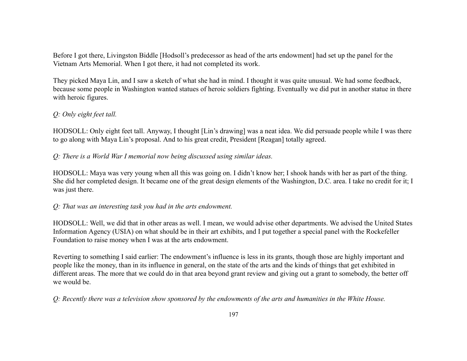Before I got there, Livingston Biddle [Hodsoll's predecessor as head of the arts endowment] had set up the panel for the Vietnam Arts Memorial. When I got there, it had not completed its work.

They picked Maya Lin, and I saw a sketch of what she had in mind. I thought it was quite unusual. We had some feedback, because some people in Washington wanted statues of heroic soldiers fighting. Eventually we did put in another statue in there with heroic figures.

# *Q: Only eight feet tall.*

HODSOLL: Only eight feet tall. Anyway, I thought [Lin's drawing] was a neat idea. We did persuade people while I was there to go along with Maya Lin's proposal. And to his great credit, President [Reagan] totally agreed.

*Q: There is a World War I memorial now being discussed using similar ideas.*

HODSOLL: Maya was very young when all this was going on. I didn't know her; I shook hands with her as part of the thing. She did her completed design. It became one of the great design elements of the Washington, D.C. area. I take no credit for it; I was just there.

*Q: That was an interesting task you had in the arts endowment.*

HODSOLL: Well, we did that in other areas as well. I mean, we would advise other departments. We advised the United States Information Agency (USIA) on what should be in their art exhibits, and I put together a special panel with the Rockefeller Foundation to raise money when I was at the arts endowment.

Reverting to something I said earlier: The endowment's influence is less in its grants, though those are highly important and people like the money, than in its influence in general, on the state of the arts and the kinds of things that get exhibited in different areas. The more that we could do in that area beyond grant review and giving out a grant to somebody, the better off we would be.

*Q: Recently there was a television show sponsored by the endowments of the arts and humanities in the White House.*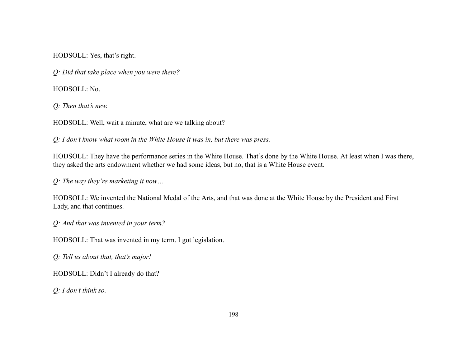HODSOLL: Yes, that's right.

*Q: Did that take place when you were there?*

HODSOLL: No.

*Q: Then that's new.*

HODSOLL: Well, wait a minute, what are we talking about?

*Q: I don't know what room in the White House it was in, but there was press.*

HODSOLL: They have the performance series in the White House. That's done by the White House. At least when I was there, they asked the arts endowment whether we had some ideas, but no, that is a White House event.

*Q: The way they're marketing it now…*

HODSOLL: We invented the National Medal of the Arts, and that was done at the White House by the President and First Lady, and that continues.

*Q: And that was invented in your term?*

HODSOLL: That was invented in my term. I got legislation.

*Q: Tell us about that, that's major!*

HODSOLL: Didn't I already do that?

*Q: I don't think so.*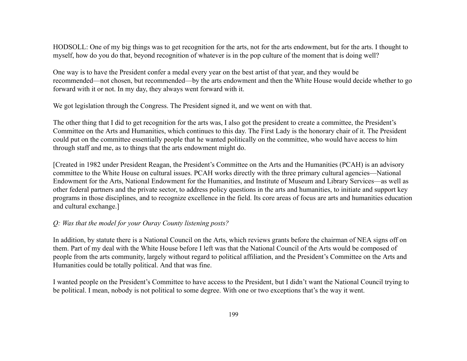HODSOLL: One of my big things was to get recognition for the arts, not for the arts endowment, but for the arts. I thought to myself, how do you do that, beyond recognition of whatever is in the pop culture of the moment that is doing well?

One way is to have the President confer a medal every year on the best artist of that year, and they would be recommended—not chosen, but recommended—by the arts endowment and then the White House would decide whether to go forward with it or not. In my day, they always went forward with it.

We got legislation through the Congress. The President signed it, and we went on with that.

The other thing that I did to get recognition for the arts was, I also got the president to create a committee, the President's Committee on the Arts and Humanities, which continues to this day. The First Lady is the honorary chair of it. The President could put on the committee essentially people that he wanted politically on the committee, who would have access to him through staff and me, as to things that the arts endowment might do.

[Created in 1982 under President Reagan, the President's Committee on the Arts and the Humanities (PCAH) is an advisory committee to the White House on cultural issues. PCAH works directly with the three primary cultural agencies—National Endowment for the Arts, National Endowment for the Humanities, and Institute of Museum and Library Services—as well as other federal partners and the private sector, to address policy questions in the arts and humanities, to initiate and support key programs in those disciplines, and to recognize excellence in the field. Its core areas of focus are arts and humanities education and cultural exchange.]

#### *Q: Was that the model for your Ouray County listening posts?*

In addition, by statute there is a National Council on the Arts, which reviews grants before the chairman of NEA signs off on them. Part of my deal with the White House before I left was that the National Council of the Arts would be composed of people from the arts community, largely without regard to political affiliation, and the President's Committee on the Arts and Humanities could be totally political. And that was fine.

I wanted people on the President's Committee to have access to the President, but I didn't want the National Council trying to be political. I mean, nobody is not political to some degree. With one or two exceptions that's the way it went.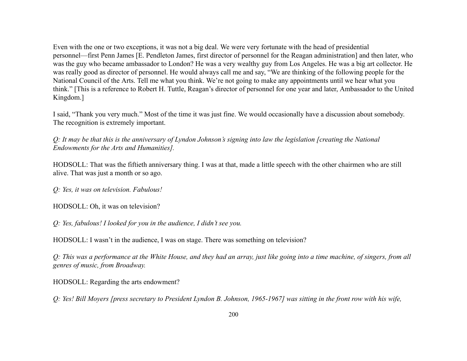Even with the one or two exceptions, it was not a big deal. We were very fortunate with the head of presidential personnel—first Penn James [E. Pendleton James, first director of personnel for the Reagan administration] and then later, who was the guy who became ambassador to London? He was a very wealthy guy from Los Angeles. He was a big art collector. He was really good as director of personnel. He would always call me and say, "We are thinking of the following people for the National Council of the Arts. Tell me what you think. We're not going to make any appointments until we hear what you think." [This is a reference to Robert H. Tuttle, Reagan's director of personnel for one year and later, Ambassador to the United Kingdom.]

I said, "Thank you very much." Most of the time it was just fine. We would occasionally have a discussion about somebody. The recognition is extremely important.

*Q: It may be that this is the anniversary of Lyndon Johnson's signing into law the legislation [creating the National Endowments for the Arts and Humanities].*

HODSOLL: That was the fiftieth anniversary thing. I was at that, made a little speech with the other chairmen who are still alive. That was just a month or so ago.

*Q: Yes, it was on television. Fabulous!*

HODSOLL: Oh, it was on television?

*Q: Yes, fabulous! I looked for you in the audience, I didn't see you.*

HODSOLL: I wasn't in the audience, I was on stage. There was something on television?

*Q: This was a performance at the White House, and they had an array, just like going into a time machine, of singers, from all genres of music, from Broadway.*

HODSOLL: Regarding the arts endowment?

*Q: Yes! Bill Moyers [press secretary to President Lyndon B. Johnson, 1965-1967] was sitting in the front row with his wife,*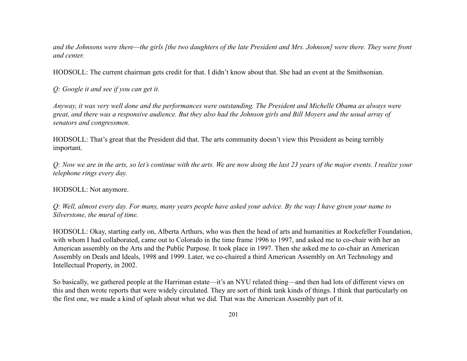*and the Johnsons were there—the girls [the two daughters of the late President and Mrs. Johnson] were there. They were front and center.*

HODSOLL: The current chairman gets credit for that. I didn't know about that. She had an event at the Smithsonian.

*Q: Google it and see if you can get it.*

*Anyway, it was very well done and the performances were outstanding. The President and Michelle Obama as always were great, and there was a responsive audience. But they also had the Johnson girls and Bill Moyers and the usual array of senators and congressmen.*

HODSOLL: That's great that the President did that. The arts community doesn't view this President as being terribly important.

*Q: Now we are in the arts, so let's continue with the arts. We are now doing the last 23 years of the major events. I realize your telephone rings every day.*

HODSOLL: Not anymore.

*Q: Well, almost every day. For many, many years people have asked your advice. By the way I have given your name to Silverstone, the mural of time.*

HODSOLL: Okay, starting early on, Alberta Arthurs, who was then the head of arts and humanities at Rockefeller Foundation, with whom I had collaborated, came out to Colorado in the time frame 1996 to 1997, and asked me to co-chair with her an American assembly on the Arts and the Public Purpose. It took place in 1997. Then she asked me to co-chair an American Assembly on Deals and Ideals, 1998 and 1999. Later, we co-chaired a third American Assembly on Art Technology and Intellectual Property, in 2002.

So basically, we gathered people at the Harriman estate—it's an NYU related thing—and then had lots of different views on this and then wrote reports that were widely circulated. They are sort of think tank kinds of things. I think that particularly on the first one, we made a kind of splash about what we did. That was the American Assembly part of it.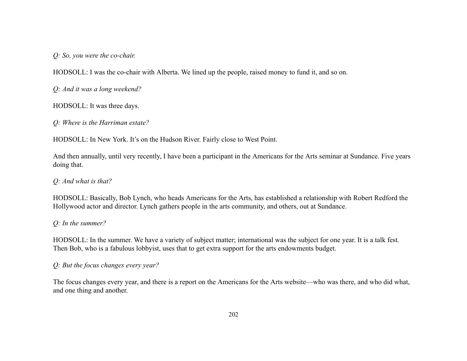*Q: So, you were the co-chair.*

HODSOLL: I was the co-chair with Alberta. We lined up the people, raised money to fund it, and so on.

*Q: And it was a long weekend?*

HODSOLL: It was three days.

*Q: Where is the Harriman estate?*

HODSOLL: In New York. It's on the Hudson River. Fairly close to West Point.

And then annually, until very recently, I have been a participant in the Americans for the Arts seminar at Sundance. Five years doing that.

*Q: And what is that?*

HODSOLL: Basically, Bob Lynch, who heads Americans for the Arts, has established a relationship with Robert Redford the Hollywood actor and director. Lynch gathers people in the arts community, and others, out at Sundance.

## *Q: In the summer?*

HODSOLL: In the summer. We have a variety of subject matter; international was the subject for one year. It is a talk fest. Then Bob, who is a fabulous lobbyist, uses that to get extra support for the arts endowments budget.

*Q: But the focus changes every year?*

The focus changes every year, and there is a report on the Americans for the Arts website—who was there, and who did what, and one thing and another.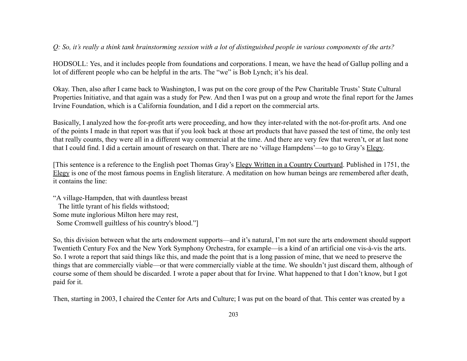## *Q: So, it's really a think tank brainstorming session with a lot of distinguished people in various components of the arts?*

HODSOLL: Yes, and it includes people from foundations and corporations. I mean, we have the head of Gallup polling and a lot of different people who can be helpful in the arts. The "we" is Bob Lynch; it's his deal.

Okay. Then, also after I came back to Washington, I was put on the core group of the Pew Charitable Trusts' State Cultural Properties Initiative, and that again was a study for Pew. And then I was put on a group and wrote the final report for the James Irvine Foundation, which is a California foundation, and I did a report on the commercial arts.

Basically, I analyzed how the for-profit arts were proceeding, and how they inter-related with the not-for-profit arts. And one of the points I made in that report was that if you look back at those art products that have passed the test of time, the only test that really counts, they were all in a different way commercial at the time. And there are very few that weren't, or at last none that I could find. I did a certain amount of research on that. There are no 'village Hampdens'—to go to Gray's Elegy.

[This sentence is a reference to the English poet Thomas Gray's Elegy Written in a Country Courtyard. Published in 1751, the Elegy is one of the most famous poems in English literature. A meditation on how human beings are remembered after death, it contains the line:

"A village-Hampden, that with dauntless breast The little tyrant of his fields withstood; Some mute inglorious Milton here may rest, Some Cromwell guiltless of his country's blood."]

So, this division between what the arts endowment supports—and it's natural, I'm not sure the arts endowment should support Twentieth Century Fox and the New York Symphony Orchestra, for example—is a kind of an artificial one vis-à-vis the arts. So. I wrote a report that said things like this, and made the point that is a long passion of mine, that we need to preserve the things that are commercially viable—or that were commercially viable at the time. We shouldn't just discard them, although of course some of them should be discarded. I wrote a paper about that for Irvine. What happened to that I don't know, but I got paid for it.

Then, starting in 2003, I chaired the Center for Arts and Culture; I was put on the board of that. This center was created by a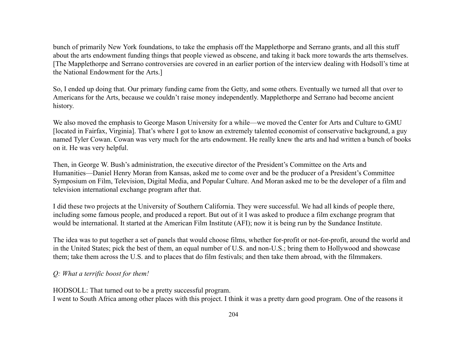bunch of primarily New York foundations, to take the emphasis off the Mapplethorpe and Serrano grants, and all this stuff about the arts endowment funding things that people viewed as obscene, and taking it back more towards the arts themselves. [The Mapplethorpe and Serrano controversies are covered in an earlier portion of the interview dealing with Hodsoll's time at the National Endowment for the Arts.]

So, I ended up doing that. Our primary funding came from the Getty, and some others. Eventually we turned all that over to Americans for the Arts, because we couldn't raise money independently. Mapplethorpe and Serrano had become ancient history.

We also moved the emphasis to George Mason University for a while—we moved the Center for Arts and Culture to GMU [located in Fairfax, Virginia]. That's where I got to know an extremely talented economist of conservative background, a guy named Tyler Cowan. Cowan was very much for the arts endowment. He really knew the arts and had written a bunch of books on it. He was very helpful.

Then, in George W. Bush's administration, the executive director of the President's Committee on the Arts and Humanities—Daniel Henry Moran from Kansas, asked me to come over and be the producer of a President's Committee Symposium on Film, Television, Digital Media, and Popular Culture. And Moran asked me to be the developer of a film and television international exchange program after that.

I did these two projects at the University of Southern California. They were successful. We had all kinds of people there, including some famous people, and produced a report. But out of it I was asked to produce a film exchange program that would be international. It started at the American Film Institute (AFI); now it is being run by the Sundance Institute.

The idea was to put together a set of panels that would choose films, whether for-profit or not-for-profit, around the world and in the United States; pick the best of them, an equal number of U.S. and non-U.S.; bring them to Hollywood and showcase them; take them across the U.S. and to places that do film festivals; and then take them abroad, with the filmmakers.

#### *Q: What a terrific boost for them!*

HODSOLL: That turned out to be a pretty successful program.

I went to South Africa among other places with this project. I think it was a pretty darn good program. One of the reasons it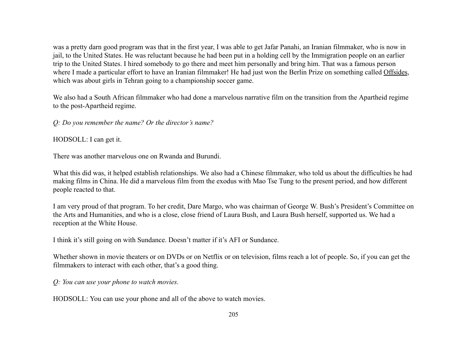was a pretty darn good program was that in the first year, I was able to get Jafar Panahi, an Iranian filmmaker, who is now in jail, to the United States. He was reluctant because he had been put in a holding cell by the Immigration people on an earlier trip to the United States. I hired somebody to go there and meet him personally and bring him. That was a famous person where I made a particular effort to have an Iranian filmmaker! He had just won the Berlin Prize on something called Offsides, which was about girls in Tehran going to a championship soccer game.

We also had a South African filmmaker who had done a marvelous narrative film on the transition from the Apartheid regime to the post-Apartheid regime.

*Q: Do you remember the name? Or the director's name?*

HODSOLL: I can get it.

There was another marvelous one on Rwanda and Burundi.

What this did was, it helped establish relationships. We also had a Chinese filmmaker, who told us about the difficulties he had making films in China. He did a marvelous film from the exodus with Mao Tse Tung to the present period, and how different people reacted to that.

I am very proud of that program. To her credit, Dare Margo, who was chairman of George W. Bush's President's Committee on the Arts and Humanities, and who is a close, close friend of Laura Bush, and Laura Bush herself, supported us. We had a reception at the White House.

I think it's still going on with Sundance. Doesn't matter if it's AFI or Sundance.

Whether shown in movie theaters or on DVDs or on Netflix or on television, films reach a lot of people. So, if you can get the filmmakers to interact with each other, that's a good thing.

*Q: You can use your phone to watch movies.*

HODSOLL: You can use your phone and all of the above to watch movies.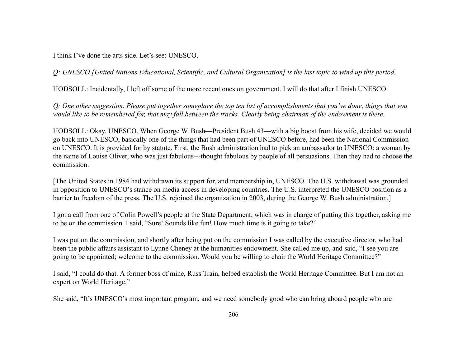I think I've done the arts side. Let's see: UNESCO.

*Q: UNESCO [United Nations Educational, Scientific, and Cultural Organization] is the last topic to wind up this period.*

HODSOLL: Incidentally, I left off some of the more recent ones on government. I will do that after I finish UNESCO.

*Q: One other suggestion. Please put together someplace the top ten list of accomplishments that you've done, things that you would like to be remembered for, that may fall between the tracks. Clearly being chairman of the endowment is there.*

HODSOLL: Okay. UNESCO. When George W. Bush—President Bush 43—with a big boost from his wife, decided we would go back into UNESCO, basically one of the things that had been part of UNESCO before, had been the National Commission on UNESCO. It is provided for by statute. First, the Bush administration had to pick an ambassador to UNESCO: a woman by the name of Louise Oliver, who was just fabulous---thought fabulous by people of all persuasions. Then they had to choose the commission.

[The United States in 1984 had withdrawn its support for, and membership in, UNESCO. The U.S. withdrawal was grounded in opposition to UNESCO's stance on media access in developing countries. The U.S. interpreted the UNESCO position as a barrier to freedom of the press. The U.S. rejoined the organization in 2003, during the George W. Bush administration.]

I got a call from one of Colin Powell's people at the State Department, which was in charge of putting this together, asking me to be on the commission. I said, "Sure! Sounds like fun! How much time is it going to take?"

I was put on the commission, and shortly after being put on the commission I was called by the executive director, who had been the public affairs assistant to Lynne Cheney at the humanities endowment. She called me up, and said, "I see you are going to be appointed; welcome to the commission. Would you be willing to chair the World Heritage Committee?"

I said, "I could do that. A former boss of mine, Russ Train, helped establish the World Heritage Committee. But I am not an expert on World Heritage."

She said, "It's UNESCO's most important program, and we need somebody good who can bring aboard people who are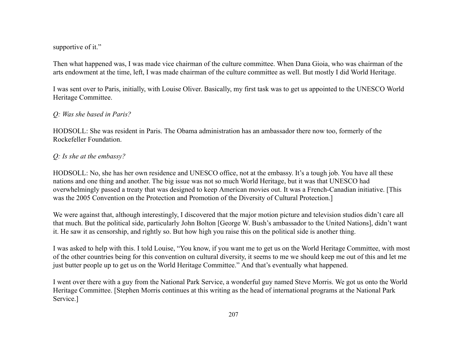#### supportive of it."

Then what happened was, I was made vice chairman of the culture committee. When Dana Gioia, who was chairman of the arts endowment at the time, left, I was made chairman of the culture committee as well. But mostly I did World Heritage.

I was sent over to Paris, initially, with Louise Oliver. Basically, my first task was to get us appointed to the UNESCO World Heritage Committee.

## *Q: Was she based in Paris?*

HODSOLL: She was resident in Paris. The Obama administration has an ambassador there now too, formerly of the Rockefeller Foundation.

## *Q: Is she at the embassy?*

HODSOLL: No, she has her own residence and UNESCO office, not at the embassy. It's a tough job. You have all these nations and one thing and another. The big issue was not so much World Heritage, but it was that UNESCO had overwhelmingly passed a treaty that was designed to keep American movies out. It was a French-Canadian initiative. [This was the 2005 Convention on the Protection and Promotion of the Diversity of Cultural Protection.]

We were against that, although interestingly, I discovered that the major motion picture and television studios didn't care all that much. But the political side, particularly John Bolton [George W. Bush's ambassador to the United Nations], didn't want it. He saw it as censorship, and rightly so. But how high you raise this on the political side is another thing.

I was asked to help with this. I told Louise, "You know, if you want me to get us on the World Heritage Committee, with most of the other countries being for this convention on cultural diversity, it seems to me we should keep me out of this and let me just butter people up to get us on the World Heritage Committee." And that's eventually what happened.

I went over there with a guy from the National Park Service, a wonderful guy named Steve Morris. We got us onto the World Heritage Committee. [Stephen Morris continues at this writing as the head of international programs at the National Park Service.]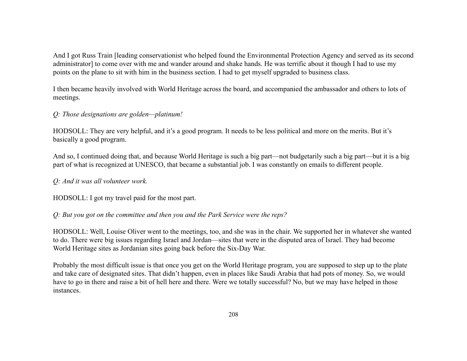And I got Russ Train [leading conservationist who helped found the Environmental Protection Agency and served as its second administrator] to come over with me and wander around and shake hands. He was terrific about it though I had to use my points on the plane to sit with him in the business section. I had to get myself upgraded to business class.

I then became heavily involved with World Heritage across the board, and accompanied the ambassador and others to lots of meetings.

## *Q: Those designations are golden—platinum!*

HODSOLL: They are very helpful, and it's a good program. It needs to be less political and more on the merits. But it's basically a good program.

And so, I continued doing that, and because World Heritage is such a big part—not budgetarily such a big part—but it is a big part of what is recognized at UNESCO, that became a substantial job. I was constantly on emails to different people.

## *Q: And it was all volunteer work.*

HODSOLL: I got my travel paid for the most part.

## *Q: But you got on the committee and then you and the Park Service were the reps?*

HODSOLL: Well, Louise Oliver went to the meetings, too, and she was in the chair. We supported her in whatever she wanted to do. There were big issues regarding Israel and Jordan—sites that were in the disputed area of Israel. They had become World Heritage sites as Jordanian sites going back before the Six-Day War.

Probably the most difficult issue is that once you get on the World Heritage program, you are supposed to step up to the plate and take care of designated sites. That didn't happen, even in places like Saudi Arabia that had pots of money. So, we would have to go in there and raise a bit of hell here and there. Were we totally successful? No, but we may have helped in those instances.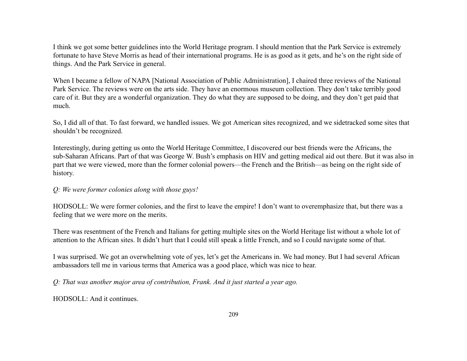I think we got some better guidelines into the World Heritage program. I should mention that the Park Service is extremely fortunate to have Steve Morris as head of their international programs. He is as good as it gets, and he's on the right side of things. And the Park Service in general.

When I became a fellow of NAPA [National Association of Public Administration], I chaired three reviews of the National Park Service. The reviews were on the arts side. They have an enormous museum collection. They don't take terribly good care of it. But they are a wonderful organization. They do what they are supposed to be doing, and they don't get paid that much.

So, I did all of that. To fast forward, we handled issues. We got American sites recognized, and we sidetracked some sites that shouldn't be recognized.

Interestingly, during getting us onto the World Heritage Committee, I discovered our best friends were the Africans, the sub-Saharan Africans. Part of that was George W. Bush's emphasis on HIV and getting medical aid out there. But it was also in part that we were viewed, more than the former colonial powers—the French and the British—as being on the right side of history.

#### *Q: We were former colonies along with those guys!*

HODSOLL: We were former colonies, and the first to leave the empire! I don't want to overemphasize that, but there was a feeling that we were more on the merits.

There was resentment of the French and Italians for getting multiple sites on the World Heritage list without a whole lot of attention to the African sites. It didn't hurt that I could still speak a little French, and so I could navigate some of that.

I was surprised. We got an overwhelming vote of yes, let's get the Americans in. We had money. But I had several African ambassadors tell me in various terms that America was a good place, which was nice to hear.

*Q: That was another major area of contribution, Frank. And it just started a year ago.*

HODSOLL: And it continues.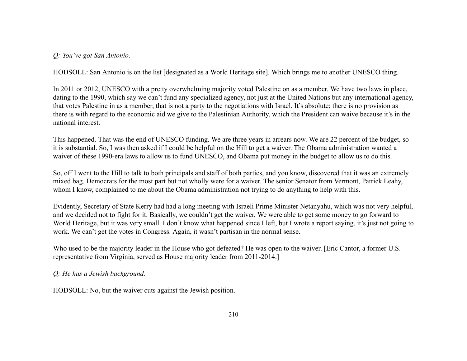*Q: You've got San Antonio.*

HODSOLL: San Antonio is on the list [designated as a World Heritage site]. Which brings me to another UNESCO thing.

In 2011 or 2012, UNESCO with a pretty overwhelming majority voted Palestine on as a member. We have two laws in place, dating to the 1990, which say we can't fund any specialized agency, not just at the United Nations but any international agency, that votes Palestine in as a member, that is not a party to the negotiations with Israel. It's absolute; there is no provision as there is with regard to the economic aid we give to the Palestinian Authority, which the President can waive because it's in the national interest.

This happened. That was the end of UNESCO funding. We are three years in arrears now. We are 22 percent of the budget, so it is substantial. So, I was then asked if I could be helpful on the Hill to get a waiver. The Obama administration wanted a waiver of these 1990-era laws to allow us to fund UNESCO, and Obama put money in the budget to allow us to do this.

So, off I went to the Hill to talk to both principals and staff of both parties, and you know, discovered that it was an extremely mixed bag. Democrats for the most part but not wholly were for a waiver. The senior Senator from Vermont, Patrick Leahy, whom I know, complained to me about the Obama administration not trying to do anything to help with this.

Evidently, Secretary of State Kerry had had a long meeting with Israeli Prime Minister Netanyahu, which was not very helpful, and we decided not to fight for it. Basically, we couldn't get the waiver. We were able to get some money to go forward to World Heritage, but it was very small. I don't know what happened since I left, but I wrote a report saying, it's just not going to work. We can't get the votes in Congress. Again, it wasn't partisan in the normal sense.

Who used to be the majority leader in the House who got defeated? He was open to the waiver. [Eric Cantor, a former U.S.] representative from Virginia, served as House majority leader from 2011-2014.]

*Q: He has a Jewish background.*

HODSOLL: No, but the waiver cuts against the Jewish position.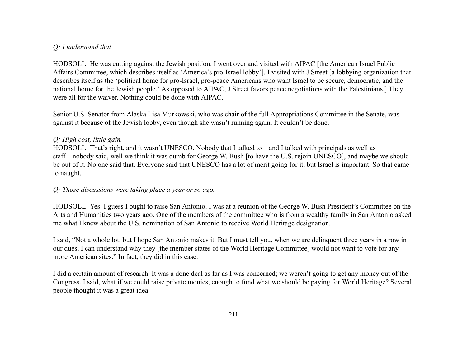# *Q: I understand that.*

HODSOLL: He was cutting against the Jewish position. I went over and visited with AIPAC [the American Israel Public Affairs Committee, which describes itself as 'America's pro-Israel lobby']. I visited with J Street [a lobbying organization that describes itself as the 'political home for pro-Israel, pro-peace Americans who want Israel to be secure, democratic, and the national home for the Jewish people.' As opposed to AIPAC, J Street favors peace negotiations with the Palestinians.] They were all for the waiver. Nothing could be done with AIPAC.

Senior U.S. Senator from Alaska Lisa Murkowski, who was chair of the full Appropriations Committee in the Senate, was against it because of the Jewish lobby, even though she wasn't running again. It couldn't be done.

### *Q: High cost, little gain.*

HODSOLL: That's right, and it wasn't UNESCO. Nobody that I talked to—and I talked with principals as well as staff—nobody said, well we think it was dumb for George W. Bush [to have the U.S. rejoin UNESCO], and maybe we should be out of it. No one said that. Everyone said that UNESCO has a lot of merit going for it, but Israel is important. So that came to naught.

#### *Q: Those discussions were taking place a year or so ago.*

HODSOLL: Yes. I guess I ought to raise San Antonio. I was at a reunion of the George W. Bush President's Committee on the Arts and Humanities two years ago. One of the members of the committee who is from a wealthy family in San Antonio asked me what I knew about the U.S. nomination of San Antonio to receive World Heritage designation.

I said, "Not a whole lot, but I hope San Antonio makes it. But I must tell you, when we are delinquent three years in a row in our dues, I can understand why they [the member states of the World Heritage Committee] would not want to vote for any more American sites." In fact, they did in this case.

I did a certain amount of research. It was a done deal as far as I was concerned; we weren't going to get any money out of the Congress. I said, what if we could raise private monies, enough to fund what we should be paying for World Heritage? Several people thought it was a great idea.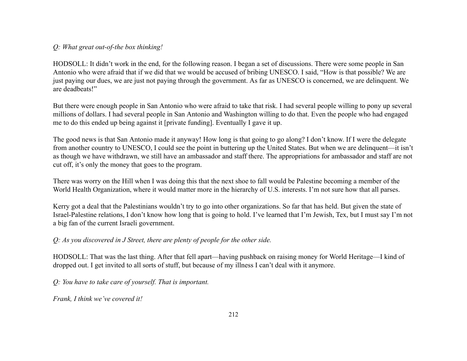## *Q: What great out-of-the box thinking!*

HODSOLL: It didn't work in the end, for the following reason. I began a set of discussions. There were some people in San Antonio who were afraid that if we did that we would be accused of bribing UNESCO. I said, "How is that possible? We are just paying our dues, we are just not paying through the government. As far as UNESCO is concerned, we are delinquent. We are deadbeats!"

But there were enough people in San Antonio who were afraid to take that risk. I had several people willing to pony up several millions of dollars. I had several people in San Antonio and Washington willing to do that. Even the people who had engaged me to do this ended up being against it [private funding]. Eventually I gave it up.

The good news is that San Antonio made it anyway! How long is that going to go along? I don't know. If I were the delegate from another country to UNESCO, I could see the point in buttering up the United States. But when we are delinquent—it isn't as though we have withdrawn, we still have an ambassador and staff there. The appropriations for ambassador and staff are not cut off, it's only the money that goes to the program.

There was worry on the Hill when I was doing this that the next shoe to fall would be Palestine becoming a member of the World Health Organization, where it would matter more in the hierarchy of U.S. interests. I'm not sure how that all parses.

Kerry got a deal that the Palestinians wouldn't try to go into other organizations. So far that has held. But given the state of Israel-Palestine relations, I don't know how long that is going to hold. I've learned that I'm Jewish, Tex, but I must say I'm not a big fan of the current Israeli government.

*Q: As you discovered in J Street, there are plenty of people for the other side.*

HODSOLL: That was the last thing. After that fell apart—having pushback on raising money for World Heritage—I kind of dropped out. I get invited to all sorts of stuff, but because of my illness I can't deal with it anymore.

*Q: You have to take care of yourself. That is important.*

*Frank, I think we've covered it!*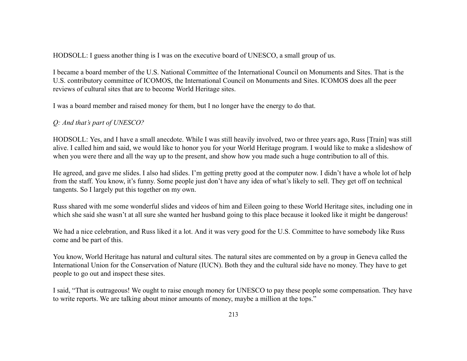HODSOLL: I guess another thing is I was on the executive board of UNESCO, a small group of us.

I became a board member of the U.S. National Committee of the International Council on Monuments and Sites. That is the U.S. contributory committee of ICOMOS, the International Council on Monuments and Sites. ICOMOS does all the peer reviews of cultural sites that are to become World Heritage sites.

I was a board member and raised money for them, but I no longer have the energy to do that.

*Q: And that's part of UNESCO?*

HODSOLL: Yes, and I have a small anecdote. While I was still heavily involved, two or three years ago, Russ [Train] was still alive. I called him and said, we would like to honor you for your World Heritage program. I would like to make a slideshow of when you were there and all the way up to the present, and show how you made such a huge contribution to all of this.

He agreed, and gave me slides. I also had slides. I'm getting pretty good at the computer now. I didn't have a whole lot of help from the staff. You know, it's funny. Some people just don't have any idea of what's likely to sell. They get off on technical tangents. So I largely put this together on my own.

Russ shared with me some wonderful slides and videos of him and Eileen going to these World Heritage sites, including one in which she said she wasn't at all sure she wanted her husband going to this place because it looked like it might be dangerous!

We had a nice celebration, and Russ liked it a lot. And it was very good for the U.S. Committee to have somebody like Russ come and be part of this.

You know, World Heritage has natural and cultural sites. The natural sites are commented on by a group in Geneva called the International Union for the Conservation of Nature (IUCN). Both they and the cultural side have no money. They have to get people to go out and inspect these sites.

I said, "That is outrageous! We ought to raise enough money for UNESCO to pay these people some compensation. They have to write reports. We are talking about minor amounts of money, maybe a million at the tops."